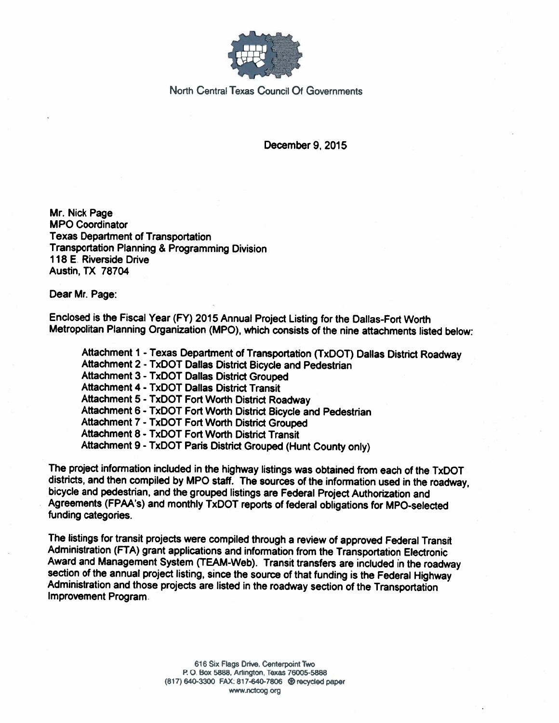

North Central Texas Council Of Governments

December 9, 2015

Mr. Nick Page **MPO Coordinator Texas Department of Transportation** Transportation Planning & Programming Division 118 E. Riverside Drive **Austin, TX 78704** 

Dear Mr. Page:

Enclosed is the Fiscal Year (FY) 2015 Annual Project Listing for the Dallas-Fort Worth Metropolitan Planning Organization (MPO), which consists of the nine attachments listed below:

Attachment 1 - Texas Department of Transportation (TxDOT) Dallas District Roadway Attachment 2 - TxDOT Dallas District Bicycle and Pedestrian Attachment 3 - TxDOT Dallas District Grouped **Attachment 4 - TxDOT Dallas District Transit** Attachment 5 - TxDOT Fort Worth District Roadway Attachment 6 - TxDOT Fort Worth District Bicycle and Pedestrian Attachment 7 - TxDOT Fort Worth District Grouped Attachment 8 - TxDOT Fort Worth District Transit Attachment 9 - TxDOT Paris District Grouped (Hunt County only)

The project information included in the highway listings was obtained from each of the TxDOT districts, and then compiled by MPO staff. The sources of the information used in the roadway. bicycle and pedestrian, and the grouped listings are Federal Project Authorization and Agreements (FPAA's) and monthly TxDOT reports of federal obligations for MPO-selected funding categories.

The listings for transit projects were compiled through a review of approved Federal Transit Administration (FTA) grant applications and information from the Transportation Electronic Award and Management System (TEAM-Web). Transit transfers are included in the roadway section of the annual project listing, since the source of that funding is the Federal Highway Administration and those projects are listed in the roadway section of the Transportation Improvement Program.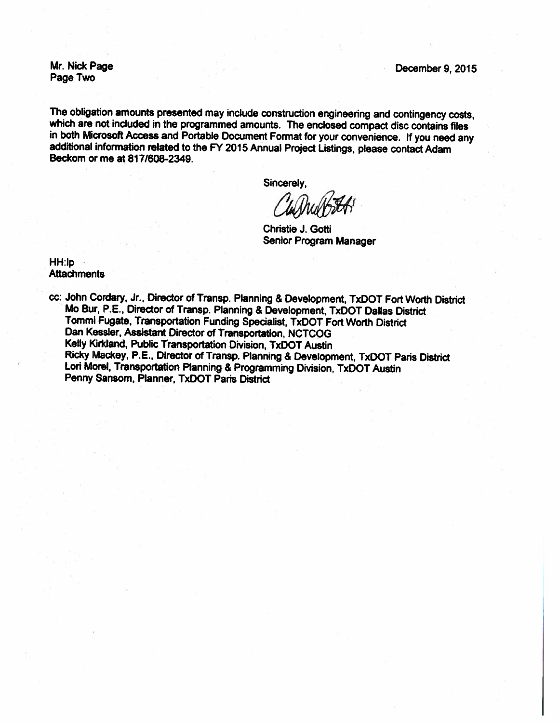Mr. Nick Page Page Two

December 9, 2015

The obligation amounts presented may include construction engineering and contingency costs, which are not included in the programmed amounts. The enclosed compact disc contains files in both Microsoft Access and Portable Document Format for your convenience. If you need any additional information related to the FY 2015 Annual Project Listings, please contact Adam Beckom or me at 817/608-2349.

Sincerely,

Christie J. Gotti Senior Program Manager

HH:Ip **Attachments** 

cc: John Cordary, Jr., Director of Transp. Planning & Development, TxDOT Fort Worth District Mo Bur, P.E., Director of Transp. Planning & Development, TxDOT Dallas District Tommi Fugate, Transportation Funding Specialist, TxDOT Fort Worth District Dan Kessler, Assistant Director of Transportation, NCTCOG Kelly Kirkland, Public Transportation Division, TxDOT Austin Ricky Mackey, P.E., Director of Transp. Planning & Development, TxDOT Paris District Lori Morel, Transportation Planning & Programming Division, TxDOT Austin Penny Sansom, Planner, TxDOT Paris District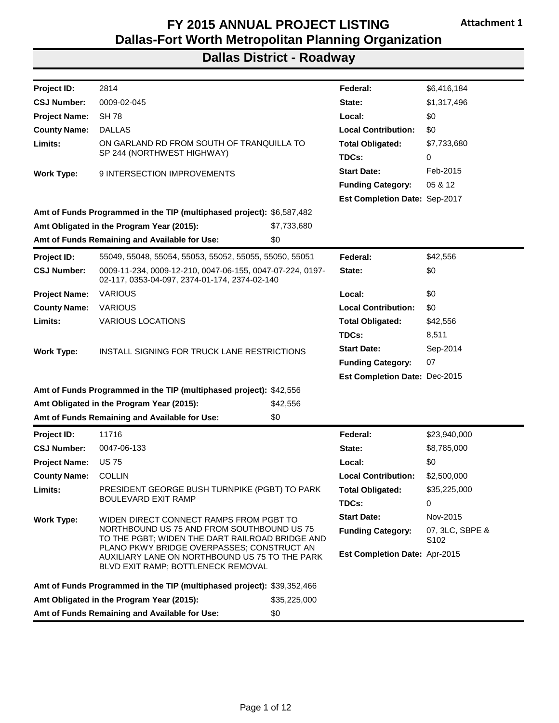| <b>Dallas-Fort Worth Metropolitan Planning Organization</b><br><b>Dallas District - Roadway</b>                                       |                                                                                                                                    |              |                               |                                     |
|---------------------------------------------------------------------------------------------------------------------------------------|------------------------------------------------------------------------------------------------------------------------------------|--------------|-------------------------------|-------------------------------------|
|                                                                                                                                       |                                                                                                                                    |              |                               |                                     |
| Project ID:                                                                                                                           | 2814                                                                                                                               |              | Federal:                      | \$6,416,184                         |
| <b>CSJ Number:</b>                                                                                                                    | 0009-02-045                                                                                                                        |              | State:                        | \$1,317,496                         |
| <b>Project Name:</b>                                                                                                                  | <b>SH 78</b>                                                                                                                       |              | Local:                        | \$0                                 |
| <b>County Name:</b>                                                                                                                   | <b>DALLAS</b>                                                                                                                      |              | <b>Local Contribution:</b>    | \$0                                 |
| Limits:                                                                                                                               | ON GARLAND RD FROM SOUTH OF TRANQUILLA TO<br>SP 244 (NORTHWEST HIGHWAY)                                                            |              | <b>Total Obligated:</b>       | \$7,733,680                         |
|                                                                                                                                       |                                                                                                                                    |              | TDCs:                         | 0                                   |
| <b>Work Type:</b>                                                                                                                     | 9 INTERSECTION IMPROVEMENTS                                                                                                        |              | <b>Start Date:</b>            | Feb-2015                            |
|                                                                                                                                       |                                                                                                                                    |              | <b>Funding Category:</b>      | 05 & 12                             |
|                                                                                                                                       |                                                                                                                                    |              | Est Completion Date: Sep-2017 |                                     |
|                                                                                                                                       | Amt of Funds Programmed in the TIP (multiphased project): \$6,587,482                                                              |              |                               |                                     |
|                                                                                                                                       | Amt Obligated in the Program Year (2015):                                                                                          | \$7,733,680  |                               |                                     |
|                                                                                                                                       | Amt of Funds Remaining and Available for Use:                                                                                      | \$0          |                               |                                     |
| <b>Project ID:</b>                                                                                                                    | 55049, 55048, 55054, 55053, 55052, 55055, 55050, 55051                                                                             |              | Federal:                      | \$42,556                            |
| <b>CSJ Number:</b>                                                                                                                    | 0009-11-234, 0009-12-210, 0047-06-155, 0047-07-224, 0197-<br>02-117, 0353-04-097, 2374-01-174, 2374-02-140                         |              | State:                        | \$0                                 |
| <b>Project Name:</b>                                                                                                                  | <b>VARIOUS</b>                                                                                                                     |              | Local:                        | \$0                                 |
| <b>County Name:</b>                                                                                                                   | <b>VARIOUS</b>                                                                                                                     |              | <b>Local Contribution:</b>    | \$0                                 |
| Limits:                                                                                                                               | <b>VARIOUS LOCATIONS</b>                                                                                                           |              | <b>Total Obligated:</b>       | \$42,556                            |
|                                                                                                                                       |                                                                                                                                    |              | TDCs:                         | 8,511                               |
|                                                                                                                                       |                                                                                                                                    |              |                               |                                     |
|                                                                                                                                       | INSTALL SIGNING FOR TRUCK LANE RESTRICTIONS                                                                                        |              | <b>Start Date:</b>            | Sep-2014                            |
|                                                                                                                                       |                                                                                                                                    |              | <b>Funding Category:</b>      | 07                                  |
|                                                                                                                                       |                                                                                                                                    |              | Est Completion Date: Dec-2015 |                                     |
|                                                                                                                                       | Amt of Funds Programmed in the TIP (multiphased project): \$42,556                                                                 |              |                               |                                     |
|                                                                                                                                       | Amt Obligated in the Program Year (2015):                                                                                          | \$42,556     |                               |                                     |
|                                                                                                                                       | Amt of Funds Remaining and Available for Use:                                                                                      | \$0          |                               |                                     |
|                                                                                                                                       | 11716                                                                                                                              |              | Federal:                      | \$23,940,000                        |
|                                                                                                                                       | 0047-06-133                                                                                                                        |              | State:                        | \$8,785,000                         |
|                                                                                                                                       | <b>US 75</b>                                                                                                                       |              | Local:                        | \$0                                 |
|                                                                                                                                       | <b>COLLIN</b>                                                                                                                      |              | <b>Local Contribution:</b>    | \$2,500,000                         |
|                                                                                                                                       | PRESIDENT GEORGE BUSH TURNPIKE (PGBT) TO PARK                                                                                      |              | <b>Total Obligated:</b>       | \$35,225,000                        |
|                                                                                                                                       | <b>BOULEVARD EXIT RAMP</b>                                                                                                         |              | TDCs:                         | 0                                   |
|                                                                                                                                       | WIDEN DIRECT CONNECT RAMPS FROM PGBT TO                                                                                            |              | <b>Start Date:</b>            | Nov-2015                            |
| <b>Work Type:</b><br>Project ID:<br><b>CSJ Number:</b><br><b>Project Name:</b><br><b>County Name:</b><br>Limits:<br><b>Work Type:</b> | NORTHBOUND US 75 AND FROM SOUTHBOUND US 75<br>TO THE PGBT; WIDEN THE DART RAILROAD BRIDGE AND                                      |              | <b>Funding Category:</b>      | 07, 3LC, SBPE &<br>S <sub>102</sub> |
|                                                                                                                                       | PLANO PKWY BRIDGE OVERPASSES; CONSTRUCT AN<br>AUXILIARY LANE ON NORTHBOUND US 75 TO THE PARK<br>BLVD EXIT RAMP; BOTTLENECK REMOVAL |              | Est Completion Date: Apr-2015 |                                     |
|                                                                                                                                       | Amt of Funds Programmed in the TIP (multiphased project): \$39,352,466                                                             |              |                               |                                     |
|                                                                                                                                       | Amt Obligated in the Program Year (2015):                                                                                          | \$35,225,000 |                               |                                     |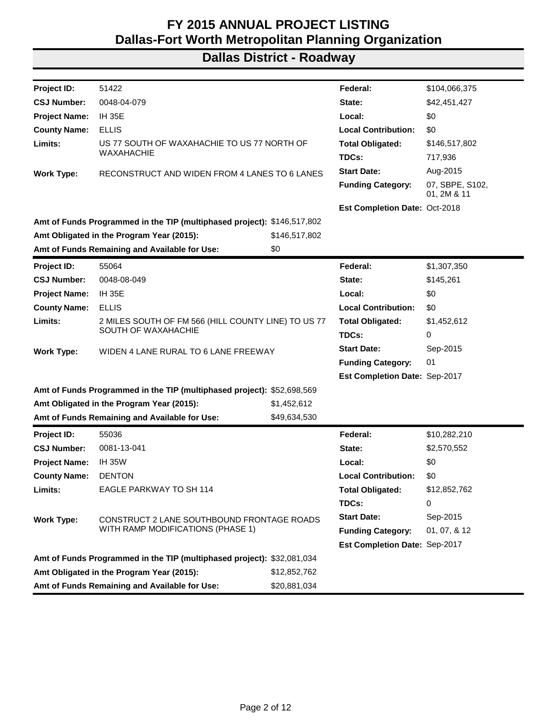| Project ID:          | 51422                                                                           |               | Federal:                             | \$104,066,375                  |
|----------------------|---------------------------------------------------------------------------------|---------------|--------------------------------------|--------------------------------|
| <b>CSJ Number:</b>   | 0048-04-079                                                                     |               | State:                               | \$42,451,427                   |
| <b>Project Name:</b> | <b>IH 35E</b>                                                                   |               | Local:                               | \$0                            |
| <b>County Name:</b>  | <b>ELLIS</b>                                                                    |               | <b>Local Contribution:</b>           | \$0                            |
| Limits:              | US 77 SOUTH OF WAXAHACHIE TO US 77 NORTH OF                                     |               | <b>Total Obligated:</b>              | \$146,517,802                  |
|                      | <b>WAXAHACHIE</b>                                                               |               | TDCs:                                | 717,936                        |
| <b>Work Type:</b>    | RECONSTRUCT AND WIDEN FROM 4 LANES TO 6 LANES                                   |               | <b>Start Date:</b>                   | Aug-2015                       |
|                      |                                                                                 |               | <b>Funding Category:</b>             | 07, SBPE, S102,<br>01, 2M & 11 |
|                      |                                                                                 |               | <b>Est Completion Date: Oct-2018</b> |                                |
|                      | Amt of Funds Programmed in the TIP (multiphased project): \$146,517,802         |               |                                      |                                |
|                      | Amt Obligated in the Program Year (2015):                                       | \$146,517,802 |                                      |                                |
|                      | Amt of Funds Remaining and Available for Use:                                   | \$0           |                                      |                                |
| <b>Project ID:</b>   | 55064                                                                           |               | Federal:                             | \$1,307,350                    |
| <b>CSJ Number:</b>   | 0048-08-049                                                                     |               | State:                               | \$145,261                      |
| <b>Project Name:</b> | <b>IH 35E</b>                                                                   |               | Local:                               | \$0                            |
| <b>County Name:</b>  | <b>ELLIS</b>                                                                    |               |                                      | \$0                            |
| Limits:              | 2 MILES SOUTH OF FM 566 (HILL COUNTY LINE) TO US 77                             |               | <b>Total Obligated:</b>              | \$1,452,612                    |
|                      | SOUTH OF WAXAHACHIE                                                             |               | TDCs:                                | 0                              |
| <b>Work Type:</b>    | WIDEN 4 LANE RURAL TO 6 LANE FREEWAY                                            |               | <b>Start Date:</b>                   | Sep-2015                       |
|                      |                                                                                 |               | <b>Funding Category:</b>             | 01                             |
|                      |                                                                                 |               | Est Completion Date: Sep-2017        |                                |
|                      | Amt of Funds Programmed in the TIP (multiphased project): \$52,698,569          |               |                                      |                                |
|                      | Amt Obligated in the Program Year (2015):                                       | \$1,452,612   |                                      |                                |
|                      | Amt of Funds Remaining and Available for Use:                                   | \$49,634,530  |                                      |                                |
| Project ID:          | 55036                                                                           |               | Federal:                             | \$10,282,210                   |
| <b>CSJ Number:</b>   | 0081-13-041                                                                     |               | State:                               | \$2,570,552                    |
| <b>Project Name:</b> | <b>IH 35W</b>                                                                   |               | Local:                               | \$0                            |
| <b>County Name:</b>  | <b>DENTON</b>                                                                   |               | <b>Local Contribution:</b>           | \$0                            |
| Limits:              | EAGLE PARKWAY TO SH 114                                                         |               | Total Obligated:                     | \$12,852,762                   |
|                      |                                                                                 |               | TDCs:                                | 0                              |
| <b>Work Type:</b>    |                                                                                 |               | <b>Start Date:</b>                   | Sep-2015                       |
|                      | CONSTRUCT 2 LANE SOUTHBOUND FRONTAGE ROADS<br>WITH RAMP MODIFICATIONS (PHASE 1) |               | <b>Funding Category:</b>             | 01, 07, & 12                   |
|                      |                                                                                 |               | Est Completion Date: Sep-2017        |                                |
|                      | Amt of Funds Programmed in the TIP (multiphased project): \$32,081,034          |               |                                      |                                |
|                      | Amt Obligated in the Program Year (2015):                                       | \$12,852,762  |                                      |                                |
|                      | Amt of Funds Remaining and Available for Use:                                   | \$20,881,034  |                                      |                                |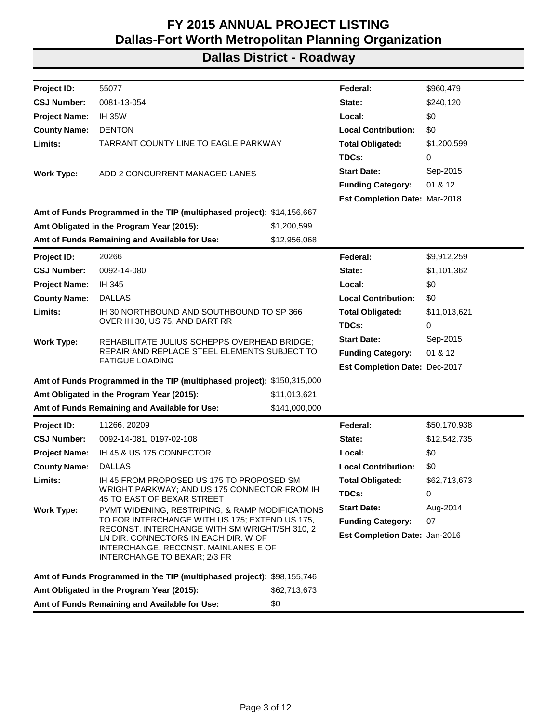| Project ID:<br>55077<br>Federal:<br>\$960,479<br><b>CSJ Number:</b><br>0081-13-054<br>State:<br>\$240,120<br>\$0<br><b>Project Name:</b><br><b>IH 35W</b><br>Local:<br><b>Local Contribution:</b><br>\$0<br><b>County Name:</b><br><b>DENTON</b><br>Limits:<br>TARRANT COUNTY LINE TO EAGLE PARKWAY<br><b>Total Obligated:</b><br>\$1,200,599<br>TDCs:<br>0<br><b>Start Date:</b><br>Sep-2015<br>ADD 2 CONCURRENT MANAGED LANES<br><b>Work Type:</b><br>01 & 12<br><b>Funding Category:</b><br>Est Completion Date: Mar-2018<br>Amt of Funds Programmed in the TIP (multiphased project): \$14,156,667<br>Amt Obligated in the Program Year (2015):<br>\$1,200,599<br>Amt of Funds Remaining and Available for Use:<br>\$12,956,068<br>20266<br>Federal:<br>\$9,912,259<br>Project ID:<br><b>CSJ Number:</b><br>0092-14-080<br>State:<br>\$1,101,362<br><b>Project Name:</b><br>IH 345<br>Local:<br>\$0<br><b>County Name:</b><br><b>Local Contribution:</b><br>\$0<br><b>DALLAS</b><br>Limits:<br>IH 30 NORTHBOUND AND SOUTHBOUND TO SP 366<br><b>Total Obligated:</b><br>\$11,013,621<br>OVER IH 30, US 75, AND DART RR<br>TDCs:<br>0<br><b>Start Date:</b><br>Sep-2015<br>REHABILITATE JULIUS SCHEPPS OVERHEAD BRIDGE;<br><b>Work Type:</b><br>REPAIR AND REPLACE STEEL ELEMENTS SUBJECT TO<br>01 & 12<br><b>Funding Category:</b><br><b>FATIGUE LOADING</b><br>Est Completion Date: Dec-2017<br>Amt of Funds Programmed in the TIP (multiphased project): \$150,315,000<br>Amt Obligated in the Program Year (2015):<br>\$11,013,621<br>Amt of Funds Remaining and Available for Use:<br>\$141,000,000<br>Project ID:<br>11266, 20209<br>Federal:<br>\$50,170,938<br><b>CSJ Number:</b><br>State:<br>\$12,542,735<br>0092-14-081, 0197-02-108 |  |  |  |  |
|---------------------------------------------------------------------------------------------------------------------------------------------------------------------------------------------------------------------------------------------------------------------------------------------------------------------------------------------------------------------------------------------------------------------------------------------------------------------------------------------------------------------------------------------------------------------------------------------------------------------------------------------------------------------------------------------------------------------------------------------------------------------------------------------------------------------------------------------------------------------------------------------------------------------------------------------------------------------------------------------------------------------------------------------------------------------------------------------------------------------------------------------------------------------------------------------------------------------------------------------------------------------------------------------------------------------------------------------------------------------------------------------------------------------------------------------------------------------------------------------------------------------------------------------------------------------------------------------------------------------------------------------------------------------------------------------------------------------------------------------------|--|--|--|--|
|                                                                                                                                                                                                                                                                                                                                                                                                                                                                                                                                                                                                                                                                                                                                                                                                                                                                                                                                                                                                                                                                                                                                                                                                                                                                                                                                                                                                                                                                                                                                                                                                                                                                                                                                                   |  |  |  |  |
|                                                                                                                                                                                                                                                                                                                                                                                                                                                                                                                                                                                                                                                                                                                                                                                                                                                                                                                                                                                                                                                                                                                                                                                                                                                                                                                                                                                                                                                                                                                                                                                                                                                                                                                                                   |  |  |  |  |
|                                                                                                                                                                                                                                                                                                                                                                                                                                                                                                                                                                                                                                                                                                                                                                                                                                                                                                                                                                                                                                                                                                                                                                                                                                                                                                                                                                                                                                                                                                                                                                                                                                                                                                                                                   |  |  |  |  |
|                                                                                                                                                                                                                                                                                                                                                                                                                                                                                                                                                                                                                                                                                                                                                                                                                                                                                                                                                                                                                                                                                                                                                                                                                                                                                                                                                                                                                                                                                                                                                                                                                                                                                                                                                   |  |  |  |  |
|                                                                                                                                                                                                                                                                                                                                                                                                                                                                                                                                                                                                                                                                                                                                                                                                                                                                                                                                                                                                                                                                                                                                                                                                                                                                                                                                                                                                                                                                                                                                                                                                                                                                                                                                                   |  |  |  |  |
|                                                                                                                                                                                                                                                                                                                                                                                                                                                                                                                                                                                                                                                                                                                                                                                                                                                                                                                                                                                                                                                                                                                                                                                                                                                                                                                                                                                                                                                                                                                                                                                                                                                                                                                                                   |  |  |  |  |
|                                                                                                                                                                                                                                                                                                                                                                                                                                                                                                                                                                                                                                                                                                                                                                                                                                                                                                                                                                                                                                                                                                                                                                                                                                                                                                                                                                                                                                                                                                                                                                                                                                                                                                                                                   |  |  |  |  |
|                                                                                                                                                                                                                                                                                                                                                                                                                                                                                                                                                                                                                                                                                                                                                                                                                                                                                                                                                                                                                                                                                                                                                                                                                                                                                                                                                                                                                                                                                                                                                                                                                                                                                                                                                   |  |  |  |  |
|                                                                                                                                                                                                                                                                                                                                                                                                                                                                                                                                                                                                                                                                                                                                                                                                                                                                                                                                                                                                                                                                                                                                                                                                                                                                                                                                                                                                                                                                                                                                                                                                                                                                                                                                                   |  |  |  |  |
|                                                                                                                                                                                                                                                                                                                                                                                                                                                                                                                                                                                                                                                                                                                                                                                                                                                                                                                                                                                                                                                                                                                                                                                                                                                                                                                                                                                                                                                                                                                                                                                                                                                                                                                                                   |  |  |  |  |
|                                                                                                                                                                                                                                                                                                                                                                                                                                                                                                                                                                                                                                                                                                                                                                                                                                                                                                                                                                                                                                                                                                                                                                                                                                                                                                                                                                                                                                                                                                                                                                                                                                                                                                                                                   |  |  |  |  |
|                                                                                                                                                                                                                                                                                                                                                                                                                                                                                                                                                                                                                                                                                                                                                                                                                                                                                                                                                                                                                                                                                                                                                                                                                                                                                                                                                                                                                                                                                                                                                                                                                                                                                                                                                   |  |  |  |  |
|                                                                                                                                                                                                                                                                                                                                                                                                                                                                                                                                                                                                                                                                                                                                                                                                                                                                                                                                                                                                                                                                                                                                                                                                                                                                                                                                                                                                                                                                                                                                                                                                                                                                                                                                                   |  |  |  |  |
|                                                                                                                                                                                                                                                                                                                                                                                                                                                                                                                                                                                                                                                                                                                                                                                                                                                                                                                                                                                                                                                                                                                                                                                                                                                                                                                                                                                                                                                                                                                                                                                                                                                                                                                                                   |  |  |  |  |
|                                                                                                                                                                                                                                                                                                                                                                                                                                                                                                                                                                                                                                                                                                                                                                                                                                                                                                                                                                                                                                                                                                                                                                                                                                                                                                                                                                                                                                                                                                                                                                                                                                                                                                                                                   |  |  |  |  |
|                                                                                                                                                                                                                                                                                                                                                                                                                                                                                                                                                                                                                                                                                                                                                                                                                                                                                                                                                                                                                                                                                                                                                                                                                                                                                                                                                                                                                                                                                                                                                                                                                                                                                                                                                   |  |  |  |  |
|                                                                                                                                                                                                                                                                                                                                                                                                                                                                                                                                                                                                                                                                                                                                                                                                                                                                                                                                                                                                                                                                                                                                                                                                                                                                                                                                                                                                                                                                                                                                                                                                                                                                                                                                                   |  |  |  |  |
|                                                                                                                                                                                                                                                                                                                                                                                                                                                                                                                                                                                                                                                                                                                                                                                                                                                                                                                                                                                                                                                                                                                                                                                                                                                                                                                                                                                                                                                                                                                                                                                                                                                                                                                                                   |  |  |  |  |
|                                                                                                                                                                                                                                                                                                                                                                                                                                                                                                                                                                                                                                                                                                                                                                                                                                                                                                                                                                                                                                                                                                                                                                                                                                                                                                                                                                                                                                                                                                                                                                                                                                                                                                                                                   |  |  |  |  |
|                                                                                                                                                                                                                                                                                                                                                                                                                                                                                                                                                                                                                                                                                                                                                                                                                                                                                                                                                                                                                                                                                                                                                                                                                                                                                                                                                                                                                                                                                                                                                                                                                                                                                                                                                   |  |  |  |  |
|                                                                                                                                                                                                                                                                                                                                                                                                                                                                                                                                                                                                                                                                                                                                                                                                                                                                                                                                                                                                                                                                                                                                                                                                                                                                                                                                                                                                                                                                                                                                                                                                                                                                                                                                                   |  |  |  |  |
|                                                                                                                                                                                                                                                                                                                                                                                                                                                                                                                                                                                                                                                                                                                                                                                                                                                                                                                                                                                                                                                                                                                                                                                                                                                                                                                                                                                                                                                                                                                                                                                                                                                                                                                                                   |  |  |  |  |
|                                                                                                                                                                                                                                                                                                                                                                                                                                                                                                                                                                                                                                                                                                                                                                                                                                                                                                                                                                                                                                                                                                                                                                                                                                                                                                                                                                                                                                                                                                                                                                                                                                                                                                                                                   |  |  |  |  |
|                                                                                                                                                                                                                                                                                                                                                                                                                                                                                                                                                                                                                                                                                                                                                                                                                                                                                                                                                                                                                                                                                                                                                                                                                                                                                                                                                                                                                                                                                                                                                                                                                                                                                                                                                   |  |  |  |  |
|                                                                                                                                                                                                                                                                                                                                                                                                                                                                                                                                                                                                                                                                                                                                                                                                                                                                                                                                                                                                                                                                                                                                                                                                                                                                                                                                                                                                                                                                                                                                                                                                                                                                                                                                                   |  |  |  |  |
|                                                                                                                                                                                                                                                                                                                                                                                                                                                                                                                                                                                                                                                                                                                                                                                                                                                                                                                                                                                                                                                                                                                                                                                                                                                                                                                                                                                                                                                                                                                                                                                                                                                                                                                                                   |  |  |  |  |
| <b>Project Name:</b><br>IH 45 & US 175 CONNECTOR<br>Local:<br>\$0                                                                                                                                                                                                                                                                                                                                                                                                                                                                                                                                                                                                                                                                                                                                                                                                                                                                                                                                                                                                                                                                                                                                                                                                                                                                                                                                                                                                                                                                                                                                                                                                                                                                                 |  |  |  |  |
| <b>County Name:</b><br><b>Local Contribution:</b><br><b>DALLAS</b><br>\$0                                                                                                                                                                                                                                                                                                                                                                                                                                                                                                                                                                                                                                                                                                                                                                                                                                                                                                                                                                                                                                                                                                                                                                                                                                                                                                                                                                                                                                                                                                                                                                                                                                                                         |  |  |  |  |
| Limits:<br>IH 45 FROM PROPOSED US 175 TO PROPOSED SM<br><b>Total Obligated:</b><br>\$62,713,673                                                                                                                                                                                                                                                                                                                                                                                                                                                                                                                                                                                                                                                                                                                                                                                                                                                                                                                                                                                                                                                                                                                                                                                                                                                                                                                                                                                                                                                                                                                                                                                                                                                   |  |  |  |  |
| WRIGHT PARKWAY; AND US 175 CONNECTOR FROM IH<br>TDCs:<br>0<br>45 TO EAST OF BEXAR STREET                                                                                                                                                                                                                                                                                                                                                                                                                                                                                                                                                                                                                                                                                                                                                                                                                                                                                                                                                                                                                                                                                                                                                                                                                                                                                                                                                                                                                                                                                                                                                                                                                                                          |  |  |  |  |
| <b>Start Date:</b><br>Aug-2014<br><b>Work Type:</b><br>PVMT WIDENING, RESTRIPING, & RAMP MODIFICATIONS                                                                                                                                                                                                                                                                                                                                                                                                                                                                                                                                                                                                                                                                                                                                                                                                                                                                                                                                                                                                                                                                                                                                                                                                                                                                                                                                                                                                                                                                                                                                                                                                                                            |  |  |  |  |
| TO FOR INTERCHANGE WITH US 175; EXTEND US 175,<br><b>Funding Category:</b><br>07                                                                                                                                                                                                                                                                                                                                                                                                                                                                                                                                                                                                                                                                                                                                                                                                                                                                                                                                                                                                                                                                                                                                                                                                                                                                                                                                                                                                                                                                                                                                                                                                                                                                  |  |  |  |  |
| RECONST. INTERCHANGE WITH SM WRIGHT/SH 310, 2<br>Est Completion Date: Jan-2016<br>LN DIR. CONNECTORS IN EACH DIR. W OF                                                                                                                                                                                                                                                                                                                                                                                                                                                                                                                                                                                                                                                                                                                                                                                                                                                                                                                                                                                                                                                                                                                                                                                                                                                                                                                                                                                                                                                                                                                                                                                                                            |  |  |  |  |
| INTERCHANGE, RECONST. MAINLANES E OF<br>INTERCHANGE TO BEXAR; 2/3 FR                                                                                                                                                                                                                                                                                                                                                                                                                                                                                                                                                                                                                                                                                                                                                                                                                                                                                                                                                                                                                                                                                                                                                                                                                                                                                                                                                                                                                                                                                                                                                                                                                                                                              |  |  |  |  |
| Amt of Funds Programmed in the TIP (multiphased project): \$98,155,746                                                                                                                                                                                                                                                                                                                                                                                                                                                                                                                                                                                                                                                                                                                                                                                                                                                                                                                                                                                                                                                                                                                                                                                                                                                                                                                                                                                                                                                                                                                                                                                                                                                                            |  |  |  |  |
| \$62,713,673<br>Amt Obligated in the Program Year (2015):                                                                                                                                                                                                                                                                                                                                                                                                                                                                                                                                                                                                                                                                                                                                                                                                                                                                                                                                                                                                                                                                                                                                                                                                                                                                                                                                                                                                                                                                                                                                                                                                                                                                                         |  |  |  |  |
| \$0<br>Amt of Funds Remaining and Available for Use:                                                                                                                                                                                                                                                                                                                                                                                                                                                                                                                                                                                                                                                                                                                                                                                                                                                                                                                                                                                                                                                                                                                                                                                                                                                                                                                                                                                                                                                                                                                                                                                                                                                                                              |  |  |  |  |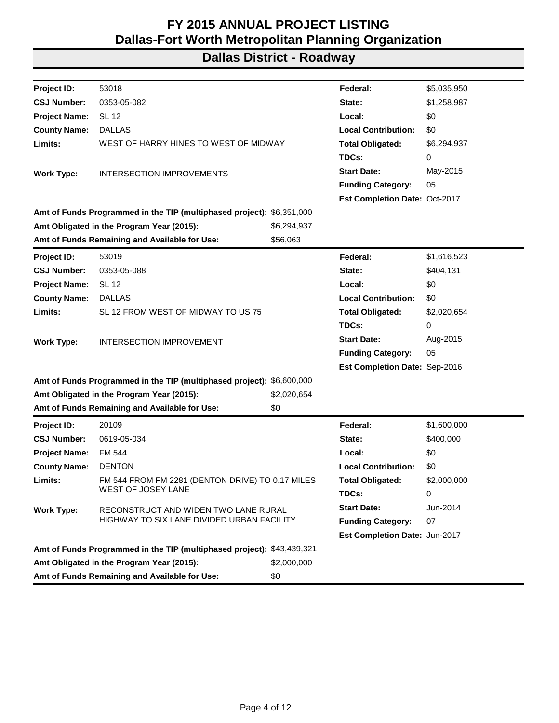| Project ID:                                | 53018                                                                  |             | Federal:                      | \$5,035,950 |
|--------------------------------------------|------------------------------------------------------------------------|-------------|-------------------------------|-------------|
| <b>CSJ Number:</b>                         | 0353-05-082                                                            |             | State:                        | \$1,258,987 |
| <b>Project Name:</b>                       | <b>SL 12</b>                                                           |             | Local:                        | \$0         |
| <b>County Name:</b>                        | <b>DALLAS</b>                                                          |             | <b>Local Contribution:</b>    | \$0         |
| Limits:                                    | WEST OF HARRY HINES TO WEST OF MIDWAY                                  |             | <b>Total Obligated:</b>       | \$6,294,937 |
|                                            |                                                                        |             | TDCs:                         | 0           |
| <b>Work Type:</b>                          | <b>INTERSECTION IMPROVEMENTS</b>                                       |             | <b>Start Date:</b>            | May-2015    |
|                                            |                                                                        |             | <b>Funding Category:</b>      | 05          |
|                                            |                                                                        |             | Est Completion Date: Oct-2017 |             |
|                                            | Amt of Funds Programmed in the TIP (multiphased project): \$6,351,000  |             |                               |             |
|                                            | Amt Obligated in the Program Year (2015):                              | \$6,294,937 |                               |             |
|                                            | Amt of Funds Remaining and Available for Use:                          | \$56,063    |                               |             |
| Project ID:                                | 53019                                                                  |             | Federal:                      | \$1,616,523 |
| <b>CSJ Number:</b>                         | 0353-05-088                                                            |             | State:                        | \$404,131   |
| <b>Project Name:</b>                       | <b>SL 12</b>                                                           |             | Local:                        | \$0         |
| <b>County Name:</b>                        | <b>DALLAS</b>                                                          |             | <b>Local Contribution:</b>    | \$0         |
| Limits:                                    | SL 12 FROM WEST OF MIDWAY TO US 75                                     |             | <b>Total Obligated:</b>       | \$2,020,654 |
|                                            |                                                                        |             | TDCs:                         | 0           |
| <b>Work Type:</b>                          | <b>INTERSECTION IMPROVEMENT</b>                                        |             | <b>Start Date:</b>            | Aug-2015    |
|                                            |                                                                        |             | <b>Funding Category:</b>      | 05          |
|                                            |                                                                        |             | Est Completion Date: Sep-2016 |             |
|                                            | Amt of Funds Programmed in the TIP (multiphased project): \$6,600,000  |             |                               |             |
|                                            | Amt Obligated in the Program Year (2015):                              | \$2,020,654 |                               |             |
|                                            | Amt of Funds Remaining and Available for Use:                          | \$0         |                               |             |
| Project ID:                                | 20109                                                                  |             | Federal:                      | \$1,600,000 |
| <b>CSJ Number:</b>                         | 0619-05-034                                                            |             | State:                        | \$400,000   |
| <b>Project Name:</b>                       | FM 544                                                                 |             | Local:                        | \$0         |
| <b>County Name:</b>                        | <b>DENTON</b>                                                          |             | <b>Local Contribution:</b>    | \$0         |
| Limits:                                    | FM 544 FROM FM 2281 (DENTON DRIVE) TO 0.17 MILES                       |             | <b>Total Obligated:</b>       | \$2,000,000 |
|                                            | WEST OF JOSEY LANE                                                     |             | TDCs:                         | 0           |
| <b>Work Type:</b>                          | RECONSTRUCT AND WIDEN TWO LANE RURAL                                   |             | <b>Start Date:</b>            | Jun-2014    |
| HIGHWAY TO SIX LANE DIVIDED URBAN FACILITY |                                                                        |             | <b>Funding Category:</b>      | 07          |
|                                            |                                                                        |             | Est Completion Date: Jun-2017 |             |
|                                            | Amt of Funds Programmed in the TIP (multiphased project): \$43,439,321 |             |                               |             |
|                                            | Amt Obligated in the Program Year (2015):                              | \$2,000,000 |                               |             |
|                                            | Amt of Funds Remaining and Available for Use:                          | \$0         |                               |             |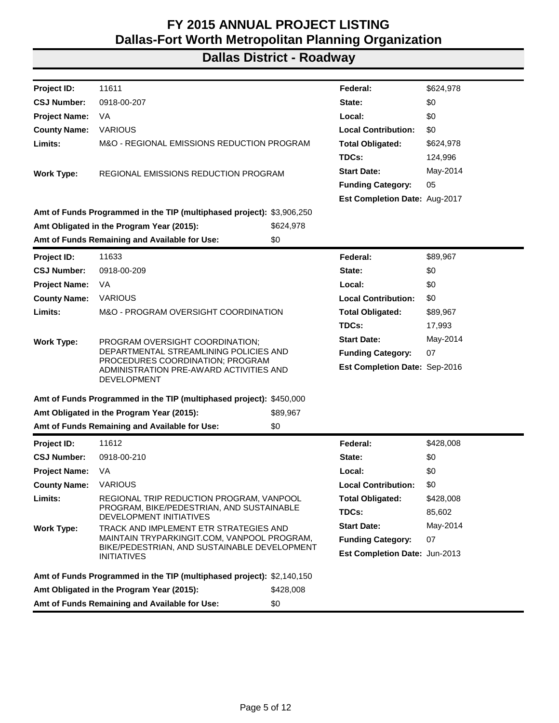| Project ID:                                                           | 11611                                                                                      |           | Federal:                      | \$624,978 |
|-----------------------------------------------------------------------|--------------------------------------------------------------------------------------------|-----------|-------------------------------|-----------|
| <b>CSJ Number:</b>                                                    | 0918-00-207                                                                                |           | State:                        | \$0       |
| <b>Project Name:</b>                                                  | VA                                                                                         |           | Local:                        | \$0       |
| <b>County Name:</b>                                                   | <b>VARIOUS</b>                                                                             |           | <b>Local Contribution:</b>    | \$0       |
| Limits:                                                               | M&O - REGIONAL EMISSIONS REDUCTION PROGRAM                                                 |           | <b>Total Obligated:</b>       | \$624,978 |
|                                                                       |                                                                                            |           | TDCs:                         | 124,996   |
| <b>Work Type:</b>                                                     | REGIONAL EMISSIONS REDUCTION PROGRAM                                                       |           | <b>Start Date:</b>            | May-2014  |
|                                                                       |                                                                                            |           | <b>Funding Category:</b>      | 05        |
|                                                                       |                                                                                            |           | Est Completion Date: Aug-2017 |           |
| Amt of Funds Programmed in the TIP (multiphased project): \$3,906,250 |                                                                                            |           |                               |           |
|                                                                       | Amt Obligated in the Program Year (2015):                                                  | \$624,978 |                               |           |
|                                                                       | Amt of Funds Remaining and Available for Use:                                              | \$0       |                               |           |
| Project ID:                                                           | 11633                                                                                      |           | Federal:                      | \$89,967  |
| <b>CSJ Number:</b>                                                    | 0918-00-209                                                                                |           | State:                        | \$0       |
| <b>Project Name:</b>                                                  | VA.                                                                                        |           | Local:                        | \$0       |
| <b>County Name:</b>                                                   | <b>VARIOUS</b>                                                                             |           | <b>Local Contribution:</b>    | \$0       |
| Limits:                                                               | M&O - PROGRAM OVERSIGHT COORDINATION                                                       |           | <b>Total Obligated:</b>       | \$89,967  |
|                                                                       |                                                                                            |           | TDCs:                         | 17,993    |
| <b>Work Type:</b>                                                     | PROGRAM OVERSIGHT COORDINATION;                                                            |           | <b>Start Date:</b>            | May-2014  |
|                                                                       | DEPARTMENTAL STREAMLINING POLICIES AND                                                     |           | <b>Funding Category:</b>      | 07        |
|                                                                       | PROCEDURES COORDINATION; PROGRAM<br>ADMINISTRATION PRE-AWARD ACTIVITIES AND<br>DEVELOPMENT |           | Est Completion Date: Sep-2016 |           |
|                                                                       | Amt of Funds Programmed in the TIP (multiphased project): \$450,000                        |           |                               |           |
|                                                                       | Amt Obligated in the Program Year (2015):                                                  | \$89,967  |                               |           |
|                                                                       | Amt of Funds Remaining and Available for Use:                                              | \$0       |                               |           |
| Project ID:                                                           | 11612                                                                                      |           | Federal:                      | \$428,008 |
| <b>CSJ Number:</b>                                                    | 0918-00-210                                                                                |           | State:                        | \$0       |
| <b>Project Name:</b>                                                  | VA.                                                                                        |           | Local:                        | \$0       |
| <b>County Name:</b>                                                   | <b>VARIOUS</b>                                                                             |           | <b>Local Contribution:</b>    | \$0       |
| Limits:                                                               | REGIONAL TRIP REDUCTION PROGRAM, VANPOOL                                                   |           | <b>Total Obligated:</b>       | \$428,008 |
|                                                                       | PROGRAM, BIKE/PEDESTRIAN, AND SUSTAINABLE<br>DEVELOPMENT INITIATIVES                       |           | TDCs:                         | 85,602    |
| <b>Work Type:</b>                                                     | TRACK AND IMPLEMENT ETR STRATEGIES AND                                                     |           | <b>Start Date:</b>            | May-2014  |
|                                                                       | MAINTAIN TRYPARKINGIT.COM, VANPOOL PROGRAM,                                                |           | <b>Funding Category:</b>      | 07        |
|                                                                       | BIKE/PEDESTRIAN, AND SUSTAINABLE DEVELOPMENT<br><b>INITIATIVES</b>                         |           | Est Completion Date: Jun-2013 |           |
|                                                                       | Amt of Funds Programmed in the TIP (multiphased project): \$2,140,150                      |           |                               |           |
|                                                                       | Amt Obligated in the Program Year (2015):                                                  | \$428,008 |                               |           |
|                                                                       | Amt of Funds Remaining and Available for Use:                                              | \$0       |                               |           |
|                                                                       |                                                                                            |           |                               |           |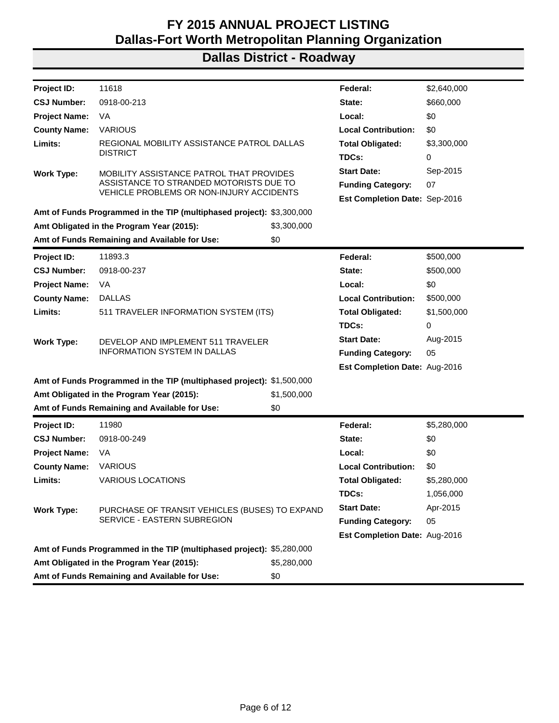| Project ID:                                                           | 11618                                                                               |             | Federal:                             | \$2,640,000 |
|-----------------------------------------------------------------------|-------------------------------------------------------------------------------------|-------------|--------------------------------------|-------------|
| <b>CSJ Number:</b>                                                    | 0918-00-213                                                                         |             | State:                               | \$660,000   |
| <b>Project Name:</b>                                                  | VA                                                                                  |             | Local:                               | \$0         |
| <b>County Name:</b>                                                   | <b>VARIOUS</b>                                                                      |             | <b>Local Contribution:</b>           | \$0         |
| Limits:                                                               | REGIONAL MOBILITY ASSISTANCE PATROL DALLAS                                          |             | <b>Total Obligated:</b>              | \$3,300,000 |
|                                                                       | <b>DISTRICT</b>                                                                     |             | TDCs:                                | 0           |
| <b>Work Type:</b>                                                     | MOBILITY ASSISTANCE PATROL THAT PROVIDES                                            |             | <b>Start Date:</b>                   | Sep-2015    |
|                                                                       | ASSISTANCE TO STRANDED MOTORISTS DUE TO<br>VEHICLE PROBLEMS OR NON-INJURY ACCIDENTS |             | <b>Funding Category:</b>             | 07          |
|                                                                       |                                                                                     |             | Est Completion Date: Sep-2016        |             |
|                                                                       | Amt of Funds Programmed in the TIP (multiphased project): \$3,300,000               |             |                                      |             |
|                                                                       | Amt Obligated in the Program Year (2015):                                           | \$3,300,000 |                                      |             |
|                                                                       | Amt of Funds Remaining and Available for Use:                                       | \$0         |                                      |             |
| Project ID:                                                           | 11893.3                                                                             |             | Federal:                             | \$500,000   |
| <b>CSJ Number:</b>                                                    | 0918-00-237                                                                         |             | State:                               | \$500,000   |
| <b>Project Name:</b>                                                  | VA                                                                                  |             | Local:                               | \$0         |
| <b>County Name:</b>                                                   | <b>DALLAS</b>                                                                       |             | <b>Local Contribution:</b>           | \$500,000   |
| Limits:                                                               | 511 TRAVELER INFORMATION SYSTEM (ITS)                                               |             | <b>Total Obligated:</b>              | \$1,500,000 |
|                                                                       |                                                                                     |             | TDCs:                                | 0           |
| <b>Work Type:</b>                                                     | DEVELOP AND IMPLEMENT 511 TRAVELER                                                  |             | <b>Start Date:</b>                   | Aug-2015    |
|                                                                       | <b>INFORMATION SYSTEM IN DALLAS</b>                                                 |             | <b>Funding Category:</b>             | 05          |
|                                                                       |                                                                                     |             | Est Completion Date: Aug-2016        |             |
| Amt of Funds Programmed in the TIP (multiphased project): \$1,500,000 |                                                                                     |             |                                      |             |
|                                                                       | Amt Obligated in the Program Year (2015):                                           | \$1,500,000 |                                      |             |
|                                                                       | Amt of Funds Remaining and Available for Use:                                       | \$0         |                                      |             |
| Project ID:                                                           | 11980                                                                               |             | Federal:                             | \$5,280,000 |
| <b>CSJ Number:</b>                                                    | 0918-00-249                                                                         |             | State:                               | \$0         |
| <b>Project Name:</b>                                                  | VA                                                                                  |             | Local:                               | \$0         |
| <b>County Name:</b>                                                   | <b>VARIOUS</b>                                                                      |             | <b>Local Contribution:</b>           | \$0         |
| Limits:                                                               | <b>VARIOUS LOCATIONS</b>                                                            |             | <b>Total Obligated:</b>              | \$5,280,000 |
|                                                                       |                                                                                     |             | TDCs:                                | 1,056,000   |
| <b>Work Type:</b>                                                     | PURCHASE OF TRANSIT VEHICLES (BUSES) TO EXPAND                                      |             | <b>Start Date:</b>                   | Apr-2015    |
|                                                                       | SERVICE - EASTERN SUBREGION                                                         |             | <b>Funding Category:</b>             | 05          |
|                                                                       |                                                                                     |             | <b>Est Completion Date: Aug-2016</b> |             |
|                                                                       | Amt of Funds Programmed in the TIP (multiphased project): \$5,280,000               |             |                                      |             |
|                                                                       | Amt Obligated in the Program Year (2015):                                           | \$5,280,000 |                                      |             |
|                                                                       | Amt of Funds Remaining and Available for Use:                                       | \$0         |                                      |             |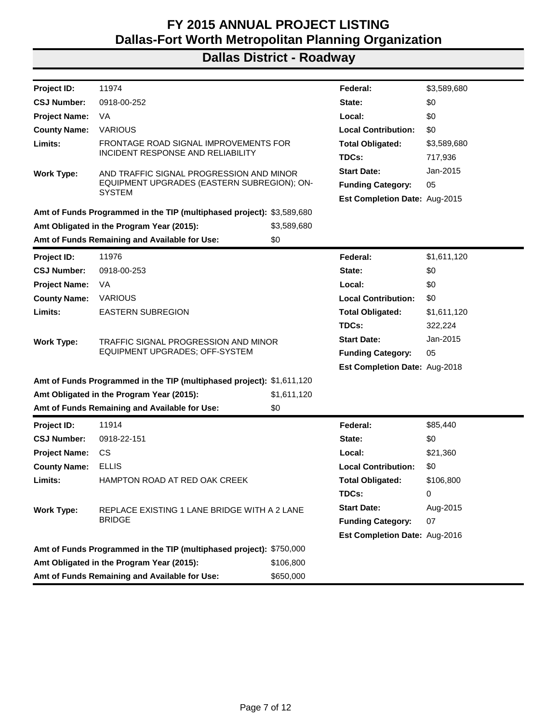| <b>Project ID:</b>   | 11974                                                                 |             | Federal:                             | \$3,589,680 |
|----------------------|-----------------------------------------------------------------------|-------------|--------------------------------------|-------------|
| <b>CSJ Number:</b>   | 0918-00-252                                                           |             | State:                               | \$0         |
| <b>Project Name:</b> | VA                                                                    |             | Local:                               | \$0         |
| <b>County Name:</b>  | <b>VARIOUS</b>                                                        |             | <b>Local Contribution:</b>           | \$0         |
| Limits:              | FRONTAGE ROAD SIGNAL IMPROVEMENTS FOR                                 |             | <b>Total Obligated:</b>              | \$3,589,680 |
|                      | INCIDENT RESPONSE AND RELIABILITY                                     |             | TDCs:                                | 717,936     |
| <b>Work Type:</b>    | AND TRAFFIC SIGNAL PROGRESSION AND MINOR                              |             | <b>Start Date:</b>                   | Jan-2015    |
|                      | EQUIPMENT UPGRADES (EASTERN SUBREGION); ON-<br><b>SYSTEM</b>          |             | <b>Funding Category:</b>             | 05          |
|                      |                                                                       |             | <b>Est Completion Date: Aug-2015</b> |             |
|                      | Amt of Funds Programmed in the TIP (multiphased project): \$3,589,680 |             |                                      |             |
|                      | Amt Obligated in the Program Year (2015):                             | \$3,589,680 |                                      |             |
|                      | Amt of Funds Remaining and Available for Use:                         | \$0         |                                      |             |
| <b>Project ID:</b>   | 11976                                                                 |             | Federal:                             | \$1,611,120 |
| <b>CSJ Number:</b>   | 0918-00-253                                                           |             | State:                               | \$0         |
| <b>Project Name:</b> | VA                                                                    |             | Local:                               | \$0         |
| <b>County Name:</b>  | <b>VARIOUS</b>                                                        |             | <b>Local Contribution:</b>           | \$0         |
| Limits:              | <b>EASTERN SUBREGION</b>                                              |             | <b>Total Obligated:</b>              | \$1,611,120 |
|                      |                                                                       |             | TDCs:                                | 322,224     |
| <b>Work Type:</b>    | TRAFFIC SIGNAL PROGRESSION AND MINOR                                  |             | <b>Start Date:</b>                   | Jan-2015    |
|                      | EQUIPMENT UPGRADES; OFF-SYSTEM                                        |             | <b>Funding Category:</b>             | 05          |
|                      |                                                                       |             | Est Completion Date: Aug-2018        |             |
|                      | Amt of Funds Programmed in the TIP (multiphased project): \$1,611,120 |             |                                      |             |
|                      | Amt Obligated in the Program Year (2015):                             | \$1,611,120 |                                      |             |
|                      | Amt of Funds Remaining and Available for Use:                         | \$0         |                                      |             |
| Project ID:          | 11914                                                                 |             | Federal:                             | \$85,440    |
| <b>CSJ Number:</b>   | 0918-22-151                                                           |             | State:                               | \$0         |
| <b>Project Name:</b> | <b>CS</b>                                                             |             | Local:                               | \$21,360    |
| <b>County Name:</b>  | <b>ELLIS</b>                                                          |             | <b>Local Contribution:</b>           | \$0         |
| Limits:              | HAMPTON ROAD AT RED OAK CREEK                                         |             | <b>Total Obligated:</b>              | \$106,800   |
|                      |                                                                       |             | TDCs:                                | 0           |
| <b>Work Type:</b>    | REPLACE EXISTING 1 LANE BRIDGE WITH A 2 LANE                          |             | <b>Start Date:</b>                   | Aug-2015    |
|                      | <b>BRIDGE</b>                                                         |             | <b>Funding Category:</b>             | 07          |
|                      |                                                                       |             | Est Completion Date: Aug-2016        |             |
|                      | Amt of Funds Programmed in the TIP (multiphased project): \$750,000   |             |                                      |             |
|                      | Amt Obligated in the Program Year (2015):                             | \$106,800   |                                      |             |
|                      | Amt of Funds Remaining and Available for Use:                         | \$650,000   |                                      |             |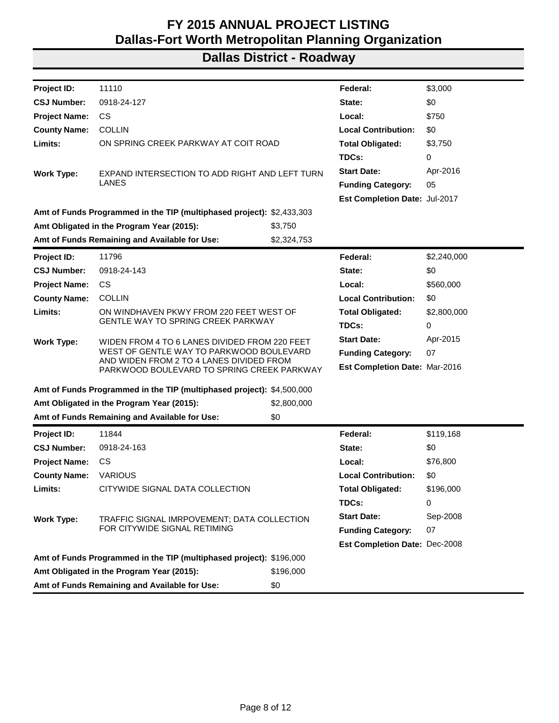| Project ID:          | 11110                                                                                  |             | Federal:                             | \$3,000     |
|----------------------|----------------------------------------------------------------------------------------|-------------|--------------------------------------|-------------|
| <b>CSJ Number:</b>   | 0918-24-127                                                                            |             | State:                               | \$0         |
| <b>Project Name:</b> | CS.                                                                                    |             | Local:                               | \$750       |
| <b>County Name:</b>  | <b>COLLIN</b>                                                                          |             | <b>Local Contribution:</b>           | \$0         |
| Limits:              | ON SPRING CREEK PARKWAY AT COIT ROAD                                                   |             | <b>Total Obligated:</b>              | \$3,750     |
|                      |                                                                                        |             | TDCs:                                | 0           |
| <b>Work Type:</b>    | EXPAND INTERSECTION TO ADD RIGHT AND LEFT TURN                                         |             | <b>Start Date:</b>                   | Apr-2016    |
|                      | LANES                                                                                  |             | <b>Funding Category:</b>             | 05          |
|                      |                                                                                        |             | Est Completion Date: Jul-2017        |             |
|                      | Amt of Funds Programmed in the TIP (multiphased project): \$2,433,303                  |             |                                      |             |
|                      | Amt Obligated in the Program Year (2015):                                              | \$3,750     |                                      |             |
|                      | Amt of Funds Remaining and Available for Use:                                          | \$2,324,753 |                                      |             |
| Project ID:          | 11796                                                                                  |             | Federal:                             | \$2,240,000 |
| <b>CSJ Number:</b>   | 0918-24-143                                                                            |             | State:                               | \$0         |
| <b>Project Name:</b> | <b>CS</b>                                                                              |             | Local:                               | \$560,000   |
| <b>County Name:</b>  | <b>COLLIN</b>                                                                          |             | <b>Local Contribution:</b>           | \$0         |
| Limits:              | ON WINDHAVEN PKWY FROM 220 FEET WEST OF                                                |             | <b>Total Obligated:</b>              | \$2,800,000 |
|                      | <b>GENTLE WAY TO SPRING CREEK PARKWAY</b>                                              |             | TDCs:                                | 0           |
| <b>Work Type:</b>    | WIDEN FROM 4 TO 6 LANES DIVIDED FROM 220 FEET                                          |             | <b>Start Date:</b>                   | Apr-2015    |
|                      | WEST OF GENTLE WAY TO PARKWOOD BOULEVARD                                               |             | <b>Funding Category:</b>             | 07          |
|                      | AND WIDEN FROM 2 TO 4 LANES DIVIDED FROM<br>PARKWOOD BOULEVARD TO SPRING CREEK PARKWAY |             | Est Completion Date: Mar-2016        |             |
|                      | Amt of Funds Programmed in the TIP (multiphased project): \$4,500,000                  |             |                                      |             |
|                      | Amt Obligated in the Program Year (2015):                                              | \$2,800,000 |                                      |             |
|                      | Amt of Funds Remaining and Available for Use:                                          | \$0         |                                      |             |
| Project ID:          | 11844                                                                                  |             | Federal:                             | \$119,168   |
| <b>CSJ Number:</b>   | 0918-24-163                                                                            |             | State:                               | \$0         |
| <b>Project Name:</b> | CS.                                                                                    |             | Local:                               | \$76,800    |
| <b>County Name:</b>  | <b>VARIOUS</b>                                                                         |             | <b>Local Contribution:</b>           | \$0         |
| Limits:              | CITYWIDE SIGNAL DATA COLLECTION                                                        |             | <b>Total Obligated:</b>              | \$196,000   |
|                      |                                                                                        |             | TDCs:                                | 0           |
| <b>Work Type:</b>    | TRAFFIC SIGNAL IMRPOVEMENT; DATA COLLECTION                                            |             | <b>Start Date:</b>                   | Sep-2008    |
|                      | FOR CITYWIDE SIGNAL RETIMING                                                           |             | <b>Funding Category:</b>             | 07          |
|                      |                                                                                        |             | <b>Est Completion Date: Dec-2008</b> |             |
|                      | Amt of Funds Programmed in the TIP (multiphased project): \$196,000                    |             |                                      |             |
|                      | Amt Obligated in the Program Year (2015):                                              | \$196,000   |                                      |             |
|                      | Amt of Funds Remaining and Available for Use:                                          | \$0         |                                      |             |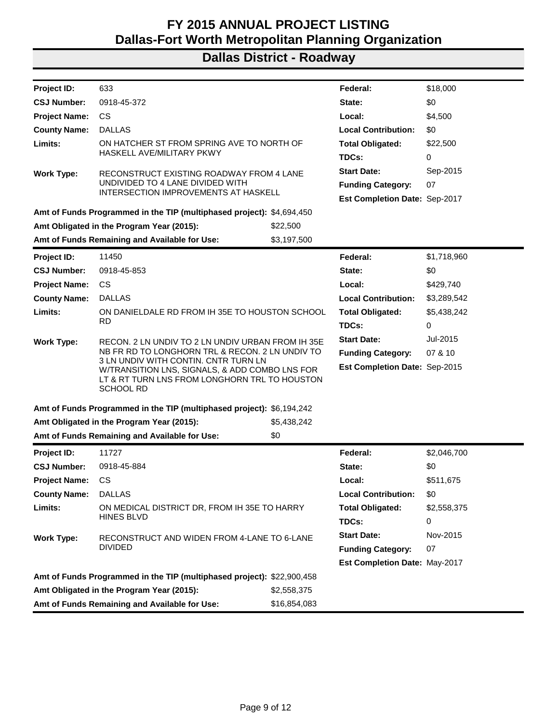| Project ID:                                           | 633                                                                                                                                                         |              | Federal:                      | \$18,000    |
|-------------------------------------------------------|-------------------------------------------------------------------------------------------------------------------------------------------------------------|--------------|-------------------------------|-------------|
| <b>CSJ Number:</b>                                    | 0918-45-372                                                                                                                                                 |              | State:                        | \$0         |
| <b>Project Name:</b>                                  | <b>CS</b>                                                                                                                                                   |              | Local:                        | \$4,500     |
| <b>County Name:</b>                                   | <b>DALLAS</b>                                                                                                                                               |              | <b>Local Contribution:</b>    | \$0         |
| Limits:                                               | ON HATCHER ST FROM SPRING AVE TO NORTH OF                                                                                                                   |              | <b>Total Obligated:</b>       | \$22,500    |
|                                                       | <b>HASKELL AVE/MILITARY PKWY</b>                                                                                                                            |              | TDCs:                         | 0           |
| <b>Work Type:</b>                                     | RECONSTRUCT EXISTING ROADWAY FROM 4 LANE                                                                                                                    |              | <b>Start Date:</b>            | Sep-2015    |
|                                                       | UNDIVIDED TO 4 LANE DIVIDED WITH                                                                                                                            |              | <b>Funding Category:</b>      | 07          |
|                                                       | INTERSECTION IMPROVEMENTS AT HASKELL                                                                                                                        |              | Est Completion Date: Sep-2017 |             |
|                                                       | Amt of Funds Programmed in the TIP (multiphased project): \$4,694,450                                                                                       |              |                               |             |
| Amt Obligated in the Program Year (2015):<br>\$22,500 |                                                                                                                                                             |              |                               |             |
|                                                       | Amt of Funds Remaining and Available for Use:                                                                                                               | \$3,197,500  |                               |             |
| Project ID:                                           | 11450                                                                                                                                                       |              | Federal:                      | \$1,718,960 |
| <b>CSJ Number:</b>                                    | 0918-45-853                                                                                                                                                 |              | State:                        | \$0         |
| <b>Project Name:</b>                                  | <b>CS</b>                                                                                                                                                   |              | Local:                        | \$429,740   |
| <b>County Name:</b>                                   | <b>DALLAS</b>                                                                                                                                               |              | <b>Local Contribution:</b>    | \$3,289,542 |
| Limits:                                               | ON DANIELDALE RD FROM IH 35E TO HOUSTON SCHOOL                                                                                                              |              | <b>Total Obligated:</b>       | \$5,438,242 |
|                                                       | <b>RD</b>                                                                                                                                                   |              | TDCs:                         | 0           |
| <b>Work Type:</b>                                     | RECON. 2 LN UNDIV TO 2 LN UNDIV URBAN FROM IH 35E                                                                                                           |              | <b>Start Date:</b>            | Jul-2015    |
|                                                       | NB FR RD TO LONGHORN TRL & RECON. 2 LN UNDIV TO                                                                                                             |              | <b>Funding Category:</b>      | 07 & 10     |
|                                                       | 3 LN UNDIV WITH CONTIN. CNTR TURN LN<br>W/TRANSITION LNS, SIGNALS, & ADD COMBO LNS FOR<br>LT & RT TURN LNS FROM LONGHORN TRL TO HOUSTON<br><b>SCHOOL RD</b> |              | Est Completion Date: Sep-2015 |             |
|                                                       | Amt of Funds Programmed in the TIP (multiphased project): \$6,194,242                                                                                       |              |                               |             |
|                                                       | Amt Obligated in the Program Year (2015):                                                                                                                   | \$5,438,242  |                               |             |
|                                                       | Amt of Funds Remaining and Available for Use:                                                                                                               | \$0          |                               |             |
| Project ID:                                           | 11727                                                                                                                                                       |              | Federal:                      | \$2,046,700 |
| <b>CSJ Number:</b>                                    | 0918-45-884                                                                                                                                                 |              | State:                        | \$0         |
| <b>Project Name:</b>                                  | CS                                                                                                                                                          |              | Local:                        | \$511,675   |
| <b>County Name:</b>                                   | <b>DALLAS</b>                                                                                                                                               |              | <b>Local Contribution:</b>    | \$0         |
| Limits:                                               | ON MEDICAL DISTRICT DR, FROM IH 35E TO HARRY                                                                                                                |              | <b>Total Obligated:</b>       | \$2,558,375 |
|                                                       | <b>HINES BLVD</b>                                                                                                                                           |              | TDCs:                         | 0           |
| <b>Work Type:</b>                                     |                                                                                                                                                             |              | <b>Start Date:</b>            | Nov-2015    |
|                                                       | RECONSTRUCT AND WIDEN FROM 4-LANE TO 6-LANE<br><b>DIVIDED</b>                                                                                               |              | <b>Funding Category:</b>      | 07          |
|                                                       |                                                                                                                                                             |              | Est Completion Date: May-2017 |             |
|                                                       | Amt of Funds Programmed in the TIP (multiphased project): \$22,900,458                                                                                      |              |                               |             |
|                                                       | Amt Obligated in the Program Year (2015):                                                                                                                   | \$2,558,375  |                               |             |
|                                                       | Amt of Funds Remaining and Available for Use:                                                                                                               | \$16,854,083 |                               |             |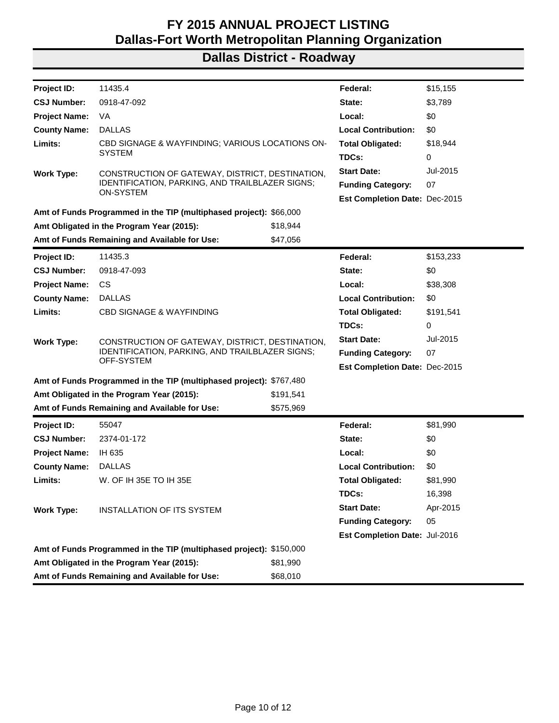| <b>Project ID:</b>   | 11435.4                                                             |           | Federal:                             | \$15,155  |
|----------------------|---------------------------------------------------------------------|-----------|--------------------------------------|-----------|
| <b>CSJ Number:</b>   | 0918-47-092                                                         |           | State:                               | \$3,789   |
| <b>Project Name:</b> | VA                                                                  |           | Local:                               | \$0       |
| <b>County Name:</b>  | <b>DALLAS</b>                                                       |           | <b>Local Contribution:</b>           | \$0       |
| Limits:              | CBD SIGNAGE & WAYFINDING; VARIOUS LOCATIONS ON-                     |           | <b>Total Obligated:</b>              | \$18,944  |
|                      | <b>SYSTEM</b>                                                       |           | TDCs:                                | 0         |
| <b>Work Type:</b>    | CONSTRUCTION OF GATEWAY, DISTRICT, DESTINATION,                     |           | <b>Start Date:</b>                   | Jul-2015  |
|                      | IDENTIFICATION, PARKING, AND TRAILBLAZER SIGNS;<br><b>ON-SYSTEM</b> |           | <b>Funding Category:</b>             | 07        |
|                      |                                                                     |           | <b>Est Completion Date: Dec-2015</b> |           |
|                      | Amt of Funds Programmed in the TIP (multiphased project): \$66,000  |           |                                      |           |
|                      | Amt Obligated in the Program Year (2015):                           | \$18,944  |                                      |           |
|                      | Amt of Funds Remaining and Available for Use:                       | \$47,056  |                                      |           |
| Project ID:          | 11435.3                                                             |           | Federal:                             | \$153,233 |
| <b>CSJ Number:</b>   | 0918-47-093                                                         |           | State:                               | \$0       |
| <b>Project Name:</b> | <b>CS</b>                                                           |           | Local:                               | \$38,308  |
| <b>County Name:</b>  | <b>DALLAS</b>                                                       |           | <b>Local Contribution:</b>           | \$0       |
| Limits:              | <b>CBD SIGNAGE &amp; WAYFINDING</b>                                 |           | <b>Total Obligated:</b>              | \$191,541 |
|                      |                                                                     |           | TDCs:                                | 0         |
| <b>Work Type:</b>    | CONSTRUCTION OF GATEWAY, DISTRICT, DESTINATION,                     |           | <b>Start Date:</b>                   | Jul-2015  |
|                      | IDENTIFICATION, PARKING, AND TRAILBLAZER SIGNS;<br>OFF-SYSTEM       |           | <b>Funding Category:</b>             | 07        |
|                      |                                                                     |           | Est Completion Date: Dec-2015        |           |
|                      | Amt of Funds Programmed in the TIP (multiphased project): \$767,480 |           |                                      |           |
|                      | Amt Obligated in the Program Year (2015):                           | \$191,541 |                                      |           |
|                      | Amt of Funds Remaining and Available for Use:                       | \$575,969 |                                      |           |
| <b>Project ID:</b>   | 55047                                                               |           | Federal:                             | \$81,990  |
| <b>CSJ Number:</b>   | 2374-01-172                                                         |           | State:                               | \$0       |
| <b>Project Name:</b> | IH 635                                                              |           | Local:                               | \$0       |
| <b>County Name:</b>  | <b>DALLAS</b>                                                       |           | <b>Local Contribution:</b>           | \$0       |
| Limits:              | W. OF IH 35E TO IH 35E                                              |           | <b>Total Obligated:</b>              | \$81,990  |
|                      |                                                                     |           | TDCs:                                | 16,398    |
| <b>Work Type:</b>    | <b>INSTALLATION OF ITS SYSTEM</b>                                   |           | <b>Start Date:</b>                   | Apr-2015  |
|                      |                                                                     |           | <b>Funding Category:</b>             | 05        |
|                      |                                                                     |           | Est Completion Date: Jul-2016        |           |
|                      | Amt of Funds Programmed in the TIP (multiphased project): \$150,000 |           |                                      |           |
|                      | Amt Obligated in the Program Year (2015):                           | \$81,990  |                                      |           |
|                      | Amt of Funds Remaining and Available for Use:                       | \$68,010  |                                      |           |
|                      |                                                                     |           |                                      |           |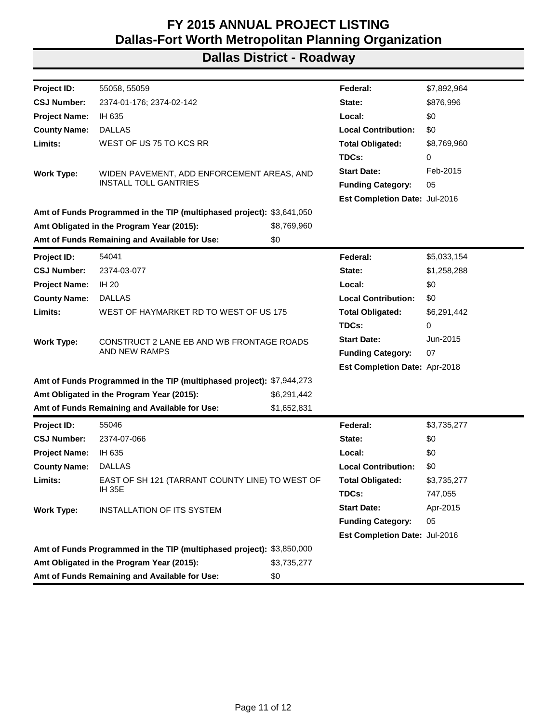| Project ID:          | 55058, 55059                                                          |             | Federal:                      | \$7,892,964 |
|----------------------|-----------------------------------------------------------------------|-------------|-------------------------------|-------------|
| <b>CSJ Number:</b>   | 2374-01-176; 2374-02-142                                              |             | State:                        | \$876,996   |
| <b>Project Name:</b> | IH 635                                                                |             | Local:                        | \$0         |
| <b>County Name:</b>  | <b>DALLAS</b>                                                         |             | <b>Local Contribution:</b>    | \$0         |
| Limits:              | WEST OF US 75 TO KCS RR                                               |             | <b>Total Obligated:</b>       | \$8,769,960 |
|                      |                                                                       |             | TDCs:                         | 0           |
| <b>Work Type:</b>    | WIDEN PAVEMENT, ADD ENFORCEMENT AREAS, AND                            |             | <b>Start Date:</b>            | Feb-2015    |
|                      | <b>INSTALL TOLL GANTRIES</b>                                          |             | <b>Funding Category:</b>      | 05          |
|                      |                                                                       |             | Est Completion Date: Jul-2016 |             |
|                      | Amt of Funds Programmed in the TIP (multiphased project): \$3,641,050 |             |                               |             |
|                      | Amt Obligated in the Program Year (2015):                             | \$8,769,960 |                               |             |
|                      | Amt of Funds Remaining and Available for Use:                         | \$0         |                               |             |
| Project ID:          | 54041                                                                 |             | Federal:                      | \$5,033,154 |
| <b>CSJ Number:</b>   | 2374-03-077                                                           |             | State:                        | \$1,258,288 |
| <b>Project Name:</b> | <b>IH 20</b>                                                          |             | Local:                        | \$0         |
| <b>County Name:</b>  | <b>DALLAS</b>                                                         |             | <b>Local Contribution:</b>    | \$0         |
| Limits:              | WEST OF HAYMARKET RD TO WEST OF US 175                                |             | <b>Total Obligated:</b>       | \$6,291,442 |
|                      |                                                                       |             | TDCs:                         | 0           |
| <b>Work Type:</b>    | CONSTRUCT 2 LANE EB AND WB FRONTAGE ROADS                             |             | <b>Start Date:</b>            | Jun-2015    |
|                      | AND NEW RAMPS                                                         |             | <b>Funding Category:</b>      | 07          |
|                      |                                                                       |             | Est Completion Date: Apr-2018 |             |
|                      | Amt of Funds Programmed in the TIP (multiphased project): \$7,944,273 |             |                               |             |
|                      | Amt Obligated in the Program Year (2015):                             | \$6,291,442 |                               |             |
|                      | Amt of Funds Remaining and Available for Use:                         | \$1,652,831 |                               |             |
| <b>Project ID:</b>   | 55046                                                                 |             | Federal:                      | \$3,735,277 |
| <b>CSJ Number:</b>   | 2374-07-066                                                           |             | State:                        | \$0         |
| <b>Project Name:</b> | IH 635                                                                |             | Local:                        | \$0         |
| <b>County Name:</b>  | <b>DALLAS</b>                                                         |             | <b>Local Contribution:</b>    | \$0         |
| Limits:              | EAST OF SH 121 (TARRANT COUNTY LINE) TO WEST OF                       |             | <b>Total Obligated:</b>       | \$3,735,277 |
|                      | IH 35E                                                                |             | TDCs:                         | 747,055     |
| <b>Work Type:</b>    | <b>INSTALLATION OF ITS SYSTEM</b>                                     |             | <b>Start Date:</b>            | Apr-2015    |
|                      |                                                                       |             | <b>Funding Category:</b>      | 05          |
|                      |                                                                       |             | Est Completion Date: Jul-2016 |             |
|                      | Amt of Funds Programmed in the TIP (multiphased project): \$3,850,000 |             |                               |             |
|                      | Amt Obligated in the Program Year (2015):                             | \$3,735,277 |                               |             |
|                      | Amt of Funds Remaining and Available for Use:                         | \$0         |                               |             |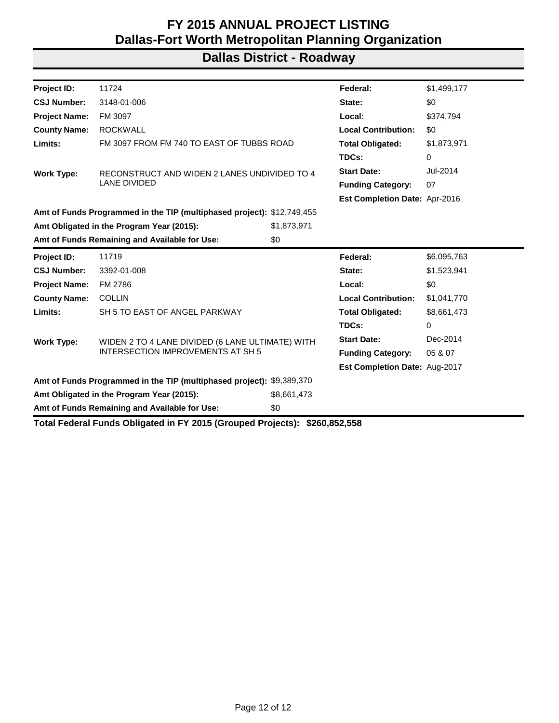### **Dallas District - Roadway**

| 11724                                                                  |             | Federal:                                                                                                                                      | \$1,499,177                   |  |
|------------------------------------------------------------------------|-------------|-----------------------------------------------------------------------------------------------------------------------------------------------|-------------------------------|--|
| 3148-01-006                                                            |             | State:                                                                                                                                        | \$0                           |  |
| FM 3097                                                                |             | Local:                                                                                                                                        | \$374,794                     |  |
| <b>ROCKWALL</b>                                                        |             | <b>Local Contribution:</b>                                                                                                                    | \$0                           |  |
|                                                                        |             | <b>Total Obligated:</b>                                                                                                                       | \$1,873,971                   |  |
|                                                                        |             | TDCs:                                                                                                                                         | 0                             |  |
|                                                                        |             | <b>Start Date:</b>                                                                                                                            | Jul-2014                      |  |
| <b>LANE DIVIDED</b>                                                    |             | <b>Funding Category:</b>                                                                                                                      | 07                            |  |
|                                                                        |             |                                                                                                                                               |                               |  |
| Amt of Funds Programmed in the TIP (multiphased project): \$12,749,455 |             |                                                                                                                                               |                               |  |
| Amt Obligated in the Program Year (2015):                              | \$1,873,971 |                                                                                                                                               |                               |  |
| Amt of Funds Remaining and Available for Use:                          | \$0         |                                                                                                                                               |                               |  |
| 11719                                                                  |             | Federal:                                                                                                                                      | \$6,095,763                   |  |
| 3392-01-008                                                            |             | State:                                                                                                                                        | \$1,523,941                   |  |
| FM 2786                                                                |             | Local:                                                                                                                                        | \$0                           |  |
| <b>COLLIN</b>                                                          |             | <b>Local Contribution:</b>                                                                                                                    | \$1,041,770                   |  |
| SH 5 TO EAST OF ANGEL PARKWAY                                          |             | <b>Total Obligated:</b>                                                                                                                       | \$8,661,473                   |  |
|                                                                        |             | TDCs:                                                                                                                                         | 0                             |  |
|                                                                        |             | <b>Start Date:</b>                                                                                                                            | Dec-2014                      |  |
| <b>INTERSECTION IMPROVEMENTS AT SH 5</b>                               |             | <b>Funding Category:</b>                                                                                                                      | 05 & 07                       |  |
|                                                                        |             |                                                                                                                                               |                               |  |
|                                                                        |             | Est Completion Date: Aug-2017                                                                                                                 |                               |  |
| Amt of Funds Programmed in the TIP (multiphased project): \$9,389,370  |             |                                                                                                                                               |                               |  |
| Amt Obligated in the Program Year (2015):                              | \$8,661,473 |                                                                                                                                               |                               |  |
|                                                                        |             | FM 3097 FROM FM 740 TO EAST OF TUBBS ROAD<br>RECONSTRUCT AND WIDEN 2 LANES UNDIVIDED TO 4<br>WIDEN 2 TO 4 LANE DIVIDED (6 LANE ULTIMATE) WITH | Est Completion Date: Apr-2016 |  |

**Total Federal Funds Obligated in FY 2015 (Grouped Projects): \$260,852,558**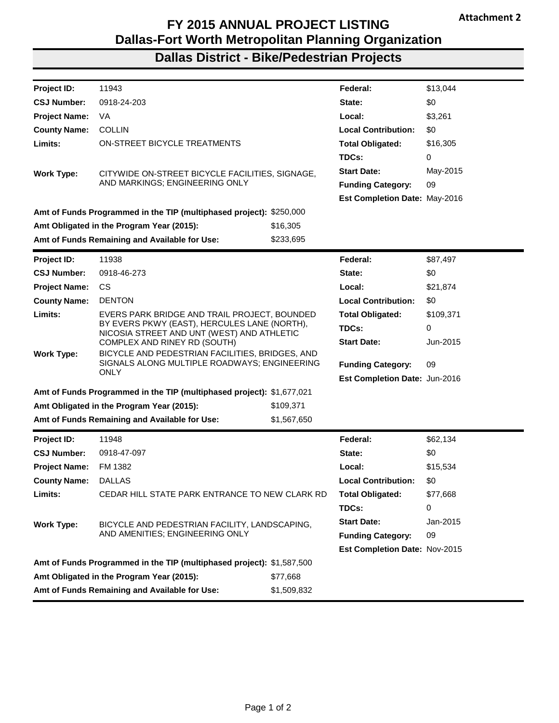## **Dallas District - Bike/Pedestrian Projects**

| Project ID:          | 11943                                                                                      |             | Federal:                      | \$13,044  |
|----------------------|--------------------------------------------------------------------------------------------|-------------|-------------------------------|-----------|
| <b>CSJ Number:</b>   | 0918-24-203                                                                                |             | State:                        | \$0       |
| <b>Project Name:</b> | VA                                                                                         |             | Local:                        | \$3,261   |
| <b>County Name:</b>  | <b>COLLIN</b>                                                                              |             | <b>Local Contribution:</b>    | \$0       |
| Limits:              | ON-STREET BICYCLE TREATMENTS                                                               |             | <b>Total Obligated:</b>       | \$16,305  |
|                      |                                                                                            |             | TDCs:                         | 0         |
| <b>Work Type:</b>    | CITYWIDE ON-STREET BICYCLE FACILITIES, SIGNAGE,                                            |             | <b>Start Date:</b>            | May-2015  |
|                      | AND MARKINGS; ENGINEERING ONLY                                                             |             | <b>Funding Category:</b>      | 09        |
|                      |                                                                                            |             | Est Completion Date: May-2016 |           |
|                      | Amt of Funds Programmed in the TIP (multiphased project): \$250,000                        |             |                               |           |
|                      | Amt Obligated in the Program Year (2015):                                                  | \$16,305    |                               |           |
|                      | Amt of Funds Remaining and Available for Use:                                              | \$233,695   |                               |           |
| Project ID:          | 11938                                                                                      |             | Federal:                      | \$87,497  |
| <b>CSJ Number:</b>   | 0918-46-273                                                                                |             | State:                        | \$0       |
| <b>Project Name:</b> | CS.                                                                                        |             | Local:                        | \$21,874  |
| <b>County Name:</b>  | <b>DENTON</b>                                                                              |             | <b>Local Contribution:</b>    | \$0       |
| Limits:              | EVERS PARK BRIDGE AND TRAIL PROJECT, BOUNDED                                               |             | <b>Total Obligated:</b>       | \$109,371 |
|                      | BY EVERS PKWY (EAST), HERCULES LANE (NORTH),<br>NICOSIA STREET AND UNT (WEST) AND ATHLETIC |             | TDCs:                         | 0         |
|                      | COMPLEX AND RINEY RD (SOUTH)                                                               |             | <b>Start Date:</b>            | Jun-2015  |
| <b>Work Type:</b>    | BICYCLE AND PEDESTRIAN FACILITIES, BRIDGES, AND                                            |             |                               |           |
|                      | SIGNALS ALONG MULTIPLE ROADWAYS; ENGINEERING<br><b>ONLY</b>                                |             | <b>Funding Category:</b>      | 09        |
|                      |                                                                                            |             | Est Completion Date: Jun-2016 |           |
|                      | Amt of Funds Programmed in the TIP (multiphased project): \$1,677,021                      |             |                               |           |
|                      | Amt Obligated in the Program Year (2015):                                                  | \$109,371   |                               |           |
|                      | Amt of Funds Remaining and Available for Use:                                              | \$1,567,650 |                               |           |
| Project ID:          | 11948                                                                                      |             | Federal:                      | \$62,134  |
| <b>CSJ Number:</b>   | 0918-47-097                                                                                |             | State:                        | \$0       |
| <b>Project Name:</b> | FM 1382                                                                                    |             | Local:                        | \$15,534  |
| <b>County Name:</b>  | <b>DALLAS</b>                                                                              |             | <b>Local Contribution:</b>    | \$0       |
| Limits:              | CEDAR HILL STATE PARK ENTRANCE TO NEW CLARK RD                                             |             | <b>Total Obligated:</b>       | \$77,668  |
|                      |                                                                                            |             | TDCs:                         | 0         |
| <b>Work Type:</b>    | BICYCLE AND PEDESTRIAN FACILITY, LANDSCAPING,                                              |             | <b>Start Date:</b>            | Jan-2015  |
|                      | AND AMENITIES; ENGINEERING ONLY                                                            |             | <b>Funding Category:</b>      | 09        |
|                      |                                                                                            |             | Est Completion Date: Nov-2015 |           |
|                      | Amt of Funds Programmed in the TIP (multiphased project): \$1,587,500                      |             |                               |           |
|                      | Amt Obligated in the Program Year (2015):                                                  | \$77,668    |                               |           |
|                      | Amt of Funds Remaining and Available for Use:                                              | \$1,509,832 |                               |           |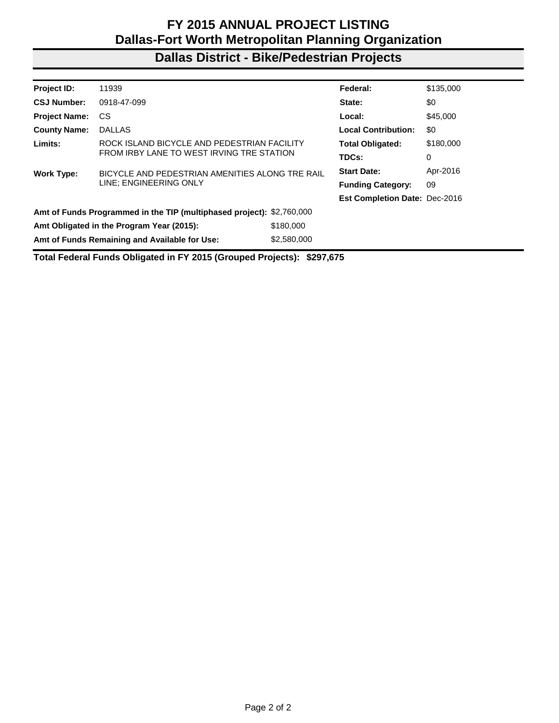### **Dallas District - Bike/Pedestrian Projects**

| <b>Project ID:</b>                        | 11939                                                                 |             | Federal:                             | \$135,000 |
|-------------------------------------------|-----------------------------------------------------------------------|-------------|--------------------------------------|-----------|
| <b>CSJ Number:</b>                        | 0918-47-099                                                           |             | State:                               | \$0       |
| <b>Project Name:</b>                      | CS                                                                    |             | Local:                               | \$45,000  |
| <b>County Name:</b>                       | <b>DALLAS</b>                                                         |             | <b>Local Contribution:</b>           | \$0       |
| Limits:                                   | ROCK ISLAND BICYCLE AND PEDESTRIAN FACILITY                           |             | <b>Total Obligated:</b>              | \$180,000 |
| FROM IRBY LANE TO WEST IRVING TRE STATION |                                                                       |             | TDCs:                                | 0         |
| <b>Work Type:</b>                         | BICYCLE AND PEDESTRIAN AMENITIES ALONG TRE RAIL                       |             |                                      | Apr-2016  |
|                                           | LINE; ENGINEERING ONLY                                                |             | <b>Funding Category:</b>             | 09        |
|                                           |                                                                       |             | <b>Est Completion Date: Dec-2016</b> |           |
|                                           | Amt of Funds Programmed in the TIP (multiphased project): \$2,760,000 |             |                                      |           |
|                                           | Amt Obligated in the Program Year (2015):                             | \$180,000   |                                      |           |
|                                           | Amt of Funds Remaining and Available for Use:                         | \$2,580,000 |                                      |           |
|                                           |                                                                       |             |                                      |           |

**Total Federal Funds Obligated in FY 2015 (Grouped Projects): \$297,675**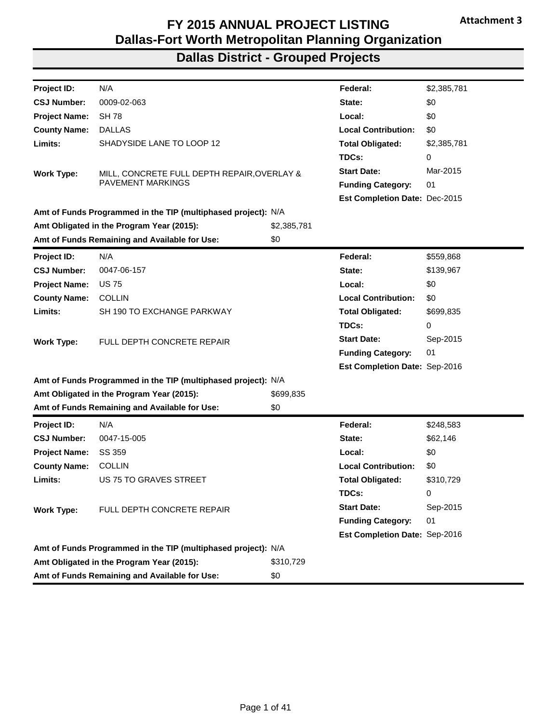| Project ID:          | N/A                                                           |             | Federal:                      | \$2,385,781 |
|----------------------|---------------------------------------------------------------|-------------|-------------------------------|-------------|
| <b>CSJ Number:</b>   | 0009-02-063                                                   |             | State:                        | \$0         |
| <b>Project Name:</b> | <b>SH 78</b>                                                  |             | Local:                        | \$0         |
| <b>County Name:</b>  | <b>DALLAS</b>                                                 |             | <b>Local Contribution:</b>    | \$0         |
| Limits:              | SHADYSIDE LANE TO LOOP 12                                     |             | <b>Total Obligated:</b>       | \$2,385,781 |
|                      |                                                               |             | TDCs:                         | 0           |
| <b>Work Type:</b>    | MILL, CONCRETE FULL DEPTH REPAIR, OVERLAY &                   |             | <b>Start Date:</b>            | Mar-2015    |
|                      | PAVEMENT MARKINGS                                             |             | <b>Funding Category:</b>      | 01          |
|                      |                                                               |             | Est Completion Date: Dec-2015 |             |
|                      | Amt of Funds Programmed in the TIP (multiphased project): N/A |             |                               |             |
|                      | Amt Obligated in the Program Year (2015):                     | \$2,385,781 |                               |             |
|                      | Amt of Funds Remaining and Available for Use:                 | \$0         |                               |             |
| Project ID:          | N/A                                                           |             | Federal:                      | \$559,868   |
| <b>CSJ Number:</b>   | 0047-06-157                                                   |             | State:                        | \$139,967   |
| <b>Project Name:</b> | <b>US75</b>                                                   |             | Local:                        | \$0         |
| <b>County Name:</b>  | <b>COLLIN</b>                                                 |             | <b>Local Contribution:</b>    | \$0         |
| Limits:              | SH 190 TO EXCHANGE PARKWAY                                    |             | <b>Total Obligated:</b>       | \$699,835   |
|                      |                                                               |             | TDCs:                         | 0           |
| <b>Work Type:</b>    | FULL DEPTH CONCRETE REPAIR                                    |             | <b>Start Date:</b>            | Sep-2015    |
|                      |                                                               |             | <b>Funding Category:</b>      | 01          |
|                      |                                                               |             | Est Completion Date: Sep-2016 |             |
|                      | Amt of Funds Programmed in the TIP (multiphased project): N/A |             |                               |             |
|                      | Amt Obligated in the Program Year (2015):                     | \$699,835   |                               |             |
|                      | Amt of Funds Remaining and Available for Use:                 | \$0         |                               |             |
| Project ID:          | N/A                                                           |             | Federal:                      | \$248,583   |
| <b>CSJ Number:</b>   | 0047-15-005                                                   |             | State:                        | \$62,146    |
| <b>Project Name:</b> | SS 359                                                        |             | Local:                        | \$0         |
| <b>County Name:</b>  | <b>COLLIN</b>                                                 |             | <b>Local Contribution:</b>    | \$0         |
| Limits:              | US 75 TO GRAVES STREET                                        |             | <b>Total Obligated:</b>       | \$310,729   |
|                      |                                                               |             | TDCs:                         | 0           |
| <b>Work Type:</b>    | FULL DEPTH CONCRETE REPAIR                                    |             | <b>Start Date:</b>            | Sep-2015    |
|                      |                                                               |             | <b>Funding Category:</b>      | 01          |
|                      |                                                               |             | Est Completion Date: Sep-2016 |             |
|                      | Amt of Funds Programmed in the TIP (multiphased project): N/A |             |                               |             |
|                      | Amt Obligated in the Program Year (2015):                     | \$310,729   |                               |             |
|                      | Amt of Funds Remaining and Available for Use:                 | \$0         |                               |             |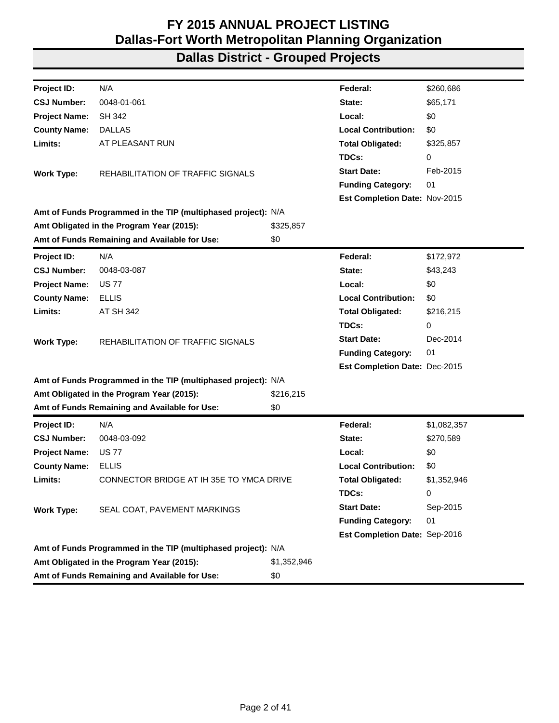| Project ID:          | N/A                                                           |             | Federal:                      | \$260,686   |
|----------------------|---------------------------------------------------------------|-------------|-------------------------------|-------------|
| <b>CSJ Number:</b>   | 0048-01-061                                                   |             | State:                        | \$65,171    |
| <b>Project Name:</b> | <b>SH 342</b>                                                 |             | Local:                        | \$0         |
| <b>County Name:</b>  | <b>DALLAS</b>                                                 |             | <b>Local Contribution:</b>    | \$0         |
| Limits:              | AT PLEASANT RUN                                               |             | <b>Total Obligated:</b>       | \$325,857   |
|                      |                                                               |             | TDCs:                         | 0           |
| <b>Work Type:</b>    | REHABILITATION OF TRAFFIC SIGNALS                             |             | <b>Start Date:</b>            | Feb-2015    |
|                      |                                                               |             | <b>Funding Category:</b>      | 01          |
|                      |                                                               |             | Est Completion Date: Nov-2015 |             |
|                      | Amt of Funds Programmed in the TIP (multiphased project): N/A |             |                               |             |
|                      | Amt Obligated in the Program Year (2015):                     | \$325,857   |                               |             |
|                      | Amt of Funds Remaining and Available for Use:                 | \$0         |                               |             |
| Project ID:          | N/A                                                           |             | Federal:                      | \$172,972   |
| <b>CSJ Number:</b>   | 0048-03-087                                                   |             | State:                        | \$43,243    |
| <b>Project Name:</b> | <b>US77</b>                                                   |             | Local:                        | \$0         |
| <b>County Name:</b>  | <b>ELLIS</b>                                                  |             | <b>Local Contribution:</b>    | \$0         |
| Limits:              | AT SH 342                                                     |             | <b>Total Obligated:</b>       | \$216,215   |
|                      |                                                               |             | TDCs:                         | 0           |
| <b>Work Type:</b>    | <b>REHABILITATION OF TRAFFIC SIGNALS</b>                      |             | <b>Start Date:</b>            | Dec-2014    |
|                      |                                                               |             | <b>Funding Category:</b>      | 01          |
|                      |                                                               |             | Est Completion Date: Dec-2015 |             |
|                      | Amt of Funds Programmed in the TIP (multiphased project): N/A |             |                               |             |
|                      | Amt Obligated in the Program Year (2015):                     | \$216,215   |                               |             |
|                      | Amt of Funds Remaining and Available for Use:                 | \$0         |                               |             |
| Project ID:          | N/A                                                           |             | Federal:                      | \$1,082,357 |
| <b>CSJ Number:</b>   | 0048-03-092                                                   |             | State:                        | \$270,589   |
| <b>Project Name:</b> | <b>US 77</b>                                                  |             | Local:                        | \$0         |
| <b>County Name:</b>  | <b>ELLIS</b>                                                  |             | <b>Local Contribution:</b>    | \$0         |
| Limits:              | CONNECTOR BRIDGE AT IH 35E TO YMCA DRIVE                      |             | <b>Total Obligated:</b>       | \$1,352,946 |
|                      |                                                               |             | TDCs:                         | 0           |
| <b>Work Type:</b>    | SEAL COAT, PAVEMENT MARKINGS                                  |             | <b>Start Date:</b>            | Sep-2015    |
|                      |                                                               |             | <b>Funding Category:</b>      | 01          |
|                      |                                                               |             | Est Completion Date: Sep-2016 |             |
|                      | Amt of Funds Programmed in the TIP (multiphased project): N/A |             |                               |             |
|                      | Amt Obligated in the Program Year (2015):                     | \$1,352,946 |                               |             |
|                      | Amt of Funds Remaining and Available for Use:                 | \$0         |                               |             |
|                      |                                                               |             |                               |             |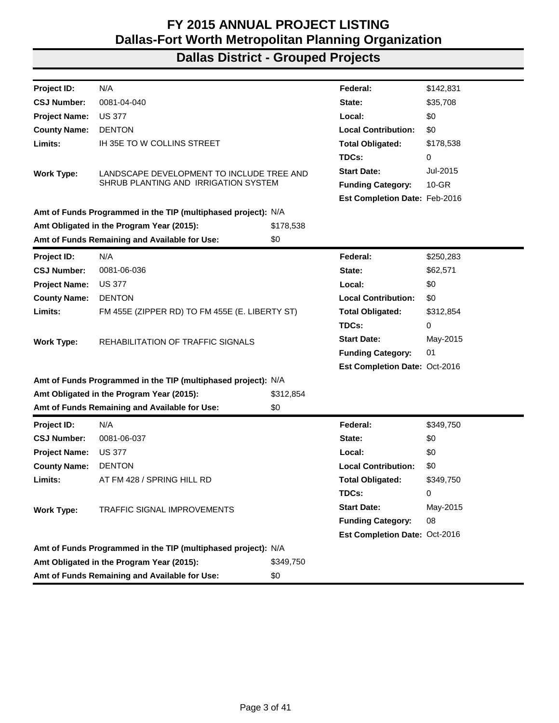| Project ID:                                   | N/A                                                           |           | Federal:                      | \$142,831 |
|-----------------------------------------------|---------------------------------------------------------------|-----------|-------------------------------|-----------|
| <b>CSJ Number:</b>                            | 0081-04-040                                                   |           | State:                        | \$35,708  |
| <b>Project Name:</b>                          | <b>US 377</b>                                                 |           | Local:                        | \$0       |
| <b>County Name:</b>                           | <b>DENTON</b>                                                 |           | <b>Local Contribution:</b>    | \$0       |
| Limits:                                       | IH 35E TO W COLLINS STREET                                    |           | <b>Total Obligated:</b>       | \$178,538 |
|                                               |                                                               |           | TDCs:                         | 0         |
| <b>Work Type:</b>                             | LANDSCAPE DEVELOPMENT TO INCLUDE TREE AND                     |           | <b>Start Date:</b>            | Jul-2015  |
|                                               | SHRUB PLANTING AND IRRIGATION SYSTEM                          |           | <b>Funding Category:</b>      | $10 - GR$ |
|                                               |                                                               |           | Est Completion Date: Feb-2016 |           |
|                                               | Amt of Funds Programmed in the TIP (multiphased project): N/A |           |                               |           |
|                                               | Amt Obligated in the Program Year (2015):                     | \$178,538 |                               |           |
|                                               | Amt of Funds Remaining and Available for Use:                 | \$0       |                               |           |
| <b>Project ID:</b>                            | N/A                                                           |           | Federal:                      | \$250,283 |
| <b>CSJ Number:</b>                            | 0081-06-036                                                   |           | State:                        | \$62,571  |
| <b>Project Name:</b>                          | <b>US 377</b>                                                 |           | Local:                        | \$0       |
| <b>County Name:</b>                           | <b>DENTON</b>                                                 |           | <b>Local Contribution:</b>    | \$0       |
| Limits:                                       | FM 455E (ZIPPER RD) TO FM 455E (E. LIBERTY ST)                |           | <b>Total Obligated:</b>       | \$312,854 |
|                                               |                                                               |           | TDCs:                         | 0         |
| <b>Work Type:</b>                             | REHABILITATION OF TRAFFIC SIGNALS                             |           | <b>Start Date:</b>            | May-2015  |
|                                               |                                                               |           | <b>Funding Category:</b>      | 01        |
|                                               |                                                               |           | Est Completion Date: Oct-2016 |           |
|                                               | Amt of Funds Programmed in the TIP (multiphased project): N/A |           |                               |           |
|                                               | Amt Obligated in the Program Year (2015):                     | \$312,854 |                               |           |
|                                               | Amt of Funds Remaining and Available for Use:                 | \$0       |                               |           |
| <b>Project ID:</b>                            | N/A                                                           |           | Federal:                      | \$349,750 |
| <b>CSJ Number:</b>                            | 0081-06-037                                                   |           | State:                        | \$0       |
| <b>Project Name:</b>                          | <b>US 377</b>                                                 |           | Local:                        | \$0       |
| <b>County Name:</b>                           | <b>DENTON</b>                                                 |           | <b>Local Contribution:</b>    | \$0       |
| Limits:                                       | AT FM 428 / SPRING HILL RD                                    |           | <b>Total Obligated:</b>       | \$349,750 |
|                                               |                                                               |           | TDCs:                         | 0         |
| <b>Work Type:</b>                             | TRAFFIC SIGNAL IMPROVEMENTS                                   |           | <b>Start Date:</b>            | May-2015  |
|                                               |                                                               |           | <b>Funding Category:</b>      | 08        |
|                                               |                                                               |           | Est Completion Date: Oct-2016 |           |
|                                               | Amt of Funds Programmed in the TIP (multiphased project): N/A |           |                               |           |
|                                               | Amt Obligated in the Program Year (2015):                     | \$349,750 |                               |           |
| Amt of Funds Remaining and Available for Use: |                                                               |           |                               |           |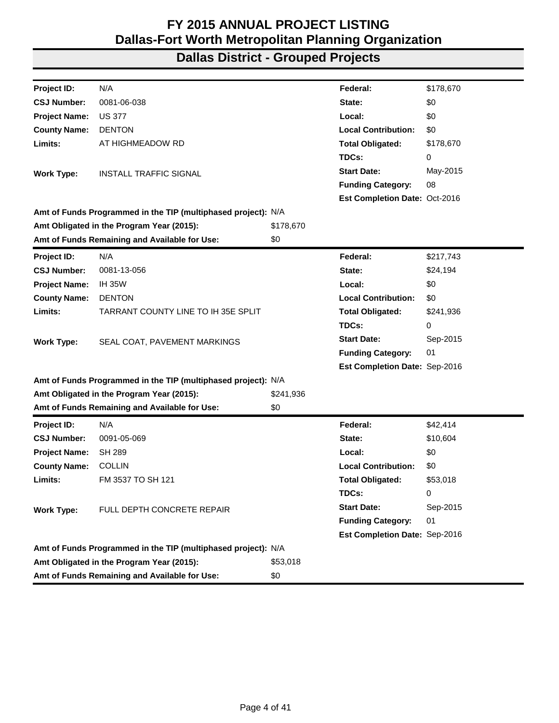| Project ID:          | N/A                                                           |           | Federal:                             | \$178,670 |
|----------------------|---------------------------------------------------------------|-----------|--------------------------------------|-----------|
| <b>CSJ Number:</b>   | 0081-06-038                                                   |           | State:                               | \$0       |
| <b>Project Name:</b> | <b>US 377</b>                                                 |           | Local:                               | \$0       |
| <b>County Name:</b>  | <b>DENTON</b>                                                 |           | <b>Local Contribution:</b>           | \$0       |
| Limits:              | AT HIGHMEADOW RD                                              |           | <b>Total Obligated:</b>              | \$178,670 |
|                      |                                                               |           | TDCs:                                | 0         |
| <b>Work Type:</b>    | INSTALL TRAFFIC SIGNAL                                        |           | <b>Start Date:</b>                   | May-2015  |
|                      |                                                               |           | <b>Funding Category:</b>             | 08        |
|                      |                                                               |           | <b>Est Completion Date: Oct-2016</b> |           |
|                      | Amt of Funds Programmed in the TIP (multiphased project): N/A |           |                                      |           |
|                      | Amt Obligated in the Program Year (2015):                     | \$178,670 |                                      |           |
|                      | Amt of Funds Remaining and Available for Use:                 | \$0       |                                      |           |
| Project ID:          | N/A                                                           |           | Federal:                             | \$217,743 |
| <b>CSJ Number:</b>   | 0081-13-056                                                   |           | State:                               | \$24,194  |
| <b>Project Name:</b> | <b>IH 35W</b>                                                 |           | Local:                               | \$0       |
| <b>County Name:</b>  | <b>DENTON</b>                                                 |           | <b>Local Contribution:</b>           | \$0       |
| Limits:              | TARRANT COUNTY LINE TO IH 35E SPLIT                           |           | <b>Total Obligated:</b>              | \$241,936 |
|                      |                                                               |           | TDCs:                                | 0         |
| <b>Work Type:</b>    | SEAL COAT, PAVEMENT MARKINGS                                  |           | <b>Start Date:</b>                   | Sep-2015  |
|                      |                                                               |           | <b>Funding Category:</b>             | 01        |
|                      |                                                               |           | Est Completion Date: Sep-2016        |           |
|                      | Amt of Funds Programmed in the TIP (multiphased project): N/A |           |                                      |           |
|                      | Amt Obligated in the Program Year (2015):                     | \$241,936 |                                      |           |
|                      | Amt of Funds Remaining and Available for Use:                 | \$0       |                                      |           |
| <b>Project ID:</b>   | N/A                                                           |           | Federal:                             | \$42,414  |
| <b>CSJ Number:</b>   | 0091-05-069                                                   |           | State:                               | \$10,604  |
| <b>Project Name:</b> | SH 289                                                        |           | Local:                               | \$0       |
| <b>County Name:</b>  | <b>COLLIN</b>                                                 |           | <b>Local Contribution:</b>           | \$0       |
| Limits:              | FM 3537 TO SH 121                                             |           | <b>Total Obligated:</b>              | \$53,018  |
|                      |                                                               |           | TDCs:                                | 0         |
| <b>Work Type:</b>    | FULL DEPTH CONCRETE REPAIR                                    |           | <b>Start Date:</b>                   | Sep-2015  |
|                      |                                                               |           | <b>Funding Category:</b>             | 01        |
|                      |                                                               |           | Est Completion Date: Sep-2016        |           |
|                      | Amt of Funds Programmed in the TIP (multiphased project): N/A |           |                                      |           |
|                      | Amt Obligated in the Program Year (2015):                     | \$53,018  |                                      |           |
|                      | Amt of Funds Remaining and Available for Use:                 | \$0       |                                      |           |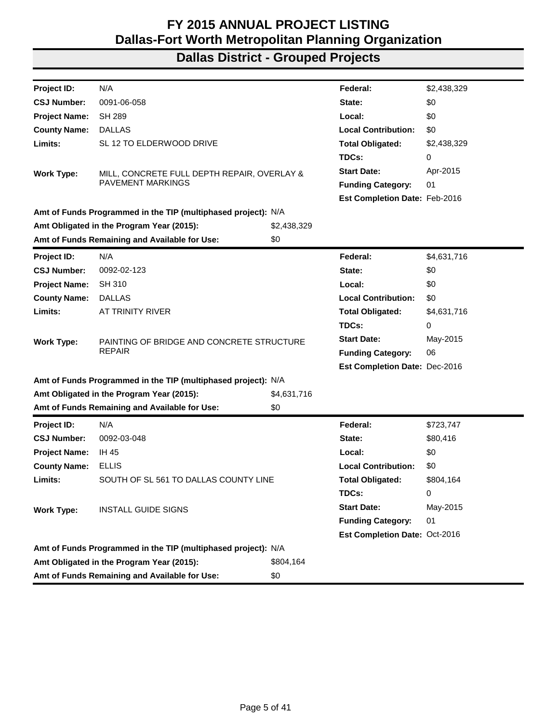| Project ID:                                   | N/A                                                              |             | Federal:                             | \$2,438,329 |
|-----------------------------------------------|------------------------------------------------------------------|-------------|--------------------------------------|-------------|
| <b>CSJ Number:</b>                            | 0091-06-058                                                      |             | State:                               | \$0         |
| <b>Project Name:</b>                          | <b>SH 289</b>                                                    |             | Local:                               | \$0         |
| <b>County Name:</b>                           | <b>DALLAS</b>                                                    |             | <b>Local Contribution:</b>           | \$0         |
| Limits:                                       | SL 12 TO ELDERWOOD DRIVE                                         |             |                                      |             |
|                                               |                                                                  |             | <b>Total Obligated:</b>              | \$2,438,329 |
|                                               |                                                                  |             | TDCs:                                | 0           |
| <b>Work Type:</b>                             | MILL, CONCRETE FULL DEPTH REPAIR, OVERLAY &<br>PAVEMENT MARKINGS |             | <b>Start Date:</b>                   | Apr-2015    |
|                                               |                                                                  |             | <b>Funding Category:</b>             | 01          |
|                                               |                                                                  |             | Est Completion Date: Feb-2016        |             |
|                                               | Amt of Funds Programmed in the TIP (multiphased project): N/A    |             |                                      |             |
|                                               | Amt Obligated in the Program Year (2015):                        | \$2,438,329 |                                      |             |
|                                               | Amt of Funds Remaining and Available for Use:                    | \$0         |                                      |             |
| <b>Project ID:</b>                            | N/A                                                              |             | Federal:                             | \$4,631,716 |
| <b>CSJ Number:</b>                            | 0092-02-123                                                      |             | State:                               | \$0         |
| <b>Project Name:</b>                          | SH 310                                                           |             | Local:                               | \$0         |
| <b>County Name:</b>                           | <b>DALLAS</b>                                                    |             | <b>Local Contribution:</b>           | \$0         |
| Limits:                                       | AT TRINITY RIVER                                                 |             | <b>Total Obligated:</b>              | \$4,631,716 |
|                                               |                                                                  |             | TDCs:                                | 0           |
| <b>Work Type:</b>                             | PAINTING OF BRIDGE AND CONCRETE STRUCTURE                        |             | <b>Start Date:</b>                   | May-2015    |
|                                               | <b>REPAIR</b>                                                    |             | <b>Funding Category:</b>             | 06          |
|                                               |                                                                  |             | Est Completion Date: Dec-2016        |             |
|                                               | Amt of Funds Programmed in the TIP (multiphased project): N/A    |             |                                      |             |
|                                               | Amt Obligated in the Program Year (2015):                        | \$4,631,716 |                                      |             |
|                                               | Amt of Funds Remaining and Available for Use:                    | \$0         |                                      |             |
| Project ID:                                   | N/A                                                              |             | Federal:                             | \$723,747   |
| <b>CSJ Number:</b>                            | 0092-03-048                                                      |             | State:                               | \$80,416    |
| <b>Project Name:</b>                          | IH 45                                                            |             | Local:                               | \$0         |
| <b>County Name:</b>                           | <b>ELLIS</b>                                                     |             | <b>Local Contribution:</b>           | \$0         |
| Limits:                                       | SOUTH OF SL 561 TO DALLAS COUNTY LINE                            |             | <b>Total Obligated:</b>              | \$804,164   |
|                                               |                                                                  |             | TDCs:                                | 0           |
| <b>Work Type:</b>                             | <b>INSTALL GUIDE SIGNS</b>                                       |             | <b>Start Date:</b>                   | May-2015    |
|                                               |                                                                  |             | <b>Funding Category:</b>             | 01          |
|                                               |                                                                  |             | <b>Est Completion Date: Oct-2016</b> |             |
|                                               | Amt of Funds Programmed in the TIP (multiphased project): N/A    |             |                                      |             |
| Amt Obligated in the Program Year (2015):     |                                                                  | \$804,164   |                                      |             |
| Amt of Funds Remaining and Available for Use: |                                                                  |             |                                      |             |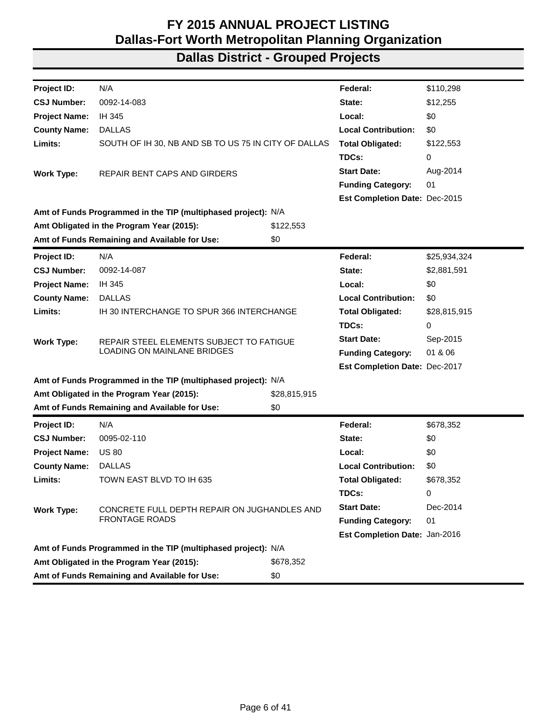| Project ID:          | N/A                                                           |              | Federal:                      | \$110,298    |
|----------------------|---------------------------------------------------------------|--------------|-------------------------------|--------------|
| <b>CSJ Number:</b>   | 0092-14-083                                                   |              | State:                        | \$12,255     |
| <b>Project Name:</b> | IH 345                                                        |              | Local:                        | \$0          |
| <b>County Name:</b>  | <b>DALLAS</b>                                                 |              | <b>Local Contribution:</b>    | \$0          |
| Limits:              | SOUTH OF IH 30, NB AND SB TO US 75 IN CITY OF DALLAS          |              | <b>Total Obligated:</b>       | \$122,553    |
|                      |                                                               |              | TDCs:                         | 0            |
| <b>Work Type:</b>    | REPAIR BENT CAPS AND GIRDERS                                  |              | <b>Start Date:</b>            | Aug-2014     |
|                      |                                                               |              | <b>Funding Category:</b>      | 01           |
|                      |                                                               |              | Est Completion Date: Dec-2015 |              |
|                      | Amt of Funds Programmed in the TIP (multiphased project): N/A |              |                               |              |
|                      | Amt Obligated in the Program Year (2015):                     | \$122,553    |                               |              |
|                      | Amt of Funds Remaining and Available for Use:                 | \$0          |                               |              |
| Project ID:          | N/A                                                           |              | Federal:                      | \$25,934,324 |
| <b>CSJ Number:</b>   | 0092-14-087                                                   |              | State:                        | \$2,881,591  |
| <b>Project Name:</b> | IH 345                                                        |              | Local:                        | \$0          |
| <b>County Name:</b>  | <b>DALLAS</b>                                                 |              | <b>Local Contribution:</b>    | \$0          |
| Limits:              | IH 30 INTERCHANGE TO SPUR 366 INTERCHANGE                     |              | <b>Total Obligated:</b>       | \$28,815,915 |
|                      |                                                               |              | TDCs:                         | 0            |
| <b>Work Type:</b>    | REPAIR STEEL ELEMENTS SUBJECT TO FATIGUE                      |              | <b>Start Date:</b>            | Sep-2015     |
|                      | LOADING ON MAINLANE BRIDGES                                   |              | <b>Funding Category:</b>      | 01 & 06      |
|                      |                                                               |              | Est Completion Date: Dec-2017 |              |
|                      | Amt of Funds Programmed in the TIP (multiphased project): N/A |              |                               |              |
|                      | Amt Obligated in the Program Year (2015):                     | \$28,815,915 |                               |              |
|                      | Amt of Funds Remaining and Available for Use:                 | \$0          |                               |              |
| Project ID:          | N/A                                                           |              | Federal:                      | \$678,352    |
| <b>CSJ Number:</b>   | 0095-02-110                                                   |              | State:                        | \$0          |
| <b>Project Name:</b> | <b>US 80</b>                                                  |              | Local:                        | \$0          |
| <b>County Name:</b>  | <b>DALLAS</b>                                                 |              | <b>Local Contribution:</b>    | \$0          |
| Limits:              | TOWN EAST BLVD TO IH 635                                      |              | <b>Total Obligated:</b>       | \$678,352    |
|                      |                                                               |              | TDCs:                         | 0            |
| <b>Work Type:</b>    | CONCRETE FULL DEPTH REPAIR ON JUGHANDLES AND                  |              | <b>Start Date:</b>            | Dec-2014     |
|                      | <b>FRONTAGE ROADS</b>                                         |              | <b>Funding Category:</b>      | 01           |
|                      |                                                               |              | Est Completion Date: Jan-2016 |              |
|                      | Amt of Funds Programmed in the TIP (multiphased project): N/A |              |                               |              |
|                      | Amt Obligated in the Program Year (2015):                     | \$678,352    |                               |              |
|                      | Amt of Funds Remaining and Available for Use:                 | \$0          |                               |              |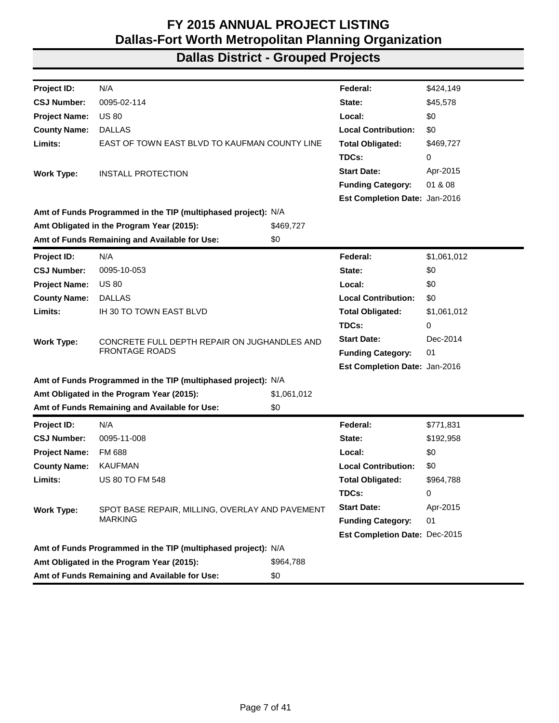| Project ID:          | N/A                                                           |             | Federal:                      | \$424,149   |
|----------------------|---------------------------------------------------------------|-------------|-------------------------------|-------------|
| <b>CSJ Number:</b>   | 0095-02-114                                                   |             | State:                        | \$45,578    |
| <b>Project Name:</b> | <b>US 80</b>                                                  |             | Local:                        | \$0         |
| <b>County Name:</b>  | <b>DALLAS</b>                                                 |             | <b>Local Contribution:</b>    | \$0         |
| Limits:              | EAST OF TOWN EAST BLVD TO KAUFMAN COUNTY LINE                 |             | <b>Total Obligated:</b>       | \$469,727   |
|                      |                                                               |             | TDCs:                         | 0           |
| <b>Work Type:</b>    | <b>INSTALL PROTECTION</b>                                     |             | <b>Start Date:</b>            | Apr-2015    |
|                      |                                                               |             | <b>Funding Category:</b>      | 01 & 08     |
|                      |                                                               |             | Est Completion Date: Jan-2016 |             |
|                      | Amt of Funds Programmed in the TIP (multiphased project): N/A |             |                               |             |
|                      | Amt Obligated in the Program Year (2015):                     | \$469,727   |                               |             |
|                      | Amt of Funds Remaining and Available for Use:                 | \$0         |                               |             |
| <b>Project ID:</b>   | N/A                                                           |             | Federal:                      | \$1,061,012 |
| <b>CSJ Number:</b>   | 0095-10-053                                                   |             | State:                        | \$0         |
| <b>Project Name:</b> | <b>US 80</b>                                                  |             | Local:                        | \$0         |
| <b>County Name:</b>  | <b>DALLAS</b>                                                 |             | <b>Local Contribution:</b>    | \$0         |
| Limits:              | IH 30 TO TOWN EAST BLVD                                       |             | <b>Total Obligated:</b>       | \$1,061,012 |
|                      |                                                               |             | TDCs:                         | 0           |
| <b>Work Type:</b>    | CONCRETE FULL DEPTH REPAIR ON JUGHANDLES AND                  |             | <b>Start Date:</b>            | Dec-2014    |
|                      | <b>FRONTAGE ROADS</b>                                         |             | <b>Funding Category:</b>      | 01          |
|                      |                                                               |             | Est Completion Date: Jan-2016 |             |
|                      | Amt of Funds Programmed in the TIP (multiphased project): N/A |             |                               |             |
|                      | Amt Obligated in the Program Year (2015):                     | \$1,061,012 |                               |             |
|                      | Amt of Funds Remaining and Available for Use:                 | \$0         |                               |             |
| Project ID:          | N/A                                                           |             | Federal:                      | \$771,831   |
| <b>CSJ Number:</b>   | 0095-11-008                                                   |             | State:                        | \$192,958   |
| <b>Project Name:</b> | <b>FM 688</b>                                                 |             | Local:                        | \$0         |
| <b>County Name:</b>  | <b>KAUFMAN</b>                                                |             | <b>Local Contribution:</b>    | \$0         |
| Limits:              | <b>US 80 TO FM 548</b>                                        |             | <b>Total Obligated:</b>       | \$964,788   |
|                      |                                                               |             | TDCs:                         | 0           |
| <b>Work Type:</b>    | SPOT BASE REPAIR, MILLING, OVERLAY AND PAVEMENT               |             | <b>Start Date:</b>            | Apr-2015    |
|                      | <b>MARKING</b>                                                |             | <b>Funding Category:</b>      | 01          |
|                      |                                                               |             | Est Completion Date: Dec-2015 |             |
|                      | Amt of Funds Programmed in the TIP (multiphased project): N/A |             |                               |             |
|                      | Amt Obligated in the Program Year (2015):                     | \$964,788   |                               |             |
|                      | Amt of Funds Remaining and Available for Use:                 | \$0         |                               |             |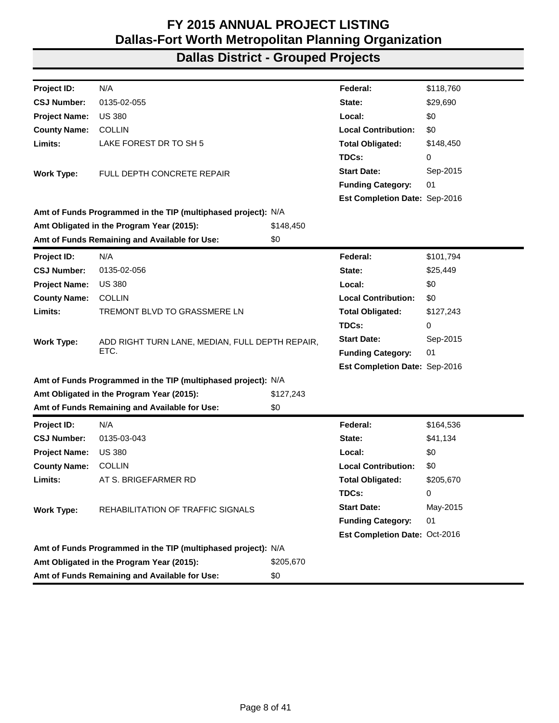| Project ID:          | N/A                                                           |           | Federal:                             | \$118,760 |
|----------------------|---------------------------------------------------------------|-----------|--------------------------------------|-----------|
| <b>CSJ Number:</b>   | 0135-02-055                                                   |           | State:                               | \$29,690  |
| <b>Project Name:</b> | <b>US 380</b>                                                 |           | Local:                               | \$0       |
| <b>County Name:</b>  | <b>COLLIN</b>                                                 |           | <b>Local Contribution:</b>           | \$0       |
| Limits:              | LAKE FOREST DR TO SH 5                                        |           | <b>Total Obligated:</b>              | \$148,450 |
|                      |                                                               |           | TDCs:                                | 0         |
| <b>Work Type:</b>    | FULL DEPTH CONCRETE REPAIR                                    |           | <b>Start Date:</b>                   | Sep-2015  |
|                      |                                                               |           | <b>Funding Category:</b>             | 01        |
|                      |                                                               |           | <b>Est Completion Date: Sep-2016</b> |           |
|                      | Amt of Funds Programmed in the TIP (multiphased project): N/A |           |                                      |           |
|                      | Amt Obligated in the Program Year (2015):                     | \$148,450 |                                      |           |
|                      | Amt of Funds Remaining and Available for Use:                 | \$0       |                                      |           |
| <b>Project ID:</b>   | N/A                                                           |           | Federal:                             | \$101,794 |
| <b>CSJ Number:</b>   | 0135-02-056                                                   |           | State:                               | \$25,449  |
| <b>Project Name:</b> | <b>US 380</b>                                                 |           | Local:                               | \$0       |
| <b>County Name:</b>  | <b>COLLIN</b>                                                 |           | <b>Local Contribution:</b>           | \$0       |
| Limits:              | TREMONT BLVD TO GRASSMERE LN                                  |           | <b>Total Obligated:</b>              | \$127,243 |
|                      |                                                               |           | TDCs:                                | 0         |
| <b>Work Type:</b>    | ADD RIGHT TURN LANE, MEDIAN, FULL DEPTH REPAIR,               |           | <b>Start Date:</b>                   | Sep-2015  |
|                      | ETC.                                                          |           | <b>Funding Category:</b>             | 01        |
|                      |                                                               |           | Est Completion Date: Sep-2016        |           |
|                      | Amt of Funds Programmed in the TIP (multiphased project): N/A |           |                                      |           |
|                      | Amt Obligated in the Program Year (2015):                     | \$127,243 |                                      |           |
|                      | Amt of Funds Remaining and Available for Use:                 | \$0       |                                      |           |
| <b>Project ID:</b>   | N/A                                                           |           | Federal:                             | \$164,536 |
| <b>CSJ Number:</b>   | 0135-03-043                                                   |           | State:                               | \$41,134  |
| <b>Project Name:</b> | <b>US 380</b>                                                 |           | Local:                               | \$0       |
| <b>County Name:</b>  | <b>COLLIN</b>                                                 |           | <b>Local Contribution:</b>           | \$0       |
| Limits:              | AT S. BRIGEFARMER RD                                          |           | <b>Total Obligated:</b>              | \$205,670 |
|                      |                                                               |           | TDCs:                                | 0         |
| <b>Work Type:</b>    | REHABILITATION OF TRAFFIC SIGNALS                             |           | <b>Start Date:</b>                   | May-2015  |
|                      |                                                               |           | <b>Funding Category:</b>             | 01        |
|                      |                                                               |           | Est Completion Date: Oct-2016        |           |
|                      | Amt of Funds Programmed in the TIP (multiphased project): N/A |           |                                      |           |
|                      | Amt Obligated in the Program Year (2015):                     | \$205,670 |                                      |           |
|                      | Amt of Funds Remaining and Available for Use:                 | \$0       |                                      |           |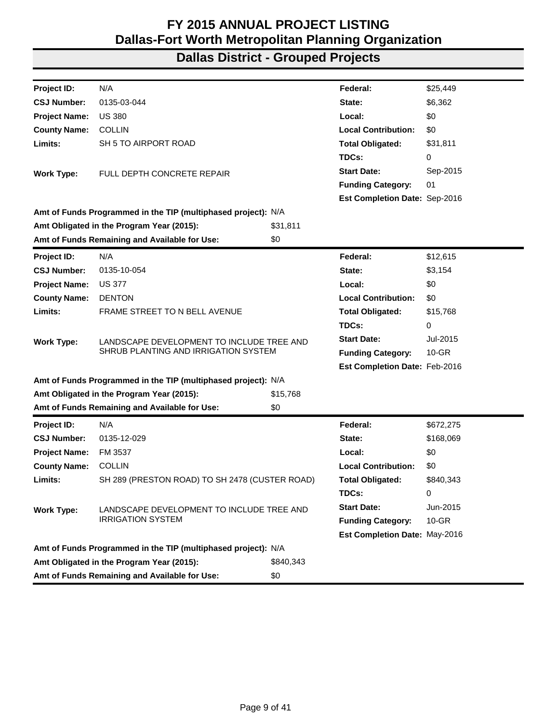| N/A<br>\$25,449<br>Project ID:<br>Federal:<br>0135-03-044<br><b>CSJ Number:</b><br>\$6,362<br>State:<br><b>Project Name:</b><br><b>US 380</b><br>Local:<br>\$0<br><b>County Name:</b><br><b>COLLIN</b><br><b>Local Contribution:</b><br>\$0<br>Limits:<br>SH 5 TO AIRPORT ROAD<br><b>Total Obligated:</b><br>\$31,811<br>TDCs:<br>0<br><b>Start Date:</b><br>Sep-2015<br>FULL DEPTH CONCRETE REPAIR<br><b>Work Type:</b><br><b>Funding Category:</b><br>01<br>Est Completion Date: Sep-2016<br>Amt of Funds Programmed in the TIP (multiphased project): N/A<br>\$31,811<br>Amt Obligated in the Program Year (2015):<br>Amt of Funds Remaining and Available for Use:<br>\$0<br>N/A<br>Project ID:<br>Federal:<br>\$12,615<br><b>CSJ Number:</b><br>0135-10-054<br>State:<br>\$3,154<br><b>Project Name:</b><br><b>US 377</b><br>\$0<br>Local:<br><b>DENTON</b><br><b>Local Contribution:</b><br>\$0<br><b>County Name:</b><br>Limits:<br>FRAME STREET TO N BELL AVENUE<br><b>Total Obligated:</b><br>\$15,768<br>TDCs:<br>0<br><b>Start Date:</b><br>Jul-2015<br>LANDSCAPE DEVELOPMENT TO INCLUDE TREE AND<br><b>Work Type:</b><br>SHRUB PLANTING AND IRRIGATION SYSTEM<br><b>Funding Category:</b><br>$10-GR$<br>Est Completion Date: Feb-2016<br>Amt of Funds Programmed in the TIP (multiphased project): N/A<br>Amt Obligated in the Program Year (2015):<br>\$15,768<br>Amt of Funds Remaining and Available for Use:<br>\$0<br>Federal:<br>N/A<br>\$672,275<br><b>Project ID:</b><br><b>CSJ Number:</b><br>0135-12-029<br>State:<br>\$168,069<br>\$0<br>FM 3537<br><b>Project Name:</b><br>Local:<br><b>COLLIN</b><br><b>Local Contribution:</b><br>\$0<br><b>County Name:</b><br>Limits:<br>SH 289 (PRESTON ROAD) TO SH 2478 (CUSTER ROAD)<br>\$840,343<br><b>Total Obligated:</b><br>TDCs:<br>0<br><b>Start Date:</b><br>Jun-2015<br><b>Work Type:</b><br>LANDSCAPE DEVELOPMENT TO INCLUDE TREE AND<br><b>IRRIGATION SYSTEM</b><br><b>Funding Category:</b><br>$10 - GR$<br>Est Completion Date: May-2016<br>Amt of Funds Programmed in the TIP (multiphased project): N/A<br>Amt Obligated in the Program Year (2015):<br>\$840,343<br>Amt of Funds Remaining and Available for Use:<br>\$0 |  |  |  |
|--------------------------------------------------------------------------------------------------------------------------------------------------------------------------------------------------------------------------------------------------------------------------------------------------------------------------------------------------------------------------------------------------------------------------------------------------------------------------------------------------------------------------------------------------------------------------------------------------------------------------------------------------------------------------------------------------------------------------------------------------------------------------------------------------------------------------------------------------------------------------------------------------------------------------------------------------------------------------------------------------------------------------------------------------------------------------------------------------------------------------------------------------------------------------------------------------------------------------------------------------------------------------------------------------------------------------------------------------------------------------------------------------------------------------------------------------------------------------------------------------------------------------------------------------------------------------------------------------------------------------------------------------------------------------------------------------------------------------------------------------------------------------------------------------------------------------------------------------------------------------------------------------------------------------------------------------------------------------------------------------------------------------------------------------------------------------------------------------------------------------------------------------------------------------------------------------------|--|--|--|
|                                                                                                                                                                                                                                                                                                                                                                                                                                                                                                                                                                                                                                                                                                                                                                                                                                                                                                                                                                                                                                                                                                                                                                                                                                                                                                                                                                                                                                                                                                                                                                                                                                                                                                                                                                                                                                                                                                                                                                                                                                                                                                                                                                                                        |  |  |  |
|                                                                                                                                                                                                                                                                                                                                                                                                                                                                                                                                                                                                                                                                                                                                                                                                                                                                                                                                                                                                                                                                                                                                                                                                                                                                                                                                                                                                                                                                                                                                                                                                                                                                                                                                                                                                                                                                                                                                                                                                                                                                                                                                                                                                        |  |  |  |
|                                                                                                                                                                                                                                                                                                                                                                                                                                                                                                                                                                                                                                                                                                                                                                                                                                                                                                                                                                                                                                                                                                                                                                                                                                                                                                                                                                                                                                                                                                                                                                                                                                                                                                                                                                                                                                                                                                                                                                                                                                                                                                                                                                                                        |  |  |  |
|                                                                                                                                                                                                                                                                                                                                                                                                                                                                                                                                                                                                                                                                                                                                                                                                                                                                                                                                                                                                                                                                                                                                                                                                                                                                                                                                                                                                                                                                                                                                                                                                                                                                                                                                                                                                                                                                                                                                                                                                                                                                                                                                                                                                        |  |  |  |
|                                                                                                                                                                                                                                                                                                                                                                                                                                                                                                                                                                                                                                                                                                                                                                                                                                                                                                                                                                                                                                                                                                                                                                                                                                                                                                                                                                                                                                                                                                                                                                                                                                                                                                                                                                                                                                                                                                                                                                                                                                                                                                                                                                                                        |  |  |  |
|                                                                                                                                                                                                                                                                                                                                                                                                                                                                                                                                                                                                                                                                                                                                                                                                                                                                                                                                                                                                                                                                                                                                                                                                                                                                                                                                                                                                                                                                                                                                                                                                                                                                                                                                                                                                                                                                                                                                                                                                                                                                                                                                                                                                        |  |  |  |
|                                                                                                                                                                                                                                                                                                                                                                                                                                                                                                                                                                                                                                                                                                                                                                                                                                                                                                                                                                                                                                                                                                                                                                                                                                                                                                                                                                                                                                                                                                                                                                                                                                                                                                                                                                                                                                                                                                                                                                                                                                                                                                                                                                                                        |  |  |  |
|                                                                                                                                                                                                                                                                                                                                                                                                                                                                                                                                                                                                                                                                                                                                                                                                                                                                                                                                                                                                                                                                                                                                                                                                                                                                                                                                                                                                                                                                                                                                                                                                                                                                                                                                                                                                                                                                                                                                                                                                                                                                                                                                                                                                        |  |  |  |
|                                                                                                                                                                                                                                                                                                                                                                                                                                                                                                                                                                                                                                                                                                                                                                                                                                                                                                                                                                                                                                                                                                                                                                                                                                                                                                                                                                                                                                                                                                                                                                                                                                                                                                                                                                                                                                                                                                                                                                                                                                                                                                                                                                                                        |  |  |  |
|                                                                                                                                                                                                                                                                                                                                                                                                                                                                                                                                                                                                                                                                                                                                                                                                                                                                                                                                                                                                                                                                                                                                                                                                                                                                                                                                                                                                                                                                                                                                                                                                                                                                                                                                                                                                                                                                                                                                                                                                                                                                                                                                                                                                        |  |  |  |
|                                                                                                                                                                                                                                                                                                                                                                                                                                                                                                                                                                                                                                                                                                                                                                                                                                                                                                                                                                                                                                                                                                                                                                                                                                                                                                                                                                                                                                                                                                                                                                                                                                                                                                                                                                                                                                                                                                                                                                                                                                                                                                                                                                                                        |  |  |  |
|                                                                                                                                                                                                                                                                                                                                                                                                                                                                                                                                                                                                                                                                                                                                                                                                                                                                                                                                                                                                                                                                                                                                                                                                                                                                                                                                                                                                                                                                                                                                                                                                                                                                                                                                                                                                                                                                                                                                                                                                                                                                                                                                                                                                        |  |  |  |
|                                                                                                                                                                                                                                                                                                                                                                                                                                                                                                                                                                                                                                                                                                                                                                                                                                                                                                                                                                                                                                                                                                                                                                                                                                                                                                                                                                                                                                                                                                                                                                                                                                                                                                                                                                                                                                                                                                                                                                                                                                                                                                                                                                                                        |  |  |  |
|                                                                                                                                                                                                                                                                                                                                                                                                                                                                                                                                                                                                                                                                                                                                                                                                                                                                                                                                                                                                                                                                                                                                                                                                                                                                                                                                                                                                                                                                                                                                                                                                                                                                                                                                                                                                                                                                                                                                                                                                                                                                                                                                                                                                        |  |  |  |
|                                                                                                                                                                                                                                                                                                                                                                                                                                                                                                                                                                                                                                                                                                                                                                                                                                                                                                                                                                                                                                                                                                                                                                                                                                                                                                                                                                                                                                                                                                                                                                                                                                                                                                                                                                                                                                                                                                                                                                                                                                                                                                                                                                                                        |  |  |  |
|                                                                                                                                                                                                                                                                                                                                                                                                                                                                                                                                                                                                                                                                                                                                                                                                                                                                                                                                                                                                                                                                                                                                                                                                                                                                                                                                                                                                                                                                                                                                                                                                                                                                                                                                                                                                                                                                                                                                                                                                                                                                                                                                                                                                        |  |  |  |
|                                                                                                                                                                                                                                                                                                                                                                                                                                                                                                                                                                                                                                                                                                                                                                                                                                                                                                                                                                                                                                                                                                                                                                                                                                                                                                                                                                                                                                                                                                                                                                                                                                                                                                                                                                                                                                                                                                                                                                                                                                                                                                                                                                                                        |  |  |  |
|                                                                                                                                                                                                                                                                                                                                                                                                                                                                                                                                                                                                                                                                                                                                                                                                                                                                                                                                                                                                                                                                                                                                                                                                                                                                                                                                                                                                                                                                                                                                                                                                                                                                                                                                                                                                                                                                                                                                                                                                                                                                                                                                                                                                        |  |  |  |
|                                                                                                                                                                                                                                                                                                                                                                                                                                                                                                                                                                                                                                                                                                                                                                                                                                                                                                                                                                                                                                                                                                                                                                                                                                                                                                                                                                                                                                                                                                                                                                                                                                                                                                                                                                                                                                                                                                                                                                                                                                                                                                                                                                                                        |  |  |  |
|                                                                                                                                                                                                                                                                                                                                                                                                                                                                                                                                                                                                                                                                                                                                                                                                                                                                                                                                                                                                                                                                                                                                                                                                                                                                                                                                                                                                                                                                                                                                                                                                                                                                                                                                                                                                                                                                                                                                                                                                                                                                                                                                                                                                        |  |  |  |
|                                                                                                                                                                                                                                                                                                                                                                                                                                                                                                                                                                                                                                                                                                                                                                                                                                                                                                                                                                                                                                                                                                                                                                                                                                                                                                                                                                                                                                                                                                                                                                                                                                                                                                                                                                                                                                                                                                                                                                                                                                                                                                                                                                                                        |  |  |  |
|                                                                                                                                                                                                                                                                                                                                                                                                                                                                                                                                                                                                                                                                                                                                                                                                                                                                                                                                                                                                                                                                                                                                                                                                                                                                                                                                                                                                                                                                                                                                                                                                                                                                                                                                                                                                                                                                                                                                                                                                                                                                                                                                                                                                        |  |  |  |
|                                                                                                                                                                                                                                                                                                                                                                                                                                                                                                                                                                                                                                                                                                                                                                                                                                                                                                                                                                                                                                                                                                                                                                                                                                                                                                                                                                                                                                                                                                                                                                                                                                                                                                                                                                                                                                                                                                                                                                                                                                                                                                                                                                                                        |  |  |  |
|                                                                                                                                                                                                                                                                                                                                                                                                                                                                                                                                                                                                                                                                                                                                                                                                                                                                                                                                                                                                                                                                                                                                                                                                                                                                                                                                                                                                                                                                                                                                                                                                                                                                                                                                                                                                                                                                                                                                                                                                                                                                                                                                                                                                        |  |  |  |
|                                                                                                                                                                                                                                                                                                                                                                                                                                                                                                                                                                                                                                                                                                                                                                                                                                                                                                                                                                                                                                                                                                                                                                                                                                                                                                                                                                                                                                                                                                                                                                                                                                                                                                                                                                                                                                                                                                                                                                                                                                                                                                                                                                                                        |  |  |  |
|                                                                                                                                                                                                                                                                                                                                                                                                                                                                                                                                                                                                                                                                                                                                                                                                                                                                                                                                                                                                                                                                                                                                                                                                                                                                                                                                                                                                                                                                                                                                                                                                                                                                                                                                                                                                                                                                                                                                                                                                                                                                                                                                                                                                        |  |  |  |
|                                                                                                                                                                                                                                                                                                                                                                                                                                                                                                                                                                                                                                                                                                                                                                                                                                                                                                                                                                                                                                                                                                                                                                                                                                                                                                                                                                                                                                                                                                                                                                                                                                                                                                                                                                                                                                                                                                                                                                                                                                                                                                                                                                                                        |  |  |  |
|                                                                                                                                                                                                                                                                                                                                                                                                                                                                                                                                                                                                                                                                                                                                                                                                                                                                                                                                                                                                                                                                                                                                                                                                                                                                                                                                                                                                                                                                                                                                                                                                                                                                                                                                                                                                                                                                                                                                                                                                                                                                                                                                                                                                        |  |  |  |
|                                                                                                                                                                                                                                                                                                                                                                                                                                                                                                                                                                                                                                                                                                                                                                                                                                                                                                                                                                                                                                                                                                                                                                                                                                                                                                                                                                                                                                                                                                                                                                                                                                                                                                                                                                                                                                                                                                                                                                                                                                                                                                                                                                                                        |  |  |  |
|                                                                                                                                                                                                                                                                                                                                                                                                                                                                                                                                                                                                                                                                                                                                                                                                                                                                                                                                                                                                                                                                                                                                                                                                                                                                                                                                                                                                                                                                                                                                                                                                                                                                                                                                                                                                                                                                                                                                                                                                                                                                                                                                                                                                        |  |  |  |
|                                                                                                                                                                                                                                                                                                                                                                                                                                                                                                                                                                                                                                                                                                                                                                                                                                                                                                                                                                                                                                                                                                                                                                                                                                                                                                                                                                                                                                                                                                                                                                                                                                                                                                                                                                                                                                                                                                                                                                                                                                                                                                                                                                                                        |  |  |  |
|                                                                                                                                                                                                                                                                                                                                                                                                                                                                                                                                                                                                                                                                                                                                                                                                                                                                                                                                                                                                                                                                                                                                                                                                                                                                                                                                                                                                                                                                                                                                                                                                                                                                                                                                                                                                                                                                                                                                                                                                                                                                                                                                                                                                        |  |  |  |
|                                                                                                                                                                                                                                                                                                                                                                                                                                                                                                                                                                                                                                                                                                                                                                                                                                                                                                                                                                                                                                                                                                                                                                                                                                                                                                                                                                                                                                                                                                                                                                                                                                                                                                                                                                                                                                                                                                                                                                                                                                                                                                                                                                                                        |  |  |  |
|                                                                                                                                                                                                                                                                                                                                                                                                                                                                                                                                                                                                                                                                                                                                                                                                                                                                                                                                                                                                                                                                                                                                                                                                                                                                                                                                                                                                                                                                                                                                                                                                                                                                                                                                                                                                                                                                                                                                                                                                                                                                                                                                                                                                        |  |  |  |
|                                                                                                                                                                                                                                                                                                                                                                                                                                                                                                                                                                                                                                                                                                                                                                                                                                                                                                                                                                                                                                                                                                                                                                                                                                                                                                                                                                                                                                                                                                                                                                                                                                                                                                                                                                                                                                                                                                                                                                                                                                                                                                                                                                                                        |  |  |  |
|                                                                                                                                                                                                                                                                                                                                                                                                                                                                                                                                                                                                                                                                                                                                                                                                                                                                                                                                                                                                                                                                                                                                                                                                                                                                                                                                                                                                                                                                                                                                                                                                                                                                                                                                                                                                                                                                                                                                                                                                                                                                                                                                                                                                        |  |  |  |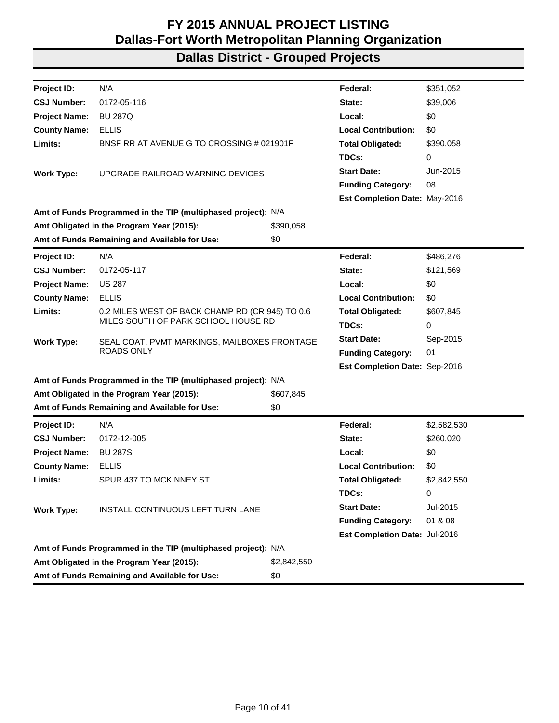| Project ID:          | N/A                                                           |             | Federal:                      | \$351,052   |
|----------------------|---------------------------------------------------------------|-------------|-------------------------------|-------------|
| <b>CSJ Number:</b>   | 0172-05-116                                                   |             | State:                        | \$39,006    |
| <b>Project Name:</b> | <b>BU 287Q</b>                                                |             | Local:                        | \$0         |
| <b>County Name:</b>  | <b>ELLIS</b>                                                  |             | <b>Local Contribution:</b>    | \$0         |
| Limits:              | BNSF RR AT AVENUE G TO CROSSING # 021901F                     |             | <b>Total Obligated:</b>       | \$390,058   |
|                      |                                                               |             | TDCs:                         | 0           |
| <b>Work Type:</b>    | UPGRADE RAILROAD WARNING DEVICES                              |             | <b>Start Date:</b>            | Jun-2015    |
|                      |                                                               |             | <b>Funding Category:</b>      | 08          |
|                      |                                                               |             | Est Completion Date: May-2016 |             |
|                      | Amt of Funds Programmed in the TIP (multiphased project): N/A |             |                               |             |
|                      | Amt Obligated in the Program Year (2015):                     | \$390,058   |                               |             |
|                      | Amt of Funds Remaining and Available for Use:                 | \$0         |                               |             |
| Project ID:          | N/A                                                           |             | Federal:                      | \$486,276   |
| <b>CSJ Number:</b>   | 0172-05-117                                                   |             | State:                        | \$121,569   |
| <b>Project Name:</b> | <b>US 287</b>                                                 |             | Local:                        | \$0         |
| <b>County Name:</b>  | <b>ELLIS</b>                                                  |             | <b>Local Contribution:</b>    | \$0         |
| Limits:              | 0.2 MILES WEST OF BACK CHAMP RD (CR 945) TO 0.6               |             | <b>Total Obligated:</b>       | \$607,845   |
|                      | MILES SOUTH OF PARK SCHOOL HOUSE RD                           |             | TDCs:                         | 0           |
| <b>Work Type:</b>    | SEAL COAT, PVMT MARKINGS, MAILBOXES FRONTAGE                  |             | <b>Start Date:</b>            | Sep-2015    |
|                      | <b>ROADS ONLY</b>                                             |             | <b>Funding Category:</b>      | 01          |
|                      |                                                               |             | Est Completion Date: Sep-2016 |             |
|                      | Amt of Funds Programmed in the TIP (multiphased project): N/A |             |                               |             |
|                      | Amt Obligated in the Program Year (2015):                     | \$607,845   |                               |             |
|                      | Amt of Funds Remaining and Available for Use:                 | \$0         |                               |             |
| Project ID:          | N/A                                                           |             | Federal:                      | \$2,582,530 |
| <b>CSJ Number:</b>   | 0172-12-005                                                   |             | State:                        | \$260,020   |
| <b>Project Name:</b> | <b>BU 287S</b>                                                |             | Local:                        | \$0         |
| <b>County Name:</b>  | <b>ELLIS</b>                                                  |             | <b>Local Contribution:</b>    | \$0         |
| Limits:              | SPUR 437 TO MCKINNEY ST                                       |             | <b>Total Obligated:</b>       | \$2,842,550 |
|                      |                                                               |             | TDCs:                         | 0           |
| <b>Work Type:</b>    | INSTALL CONTINUOUS LEFT TURN LANE                             |             | <b>Start Date:</b>            | Jul-2015    |
|                      |                                                               |             | <b>Funding Category:</b>      | 01 & 08     |
|                      |                                                               |             | Est Completion Date: Jul-2016 |             |
|                      | Amt of Funds Programmed in the TIP (multiphased project): N/A |             |                               |             |
|                      | Amt Obligated in the Program Year (2015):                     | \$2,842,550 |                               |             |
|                      | Amt of Funds Remaining and Available for Use:                 | \$0         |                               |             |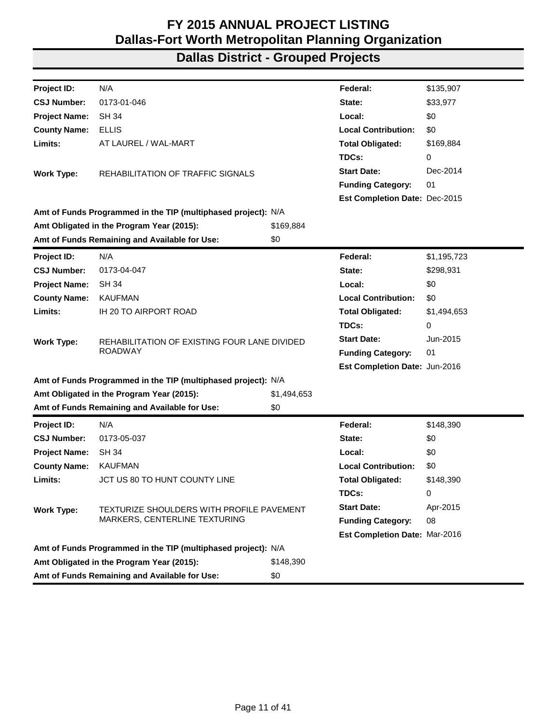| Project ID:          | N/A                                                           |             | Federal:                      | \$135,907   |
|----------------------|---------------------------------------------------------------|-------------|-------------------------------|-------------|
| <b>CSJ Number:</b>   | 0173-01-046                                                   |             | State:                        | \$33,977    |
| <b>Project Name:</b> | <b>SH 34</b>                                                  |             | Local:                        | \$0         |
| <b>County Name:</b>  | <b>ELLIS</b>                                                  |             | <b>Local Contribution:</b>    | \$0         |
| Limits:              | AT LAUREL / WAL-MART                                          |             | <b>Total Obligated:</b>       | \$169,884   |
|                      |                                                               |             | TDCs:                         | 0           |
| <b>Work Type:</b>    | REHABILITATION OF TRAFFIC SIGNALS                             |             | <b>Start Date:</b>            | Dec-2014    |
|                      |                                                               |             | <b>Funding Category:</b>      | 01          |
|                      |                                                               |             | Est Completion Date: Dec-2015 |             |
|                      | Amt of Funds Programmed in the TIP (multiphased project): N/A |             |                               |             |
|                      | Amt Obligated in the Program Year (2015):                     | \$169,884   |                               |             |
|                      | Amt of Funds Remaining and Available for Use:                 | \$0         |                               |             |
| Project ID:          | N/A                                                           |             | Federal:                      | \$1,195,723 |
| <b>CSJ Number:</b>   | 0173-04-047                                                   |             | State:                        | \$298,931   |
| <b>Project Name:</b> | <b>SH 34</b>                                                  |             | Local:                        | \$0         |
| <b>County Name:</b>  | <b>KAUFMAN</b>                                                |             | <b>Local Contribution:</b>    | \$0         |
| Limits:              | IH 20 TO AIRPORT ROAD                                         |             | <b>Total Obligated:</b>       | \$1,494,653 |
|                      |                                                               |             | TDCs:                         | 0           |
| <b>Work Type:</b>    | REHABILITATION OF EXISTING FOUR LANE DIVIDED                  |             | <b>Start Date:</b>            | Jun-2015    |
|                      | <b>ROADWAY</b>                                                |             | <b>Funding Category:</b>      | 01          |
|                      |                                                               |             | Est Completion Date: Jun-2016 |             |
|                      | Amt of Funds Programmed in the TIP (multiphased project): N/A |             |                               |             |
|                      | Amt Obligated in the Program Year (2015):                     | \$1,494,653 |                               |             |
|                      | Amt of Funds Remaining and Available for Use:                 | \$0         |                               |             |
| Project ID:          | N/A                                                           |             | Federal:                      | \$148,390   |
| <b>CSJ Number:</b>   | 0173-05-037                                                   |             | State:                        | \$0         |
| <b>Project Name:</b> | <b>SH 34</b>                                                  |             | Local:                        | \$0         |
| <b>County Name:</b>  | <b>KAUFMAN</b>                                                |             | <b>Local Contribution:</b>    | \$0         |
| Limits:              | JCT US 80 TO HUNT COUNTY LINE                                 |             | <b>Total Obligated:</b>       | \$148,390   |
|                      |                                                               |             | TDCs:                         | 0           |
| <b>Work Type:</b>    | TEXTURIZE SHOULDERS WITH PROFILE PAVEMENT                     |             | <b>Start Date:</b>            | Apr-2015    |
|                      | MARKERS, CENTERLINE TEXTURING                                 |             | <b>Funding Category:</b>      | 08          |
|                      |                                                               |             | Est Completion Date: Mar-2016 |             |
|                      | Amt of Funds Programmed in the TIP (multiphased project): N/A |             |                               |             |
|                      | Amt Obligated in the Program Year (2015):                     | \$148,390   |                               |             |
|                      | Amt of Funds Remaining and Available for Use:                 | \$0         |                               |             |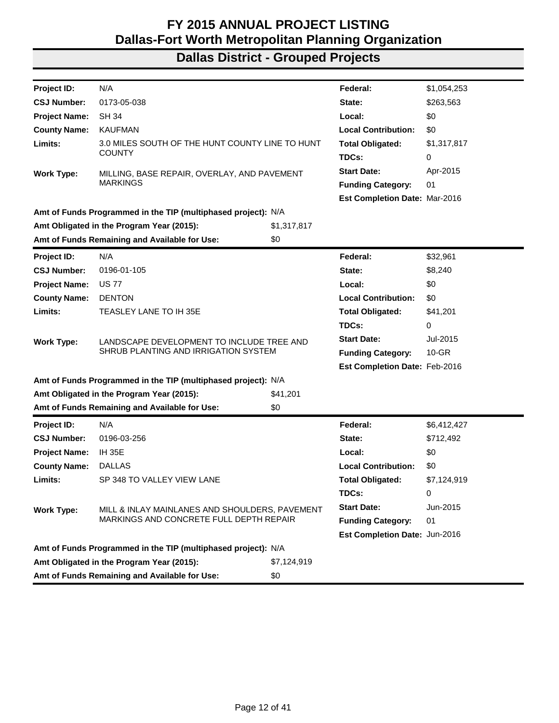| Project ID:                                                   | N/A                                                           |             | Federal:                      | \$1,054,253 |  |
|---------------------------------------------------------------|---------------------------------------------------------------|-------------|-------------------------------|-------------|--|
| <b>CSJ Number:</b>                                            | 0173-05-038                                                   |             | State:                        | \$263,563   |  |
| <b>Project Name:</b>                                          | <b>SH 34</b>                                                  |             | Local:                        | \$0         |  |
| <b>County Name:</b>                                           | <b>KAUFMAN</b>                                                |             | <b>Local Contribution:</b>    | \$0         |  |
| Limits:                                                       | 3.0 MILES SOUTH OF THE HUNT COUNTY LINE TO HUNT               |             | <b>Total Obligated:</b>       | \$1,317,817 |  |
|                                                               | <b>COUNTY</b>                                                 |             | TDCs:                         | 0           |  |
| <b>Work Type:</b>                                             | MILLING, BASE REPAIR, OVERLAY, AND PAVEMENT                   |             | <b>Start Date:</b>            | Apr-2015    |  |
|                                                               | <b>MARKINGS</b>                                               |             | <b>Funding Category:</b>      | 01          |  |
|                                                               |                                                               |             | Est Completion Date: Mar-2016 |             |  |
|                                                               | Amt of Funds Programmed in the TIP (multiphased project): N/A |             |                               |             |  |
|                                                               | Amt Obligated in the Program Year (2015):                     | \$1,317,817 |                               |             |  |
|                                                               | Amt of Funds Remaining and Available for Use:                 | \$0         |                               |             |  |
| Project ID:                                                   | N/A                                                           |             | Federal:                      | \$32,961    |  |
| <b>CSJ Number:</b>                                            | 0196-01-105                                                   |             | State:                        | \$8,240     |  |
| <b>Project Name:</b>                                          | <b>US77</b>                                                   |             | Local:                        | \$0         |  |
| <b>County Name:</b>                                           | <b>DENTON</b>                                                 |             | <b>Local Contribution:</b>    | \$0         |  |
| Limits:                                                       | TEASLEY LANE TO IH 35E                                        |             | <b>Total Obligated:</b>       | \$41,201    |  |
|                                                               |                                                               |             | TDCs:                         | 0           |  |
| <b>Work Type:</b>                                             | LANDSCAPE DEVELOPMENT TO INCLUDE TREE AND                     |             | <b>Start Date:</b>            | Jul-2015    |  |
|                                                               | SHRUB PLANTING AND IRRIGATION SYSTEM                          |             | <b>Funding Category:</b>      | $10 - GR$   |  |
|                                                               |                                                               |             | Est Completion Date: Feb-2016 |             |  |
| Amt of Funds Programmed in the TIP (multiphased project): N/A |                                                               |             |                               |             |  |
|                                                               | Amt Obligated in the Program Year (2015):                     | \$41,201    |                               |             |  |
|                                                               | Amt of Funds Remaining and Available for Use:                 | \$0         |                               |             |  |
| Project ID:                                                   | N/A                                                           |             | Federal:                      | \$6,412,427 |  |
| <b>CSJ Number:</b>                                            | 0196-03-256                                                   |             | State:                        | \$712,492   |  |
| <b>Project Name:</b>                                          | <b>IH 35E</b>                                                 |             | Local:                        | \$0         |  |
| <b>County Name:</b>                                           | <b>DALLAS</b>                                                 |             | <b>Local Contribution:</b>    | \$0         |  |
| Limits:                                                       | SP 348 TO VALLEY VIEW LANE                                    |             | <b>Total Obligated:</b>       | \$7,124,919 |  |
|                                                               |                                                               |             | TDCs:                         | 0           |  |
| <b>Work Type:</b>                                             | MILL & INLAY MAINLANES AND SHOULDERS, PAVEMENT                |             | <b>Start Date:</b>            | Jun-2015    |  |
|                                                               | MARKINGS AND CONCRETE FULL DEPTH REPAIR                       |             | <b>Funding Category:</b>      | 01          |  |
|                                                               |                                                               |             | Est Completion Date: Jun-2016 |             |  |
|                                                               | Amt of Funds Programmed in the TIP (multiphased project): N/A |             |                               |             |  |
|                                                               | Amt Obligated in the Program Year (2015):                     | \$7,124,919 |                               |             |  |
|                                                               | Amt of Funds Remaining and Available for Use:                 | \$0         |                               |             |  |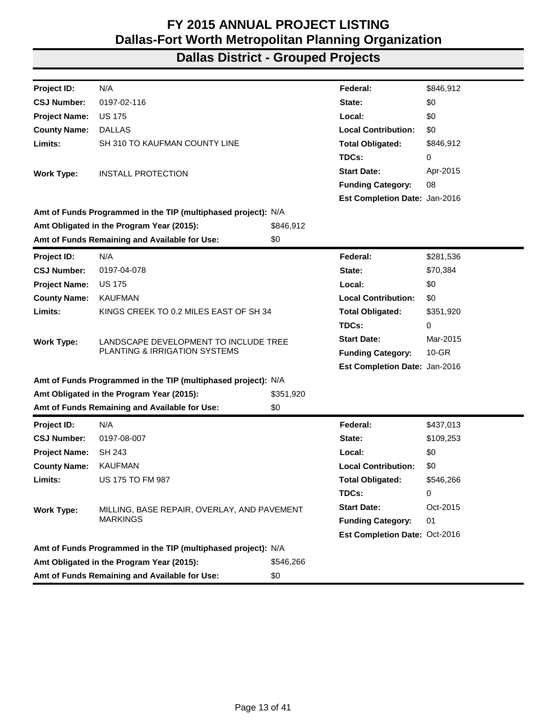| Project ID:          | N/A                                                           |           | Federal:                      | \$846,912 |
|----------------------|---------------------------------------------------------------|-----------|-------------------------------|-----------|
| <b>CSJ Number:</b>   | 0197-02-116                                                   |           | State:                        | \$0       |
| <b>Project Name:</b> | <b>US 175</b>                                                 |           | Local:                        | \$0       |
| <b>County Name:</b>  | <b>DALLAS</b>                                                 |           | <b>Local Contribution:</b>    | \$0       |
| Limits:              | SH 310 TO KAUFMAN COUNTY LINE                                 |           | <b>Total Obligated:</b>       | \$846,912 |
|                      |                                                               |           | TDCs:                         | 0         |
| <b>Work Type:</b>    | INSTALL PROTECTION                                            |           | <b>Start Date:</b>            | Apr-2015  |
|                      |                                                               |           | <b>Funding Category:</b>      | 08        |
|                      |                                                               |           | Est Completion Date: Jan-2016 |           |
|                      | Amt of Funds Programmed in the TIP (multiphased project): N/A |           |                               |           |
|                      | Amt Obligated in the Program Year (2015):                     | \$846,912 |                               |           |
|                      | Amt of Funds Remaining and Available for Use:                 | \$0       |                               |           |
| <b>Project ID:</b>   | N/A                                                           |           | Federal:                      | \$281,536 |
| <b>CSJ Number:</b>   | 0197-04-078                                                   |           | State:                        | \$70,384  |
| <b>Project Name:</b> | <b>US 175</b>                                                 |           | Local:                        | \$0       |
| <b>County Name:</b>  | <b>KAUFMAN</b>                                                |           | <b>Local Contribution:</b>    | \$0       |
| Limits:              | KINGS CREEK TO 0.2 MILES EAST OF SH 34                        |           | <b>Total Obligated:</b>       | \$351,920 |
|                      |                                                               |           | TDCs:                         | 0         |
| <b>Work Type:</b>    | LANDSCAPE DEVELOPMENT TO INCLUDE TREE                         |           | <b>Start Date:</b>            | Mar-2015  |
|                      | PLANTING & IRRIGATION SYSTEMS                                 |           | <b>Funding Category:</b>      | $10-GR$   |
|                      |                                                               |           | Est Completion Date: Jan-2016 |           |
|                      | Amt of Funds Programmed in the TIP (multiphased project): N/A |           |                               |           |
|                      | Amt Obligated in the Program Year (2015):                     | \$351,920 |                               |           |
|                      | Amt of Funds Remaining and Available for Use:                 | \$0       |                               |           |
| <b>Project ID:</b>   | N/A                                                           |           | Federal:                      | \$437,013 |
| <b>CSJ Number:</b>   | 0197-08-007                                                   |           | State:                        | \$109,253 |
| <b>Project Name:</b> | SH 243                                                        |           | Local:                        | \$0       |
| <b>County Name:</b>  | <b>KAUFMAN</b>                                                |           | <b>Local Contribution:</b>    | \$0       |
| Limits:              | <b>US 175 TO FM 987</b>                                       |           | <b>Total Obligated:</b>       | \$546,266 |
|                      |                                                               |           | TDCs:                         | 0         |
| <b>Work Type:</b>    | MILLING, BASE REPAIR, OVERLAY, AND PAVEMENT                   |           | <b>Start Date:</b>            | Oct-2015  |
|                      | <b>MARKINGS</b>                                               |           | <b>Funding Category:</b>      | 01        |
|                      |                                                               |           | Est Completion Date: Oct-2016 |           |
|                      | Amt of Funds Programmed in the TIP (multiphased project): N/A |           |                               |           |
|                      | Amt Obligated in the Program Year (2015):                     | \$546,266 |                               |           |
|                      | Amt of Funds Remaining and Available for Use:                 | \$0       |                               |           |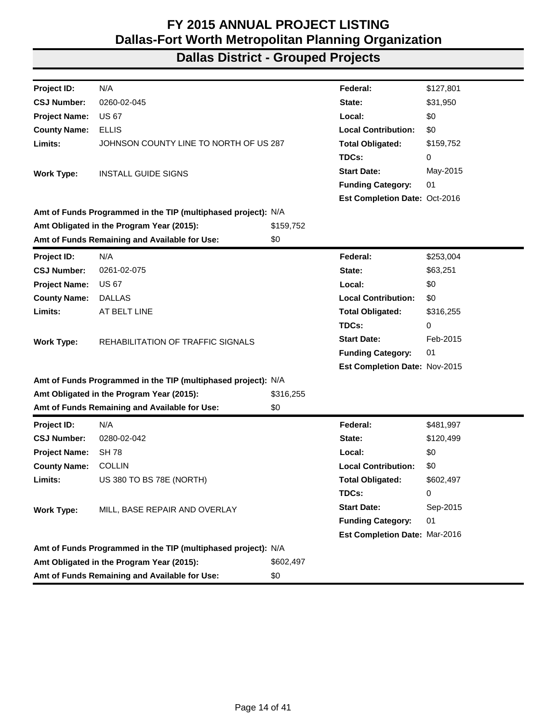| Project ID:          | N/A                                                           |           | Federal:                             | \$127,801 |
|----------------------|---------------------------------------------------------------|-----------|--------------------------------------|-----------|
| <b>CSJ Number:</b>   | 0260-02-045                                                   |           | State:                               | \$31,950  |
| <b>Project Name:</b> | <b>US 67</b>                                                  |           | Local:                               | \$0       |
| <b>County Name:</b>  | <b>ELLIS</b>                                                  |           | <b>Local Contribution:</b>           | \$0       |
| Limits:              | JOHNSON COUNTY LINE TO NORTH OF US 287                        |           | <b>Total Obligated:</b>              | \$159,752 |
|                      |                                                               |           | TDCs:                                | 0         |
| <b>Work Type:</b>    | <b>INSTALL GUIDE SIGNS</b>                                    |           | <b>Start Date:</b>                   | May-2015  |
|                      |                                                               |           | <b>Funding Category:</b>             | 01        |
|                      |                                                               |           | <b>Est Completion Date: Oct-2016</b> |           |
|                      | Amt of Funds Programmed in the TIP (multiphased project): N/A |           |                                      |           |
|                      | Amt Obligated in the Program Year (2015):                     | \$159,752 |                                      |           |
|                      | Amt of Funds Remaining and Available for Use:                 | \$0       |                                      |           |
| Project ID:          | N/A                                                           |           | Federal:                             | \$253,004 |
| <b>CSJ Number:</b>   | 0261-02-075                                                   |           | State:                               | \$63,251  |
| <b>Project Name:</b> | <b>US 67</b>                                                  |           | Local:                               | \$0       |
| <b>County Name:</b>  | <b>DALLAS</b>                                                 |           | <b>Local Contribution:</b>           | \$0       |
| Limits:              | AT BELT LINE                                                  |           | <b>Total Obligated:</b>              | \$316,255 |
|                      |                                                               |           | TDCs:                                | 0         |
| <b>Work Type:</b>    | REHABILITATION OF TRAFFIC SIGNALS                             |           | <b>Start Date:</b>                   | Feb-2015  |
|                      |                                                               |           | <b>Funding Category:</b>             | 01        |
|                      |                                                               |           | Est Completion Date: Nov-2015        |           |
|                      | Amt of Funds Programmed in the TIP (multiphased project): N/A |           |                                      |           |
|                      | Amt Obligated in the Program Year (2015):                     | \$316,255 |                                      |           |
|                      | Amt of Funds Remaining and Available for Use:                 | \$0       |                                      |           |
| <b>Project ID:</b>   | N/A                                                           |           | Federal:                             | \$481,997 |
| <b>CSJ Number:</b>   | 0280-02-042                                                   |           | State:                               | \$120,499 |
| <b>Project Name:</b> | <b>SH78</b>                                                   |           | Local:                               | \$0       |
| <b>County Name:</b>  | <b>COLLIN</b>                                                 |           | <b>Local Contribution:</b>           | \$0       |
| Limits:              | US 380 TO BS 78E (NORTH)                                      |           | <b>Total Obligated:</b>              | \$602,497 |
|                      |                                                               |           | TDCs:                                | 0         |
| <b>Work Type:</b>    | MILL, BASE REPAIR AND OVERLAY                                 |           | <b>Start Date:</b>                   | Sep-2015  |
|                      |                                                               |           | <b>Funding Category:</b>             | 01        |
|                      |                                                               |           | Est Completion Date: Mar-2016        |           |
|                      | Amt of Funds Programmed in the TIP (multiphased project): N/A |           |                                      |           |
|                      | Amt Obligated in the Program Year (2015):                     | \$602,497 |                                      |           |
|                      | Amt of Funds Remaining and Available for Use:                 | \$0       |                                      |           |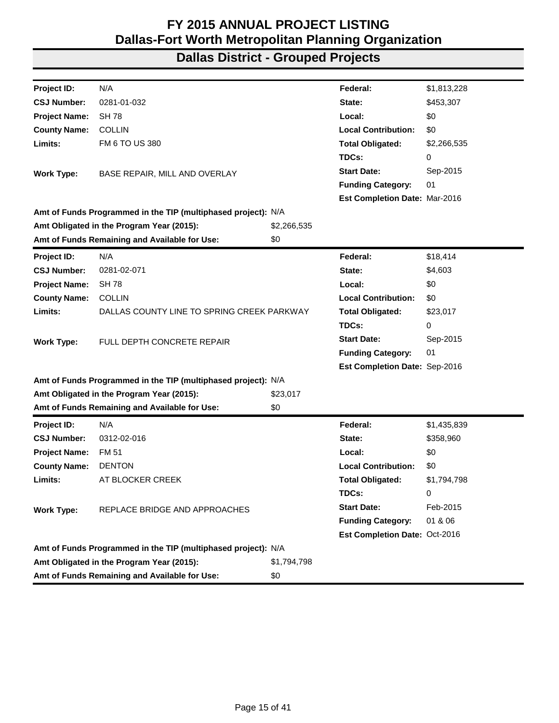| Project ID:          | N/A                                                           |             | Federal:                      | \$1,813,228 |
|----------------------|---------------------------------------------------------------|-------------|-------------------------------|-------------|
| <b>CSJ Number:</b>   | 0281-01-032                                                   |             | State:                        | \$453,307   |
| <b>Project Name:</b> | <b>SH 78</b>                                                  |             | Local:                        | \$0         |
| <b>County Name:</b>  | <b>COLLIN</b>                                                 |             | <b>Local Contribution:</b>    | \$0         |
| Limits:              | FM 6 TO US 380                                                |             | <b>Total Obligated:</b>       | \$2,266,535 |
|                      |                                                               |             | TDCs:                         | 0           |
| <b>Work Type:</b>    | BASE REPAIR, MILL AND OVERLAY                                 |             | <b>Start Date:</b>            | Sep-2015    |
|                      |                                                               |             | <b>Funding Category:</b>      | 01          |
|                      |                                                               |             | Est Completion Date: Mar-2016 |             |
|                      | Amt of Funds Programmed in the TIP (multiphased project): N/A |             |                               |             |
|                      | Amt Obligated in the Program Year (2015):                     | \$2,266,535 |                               |             |
|                      | Amt of Funds Remaining and Available for Use:                 | \$0         |                               |             |
| <b>Project ID:</b>   | N/A                                                           |             | Federal:                      | \$18,414    |
| <b>CSJ Number:</b>   | 0281-02-071                                                   |             | State:                        | \$4,603     |
| <b>Project Name:</b> | <b>SH78</b>                                                   |             | Local:                        | \$0         |
| <b>County Name:</b>  | <b>COLLIN</b>                                                 |             | <b>Local Contribution:</b>    | \$0         |
| Limits:              | DALLAS COUNTY LINE TO SPRING CREEK PARKWAY                    |             | <b>Total Obligated:</b>       | \$23,017    |
|                      |                                                               |             | TDCs:                         | 0           |
| <b>Work Type:</b>    | FULL DEPTH CONCRETE REPAIR                                    |             | <b>Start Date:</b>            | Sep-2015    |
|                      |                                                               |             | <b>Funding Category:</b>      | 01          |
|                      |                                                               |             | Est Completion Date: Sep-2016 |             |
|                      | Amt of Funds Programmed in the TIP (multiphased project): N/A |             |                               |             |
|                      | Amt Obligated in the Program Year (2015):                     | \$23,017    |                               |             |
|                      | Amt of Funds Remaining and Available for Use:                 | \$0         |                               |             |
| Project ID:          | N/A                                                           |             | Federal:                      | \$1,435,839 |
| <b>CSJ Number:</b>   | 0312-02-016                                                   |             | State:                        | \$358,960   |
| <b>Project Name:</b> | <b>FM 51</b>                                                  |             | Local:                        | \$0         |
| <b>County Name:</b>  | <b>DENTON</b>                                                 |             | <b>Local Contribution:</b>    | \$0         |
| Limits:              | AT BLOCKER CREEK                                              |             | <b>Total Obligated:</b>       | \$1,794,798 |
|                      |                                                               |             | TDCs:                         | 0           |
| <b>Work Type:</b>    | REPLACE BRIDGE AND APPROACHES                                 |             | <b>Start Date:</b>            | Feb-2015    |
|                      |                                                               |             | <b>Funding Category:</b>      | 01 & 06     |
|                      |                                                               |             | Est Completion Date: Oct-2016 |             |
|                      | Amt of Funds Programmed in the TIP (multiphased project): N/A |             |                               |             |
|                      | Amt Obligated in the Program Year (2015):                     | \$1,794,798 |                               |             |
|                      | Amt of Funds Remaining and Available for Use:                 | \$0         |                               |             |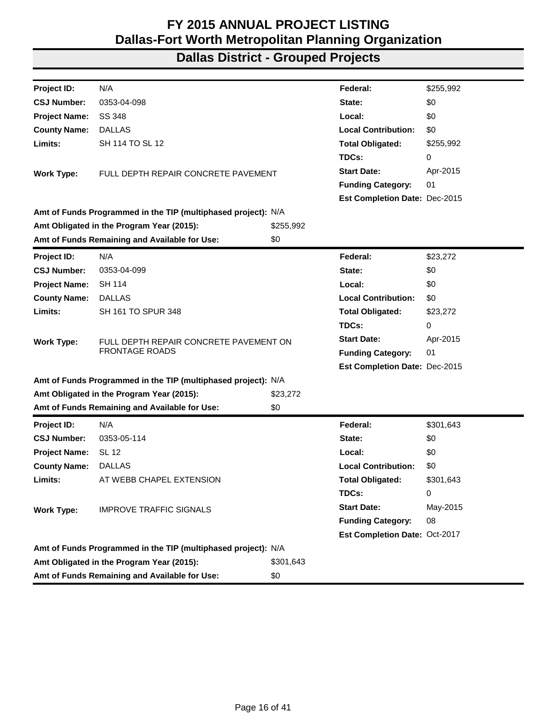| N/A<br>\$255,992<br>Project ID:<br>Federal:<br>\$0<br><b>CSJ Number:</b><br>0353-04-098<br>State:<br>\$0<br><b>Project Name:</b><br>SS 348<br>Local:<br><b>Local Contribution:</b><br><b>County Name:</b><br><b>DALLAS</b><br>\$0<br>Limits:<br>SH 114 TO SL 12<br><b>Total Obligated:</b><br>\$255,992<br>TDCs:<br>0<br>Apr-2015<br><b>Start Date:</b><br>FULL DEPTH REPAIR CONCRETE PAVEMENT<br><b>Work Type:</b><br>01<br><b>Funding Category:</b><br>Est Completion Date: Dec-2015<br>Amt of Funds Programmed in the TIP (multiphased project): N/A<br>\$255,992<br>Amt Obligated in the Program Year (2015):<br>Amt of Funds Remaining and Available for Use:<br>\$0<br>N/A<br>Project ID:<br>Federal:<br>\$23,272<br><b>CSJ Number:</b><br>\$0<br>0353-04-099<br>State:<br><b>SH 114</b><br>\$0<br><b>Project Name:</b><br>Local:<br><b>County Name:</b><br><b>DALLAS</b><br><b>Local Contribution:</b><br>\$0<br>Limits:<br>SH 161 TO SPUR 348<br><b>Total Obligated:</b><br>\$23,272<br>TDCs:<br>0<br><b>Start Date:</b><br>Apr-2015<br>FULL DEPTH REPAIR CONCRETE PAVEMENT ON<br><b>Work Type:</b><br><b>FRONTAGE ROADS</b><br><b>Funding Category:</b><br>01<br>Est Completion Date: Dec-2015<br>Amt of Funds Programmed in the TIP (multiphased project): N/A<br>Amt Obligated in the Program Year (2015):<br>\$23,272<br>Amt of Funds Remaining and Available for Use:<br>\$0<br>N/A<br>Project ID:<br>Federal:<br>\$301,643<br><b>CSJ Number:</b><br>\$0<br>0353-05-114<br>State:<br><b>SL 12</b><br>\$0<br><b>Project Name:</b><br>Local:<br>\$0<br><b>County Name:</b><br><b>DALLAS</b><br><b>Local Contribution:</b><br>Limits:<br>AT WEBB CHAPEL EXTENSION<br>\$301,643<br><b>Total Obligated:</b><br>TDCs:<br>0<br><b>Start Date:</b><br>May-2015<br><b>Work Type:</b><br><b>IMPROVE TRAFFIC SIGNALS</b><br><b>Funding Category:</b><br>08<br>Est Completion Date: Oct-2017<br>Amt of Funds Programmed in the TIP (multiphased project): N/A<br>Amt Obligated in the Program Year (2015):<br>\$301,643<br>Amt of Funds Remaining and Available for Use:<br>\$0 |  |  |  |
|----------------------------------------------------------------------------------------------------------------------------------------------------------------------------------------------------------------------------------------------------------------------------------------------------------------------------------------------------------------------------------------------------------------------------------------------------------------------------------------------------------------------------------------------------------------------------------------------------------------------------------------------------------------------------------------------------------------------------------------------------------------------------------------------------------------------------------------------------------------------------------------------------------------------------------------------------------------------------------------------------------------------------------------------------------------------------------------------------------------------------------------------------------------------------------------------------------------------------------------------------------------------------------------------------------------------------------------------------------------------------------------------------------------------------------------------------------------------------------------------------------------------------------------------------------------------------------------------------------------------------------------------------------------------------------------------------------------------------------------------------------------------------------------------------------------------------------------------------------------------------------------------------------------------------------------------------------------------------------------------------------------------------------------------------------------------------------|--|--|--|
|                                                                                                                                                                                                                                                                                                                                                                                                                                                                                                                                                                                                                                                                                                                                                                                                                                                                                                                                                                                                                                                                                                                                                                                                                                                                                                                                                                                                                                                                                                                                                                                                                                                                                                                                                                                                                                                                                                                                                                                                                                                                                  |  |  |  |
|                                                                                                                                                                                                                                                                                                                                                                                                                                                                                                                                                                                                                                                                                                                                                                                                                                                                                                                                                                                                                                                                                                                                                                                                                                                                                                                                                                                                                                                                                                                                                                                                                                                                                                                                                                                                                                                                                                                                                                                                                                                                                  |  |  |  |
|                                                                                                                                                                                                                                                                                                                                                                                                                                                                                                                                                                                                                                                                                                                                                                                                                                                                                                                                                                                                                                                                                                                                                                                                                                                                                                                                                                                                                                                                                                                                                                                                                                                                                                                                                                                                                                                                                                                                                                                                                                                                                  |  |  |  |
|                                                                                                                                                                                                                                                                                                                                                                                                                                                                                                                                                                                                                                                                                                                                                                                                                                                                                                                                                                                                                                                                                                                                                                                                                                                                                                                                                                                                                                                                                                                                                                                                                                                                                                                                                                                                                                                                                                                                                                                                                                                                                  |  |  |  |
|                                                                                                                                                                                                                                                                                                                                                                                                                                                                                                                                                                                                                                                                                                                                                                                                                                                                                                                                                                                                                                                                                                                                                                                                                                                                                                                                                                                                                                                                                                                                                                                                                                                                                                                                                                                                                                                                                                                                                                                                                                                                                  |  |  |  |
|                                                                                                                                                                                                                                                                                                                                                                                                                                                                                                                                                                                                                                                                                                                                                                                                                                                                                                                                                                                                                                                                                                                                                                                                                                                                                                                                                                                                                                                                                                                                                                                                                                                                                                                                                                                                                                                                                                                                                                                                                                                                                  |  |  |  |
|                                                                                                                                                                                                                                                                                                                                                                                                                                                                                                                                                                                                                                                                                                                                                                                                                                                                                                                                                                                                                                                                                                                                                                                                                                                                                                                                                                                                                                                                                                                                                                                                                                                                                                                                                                                                                                                                                                                                                                                                                                                                                  |  |  |  |
|                                                                                                                                                                                                                                                                                                                                                                                                                                                                                                                                                                                                                                                                                                                                                                                                                                                                                                                                                                                                                                                                                                                                                                                                                                                                                                                                                                                                                                                                                                                                                                                                                                                                                                                                                                                                                                                                                                                                                                                                                                                                                  |  |  |  |
|                                                                                                                                                                                                                                                                                                                                                                                                                                                                                                                                                                                                                                                                                                                                                                                                                                                                                                                                                                                                                                                                                                                                                                                                                                                                                                                                                                                                                                                                                                                                                                                                                                                                                                                                                                                                                                                                                                                                                                                                                                                                                  |  |  |  |
|                                                                                                                                                                                                                                                                                                                                                                                                                                                                                                                                                                                                                                                                                                                                                                                                                                                                                                                                                                                                                                                                                                                                                                                                                                                                                                                                                                                                                                                                                                                                                                                                                                                                                                                                                                                                                                                                                                                                                                                                                                                                                  |  |  |  |
|                                                                                                                                                                                                                                                                                                                                                                                                                                                                                                                                                                                                                                                                                                                                                                                                                                                                                                                                                                                                                                                                                                                                                                                                                                                                                                                                                                                                                                                                                                                                                                                                                                                                                                                                                                                                                                                                                                                                                                                                                                                                                  |  |  |  |
|                                                                                                                                                                                                                                                                                                                                                                                                                                                                                                                                                                                                                                                                                                                                                                                                                                                                                                                                                                                                                                                                                                                                                                                                                                                                                                                                                                                                                                                                                                                                                                                                                                                                                                                                                                                                                                                                                                                                                                                                                                                                                  |  |  |  |
|                                                                                                                                                                                                                                                                                                                                                                                                                                                                                                                                                                                                                                                                                                                                                                                                                                                                                                                                                                                                                                                                                                                                                                                                                                                                                                                                                                                                                                                                                                                                                                                                                                                                                                                                                                                                                                                                                                                                                                                                                                                                                  |  |  |  |
|                                                                                                                                                                                                                                                                                                                                                                                                                                                                                                                                                                                                                                                                                                                                                                                                                                                                                                                                                                                                                                                                                                                                                                                                                                                                                                                                                                                                                                                                                                                                                                                                                                                                                                                                                                                                                                                                                                                                                                                                                                                                                  |  |  |  |
|                                                                                                                                                                                                                                                                                                                                                                                                                                                                                                                                                                                                                                                                                                                                                                                                                                                                                                                                                                                                                                                                                                                                                                                                                                                                                                                                                                                                                                                                                                                                                                                                                                                                                                                                                                                                                                                                                                                                                                                                                                                                                  |  |  |  |
|                                                                                                                                                                                                                                                                                                                                                                                                                                                                                                                                                                                                                                                                                                                                                                                                                                                                                                                                                                                                                                                                                                                                                                                                                                                                                                                                                                                                                                                                                                                                                                                                                                                                                                                                                                                                                                                                                                                                                                                                                                                                                  |  |  |  |
|                                                                                                                                                                                                                                                                                                                                                                                                                                                                                                                                                                                                                                                                                                                                                                                                                                                                                                                                                                                                                                                                                                                                                                                                                                                                                                                                                                                                                                                                                                                                                                                                                                                                                                                                                                                                                                                                                                                                                                                                                                                                                  |  |  |  |
|                                                                                                                                                                                                                                                                                                                                                                                                                                                                                                                                                                                                                                                                                                                                                                                                                                                                                                                                                                                                                                                                                                                                                                                                                                                                                                                                                                                                                                                                                                                                                                                                                                                                                                                                                                                                                                                                                                                                                                                                                                                                                  |  |  |  |
|                                                                                                                                                                                                                                                                                                                                                                                                                                                                                                                                                                                                                                                                                                                                                                                                                                                                                                                                                                                                                                                                                                                                                                                                                                                                                                                                                                                                                                                                                                                                                                                                                                                                                                                                                                                                                                                                                                                                                                                                                                                                                  |  |  |  |
|                                                                                                                                                                                                                                                                                                                                                                                                                                                                                                                                                                                                                                                                                                                                                                                                                                                                                                                                                                                                                                                                                                                                                                                                                                                                                                                                                                                                                                                                                                                                                                                                                                                                                                                                                                                                                                                                                                                                                                                                                                                                                  |  |  |  |
|                                                                                                                                                                                                                                                                                                                                                                                                                                                                                                                                                                                                                                                                                                                                                                                                                                                                                                                                                                                                                                                                                                                                                                                                                                                                                                                                                                                                                                                                                                                                                                                                                                                                                                                                                                                                                                                                                                                                                                                                                                                                                  |  |  |  |
|                                                                                                                                                                                                                                                                                                                                                                                                                                                                                                                                                                                                                                                                                                                                                                                                                                                                                                                                                                                                                                                                                                                                                                                                                                                                                                                                                                                                                                                                                                                                                                                                                                                                                                                                                                                                                                                                                                                                                                                                                                                                                  |  |  |  |
|                                                                                                                                                                                                                                                                                                                                                                                                                                                                                                                                                                                                                                                                                                                                                                                                                                                                                                                                                                                                                                                                                                                                                                                                                                                                                                                                                                                                                                                                                                                                                                                                                                                                                                                                                                                                                                                                                                                                                                                                                                                                                  |  |  |  |
|                                                                                                                                                                                                                                                                                                                                                                                                                                                                                                                                                                                                                                                                                                                                                                                                                                                                                                                                                                                                                                                                                                                                                                                                                                                                                                                                                                                                                                                                                                                                                                                                                                                                                                                                                                                                                                                                                                                                                                                                                                                                                  |  |  |  |
|                                                                                                                                                                                                                                                                                                                                                                                                                                                                                                                                                                                                                                                                                                                                                                                                                                                                                                                                                                                                                                                                                                                                                                                                                                                                                                                                                                                                                                                                                                                                                                                                                                                                                                                                                                                                                                                                                                                                                                                                                                                                                  |  |  |  |
|                                                                                                                                                                                                                                                                                                                                                                                                                                                                                                                                                                                                                                                                                                                                                                                                                                                                                                                                                                                                                                                                                                                                                                                                                                                                                                                                                                                                                                                                                                                                                                                                                                                                                                                                                                                                                                                                                                                                                                                                                                                                                  |  |  |  |
|                                                                                                                                                                                                                                                                                                                                                                                                                                                                                                                                                                                                                                                                                                                                                                                                                                                                                                                                                                                                                                                                                                                                                                                                                                                                                                                                                                                                                                                                                                                                                                                                                                                                                                                                                                                                                                                                                                                                                                                                                                                                                  |  |  |  |
|                                                                                                                                                                                                                                                                                                                                                                                                                                                                                                                                                                                                                                                                                                                                                                                                                                                                                                                                                                                                                                                                                                                                                                                                                                                                                                                                                                                                                                                                                                                                                                                                                                                                                                                                                                                                                                                                                                                                                                                                                                                                                  |  |  |  |
|                                                                                                                                                                                                                                                                                                                                                                                                                                                                                                                                                                                                                                                                                                                                                                                                                                                                                                                                                                                                                                                                                                                                                                                                                                                                                                                                                                                                                                                                                                                                                                                                                                                                                                                                                                                                                                                                                                                                                                                                                                                                                  |  |  |  |
|                                                                                                                                                                                                                                                                                                                                                                                                                                                                                                                                                                                                                                                                                                                                                                                                                                                                                                                                                                                                                                                                                                                                                                                                                                                                                                                                                                                                                                                                                                                                                                                                                                                                                                                                                                                                                                                                                                                                                                                                                                                                                  |  |  |  |
|                                                                                                                                                                                                                                                                                                                                                                                                                                                                                                                                                                                                                                                                                                                                                                                                                                                                                                                                                                                                                                                                                                                                                                                                                                                                                                                                                                                                                                                                                                                                                                                                                                                                                                                                                                                                                                                                                                                                                                                                                                                                                  |  |  |  |
|                                                                                                                                                                                                                                                                                                                                                                                                                                                                                                                                                                                                                                                                                                                                                                                                                                                                                                                                                                                                                                                                                                                                                                                                                                                                                                                                                                                                                                                                                                                                                                                                                                                                                                                                                                                                                                                                                                                                                                                                                                                                                  |  |  |  |
|                                                                                                                                                                                                                                                                                                                                                                                                                                                                                                                                                                                                                                                                                                                                                                                                                                                                                                                                                                                                                                                                                                                                                                                                                                                                                                                                                                                                                                                                                                                                                                                                                                                                                                                                                                                                                                                                                                                                                                                                                                                                                  |  |  |  |
|                                                                                                                                                                                                                                                                                                                                                                                                                                                                                                                                                                                                                                                                                                                                                                                                                                                                                                                                                                                                                                                                                                                                                                                                                                                                                                                                                                                                                                                                                                                                                                                                                                                                                                                                                                                                                                                                                                                                                                                                                                                                                  |  |  |  |
|                                                                                                                                                                                                                                                                                                                                                                                                                                                                                                                                                                                                                                                                                                                                                                                                                                                                                                                                                                                                                                                                                                                                                                                                                                                                                                                                                                                                                                                                                                                                                                                                                                                                                                                                                                                                                                                                                                                                                                                                                                                                                  |  |  |  |
|                                                                                                                                                                                                                                                                                                                                                                                                                                                                                                                                                                                                                                                                                                                                                                                                                                                                                                                                                                                                                                                                                                                                                                                                                                                                                                                                                                                                                                                                                                                                                                                                                                                                                                                                                                                                                                                                                                                                                                                                                                                                                  |  |  |  |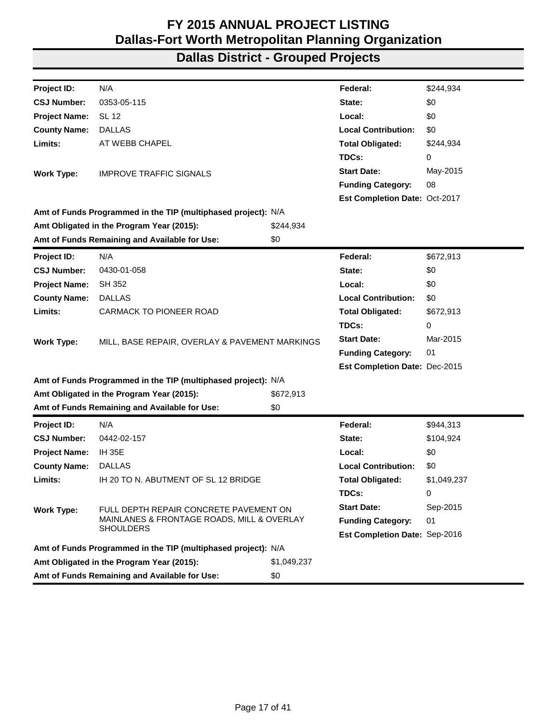| Project ID:          | N/A                                                           |             | Federal:                      | \$244,934   |
|----------------------|---------------------------------------------------------------|-------------|-------------------------------|-------------|
| <b>CSJ Number:</b>   | 0353-05-115                                                   |             | State:                        | \$0         |
| <b>Project Name:</b> | <b>SL 12</b>                                                  |             | Local:                        | \$0         |
| <b>County Name:</b>  | <b>DALLAS</b>                                                 |             | <b>Local Contribution:</b>    | \$0         |
| Limits:              | AT WEBB CHAPEL                                                |             | <b>Total Obligated:</b>       | \$244,934   |
|                      |                                                               |             | TDCs:                         | 0           |
| <b>Work Type:</b>    | <b>IMPROVE TRAFFIC SIGNALS</b>                                |             | <b>Start Date:</b>            | May-2015    |
|                      |                                                               |             | <b>Funding Category:</b>      | 08          |
|                      |                                                               |             | Est Completion Date: Oct-2017 |             |
|                      | Amt of Funds Programmed in the TIP (multiphased project): N/A |             |                               |             |
|                      | Amt Obligated in the Program Year (2015):                     | \$244,934   |                               |             |
|                      | Amt of Funds Remaining and Available for Use:                 | \$0         |                               |             |
| Project ID:          | N/A                                                           |             | Federal:                      | \$672,913   |
| <b>CSJ Number:</b>   | 0430-01-058                                                   |             | State:                        | \$0         |
| <b>Project Name:</b> | <b>SH 352</b>                                                 |             | Local:                        | \$0         |
| <b>County Name:</b>  | <b>DALLAS</b>                                                 |             | <b>Local Contribution:</b>    | \$0         |
| Limits:              | <b>CARMACK TO PIONEER ROAD</b>                                |             | <b>Total Obligated:</b>       | \$672,913   |
|                      | MILL, BASE REPAIR, OVERLAY & PAVEMENT MARKINGS                |             | TDCs:                         | 0           |
| <b>Work Type:</b>    |                                                               |             | <b>Start Date:</b>            | Mar-2015    |
|                      |                                                               |             | <b>Funding Category:</b>      | 01          |
|                      |                                                               |             | Est Completion Date: Dec-2015 |             |
|                      | Amt of Funds Programmed in the TIP (multiphased project): N/A |             |                               |             |
|                      | Amt Obligated in the Program Year (2015):                     | \$672,913   |                               |             |
|                      | Amt of Funds Remaining and Available for Use:                 | \$0         |                               |             |
| Project ID:          | N/A                                                           |             | Federal:                      | \$944,313   |
| <b>CSJ Number:</b>   | 0442-02-157                                                   |             | State:                        | \$104,924   |
| <b>Project Name:</b> | <b>IH 35E</b>                                                 |             | Local:                        | \$0         |
| <b>County Name:</b>  | <b>DALLAS</b>                                                 |             | <b>Local Contribution:</b>    | \$0         |
| Limits:              | IH 20 TO N. ABUTMENT OF SL 12 BRIDGE                          |             | <b>Total Obligated:</b>       | \$1,049,237 |
|                      |                                                               |             | TDCs:                         | 0           |
| <b>Work Type:</b>    | FULL DEPTH REPAIR CONCRETE PAVEMENT ON                        |             | <b>Start Date:</b>            | Sep-2015    |
|                      | MAINLANES & FRONTAGE ROADS, MILL & OVERLAY                    |             | <b>Funding Category:</b>      | 01          |
|                      | <b>SHOULDERS</b>                                              |             | Est Completion Date: Sep-2016 |             |
|                      | Amt of Funds Programmed in the TIP (multiphased project): N/A |             |                               |             |
|                      | Amt Obligated in the Program Year (2015):                     | \$1,049,237 |                               |             |
|                      | Amt of Funds Remaining and Available for Use:                 | \$0         |                               |             |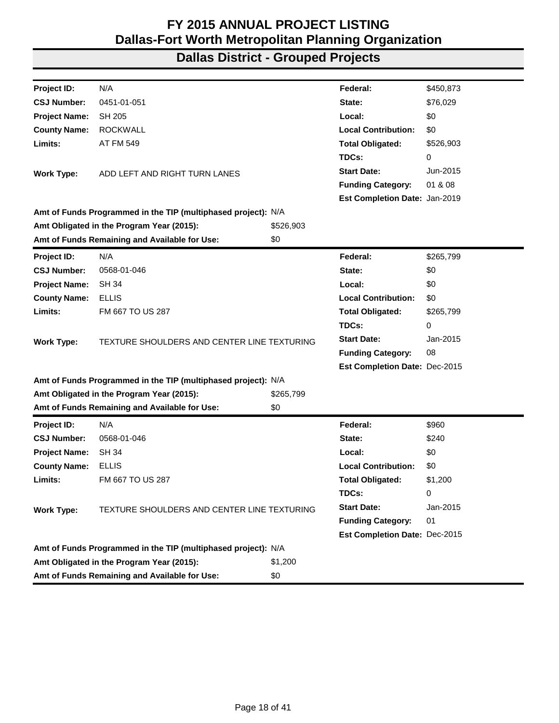| Project ID:          | N/A                                                           |           | Federal:                      | \$450,873 |
|----------------------|---------------------------------------------------------------|-----------|-------------------------------|-----------|
| <b>CSJ Number:</b>   | 0451-01-051                                                   |           | State:                        | \$76,029  |
| <b>Project Name:</b> | <b>SH 205</b>                                                 |           | Local:                        | \$0       |
| <b>County Name:</b>  | <b>ROCKWALL</b>                                               |           | <b>Local Contribution:</b>    | \$0       |
| Limits:              | AT FM 549                                                     |           | <b>Total Obligated:</b>       | \$526,903 |
|                      |                                                               |           | TDCs:                         | 0         |
| <b>Work Type:</b>    | ADD LEFT AND RIGHT TURN LANES                                 |           | <b>Start Date:</b>            | Jun-2015  |
|                      |                                                               |           | <b>Funding Category:</b>      | 01 & 08   |
|                      |                                                               |           | Est Completion Date: Jan-2019 |           |
|                      | Amt of Funds Programmed in the TIP (multiphased project): N/A |           |                               |           |
|                      | Amt Obligated in the Program Year (2015):                     | \$526,903 |                               |           |
|                      | Amt of Funds Remaining and Available for Use:                 | \$0       |                               |           |
| <b>Project ID:</b>   | N/A                                                           |           | Federal:                      | \$265,799 |
| <b>CSJ Number:</b>   | 0568-01-046                                                   |           | State:                        | \$0       |
| <b>Project Name:</b> | <b>SH 34</b>                                                  |           | Local:                        | \$0       |
| <b>County Name:</b>  | <b>ELLIS</b>                                                  |           | <b>Local Contribution:</b>    | \$0       |
| Limits:              | FM 667 TO US 287                                              |           | <b>Total Obligated:</b>       | \$265,799 |
|                      |                                                               |           | TDCs:                         | 0         |
| <b>Work Type:</b>    | TEXTURE SHOULDERS AND CENTER LINE TEXTURING                   |           | <b>Start Date:</b>            | Jan-2015  |
|                      |                                                               |           | <b>Funding Category:</b>      | 08        |
|                      |                                                               |           | Est Completion Date: Dec-2015 |           |
|                      | Amt of Funds Programmed in the TIP (multiphased project): N/A |           |                               |           |
|                      | Amt Obligated in the Program Year (2015):                     | \$265,799 |                               |           |
|                      | Amt of Funds Remaining and Available for Use:                 | \$0       |                               |           |
| <b>Project ID:</b>   | N/A                                                           |           | Federal:                      | \$960     |
| <b>CSJ Number:</b>   | 0568-01-046                                                   |           | State:                        | \$240     |
| <b>Project Name:</b> | <b>SH 34</b>                                                  |           | Local:                        | \$0       |
| <b>County Name:</b>  | <b>ELLIS</b>                                                  |           | <b>Local Contribution:</b>    | \$0       |
| Limits:              | FM 667 TO US 287                                              |           | <b>Total Obligated:</b>       | \$1,200   |
|                      |                                                               |           | TDCs:                         | 0         |
| <b>Work Type:</b>    | TEXTURE SHOULDERS AND CENTER LINE TEXTURING                   |           | <b>Start Date:</b>            | Jan-2015  |
|                      |                                                               |           | <b>Funding Category:</b>      | 01        |
|                      |                                                               |           | Est Completion Date: Dec-2015 |           |
|                      | Amt of Funds Programmed in the TIP (multiphased project): N/A |           |                               |           |
|                      | Amt Obligated in the Program Year (2015):                     | \$1,200   |                               |           |
|                      | Amt of Funds Remaining and Available for Use:                 | \$0       |                               |           |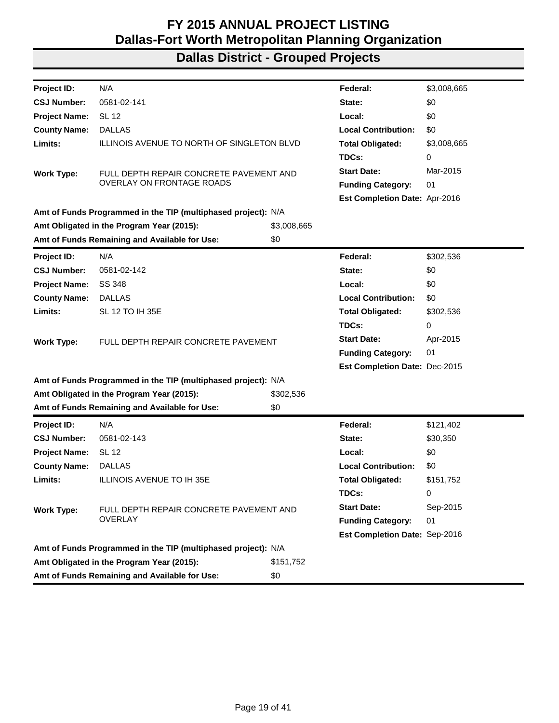| Project ID:          | N/A                                                           |             | Federal:                      | \$3,008,665 |
|----------------------|---------------------------------------------------------------|-------------|-------------------------------|-------------|
| <b>CSJ Number:</b>   | 0581-02-141                                                   |             | State:                        | \$0         |
| <b>Project Name:</b> | <b>SL 12</b>                                                  |             | Local:                        | \$0         |
| <b>County Name:</b>  | <b>DALLAS</b>                                                 |             | <b>Local Contribution:</b>    | \$0         |
| Limits:              | ILLINOIS AVENUE TO NORTH OF SINGLETON BLVD                    |             | <b>Total Obligated:</b>       | \$3,008,665 |
|                      |                                                               |             | TDCs:                         | 0           |
| <b>Work Type:</b>    | FULL DEPTH REPAIR CONCRETE PAVEMENT AND                       |             | <b>Start Date:</b>            | Mar-2015    |
|                      | <b>OVERLAY ON FRONTAGE ROADS</b>                              |             | <b>Funding Category:</b>      | 01          |
|                      |                                                               |             | Est Completion Date: Apr-2016 |             |
|                      | Amt of Funds Programmed in the TIP (multiphased project): N/A |             |                               |             |
|                      | Amt Obligated in the Program Year (2015):                     | \$3,008,665 |                               |             |
|                      | Amt of Funds Remaining and Available for Use:                 | \$0         |                               |             |
| <b>Project ID:</b>   | N/A                                                           |             | Federal:                      | \$302,536   |
| <b>CSJ Number:</b>   | 0581-02-142                                                   |             | State:                        | \$0         |
| <b>Project Name:</b> | SS 348                                                        |             | Local:                        | \$0         |
| <b>County Name:</b>  | <b>DALLAS</b>                                                 |             | <b>Local Contribution:</b>    | \$0         |
| Limits:              | SL 12 TO IH 35E                                               |             | <b>Total Obligated:</b>       | \$302,536   |
|                      | FULL DEPTH REPAIR CONCRETE PAVEMENT                           |             | TDCs:                         | 0           |
| <b>Work Type:</b>    |                                                               |             | <b>Start Date:</b>            | Apr-2015    |
|                      |                                                               |             | <b>Funding Category:</b>      | 01          |
|                      |                                                               |             | Est Completion Date: Dec-2015 |             |
|                      | Amt of Funds Programmed in the TIP (multiphased project): N/A |             |                               |             |
|                      | Amt Obligated in the Program Year (2015):                     | \$302,536   |                               |             |
|                      | Amt of Funds Remaining and Available for Use:                 | \$0         |                               |             |
| Project ID:          | N/A                                                           |             | Federal:                      | \$121,402   |
| <b>CSJ Number:</b>   | 0581-02-143                                                   |             | State:                        | \$30,350    |
| <b>Project Name:</b> | <b>SL 12</b>                                                  |             | Local:                        | \$0         |
| <b>County Name:</b>  | <b>DALLAS</b>                                                 |             | <b>Local Contribution:</b>    | \$0         |
| Limits:              | ILLINOIS AVENUE TO IH 35E                                     |             | <b>Total Obligated:</b>       | \$151,752   |
|                      |                                                               |             | TDCs:                         | 0           |
| <b>Work Type:</b>    | FULL DEPTH REPAIR CONCRETE PAVEMENT AND                       |             | <b>Start Date:</b>            | Sep-2015    |
|                      | OVERLAY                                                       |             | <b>Funding Category:</b>      | 01          |
|                      |                                                               |             | Est Completion Date: Sep-2016 |             |
|                      | Amt of Funds Programmed in the TIP (multiphased project): N/A |             |                               |             |
|                      | Amt Obligated in the Program Year (2015):                     | \$151,752   |                               |             |
|                      | Amt of Funds Remaining and Available for Use:                 | \$0         |                               |             |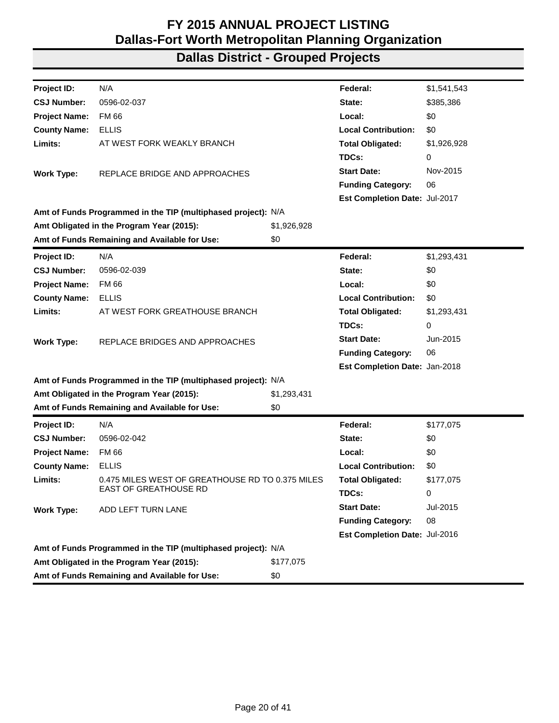| Project ID:          | N/A                                                           |             | Federal:                      | \$1,541,543 |
|----------------------|---------------------------------------------------------------|-------------|-------------------------------|-------------|
| <b>CSJ Number:</b>   | 0596-02-037                                                   |             | State:                        | \$385,386   |
| <b>Project Name:</b> | <b>FM 66</b>                                                  |             | Local:                        | \$0         |
| <b>County Name:</b>  | <b>ELLIS</b>                                                  |             | <b>Local Contribution:</b>    | \$0         |
| Limits:              | AT WEST FORK WEAKLY BRANCH                                    |             | <b>Total Obligated:</b>       | \$1,926,928 |
|                      |                                                               |             | TDCs:                         | 0           |
| <b>Work Type:</b>    | REPLACE BRIDGE AND APPROACHES                                 |             | <b>Start Date:</b>            | Nov-2015    |
|                      |                                                               |             | <b>Funding Category:</b>      | 06          |
|                      |                                                               |             | Est Completion Date: Jul-2017 |             |
|                      | Amt of Funds Programmed in the TIP (multiphased project): N/A |             |                               |             |
|                      | Amt Obligated in the Program Year (2015):                     | \$1,926,928 |                               |             |
|                      | Amt of Funds Remaining and Available for Use:                 | \$0         |                               |             |
| Project ID:          | N/A                                                           |             | Federal:                      | \$1,293,431 |
| <b>CSJ Number:</b>   | 0596-02-039                                                   |             | State:                        | \$0         |
| <b>Project Name:</b> | <b>FM66</b>                                                   |             | Local:                        | \$0         |
| <b>County Name:</b>  | <b>ELLIS</b>                                                  |             | <b>Local Contribution:</b>    | \$0         |
| Limits:              | AT WEST FORK GREATHOUSE BRANCH                                |             | <b>Total Obligated:</b>       | \$1,293,431 |
|                      |                                                               |             | TDCs:                         | 0           |
| <b>Work Type:</b>    | REPLACE BRIDGES AND APPROACHES                                |             | <b>Start Date:</b>            | Jun-2015    |
|                      |                                                               |             | <b>Funding Category:</b>      | 06          |
|                      |                                                               |             | Est Completion Date: Jan-2018 |             |
|                      | Amt of Funds Programmed in the TIP (multiphased project): N/A |             |                               |             |
|                      | Amt Obligated in the Program Year (2015):                     | \$1,293,431 |                               |             |
|                      | Amt of Funds Remaining and Available for Use:                 | \$0         |                               |             |
| <b>Project ID:</b>   | N/A                                                           |             | Federal:                      | \$177,075   |
| <b>CSJ Number:</b>   | 0596-02-042                                                   |             | State:                        | \$0         |
| <b>Project Name:</b> | <b>FM66</b>                                                   |             | Local:                        | \$0         |
| <b>County Name:</b>  | <b>ELLIS</b>                                                  |             | <b>Local Contribution:</b>    | \$0         |
| Limits:              | 0.475 MILES WEST OF GREATHOUSE RD TO 0.375 MILES              |             | <b>Total Obligated:</b>       | \$177,075   |
|                      | EAST OF GREATHOUSE RD                                         |             | TDCs:                         | 0           |
| <b>Work Type:</b>    | ADD LEFT TURN LANE                                            |             | <b>Start Date:</b>            | Jul-2015    |
|                      |                                                               |             | <b>Funding Category:</b>      | 08          |
|                      |                                                               |             | Est Completion Date: Jul-2016 |             |
|                      | Amt of Funds Programmed in the TIP (multiphased project): N/A |             |                               |             |
|                      | Amt Obligated in the Program Year (2015):                     | \$177,075   |                               |             |
|                      | Amt of Funds Remaining and Available for Use:                 | \$0         |                               |             |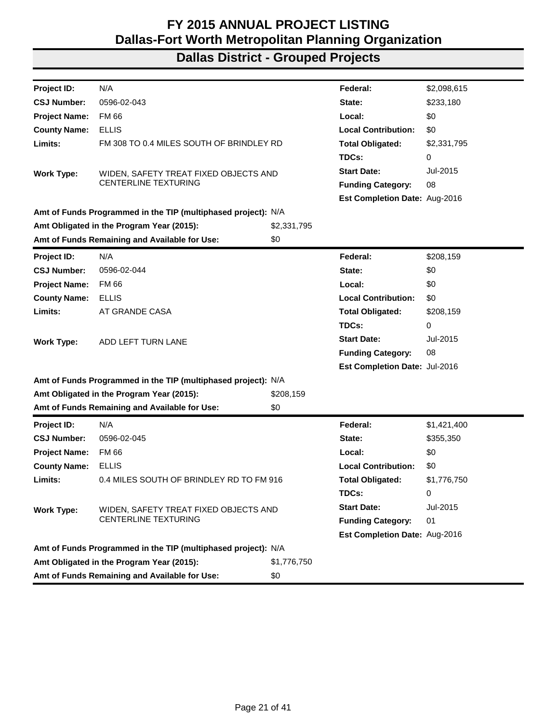| Project ID:          | N/A                                                           |             | Federal:                      | \$2,098,615 |
|----------------------|---------------------------------------------------------------|-------------|-------------------------------|-------------|
| <b>CSJ Number:</b>   | 0596-02-043                                                   |             | State:                        | \$233,180   |
| <b>Project Name:</b> | <b>FM66</b>                                                   |             | Local:                        | \$0         |
| <b>County Name:</b>  | <b>ELLIS</b>                                                  |             | <b>Local Contribution:</b>    | \$0         |
| Limits:              | FM 308 TO 0.4 MILES SOUTH OF BRINDLEY RD                      |             | <b>Total Obligated:</b>       | \$2,331,795 |
|                      |                                                               |             | TDCs:                         | 0           |
| <b>Work Type:</b>    | WIDEN, SAFETY TREAT FIXED OBJECTS AND                         |             | <b>Start Date:</b>            | Jul-2015    |
|                      | <b>CENTERLINE TEXTURING</b>                                   |             | <b>Funding Category:</b>      | 08          |
|                      |                                                               |             | Est Completion Date: Aug-2016 |             |
|                      | Amt of Funds Programmed in the TIP (multiphased project): N/A |             |                               |             |
|                      | Amt Obligated in the Program Year (2015):                     | \$2,331,795 |                               |             |
|                      | Amt of Funds Remaining and Available for Use:                 | \$0         |                               |             |
| <b>Project ID:</b>   | N/A                                                           |             | Federal:                      | \$208,159   |
| <b>CSJ Number:</b>   | 0596-02-044                                                   |             | State:                        | \$0         |
| <b>Project Name:</b> | <b>FM 66</b>                                                  |             | Local:                        | \$0         |
| <b>County Name:</b>  | <b>ELLIS</b>                                                  |             | <b>Local Contribution:</b>    | \$0         |
| Limits:              | AT GRANDE CASA                                                |             | <b>Total Obligated:</b>       | \$208,159   |
|                      |                                                               |             | TDCs:                         | 0           |
| <b>Work Type:</b>    | ADD LEFT TURN LANE                                            |             | <b>Start Date:</b>            | Jul-2015    |
|                      |                                                               |             | <b>Funding Category:</b>      | 08          |
|                      |                                                               |             | Est Completion Date: Jul-2016 |             |
|                      | Amt of Funds Programmed in the TIP (multiphased project): N/A |             |                               |             |
|                      | Amt Obligated in the Program Year (2015):                     | \$208,159   |                               |             |
|                      | Amt of Funds Remaining and Available for Use:                 | \$0         |                               |             |
| Project ID:          | N/A                                                           |             | Federal:                      | \$1,421,400 |
| <b>CSJ Number:</b>   | 0596-02-045                                                   |             | State:                        | \$355,350   |
| <b>Project Name:</b> | <b>FM 66</b>                                                  |             | Local:                        | \$0         |
| <b>County Name:</b>  | <b>ELLIS</b>                                                  |             | <b>Local Contribution:</b>    | \$0         |
| Limits:              | 0.4 MILES SOUTH OF BRINDLEY RD TO FM 916                      |             | <b>Total Obligated:</b>       | \$1,776,750 |
|                      |                                                               |             | TDCs:                         | 0           |
| <b>Work Type:</b>    | WIDEN, SAFETY TREAT FIXED OBJECTS AND                         |             | <b>Start Date:</b>            | Jul-2015    |
|                      | CENTERLINE TEXTURING                                          |             | <b>Funding Category:</b>      | 01          |
|                      |                                                               |             | Est Completion Date: Aug-2016 |             |
|                      | Amt of Funds Programmed in the TIP (multiphased project): N/A |             |                               |             |
|                      | Amt Obligated in the Program Year (2015):                     | \$1,776,750 |                               |             |
|                      | Amt of Funds Remaining and Available for Use:                 | \$0         |                               |             |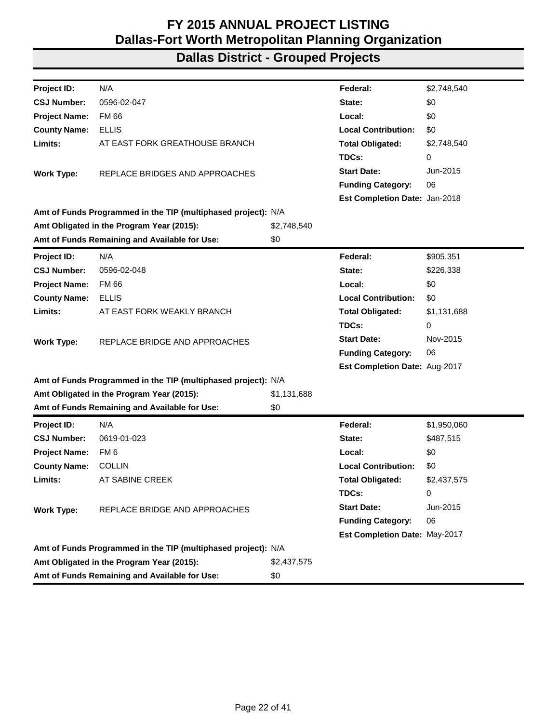| Project ID:          | N/A                                                           |             | Federal:                      | \$2,748,540 |
|----------------------|---------------------------------------------------------------|-------------|-------------------------------|-------------|
| <b>CSJ Number:</b>   | 0596-02-047                                                   |             | State:                        | \$0         |
| <b>Project Name:</b> | FM 66                                                         |             | Local:                        | \$0         |
| <b>County Name:</b>  | <b>ELLIS</b>                                                  |             | <b>Local Contribution:</b>    | \$0         |
| Limits:              | AT EAST FORK GREATHOUSE BRANCH                                |             | <b>Total Obligated:</b>       | \$2,748,540 |
|                      |                                                               |             | TDCs:                         | 0           |
| <b>Work Type:</b>    | REPLACE BRIDGES AND APPROACHES                                |             | <b>Start Date:</b>            | Jun-2015    |
|                      |                                                               |             | <b>Funding Category:</b>      | 06          |
|                      |                                                               |             | Est Completion Date: Jan-2018 |             |
|                      | Amt of Funds Programmed in the TIP (multiphased project): N/A |             |                               |             |
|                      | Amt Obligated in the Program Year (2015):                     | \$2,748,540 |                               |             |
|                      | Amt of Funds Remaining and Available for Use:                 | \$0         |                               |             |
| Project ID:          | N/A                                                           |             | Federal:                      | \$905,351   |
| <b>CSJ Number:</b>   | 0596-02-048                                                   |             | State:                        | \$226,338   |
| <b>Project Name:</b> | <b>FM66</b>                                                   |             | Local:                        | \$0         |
| <b>County Name:</b>  | <b>ELLIS</b>                                                  |             | <b>Local Contribution:</b>    | \$0         |
| Limits:              | AT EAST FORK WEAKLY BRANCH                                    |             | <b>Total Obligated:</b>       | \$1,131,688 |
|                      |                                                               |             | TDCs:                         | 0           |
| <b>Work Type:</b>    | REPLACE BRIDGE AND APPROACHES                                 |             | <b>Start Date:</b>            | Nov-2015    |
|                      |                                                               |             | <b>Funding Category:</b>      | 06          |
|                      |                                                               |             | Est Completion Date: Aug-2017 |             |
|                      | Amt of Funds Programmed in the TIP (multiphased project): N/A |             |                               |             |
|                      | Amt Obligated in the Program Year (2015):                     | \$1,131,688 |                               |             |
|                      | Amt of Funds Remaining and Available for Use:                 | \$0         |                               |             |
| <b>Project ID:</b>   | N/A                                                           |             | Federal:                      | \$1,950,060 |
| <b>CSJ Number:</b>   | 0619-01-023                                                   |             | State:                        | \$487,515   |
| <b>Project Name:</b> | FM <sub>6</sub>                                               |             | Local:                        | \$0         |
| <b>County Name:</b>  | <b>COLLIN</b>                                                 |             | <b>Local Contribution:</b>    | \$0         |
| Limits:              | AT SABINE CREEK                                               |             | <b>Total Obligated:</b>       | \$2,437,575 |
|                      |                                                               |             | TDCs:                         | 0           |
| <b>Work Type:</b>    | REPLACE BRIDGE AND APPROACHES                                 |             | <b>Start Date:</b>            | Jun-2015    |
|                      |                                                               |             | <b>Funding Category:</b>      | 06          |
|                      |                                                               |             | Est Completion Date: May-2017 |             |
|                      | Amt of Funds Programmed in the TIP (multiphased project): N/A |             |                               |             |
|                      | Amt Obligated in the Program Year (2015):                     | \$2,437,575 |                               |             |
|                      | Amt of Funds Remaining and Available for Use:                 | \$0         |                               |             |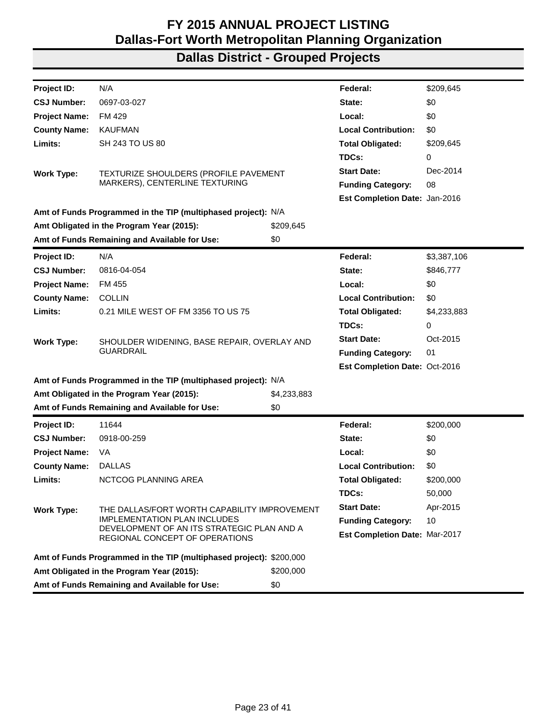| Project ID:          | N/A                                                                          |             | Federal:                      | \$209,645   |
|----------------------|------------------------------------------------------------------------------|-------------|-------------------------------|-------------|
| <b>CSJ Number:</b>   | 0697-03-027                                                                  |             | State:                        | \$0         |
| <b>Project Name:</b> | FM 429                                                                       |             | Local:                        | \$0         |
| <b>County Name:</b>  | <b>KAUFMAN</b>                                                               |             | <b>Local Contribution:</b>    | \$0         |
| Limits:              | SH 243 TO US 80                                                              |             | <b>Total Obligated:</b>       | \$209,645   |
|                      |                                                                              |             | TDCs:                         | 0           |
| <b>Work Type:</b>    | TEXTURIZE SHOULDERS (PROFILE PAVEMENT                                        |             | <b>Start Date:</b>            | Dec-2014    |
|                      | MARKERS), CENTERLINE TEXTURING                                               |             | <b>Funding Category:</b>      | 08          |
|                      |                                                                              |             | Est Completion Date: Jan-2016 |             |
|                      | Amt of Funds Programmed in the TIP (multiphased project): N/A                |             |                               |             |
|                      | Amt Obligated in the Program Year (2015):                                    | \$209,645   |                               |             |
|                      | Amt of Funds Remaining and Available for Use:                                | \$0         |                               |             |
| <b>Project ID:</b>   | N/A                                                                          |             | Federal:                      | \$3,387,106 |
| <b>CSJ Number:</b>   | 0816-04-054                                                                  |             | State:                        | \$846,777   |
| <b>Project Name:</b> | FM 455                                                                       |             | Local:                        | \$0         |
| <b>County Name:</b>  | <b>COLLIN</b>                                                                |             | <b>Local Contribution:</b>    | \$0         |
| Limits:              | 0.21 MILE WEST OF FM 3356 TO US 75                                           |             | <b>Total Obligated:</b>       | \$4,233,883 |
|                      |                                                                              |             | TDCs:                         | 0           |
| <b>Work Type:</b>    | SHOULDER WIDENING, BASE REPAIR, OVERLAY AND                                  |             | <b>Start Date:</b>            | Oct-2015    |
|                      | <b>GUARDRAIL</b>                                                             |             | <b>Funding Category:</b>      | 01          |
|                      |                                                                              |             | Est Completion Date: Oct-2016 |             |
|                      | Amt of Funds Programmed in the TIP (multiphased project): N/A                |             |                               |             |
|                      | Amt Obligated in the Program Year (2015):                                    | \$4,233,883 |                               |             |
|                      | Amt of Funds Remaining and Available for Use:                                | \$0         |                               |             |
| <b>Project ID:</b>   | 11644                                                                        |             | Federal:                      | \$200,000   |
| <b>CSJ Number:</b>   | 0918-00-259                                                                  |             | State:                        | \$0         |
| <b>Project Name:</b> | VA                                                                           |             | Local:                        | \$0         |
| <b>County Name:</b>  | <b>DALLAS</b>                                                                |             | <b>Local Contribution:</b>    | \$0         |
| Limits:              | NCTCOG PLANNING AREA                                                         |             | <b>Total Obligated:</b>       | \$200,000   |
|                      |                                                                              |             | TDCs:                         | 50,000      |
| <b>Work Type:</b>    | THE DALLAS/FORT WORTH CAPABILITY IMPROVEMENT                                 |             | <b>Start Date:</b>            | Apr-2015    |
|                      | <b>IMPLEMENTATION PLAN INCLUDES</b>                                          |             | <b>Funding Category:</b>      | 10          |
|                      | DEVELOPMENT OF AN ITS STRATEGIC PLAN AND A<br>REGIONAL CONCEPT OF OPERATIONS |             | Est Completion Date: Mar-2017 |             |
|                      |                                                                              |             |                               |             |
|                      | Amt of Funds Programmed in the TIP (multiphased project): \$200,000          |             |                               |             |
|                      | Amt Obligated in the Program Year (2015):                                    | \$200,000   |                               |             |
|                      | Amt of Funds Remaining and Available for Use:                                | \$0         |                               |             |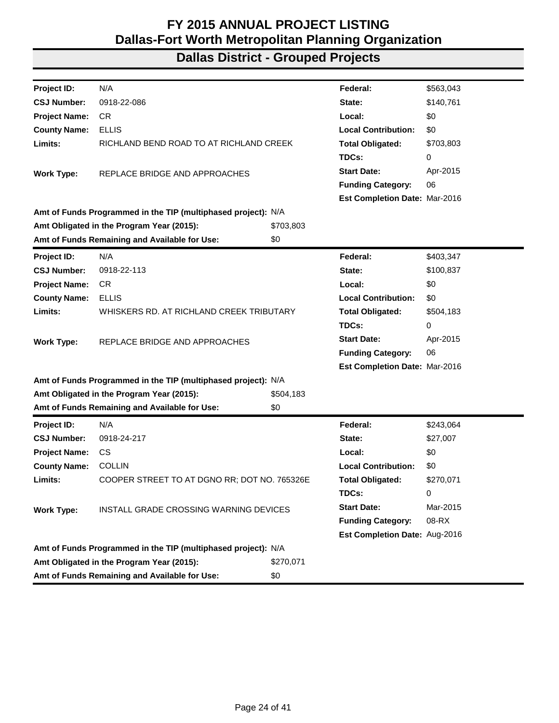| Project ID:          | N/A                                                           |           | Federal:                      | \$563,043 |
|----------------------|---------------------------------------------------------------|-----------|-------------------------------|-----------|
| <b>CSJ Number:</b>   | 0918-22-086                                                   |           | State:                        | \$140,761 |
| <b>Project Name:</b> | <b>CR</b>                                                     |           | Local:                        | \$0       |
| <b>County Name:</b>  | <b>ELLIS</b>                                                  |           | <b>Local Contribution:</b>    | \$0       |
| Limits:              | RICHLAND BEND ROAD TO AT RICHLAND CREEK                       |           | <b>Total Obligated:</b>       | \$703,803 |
|                      |                                                               |           | TDCs:                         | 0         |
| <b>Work Type:</b>    | REPLACE BRIDGE AND APPROACHES                                 |           | <b>Start Date:</b>            | Apr-2015  |
|                      |                                                               |           | <b>Funding Category:</b>      | 06        |
|                      |                                                               |           | Est Completion Date: Mar-2016 |           |
|                      | Amt of Funds Programmed in the TIP (multiphased project): N/A |           |                               |           |
|                      | Amt Obligated in the Program Year (2015):                     | \$703,803 |                               |           |
|                      | Amt of Funds Remaining and Available for Use:                 | \$0       |                               |           |
| <b>Project ID:</b>   | N/A                                                           |           | Federal:                      | \$403,347 |
| <b>CSJ Number:</b>   | 0918-22-113                                                   |           | State:                        | \$100,837 |
| <b>Project Name:</b> | CR                                                            |           | Local:                        | \$0       |
| <b>County Name:</b>  | <b>ELLIS</b>                                                  |           | <b>Local Contribution:</b>    | \$0       |
| Limits:              | WHISKERS RD. AT RICHLAND CREEK TRIBUTARY                      |           | <b>Total Obligated:</b>       | \$504,183 |
|                      |                                                               |           | TDCs:                         | 0         |
| <b>Work Type:</b>    | REPLACE BRIDGE AND APPROACHES                                 |           | <b>Start Date:</b>            | Apr-2015  |
|                      |                                                               |           | <b>Funding Category:</b>      | 06        |
|                      |                                                               |           | Est Completion Date: Mar-2016 |           |
|                      | Amt of Funds Programmed in the TIP (multiphased project): N/A |           |                               |           |
|                      | Amt Obligated in the Program Year (2015):                     | \$504,183 |                               |           |
|                      | Amt of Funds Remaining and Available for Use:                 | \$0       |                               |           |
| Project ID:          | N/A                                                           |           | Federal:                      | \$243,064 |
| <b>CSJ Number:</b>   | 0918-24-217                                                   |           | State:                        | \$27,007  |
| <b>Project Name:</b> | CS.                                                           |           | Local:                        | \$0       |
| <b>County Name:</b>  | <b>COLLIN</b>                                                 |           | <b>Local Contribution:</b>    | \$0       |
| Limits:              | COOPER STREET TO AT DGNO RR; DOT NO. 765326E                  |           | <b>Total Obligated:</b>       | \$270,071 |
|                      |                                                               |           | TDCs:                         | 0         |
| <b>Work Type:</b>    | INSTALL GRADE CROSSING WARNING DEVICES                        |           | <b>Start Date:</b>            | Mar-2015  |
|                      |                                                               |           | <b>Funding Category:</b>      | 08-RX     |
|                      |                                                               |           | Est Completion Date: Aug-2016 |           |
|                      | Amt of Funds Programmed in the TIP (multiphased project): N/A |           |                               |           |
|                      | Amt Obligated in the Program Year (2015):                     | \$270,071 |                               |           |
|                      | Amt of Funds Remaining and Available for Use:                 | \$0       |                               |           |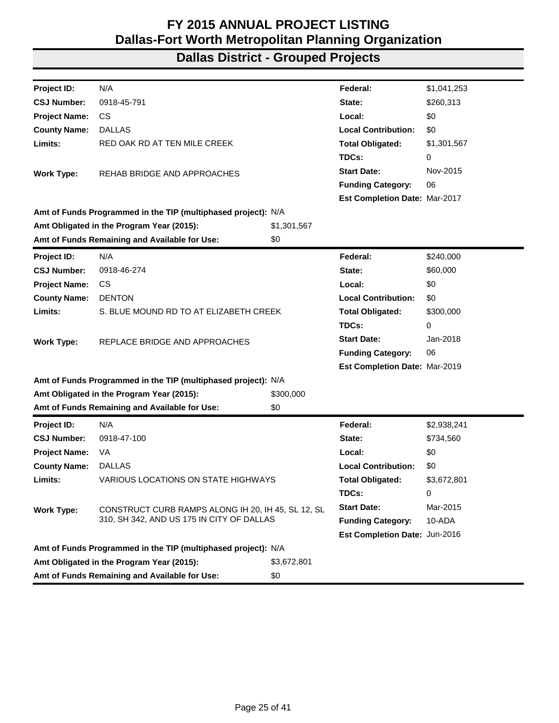| Project ID:          | N/A                                                           |             | Federal:                      | \$1,041,253 |
|----------------------|---------------------------------------------------------------|-------------|-------------------------------|-------------|
| <b>CSJ Number:</b>   | 0918-45-791                                                   |             | State:                        | \$260,313   |
| <b>Project Name:</b> | <b>CS</b>                                                     |             | Local:                        | \$0         |
| <b>County Name:</b>  | <b>DALLAS</b>                                                 |             | <b>Local Contribution:</b>    | \$0         |
| Limits:              | RED OAK RD AT TEN MILE CREEK                                  |             | <b>Total Obligated:</b>       | \$1,301,567 |
|                      |                                                               |             | TDCs:                         | 0           |
| <b>Work Type:</b>    | REHAB BRIDGE AND APPROACHES                                   |             | <b>Start Date:</b>            | Nov-2015    |
|                      |                                                               |             | <b>Funding Category:</b>      | 06          |
|                      |                                                               |             | Est Completion Date: Mar-2017 |             |
|                      | Amt of Funds Programmed in the TIP (multiphased project): N/A |             |                               |             |
|                      | Amt Obligated in the Program Year (2015):                     | \$1,301,567 |                               |             |
|                      | Amt of Funds Remaining and Available for Use:                 | \$0         |                               |             |
| Project ID:          | N/A                                                           |             | Federal:                      | \$240,000   |
| <b>CSJ Number:</b>   | 0918-46-274                                                   |             | State:                        | \$60,000    |
| <b>Project Name:</b> | CS                                                            |             | Local:                        | \$0         |
| <b>County Name:</b>  | <b>DENTON</b>                                                 |             | <b>Local Contribution:</b>    | \$0         |
| Limits:              | S. BLUE MOUND RD TO AT ELIZABETH CREEK                        |             | <b>Total Obligated:</b>       | \$300,000   |
|                      |                                                               |             | TDCs:                         | 0           |
| <b>Work Type:</b>    | REPLACE BRIDGE AND APPROACHES                                 |             | <b>Start Date:</b>            | Jan-2018    |
|                      |                                                               |             | <b>Funding Category:</b>      | 06          |
|                      |                                                               |             | Est Completion Date: Mar-2019 |             |
|                      | Amt of Funds Programmed in the TIP (multiphased project): N/A |             |                               |             |
|                      | Amt Obligated in the Program Year (2015):                     | \$300,000   |                               |             |
|                      | Amt of Funds Remaining and Available for Use:                 | \$0         |                               |             |
| <b>Project ID:</b>   | N/A                                                           |             | Federal:                      | \$2,938,241 |
| <b>CSJ Number:</b>   | 0918-47-100                                                   |             | State:                        | \$734,560   |
| <b>Project Name:</b> | VA                                                            |             | Local:                        | \$0         |
| <b>County Name:</b>  | <b>DALLAS</b>                                                 |             | <b>Local Contribution:</b>    | \$0         |
| Limits:              | <b>VARIOUS LOCATIONS ON STATE HIGHWAYS</b>                    |             | <b>Total Obligated:</b>       | \$3,672,801 |
|                      |                                                               |             | TDCs:                         | 0           |
| <b>Work Type:</b>    | CONSTRUCT CURB RAMPS ALONG IH 20, IH 45, SL 12, SL            |             | <b>Start Date:</b>            | Mar-2015    |
|                      | 310, SH 342, AND US 175 IN CITY OF DALLAS                     |             | <b>Funding Category:</b>      | 10-ADA      |
|                      |                                                               |             | Est Completion Date: Jun-2016 |             |
|                      | Amt of Funds Programmed in the TIP (multiphased project): N/A |             |                               |             |
|                      | Amt Obligated in the Program Year (2015):                     | \$3,672,801 |                               |             |
|                      | Amt of Funds Remaining and Available for Use:<br>\$0          |             |                               |             |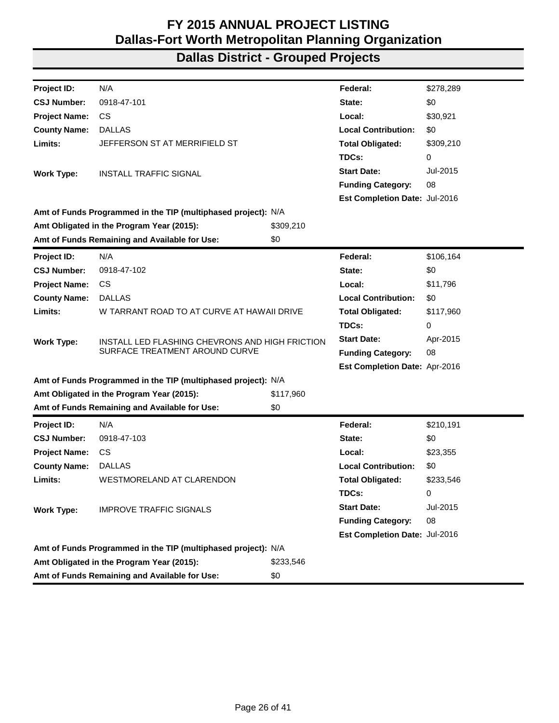| Project ID:          | N/A                                                           |           | Federal:                             | \$278,289 |
|----------------------|---------------------------------------------------------------|-----------|--------------------------------------|-----------|
| <b>CSJ Number:</b>   | 0918-47-101                                                   |           | State:                               | \$0       |
| <b>Project Name:</b> | CS.                                                           |           | Local:                               | \$30,921  |
| <b>County Name:</b>  | <b>DALLAS</b>                                                 |           | <b>Local Contribution:</b>           | \$0       |
| Limits:              | JEFFERSON ST AT MERRIFIELD ST                                 |           | <b>Total Obligated:</b>              | \$309,210 |
|                      |                                                               |           | TDCs:                                | 0         |
| <b>Work Type:</b>    | INSTALL TRAFFIC SIGNAL                                        |           | <b>Start Date:</b>                   | Jul-2015  |
|                      |                                                               |           | <b>Funding Category:</b>             | 08        |
|                      |                                                               |           | <b>Est Completion Date: Jul-2016</b> |           |
|                      | Amt of Funds Programmed in the TIP (multiphased project): N/A |           |                                      |           |
|                      | Amt Obligated in the Program Year (2015):                     | \$309,210 |                                      |           |
|                      | Amt of Funds Remaining and Available for Use:                 | \$0       |                                      |           |
| <b>Project ID:</b>   | N/A                                                           |           | Federal:                             | \$106,164 |
| <b>CSJ Number:</b>   | 0918-47-102                                                   |           | State:                               | \$0       |
| <b>Project Name:</b> | <b>CS</b>                                                     |           | Local:                               | \$11,796  |
| <b>County Name:</b>  | <b>DALLAS</b>                                                 |           | <b>Local Contribution:</b>           | \$0       |
| Limits:              | W TARRANT ROAD TO AT CURVE AT HAWAII DRIVE                    |           | <b>Total Obligated:</b>              | \$117,960 |
|                      |                                                               |           | TDCs:                                | 0         |
| <b>Work Type:</b>    | INSTALL LED FLASHING CHEVRONS AND HIGH FRICTION               |           | <b>Start Date:</b>                   | Apr-2015  |
|                      | SURFACE TREATMENT AROUND CURVE                                |           | <b>Funding Category:</b>             | 08        |
|                      |                                                               |           | Est Completion Date: Apr-2016        |           |
|                      | Amt of Funds Programmed in the TIP (multiphased project): N/A |           |                                      |           |
|                      | Amt Obligated in the Program Year (2015):                     | \$117,960 |                                      |           |
|                      | Amt of Funds Remaining and Available for Use:                 | \$0       |                                      |           |
| <b>Project ID:</b>   | N/A                                                           |           | Federal:                             | \$210,191 |
| <b>CSJ Number:</b>   | 0918-47-103                                                   |           | State:                               | \$0       |
| <b>Project Name:</b> | CS.                                                           |           | Local:                               | \$23,355  |
| <b>County Name:</b>  | <b>DALLAS</b>                                                 |           | <b>Local Contribution:</b>           | \$0       |
| Limits:              | WESTMORELAND AT CLARENDON                                     |           | <b>Total Obligated:</b>              | \$233,546 |
|                      |                                                               |           | TDCs:                                | 0         |
| <b>Work Type:</b>    | <b>IMPROVE TRAFFIC SIGNALS</b>                                |           | <b>Start Date:</b>                   | Jul-2015  |
|                      |                                                               |           | <b>Funding Category:</b>             | 08        |
|                      |                                                               |           | Est Completion Date: Jul-2016        |           |
|                      | Amt of Funds Programmed in the TIP (multiphased project): N/A |           |                                      |           |
|                      | Amt Obligated in the Program Year (2015):                     | \$233,546 |                                      |           |
|                      | Amt of Funds Remaining and Available for Use:                 | \$0       |                                      |           |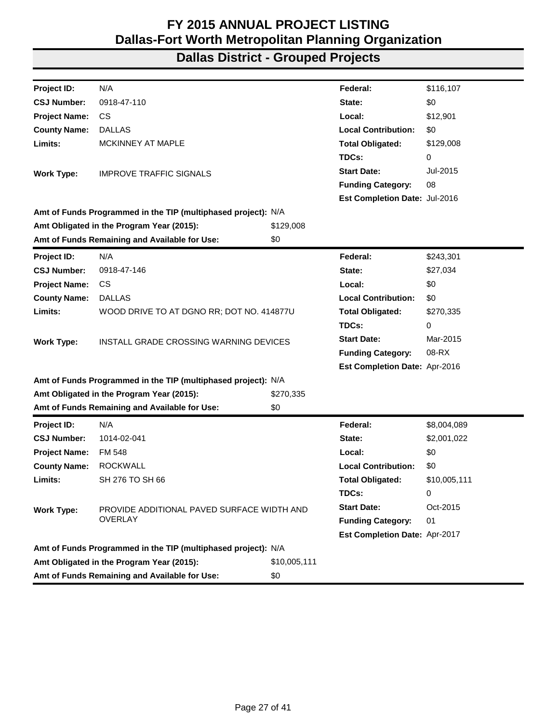| Project ID:          | N/A                                                           |              | Federal:                      | \$116,107    |
|----------------------|---------------------------------------------------------------|--------------|-------------------------------|--------------|
| <b>CSJ Number:</b>   | 0918-47-110                                                   |              | State:                        | \$0          |
| <b>Project Name:</b> | CS.                                                           |              | Local:                        | \$12,901     |
| <b>County Name:</b>  | <b>DALLAS</b>                                                 |              | <b>Local Contribution:</b>    | \$0          |
| Limits:              | MCKINNEY AT MAPLE                                             |              | <b>Total Obligated:</b>       | \$129,008    |
|                      |                                                               |              | TDCs:                         | 0            |
| <b>Work Type:</b>    | <b>IMPROVE TRAFFIC SIGNALS</b>                                |              | <b>Start Date:</b>            | Jul-2015     |
|                      |                                                               |              | <b>Funding Category:</b>      | 08           |
|                      |                                                               |              | Est Completion Date: Jul-2016 |              |
|                      | Amt of Funds Programmed in the TIP (multiphased project): N/A |              |                               |              |
|                      | Amt Obligated in the Program Year (2015):                     | \$129,008    |                               |              |
|                      | Amt of Funds Remaining and Available for Use:                 | \$0          |                               |              |
| Project ID:          | N/A                                                           |              | Federal:                      | \$243,301    |
| <b>CSJ Number:</b>   | 0918-47-146                                                   |              | State:                        | \$27,034     |
| <b>Project Name:</b> | <b>CS</b>                                                     |              | Local:                        | \$0          |
| <b>County Name:</b>  | <b>DALLAS</b>                                                 |              | <b>Local Contribution:</b>    | \$0          |
| Limits:              | WOOD DRIVE TO AT DGNO RR; DOT NO. 414877U                     |              | <b>Total Obligated:</b>       | \$270,335    |
|                      |                                                               |              | TDCs:                         | 0            |
| <b>Work Type:</b>    | INSTALL GRADE CROSSING WARNING DEVICES                        |              | <b>Start Date:</b>            | Mar-2015     |
|                      |                                                               |              | <b>Funding Category:</b>      | 08-RX        |
|                      |                                                               |              | Est Completion Date: Apr-2016 |              |
|                      | Amt of Funds Programmed in the TIP (multiphased project): N/A |              |                               |              |
|                      | Amt Obligated in the Program Year (2015):                     | \$270,335    |                               |              |
|                      | Amt of Funds Remaining and Available for Use:                 | \$0          |                               |              |
| <b>Project ID:</b>   | N/A                                                           |              | Federal:                      | \$8,004,089  |
| <b>CSJ Number:</b>   | 1014-02-041                                                   |              | State:                        | \$2,001,022  |
| <b>Project Name:</b> | <b>FM 548</b>                                                 |              | Local:                        | \$0          |
| <b>County Name:</b>  | <b>ROCKWALL</b>                                               |              | <b>Local Contribution:</b>    | \$0          |
| Limits:              | SH 276 TO SH 66                                               |              | <b>Total Obligated:</b>       | \$10,005,111 |
|                      |                                                               |              | TDCs:                         | 0            |
| <b>Work Type:</b>    | PROVIDE ADDITIONAL PAVED SURFACE WIDTH AND                    |              | <b>Start Date:</b>            | Oct-2015     |
|                      | <b>OVERLAY</b>                                                |              | <b>Funding Category:</b>      | 01           |
|                      |                                                               |              | Est Completion Date: Apr-2017 |              |
|                      | Amt of Funds Programmed in the TIP (multiphased project): N/A |              |                               |              |
|                      | Amt Obligated in the Program Year (2015):                     | \$10,005,111 |                               |              |
|                      | Amt of Funds Remaining and Available for Use:                 | \$0          |                               |              |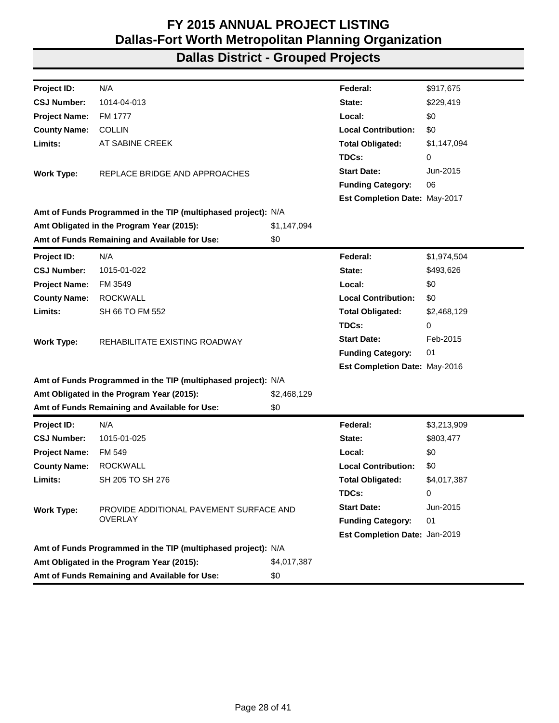| Project ID:          | N/A                                                           |             | Federal:                      | \$917,675   |
|----------------------|---------------------------------------------------------------|-------------|-------------------------------|-------------|
| <b>CSJ Number:</b>   | 1014-04-013                                                   |             | State:                        | \$229,419   |
| <b>Project Name:</b> | FM 1777                                                       |             | Local:                        | \$0         |
| <b>County Name:</b>  | <b>COLLIN</b>                                                 |             | <b>Local Contribution:</b>    | \$0         |
| Limits:              | AT SABINE CREEK                                               |             | <b>Total Obligated:</b>       | \$1,147,094 |
|                      |                                                               |             | TDCs:                         | 0           |
| <b>Work Type:</b>    | REPLACE BRIDGE AND APPROACHES                                 |             | <b>Start Date:</b>            | Jun-2015    |
|                      |                                                               |             | <b>Funding Category:</b>      | 06          |
|                      |                                                               |             | Est Completion Date: May-2017 |             |
|                      | Amt of Funds Programmed in the TIP (multiphased project): N/A |             |                               |             |
|                      | Amt Obligated in the Program Year (2015):                     | \$1,147,094 |                               |             |
|                      | Amt of Funds Remaining and Available for Use:                 | \$0         |                               |             |
| Project ID:          | N/A                                                           |             | Federal:                      | \$1,974,504 |
| <b>CSJ Number:</b>   | 1015-01-022                                                   |             | State:                        | \$493,626   |
| <b>Project Name:</b> | FM 3549                                                       |             | Local:                        | \$0         |
| <b>County Name:</b>  | <b>ROCKWALL</b>                                               |             | <b>Local Contribution:</b>    | \$0         |
| Limits:              | SH 66 TO FM 552                                               |             | <b>Total Obligated:</b>       | \$2,468,129 |
|                      |                                                               |             | TDCs:                         | 0           |
| <b>Work Type:</b>    | REHABILITATE EXISTING ROADWAY                                 |             | <b>Start Date:</b>            | Feb-2015    |
|                      |                                                               |             | <b>Funding Category:</b>      | 01          |
|                      |                                                               |             | Est Completion Date: May-2016 |             |
|                      | Amt of Funds Programmed in the TIP (multiphased project): N/A |             |                               |             |
|                      | Amt Obligated in the Program Year (2015):                     | \$2,468,129 |                               |             |
|                      | Amt of Funds Remaining and Available for Use:                 | \$0         |                               |             |
| Project ID:          | N/A                                                           |             | Federal:                      | \$3,213,909 |
| <b>CSJ Number:</b>   | 1015-01-025                                                   |             | State:                        | \$803,477   |
| <b>Project Name:</b> | FM 549                                                        |             | Local:                        | \$0         |
| <b>County Name:</b>  | <b>ROCKWALL</b>                                               |             | <b>Local Contribution:</b>    | \$0         |
| Limits:              | SH 205 TO SH 276                                              |             | <b>Total Obligated:</b>       | \$4,017,387 |
|                      |                                                               |             | TDCs:                         | 0           |
| <b>Work Type:</b>    | PROVIDE ADDITIONAL PAVEMENT SURFACE AND                       |             | <b>Start Date:</b>            | Jun-2015    |
|                      | <b>OVERLAY</b>                                                |             | <b>Funding Category:</b>      | 01          |
|                      |                                                               |             | Est Completion Date: Jan-2019 |             |
|                      | Amt of Funds Programmed in the TIP (multiphased project): N/A |             |                               |             |
|                      | Amt Obligated in the Program Year (2015):                     | \$4,017,387 |                               |             |
|                      | Amt of Funds Remaining and Available for Use:                 | \$0         |                               |             |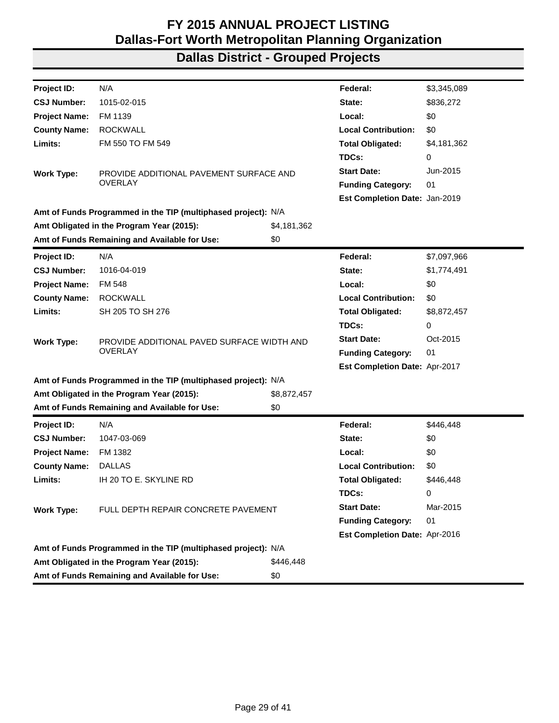| Project ID:          | N/A                                                           |             | Federal:                      | \$3,345,089 |
|----------------------|---------------------------------------------------------------|-------------|-------------------------------|-------------|
| <b>CSJ Number:</b>   | 1015-02-015                                                   |             | State:                        | \$836,272   |
| <b>Project Name:</b> | FM 1139                                                       |             | Local:                        | \$0         |
| <b>County Name:</b>  | <b>ROCKWALL</b>                                               |             | <b>Local Contribution:</b>    | \$0         |
| Limits:              | FM 550 TO FM 549                                              |             | <b>Total Obligated:</b>       | \$4,181,362 |
|                      |                                                               |             | TDCs:                         | 0           |
| <b>Work Type:</b>    | PROVIDE ADDITIONAL PAVEMENT SURFACE AND                       |             | <b>Start Date:</b>            | Jun-2015    |
|                      | <b>OVERLAY</b>                                                |             | <b>Funding Category:</b>      | 01          |
|                      |                                                               |             | Est Completion Date: Jan-2019 |             |
|                      | Amt of Funds Programmed in the TIP (multiphased project): N/A |             |                               |             |
|                      | Amt Obligated in the Program Year (2015):                     | \$4,181,362 |                               |             |
|                      | Amt of Funds Remaining and Available for Use:                 | \$0         |                               |             |
| <b>Project ID:</b>   | N/A                                                           |             | Federal:                      | \$7,097,966 |
| <b>CSJ Number:</b>   | 1016-04-019                                                   |             | State:                        | \$1,774,491 |
| <b>Project Name:</b> | <b>FM 548</b>                                                 |             | Local:                        | \$0         |
| <b>County Name:</b>  | <b>ROCKWALL</b>                                               |             | <b>Local Contribution:</b>    | \$0         |
| Limits:              | SH 205 TO SH 276                                              |             | <b>Total Obligated:</b>       | \$8,872,457 |
|                      |                                                               |             | TDCs:                         | 0           |
| <b>Work Type:</b>    | PROVIDE ADDITIONAL PAVED SURFACE WIDTH AND                    |             | <b>Start Date:</b>            | Oct-2015    |
|                      | OVERLAY                                                       |             | <b>Funding Category:</b>      | 01          |
|                      |                                                               |             | Est Completion Date: Apr-2017 |             |
|                      | Amt of Funds Programmed in the TIP (multiphased project): N/A |             |                               |             |
|                      | Amt Obligated in the Program Year (2015):                     | \$8,872,457 |                               |             |
|                      | Amt of Funds Remaining and Available for Use:                 | \$0         |                               |             |
| Project ID:          | N/A                                                           |             | Federal:                      | \$446,448   |
| <b>CSJ Number:</b>   | 1047-03-069                                                   |             | State:                        | \$0         |
| <b>Project Name:</b> | FM 1382                                                       |             | Local:                        | \$0         |
| <b>County Name:</b>  | <b>DALLAS</b>                                                 |             | <b>Local Contribution:</b>    | \$0         |
| Limits:              | IH 20 TO E. SKYLINE RD                                        |             | <b>Total Obligated:</b>       | \$446,448   |
|                      |                                                               |             | TDCs:                         | 0           |
| <b>Work Type:</b>    | FULL DEPTH REPAIR CONCRETE PAVEMENT                           |             | <b>Start Date:</b>            | Mar-2015    |
|                      |                                                               |             | <b>Funding Category:</b>      | 01          |
|                      |                                                               |             | Est Completion Date: Apr-2016 |             |
|                      | Amt of Funds Programmed in the TIP (multiphased project): N/A |             |                               |             |
|                      | Amt Obligated in the Program Year (2015):                     | \$446.448   |                               |             |
|                      | Amt of Funds Remaining and Available for Use:                 | \$0         |                               |             |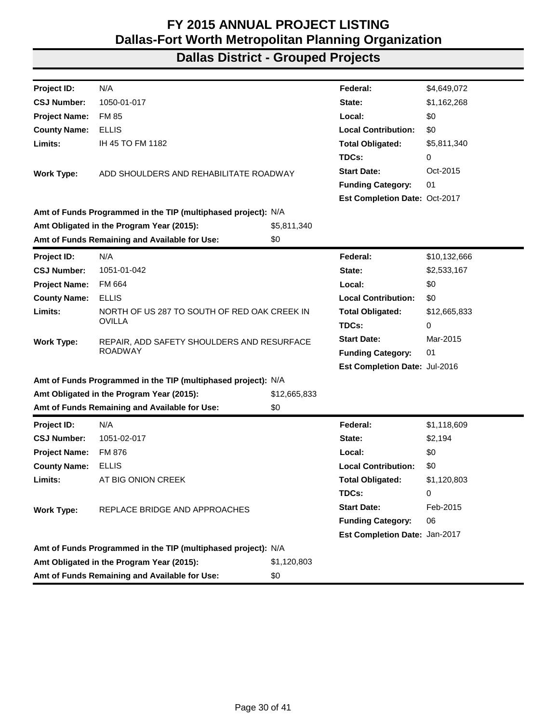| N/A<br>\$4,649,072<br>Federal:<br>1050-01-017<br>\$1,162,268<br>State:<br><b>FM 85</b><br>Local:<br>\$0<br><b>ELLIS</b><br><b>Local Contribution:</b><br>\$0<br>IH 45 TO FM 1182<br><b>Total Obligated:</b><br>\$5,811,340<br>TDCs:<br>0<br><b>Start Date:</b><br>Oct-2015<br>ADD SHOULDERS AND REHABILITATE ROADWAY<br><b>Work Type:</b><br><b>Funding Category:</b><br>01<br><b>Est Completion Date: Oct-2017</b><br>Amt of Funds Programmed in the TIP (multiphased project): N/A<br>Amt Obligated in the Program Year (2015):<br>\$5,811,340<br>Amt of Funds Remaining and Available for Use:<br>\$0<br>N/A<br>Federal:<br>\$10,132,666<br>1051-01-042<br>State:<br>\$2,533,167<br>FM 664<br>\$0<br>Local:<br>\$0<br><b>ELLIS</b><br><b>Local Contribution:</b><br>NORTH OF US 287 TO SOUTH OF RED OAK CREEK IN<br><b>Total Obligated:</b><br>\$12,665,833<br><b>OVILLA</b><br>TDCs:<br>0<br><b>Start Date:</b><br>Mar-2015<br>REPAIR, ADD SAFETY SHOULDERS AND RESURFACE<br><b>ROADWAY</b><br>01<br><b>Funding Category:</b><br>Est Completion Date: Jul-2016<br>Amt of Funds Programmed in the TIP (multiphased project): N/A<br>Amt Obligated in the Program Year (2015):<br>\$12,665,833<br>Amt of Funds Remaining and Available for Use:<br>\$0<br>Federal:<br>N/A<br>\$1,118,609<br>1051-02-017<br>State:<br>\$2,194<br>\$0<br>FM 876<br>Local:<br>\$0<br><b>ELLIS</b><br><b>Local Contribution:</b><br>AT BIG ONION CREEK<br>\$1,120,803<br><b>Total Obligated:</b><br>TDCs:<br>0<br><b>Start Date:</b><br>Feb-2015<br>REPLACE BRIDGE AND APPROACHES<br><b>Funding Category:</b><br>06<br>Est Completion Date: Jan-2017<br>Amt of Funds Programmed in the TIP (multiphased project): N/A<br>Amt Obligated in the Program Year (2015):<br>\$1,120,803<br>Amt of Funds Remaining and Available for Use:<br>\$0 |                      |  |  |
|-------------------------------------------------------------------------------------------------------------------------------------------------------------------------------------------------------------------------------------------------------------------------------------------------------------------------------------------------------------------------------------------------------------------------------------------------------------------------------------------------------------------------------------------------------------------------------------------------------------------------------------------------------------------------------------------------------------------------------------------------------------------------------------------------------------------------------------------------------------------------------------------------------------------------------------------------------------------------------------------------------------------------------------------------------------------------------------------------------------------------------------------------------------------------------------------------------------------------------------------------------------------------------------------------------------------------------------------------------------------------------------------------------------------------------------------------------------------------------------------------------------------------------------------------------------------------------------------------------------------------------------------------------------------------------------------------------------------------------------------------------------------------------------------------------------------------|----------------------|--|--|
|                                                                                                                                                                                                                                                                                                                                                                                                                                                                                                                                                                                                                                                                                                                                                                                                                                                                                                                                                                                                                                                                                                                                                                                                                                                                                                                                                                                                                                                                                                                                                                                                                                                                                                                                                                                                                         | Project ID:          |  |  |
|                                                                                                                                                                                                                                                                                                                                                                                                                                                                                                                                                                                                                                                                                                                                                                                                                                                                                                                                                                                                                                                                                                                                                                                                                                                                                                                                                                                                                                                                                                                                                                                                                                                                                                                                                                                                                         | <b>CSJ Number:</b>   |  |  |
|                                                                                                                                                                                                                                                                                                                                                                                                                                                                                                                                                                                                                                                                                                                                                                                                                                                                                                                                                                                                                                                                                                                                                                                                                                                                                                                                                                                                                                                                                                                                                                                                                                                                                                                                                                                                                         | <b>Project Name:</b> |  |  |
|                                                                                                                                                                                                                                                                                                                                                                                                                                                                                                                                                                                                                                                                                                                                                                                                                                                                                                                                                                                                                                                                                                                                                                                                                                                                                                                                                                                                                                                                                                                                                                                                                                                                                                                                                                                                                         | <b>County Name:</b>  |  |  |
|                                                                                                                                                                                                                                                                                                                                                                                                                                                                                                                                                                                                                                                                                                                                                                                                                                                                                                                                                                                                                                                                                                                                                                                                                                                                                                                                                                                                                                                                                                                                                                                                                                                                                                                                                                                                                         | Limits:              |  |  |
|                                                                                                                                                                                                                                                                                                                                                                                                                                                                                                                                                                                                                                                                                                                                                                                                                                                                                                                                                                                                                                                                                                                                                                                                                                                                                                                                                                                                                                                                                                                                                                                                                                                                                                                                                                                                                         |                      |  |  |
|                                                                                                                                                                                                                                                                                                                                                                                                                                                                                                                                                                                                                                                                                                                                                                                                                                                                                                                                                                                                                                                                                                                                                                                                                                                                                                                                                                                                                                                                                                                                                                                                                                                                                                                                                                                                                         |                      |  |  |
|                                                                                                                                                                                                                                                                                                                                                                                                                                                                                                                                                                                                                                                                                                                                                                                                                                                                                                                                                                                                                                                                                                                                                                                                                                                                                                                                                                                                                                                                                                                                                                                                                                                                                                                                                                                                                         |                      |  |  |
|                                                                                                                                                                                                                                                                                                                                                                                                                                                                                                                                                                                                                                                                                                                                                                                                                                                                                                                                                                                                                                                                                                                                                                                                                                                                                                                                                                                                                                                                                                                                                                                                                                                                                                                                                                                                                         |                      |  |  |
|                                                                                                                                                                                                                                                                                                                                                                                                                                                                                                                                                                                                                                                                                                                                                                                                                                                                                                                                                                                                                                                                                                                                                                                                                                                                                                                                                                                                                                                                                                                                                                                                                                                                                                                                                                                                                         |                      |  |  |
|                                                                                                                                                                                                                                                                                                                                                                                                                                                                                                                                                                                                                                                                                                                                                                                                                                                                                                                                                                                                                                                                                                                                                                                                                                                                                                                                                                                                                                                                                                                                                                                                                                                                                                                                                                                                                         |                      |  |  |
|                                                                                                                                                                                                                                                                                                                                                                                                                                                                                                                                                                                                                                                                                                                                                                                                                                                                                                                                                                                                                                                                                                                                                                                                                                                                                                                                                                                                                                                                                                                                                                                                                                                                                                                                                                                                                         |                      |  |  |
|                                                                                                                                                                                                                                                                                                                                                                                                                                                                                                                                                                                                                                                                                                                                                                                                                                                                                                                                                                                                                                                                                                                                                                                                                                                                                                                                                                                                                                                                                                                                                                                                                                                                                                                                                                                                                         | Project ID:          |  |  |
|                                                                                                                                                                                                                                                                                                                                                                                                                                                                                                                                                                                                                                                                                                                                                                                                                                                                                                                                                                                                                                                                                                                                                                                                                                                                                                                                                                                                                                                                                                                                                                                                                                                                                                                                                                                                                         | <b>CSJ Number:</b>   |  |  |
|                                                                                                                                                                                                                                                                                                                                                                                                                                                                                                                                                                                                                                                                                                                                                                                                                                                                                                                                                                                                                                                                                                                                                                                                                                                                                                                                                                                                                                                                                                                                                                                                                                                                                                                                                                                                                         | <b>Project Name:</b> |  |  |
|                                                                                                                                                                                                                                                                                                                                                                                                                                                                                                                                                                                                                                                                                                                                                                                                                                                                                                                                                                                                                                                                                                                                                                                                                                                                                                                                                                                                                                                                                                                                                                                                                                                                                                                                                                                                                         | <b>County Name:</b>  |  |  |
|                                                                                                                                                                                                                                                                                                                                                                                                                                                                                                                                                                                                                                                                                                                                                                                                                                                                                                                                                                                                                                                                                                                                                                                                                                                                                                                                                                                                                                                                                                                                                                                                                                                                                                                                                                                                                         | Limits:              |  |  |
|                                                                                                                                                                                                                                                                                                                                                                                                                                                                                                                                                                                                                                                                                                                                                                                                                                                                                                                                                                                                                                                                                                                                                                                                                                                                                                                                                                                                                                                                                                                                                                                                                                                                                                                                                                                                                         |                      |  |  |
|                                                                                                                                                                                                                                                                                                                                                                                                                                                                                                                                                                                                                                                                                                                                                                                                                                                                                                                                                                                                                                                                                                                                                                                                                                                                                                                                                                                                                                                                                                                                                                                                                                                                                                                                                                                                                         | <b>Work Type:</b>    |  |  |
|                                                                                                                                                                                                                                                                                                                                                                                                                                                                                                                                                                                                                                                                                                                                                                                                                                                                                                                                                                                                                                                                                                                                                                                                                                                                                                                                                                                                                                                                                                                                                                                                                                                                                                                                                                                                                         |                      |  |  |
|                                                                                                                                                                                                                                                                                                                                                                                                                                                                                                                                                                                                                                                                                                                                                                                                                                                                                                                                                                                                                                                                                                                                                                                                                                                                                                                                                                                                                                                                                                                                                                                                                                                                                                                                                                                                                         |                      |  |  |
|                                                                                                                                                                                                                                                                                                                                                                                                                                                                                                                                                                                                                                                                                                                                                                                                                                                                                                                                                                                                                                                                                                                                                                                                                                                                                                                                                                                                                                                                                                                                                                                                                                                                                                                                                                                                                         |                      |  |  |
|                                                                                                                                                                                                                                                                                                                                                                                                                                                                                                                                                                                                                                                                                                                                                                                                                                                                                                                                                                                                                                                                                                                                                                                                                                                                                                                                                                                                                                                                                                                                                                                                                                                                                                                                                                                                                         |                      |  |  |
|                                                                                                                                                                                                                                                                                                                                                                                                                                                                                                                                                                                                                                                                                                                                                                                                                                                                                                                                                                                                                                                                                                                                                                                                                                                                                                                                                                                                                                                                                                                                                                                                                                                                                                                                                                                                                         |                      |  |  |
|                                                                                                                                                                                                                                                                                                                                                                                                                                                                                                                                                                                                                                                                                                                                                                                                                                                                                                                                                                                                                                                                                                                                                                                                                                                                                                                                                                                                                                                                                                                                                                                                                                                                                                                                                                                                                         | <b>Project ID:</b>   |  |  |
|                                                                                                                                                                                                                                                                                                                                                                                                                                                                                                                                                                                                                                                                                                                                                                                                                                                                                                                                                                                                                                                                                                                                                                                                                                                                                                                                                                                                                                                                                                                                                                                                                                                                                                                                                                                                                         | <b>CSJ Number:</b>   |  |  |
|                                                                                                                                                                                                                                                                                                                                                                                                                                                                                                                                                                                                                                                                                                                                                                                                                                                                                                                                                                                                                                                                                                                                                                                                                                                                                                                                                                                                                                                                                                                                                                                                                                                                                                                                                                                                                         | <b>Project Name:</b> |  |  |
|                                                                                                                                                                                                                                                                                                                                                                                                                                                                                                                                                                                                                                                                                                                                                                                                                                                                                                                                                                                                                                                                                                                                                                                                                                                                                                                                                                                                                                                                                                                                                                                                                                                                                                                                                                                                                         | <b>County Name:</b>  |  |  |
|                                                                                                                                                                                                                                                                                                                                                                                                                                                                                                                                                                                                                                                                                                                                                                                                                                                                                                                                                                                                                                                                                                                                                                                                                                                                                                                                                                                                                                                                                                                                                                                                                                                                                                                                                                                                                         | Limits:              |  |  |
|                                                                                                                                                                                                                                                                                                                                                                                                                                                                                                                                                                                                                                                                                                                                                                                                                                                                                                                                                                                                                                                                                                                                                                                                                                                                                                                                                                                                                                                                                                                                                                                                                                                                                                                                                                                                                         |                      |  |  |
|                                                                                                                                                                                                                                                                                                                                                                                                                                                                                                                                                                                                                                                                                                                                                                                                                                                                                                                                                                                                                                                                                                                                                                                                                                                                                                                                                                                                                                                                                                                                                                                                                                                                                                                                                                                                                         | <b>Work Type:</b>    |  |  |
|                                                                                                                                                                                                                                                                                                                                                                                                                                                                                                                                                                                                                                                                                                                                                                                                                                                                                                                                                                                                                                                                                                                                                                                                                                                                                                                                                                                                                                                                                                                                                                                                                                                                                                                                                                                                                         |                      |  |  |
|                                                                                                                                                                                                                                                                                                                                                                                                                                                                                                                                                                                                                                                                                                                                                                                                                                                                                                                                                                                                                                                                                                                                                                                                                                                                                                                                                                                                                                                                                                                                                                                                                                                                                                                                                                                                                         |                      |  |  |
|                                                                                                                                                                                                                                                                                                                                                                                                                                                                                                                                                                                                                                                                                                                                                                                                                                                                                                                                                                                                                                                                                                                                                                                                                                                                                                                                                                                                                                                                                                                                                                                                                                                                                                                                                                                                                         |                      |  |  |
|                                                                                                                                                                                                                                                                                                                                                                                                                                                                                                                                                                                                                                                                                                                                                                                                                                                                                                                                                                                                                                                                                                                                                                                                                                                                                                                                                                                                                                                                                                                                                                                                                                                                                                                                                                                                                         |                      |  |  |
|                                                                                                                                                                                                                                                                                                                                                                                                                                                                                                                                                                                                                                                                                                                                                                                                                                                                                                                                                                                                                                                                                                                                                                                                                                                                                                                                                                                                                                                                                                                                                                                                                                                                                                                                                                                                                         |                      |  |  |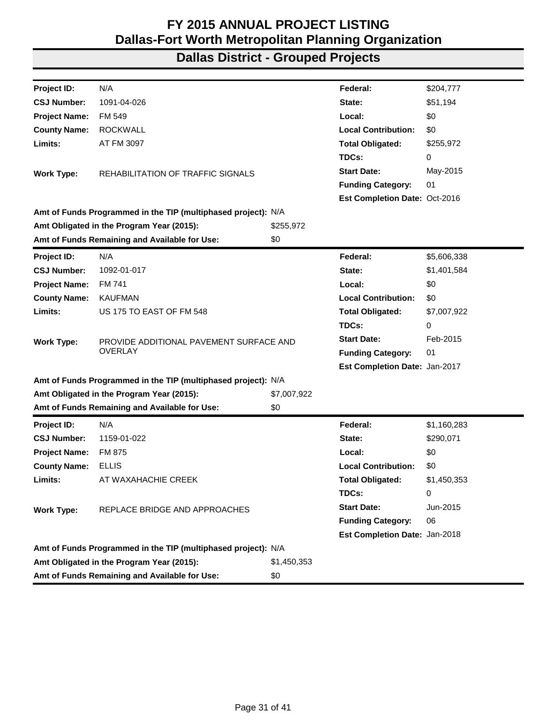| Project ID:          | N/A                                                           |             | Federal:                      | \$204,777   |
|----------------------|---------------------------------------------------------------|-------------|-------------------------------|-------------|
| <b>CSJ Number:</b>   | 1091-04-026                                                   |             | State:                        | \$51,194    |
| <b>Project Name:</b> | FM 549                                                        |             | Local:                        | \$0         |
| <b>County Name:</b>  | <b>ROCKWALL</b>                                               |             | <b>Local Contribution:</b>    | \$0         |
| Limits:              | AT FM 3097                                                    |             | <b>Total Obligated:</b>       | \$255,972   |
|                      |                                                               |             | TDCs:                         | 0           |
| <b>Work Type:</b>    | REHABILITATION OF TRAFFIC SIGNALS                             |             | <b>Start Date:</b>            | May-2015    |
|                      |                                                               |             | <b>Funding Category:</b>      | 01          |
|                      |                                                               |             | Est Completion Date: Oct-2016 |             |
|                      | Amt of Funds Programmed in the TIP (multiphased project): N/A |             |                               |             |
|                      | Amt Obligated in the Program Year (2015):                     | \$255,972   |                               |             |
|                      | Amt of Funds Remaining and Available for Use:                 | \$0         |                               |             |
| Project ID:          | N/A                                                           |             | Federal:                      | \$5,606,338 |
| <b>CSJ Number:</b>   | 1092-01-017                                                   |             | State:                        | \$1,401,584 |
| <b>Project Name:</b> | FM 741                                                        |             | Local:                        | \$0         |
| <b>County Name:</b>  | <b>KAUFMAN</b>                                                |             | <b>Local Contribution:</b>    | \$0         |
| Limits:              | US 175 TO EAST OF FM 548                                      |             | <b>Total Obligated:</b>       | \$7,007,922 |
|                      |                                                               |             | TDCs:                         | 0           |
| <b>Work Type:</b>    | PROVIDE ADDITIONAL PAVEMENT SURFACE AND                       |             | <b>Start Date:</b>            | Feb-2015    |
|                      | <b>OVERLAY</b>                                                |             | <b>Funding Category:</b>      | 01          |
|                      |                                                               |             | Est Completion Date: Jan-2017 |             |
|                      | Amt of Funds Programmed in the TIP (multiphased project): N/A |             |                               |             |
|                      | Amt Obligated in the Program Year (2015):                     | \$7,007,922 |                               |             |
|                      | Amt of Funds Remaining and Available for Use:                 | \$0         |                               |             |
| <b>Project ID:</b>   | N/A                                                           |             | Federal:                      | \$1,160,283 |
| <b>CSJ Number:</b>   | 1159-01-022                                                   |             | State:                        | \$290,071   |
| <b>Project Name:</b> | FM 875                                                        |             | Local:                        | \$0         |
| <b>County Name:</b>  | <b>ELLIS</b>                                                  |             | <b>Local Contribution:</b>    | \$0         |
| Limits:              | AT WAXAHACHIE CREEK                                           |             | <b>Total Obligated:</b>       | \$1,450,353 |
|                      |                                                               |             | TDCs:                         | 0           |
| <b>Work Type:</b>    | REPLACE BRIDGE AND APPROACHES                                 |             | <b>Start Date:</b>            | Jun-2015    |
|                      |                                                               |             | <b>Funding Category:</b>      | 06          |
|                      |                                                               |             | Est Completion Date: Jan-2018 |             |
|                      | Amt of Funds Programmed in the TIP (multiphased project): N/A |             |                               |             |
|                      | Amt Obligated in the Program Year (2015):                     | \$1,450,353 |                               |             |
|                      | Amt of Funds Remaining and Available for Use:                 | \$0         |                               |             |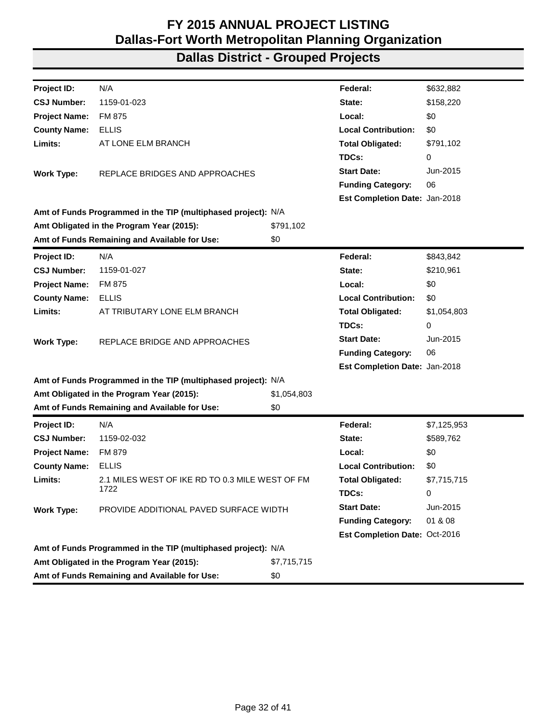| Project ID:          | N/A                                                           |             | Federal:                      | \$632,882   |
|----------------------|---------------------------------------------------------------|-------------|-------------------------------|-------------|
| <b>CSJ Number:</b>   | 1159-01-023                                                   |             | State:                        | \$158,220   |
| <b>Project Name:</b> | FM 875                                                        |             | Local:                        | \$0         |
| <b>County Name:</b>  | <b>ELLIS</b>                                                  |             | <b>Local Contribution:</b>    | \$0         |
| Limits:              | AT LONE ELM BRANCH                                            |             | <b>Total Obligated:</b>       | \$791,102   |
|                      |                                                               |             | TDCs:                         | 0           |
| <b>Work Type:</b>    | REPLACE BRIDGES AND APPROACHES                                |             | <b>Start Date:</b>            | Jun-2015    |
|                      |                                                               |             | <b>Funding Category:</b>      | 06          |
|                      |                                                               |             | Est Completion Date: Jan-2018 |             |
|                      | Amt of Funds Programmed in the TIP (multiphased project): N/A |             |                               |             |
|                      | Amt Obligated in the Program Year (2015):                     | \$791,102   |                               |             |
|                      | Amt of Funds Remaining and Available for Use:                 | \$0         |                               |             |
| Project ID:          | N/A                                                           |             | Federal:                      | \$843,842   |
| <b>CSJ Number:</b>   | 1159-01-027                                                   |             | State:                        | \$210,961   |
| <b>Project Name:</b> | FM 875                                                        |             | Local:                        | \$0         |
| <b>County Name:</b>  | <b>ELLIS</b>                                                  |             | <b>Local Contribution:</b>    | \$0         |
| Limits:              | AT TRIBUTARY LONE ELM BRANCH                                  |             | <b>Total Obligated:</b>       | \$1,054,803 |
|                      |                                                               |             | TDCs:                         | 0           |
| <b>Work Type:</b>    | REPLACE BRIDGE AND APPROACHES                                 |             | <b>Start Date:</b>            | Jun-2015    |
|                      |                                                               |             | <b>Funding Category:</b>      | 06          |
|                      |                                                               |             | Est Completion Date: Jan-2018 |             |
|                      | Amt of Funds Programmed in the TIP (multiphased project): N/A |             |                               |             |
|                      | Amt Obligated in the Program Year (2015):                     | \$1,054,803 |                               |             |
|                      | Amt of Funds Remaining and Available for Use:                 | \$0         |                               |             |
| <b>Project ID:</b>   | N/A                                                           |             | Federal:                      | \$7,125,953 |
| <b>CSJ Number:</b>   | 1159-02-032                                                   |             | State:                        | \$589,762   |
| <b>Project Name:</b> | <b>FM 879</b>                                                 |             | Local:                        | \$0         |
| <b>County Name:</b>  | <b>ELLIS</b>                                                  |             | <b>Local Contribution:</b>    | \$0         |
| Limits:              | 2.1 MILES WEST OF IKE RD TO 0.3 MILE WEST OF FM               |             | <b>Total Obligated:</b>       | \$7,715,715 |
|                      | 1722                                                          |             | TDCs:                         | 0           |
| <b>Work Type:</b>    | PROVIDE ADDITIONAL PAVED SURFACE WIDTH                        |             | <b>Start Date:</b>            | Jun-2015    |
|                      |                                                               |             | <b>Funding Category:</b>      | 01 & 08     |
|                      |                                                               |             | Est Completion Date: Oct-2016 |             |
|                      | Amt of Funds Programmed in the TIP (multiphased project): N/A |             |                               |             |
|                      | Amt Obligated in the Program Year (2015):                     | \$7,715,715 |                               |             |
|                      | Amt of Funds Remaining and Available for Use:                 | \$0         |                               |             |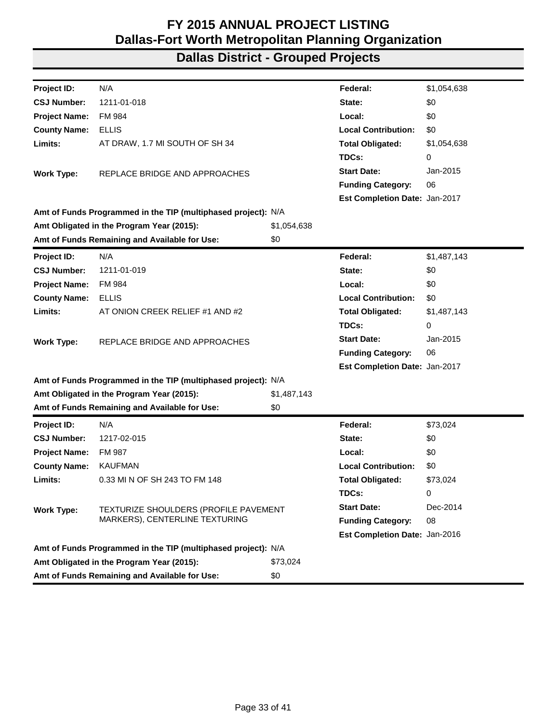| Project ID:          | N/A                                                           |             | Federal:                      | \$1,054,638 |
|----------------------|---------------------------------------------------------------|-------------|-------------------------------|-------------|
| <b>CSJ Number:</b>   | 1211-01-018                                                   |             | State:                        | \$0         |
| <b>Project Name:</b> | <b>FM 984</b>                                                 |             | Local:                        | \$0         |
| <b>County Name:</b>  | <b>ELLIS</b>                                                  |             | <b>Local Contribution:</b>    | \$0         |
| Limits:              | AT DRAW, 1.7 MI SOUTH OF SH 34                                |             | <b>Total Obligated:</b>       | \$1,054,638 |
|                      |                                                               |             | TDCs:                         | 0           |
| <b>Work Type:</b>    | REPLACE BRIDGE AND APPROACHES                                 |             | <b>Start Date:</b>            | Jan-2015    |
|                      |                                                               |             | <b>Funding Category:</b>      | 06          |
|                      |                                                               |             | Est Completion Date: Jan-2017 |             |
|                      | Amt of Funds Programmed in the TIP (multiphased project): N/A |             |                               |             |
|                      | Amt Obligated in the Program Year (2015):                     | \$1,054,638 |                               |             |
|                      | Amt of Funds Remaining and Available for Use:                 | \$0         |                               |             |
| Project ID:          | N/A                                                           |             | Federal:                      | \$1,487,143 |
| <b>CSJ Number:</b>   | 1211-01-019                                                   |             | State:                        | \$0         |
| <b>Project Name:</b> | FM 984                                                        |             | Local:                        | \$0         |
| <b>County Name:</b>  | <b>ELLIS</b>                                                  |             | <b>Local Contribution:</b>    | \$0         |
| Limits:              | AT ONION CREEK RELIEF #1 AND #2                               |             | <b>Total Obligated:</b>       | \$1,487,143 |
|                      |                                                               |             | TDCs:                         | 0           |
| <b>Work Type:</b>    | REPLACE BRIDGE AND APPROACHES                                 |             | <b>Start Date:</b>            | Jan-2015    |
|                      |                                                               |             | <b>Funding Category:</b>      | 06          |
|                      |                                                               |             | Est Completion Date: Jan-2017 |             |
|                      | Amt of Funds Programmed in the TIP (multiphased project): N/A |             |                               |             |
|                      | Amt Obligated in the Program Year (2015):                     | \$1,487,143 |                               |             |
|                      | Amt of Funds Remaining and Available for Use:                 | \$0         |                               |             |
| <b>Project ID:</b>   | N/A                                                           |             | Federal:                      | \$73,024    |
| <b>CSJ Number:</b>   | 1217-02-015                                                   |             | State:                        | \$0         |
| <b>Project Name:</b> | <b>FM 987</b>                                                 |             | Local:                        | \$0         |
| <b>County Name:</b>  | <b>KAUFMAN</b>                                                |             | <b>Local Contribution:</b>    | \$0         |
| Limits:              | 0.33 MI N OF SH 243 TO FM 148                                 |             | <b>Total Obligated:</b>       | \$73,024    |
|                      |                                                               |             | TDCs:                         | 0           |
| <b>Work Type:</b>    | TEXTURIZE SHOULDERS (PROFILE PAVEMENT                         |             | <b>Start Date:</b>            | Dec-2014    |
|                      | MARKERS), CENTERLINE TEXTURING                                |             | <b>Funding Category:</b>      | 08          |
|                      |                                                               |             | Est Completion Date: Jan-2016 |             |
|                      | Amt of Funds Programmed in the TIP (multiphased project): N/A |             |                               |             |
|                      | Amt Obligated in the Program Year (2015):                     | \$73,024    |                               |             |
|                      | Amt of Funds Remaining and Available for Use:                 | \$0         |                               |             |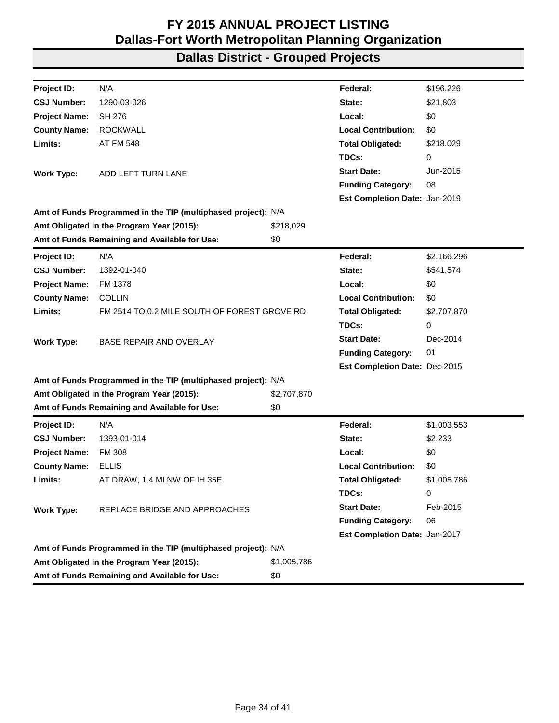| Project ID:          | N/A                                                           |             | Federal:                      | \$196,226   |
|----------------------|---------------------------------------------------------------|-------------|-------------------------------|-------------|
| <b>CSJ Number:</b>   | 1290-03-026                                                   |             | State:                        | \$21,803    |
| <b>Project Name:</b> | <b>SH 276</b>                                                 |             | Local:                        | \$0         |
| <b>County Name:</b>  | <b>ROCKWALL</b>                                               |             | <b>Local Contribution:</b>    | \$0         |
| Limits:              | <b>AT FM 548</b>                                              |             | <b>Total Obligated:</b>       | \$218,029   |
|                      |                                                               |             | TDCs:                         | 0           |
| <b>Work Type:</b>    | ADD LEFT TURN LANE                                            |             | <b>Start Date:</b>            | Jun-2015    |
|                      |                                                               |             | <b>Funding Category:</b>      | 08          |
|                      |                                                               |             | Est Completion Date: Jan-2019 |             |
|                      | Amt of Funds Programmed in the TIP (multiphased project): N/A |             |                               |             |
|                      | Amt Obligated in the Program Year (2015):                     | \$218,029   |                               |             |
|                      | Amt of Funds Remaining and Available for Use:                 | \$0         |                               |             |
| Project ID:          | N/A                                                           |             | Federal:                      | \$2,166,296 |
| <b>CSJ Number:</b>   | 1392-01-040                                                   |             | State:                        | \$541,574   |
| <b>Project Name:</b> | FM 1378                                                       |             | Local:                        | \$0         |
| <b>County Name:</b>  | <b>COLLIN</b>                                                 |             | <b>Local Contribution:</b>    | \$0         |
| Limits:              | FM 2514 TO 0.2 MILE SOUTH OF FOREST GROVE RD                  |             | <b>Total Obligated:</b>       | \$2,707,870 |
|                      |                                                               |             | TDCs:                         | 0           |
| <b>Work Type:</b>    | <b>BASE REPAIR AND OVERLAY</b>                                |             | <b>Start Date:</b>            | Dec-2014    |
|                      |                                                               |             | <b>Funding Category:</b>      | 01          |
|                      |                                                               |             | Est Completion Date: Dec-2015 |             |
|                      | Amt of Funds Programmed in the TIP (multiphased project): N/A |             |                               |             |
|                      | Amt Obligated in the Program Year (2015):                     | \$2,707,870 |                               |             |
|                      | Amt of Funds Remaining and Available for Use:                 | \$0         |                               |             |
| <b>Project ID:</b>   | N/A                                                           |             | Federal:                      | \$1,003,553 |
| <b>CSJ Number:</b>   | 1393-01-014                                                   |             | State:                        | \$2,233     |
| <b>Project Name:</b> | <b>FM 308</b>                                                 |             | Local:                        | \$0         |
| <b>County Name:</b>  | ELLIS                                                         |             | <b>Local Contribution:</b>    | \$0         |
| Limits:              | AT DRAW, 1.4 MI NW OF IH 35E                                  |             | <b>Total Obligated:</b>       | \$1,005,786 |
|                      |                                                               |             | TDCs:                         | 0           |
| <b>Work Type:</b>    | REPLACE BRIDGE AND APPROACHES                                 |             | <b>Start Date:</b>            | Feb-2015    |
|                      |                                                               |             | <b>Funding Category:</b>      | 06          |
|                      |                                                               |             | Est Completion Date: Jan-2017 |             |
|                      | Amt of Funds Programmed in the TIP (multiphased project): N/A |             |                               |             |
|                      | Amt Obligated in the Program Year (2015):                     | \$1,005,786 |                               |             |
|                      | Amt of Funds Remaining and Available for Use:                 | \$0         |                               |             |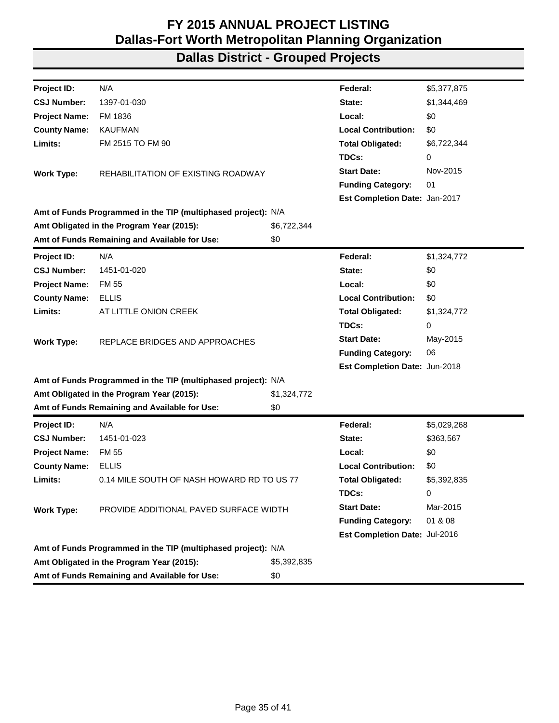| Project ID:          | N/A                                                           |             | Federal:                      | \$5,377,875 |
|----------------------|---------------------------------------------------------------|-------------|-------------------------------|-------------|
| <b>CSJ Number:</b>   | 1397-01-030                                                   |             | State:                        | \$1,344,469 |
| <b>Project Name:</b> | FM 1836                                                       |             | Local:                        | \$0         |
| <b>County Name:</b>  | <b>KAUFMAN</b>                                                |             | <b>Local Contribution:</b>    | \$0         |
| Limits:              | FM 2515 TO FM 90                                              |             | <b>Total Obligated:</b>       | \$6,722,344 |
|                      |                                                               |             | TDCs:                         | 0           |
| <b>Work Type:</b>    | REHABILITATION OF EXISTING ROADWAY                            |             | <b>Start Date:</b>            | Nov-2015    |
|                      |                                                               |             | <b>Funding Category:</b>      | 01          |
|                      |                                                               |             | Est Completion Date: Jan-2017 |             |
|                      | Amt of Funds Programmed in the TIP (multiphased project): N/A |             |                               |             |
|                      | Amt Obligated in the Program Year (2015):                     | \$6,722,344 |                               |             |
|                      | Amt of Funds Remaining and Available for Use:                 | \$0         |                               |             |
| Project ID:          | N/A                                                           |             | Federal:                      | \$1,324,772 |
| <b>CSJ Number:</b>   | 1451-01-020                                                   |             | State:                        | \$0         |
| <b>Project Name:</b> | <b>FM 55</b>                                                  |             | Local:                        | \$0         |
| <b>County Name:</b>  | <b>ELLIS</b>                                                  |             | <b>Local Contribution:</b>    | \$0         |
| Limits:              | AT LITTLE ONION CREEK                                         |             | <b>Total Obligated:</b>       | \$1,324,772 |
|                      |                                                               |             | TDCs:                         | 0           |
| <b>Work Type:</b>    | REPLACE BRIDGES AND APPROACHES                                |             | <b>Start Date:</b>            | May-2015    |
|                      |                                                               |             | <b>Funding Category:</b>      | 06          |
|                      |                                                               |             | Est Completion Date: Jun-2018 |             |
|                      | Amt of Funds Programmed in the TIP (multiphased project): N/A |             |                               |             |
|                      | Amt Obligated in the Program Year (2015):                     | \$1,324,772 |                               |             |
|                      | Amt of Funds Remaining and Available for Use:                 | \$0         |                               |             |
| Project ID:          | N/A                                                           |             | Federal:                      | \$5,029,268 |
| <b>CSJ Number:</b>   | 1451-01-023                                                   |             | State:                        | \$363,567   |
| <b>Project Name:</b> | <b>FM 55</b>                                                  |             | Local:                        | \$0         |
| <b>County Name:</b>  | <b>ELLIS</b>                                                  |             | <b>Local Contribution:</b>    | \$0         |
| Limits:              | 0.14 MILE SOUTH OF NASH HOWARD RD TO US 77                    |             | <b>Total Obligated:</b>       | \$5,392,835 |
|                      |                                                               |             | TDCs:                         | 0           |
| <b>Work Type:</b>    | PROVIDE ADDITIONAL PAVED SURFACE WIDTH                        |             | <b>Start Date:</b>            | Mar-2015    |
|                      |                                                               |             | <b>Funding Category:</b>      | 01 & 08     |
|                      |                                                               |             | Est Completion Date: Jul-2016 |             |
|                      | Amt of Funds Programmed in the TIP (multiphased project): N/A |             |                               |             |
|                      | Amt Obligated in the Program Year (2015):                     | \$5,392,835 |                               |             |
|                      | Amt of Funds Remaining and Available for Use:                 | \$0         |                               |             |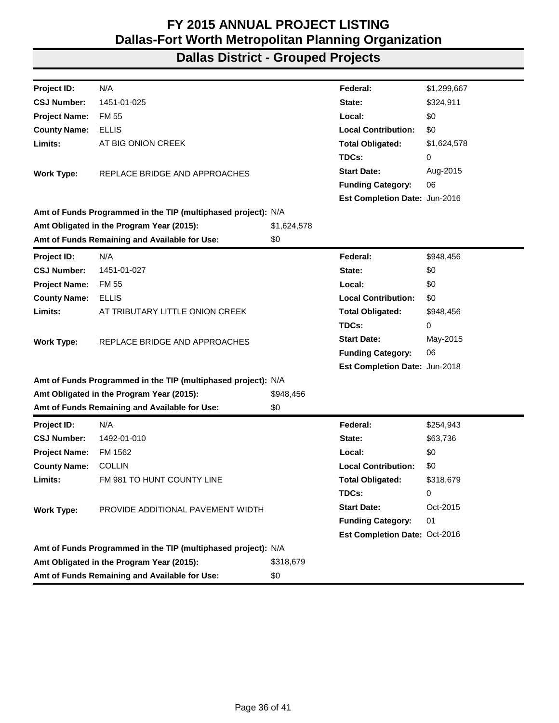| Project ID:          | N/A                                                           |             | Federal:                      | \$1,299,667 |
|----------------------|---------------------------------------------------------------|-------------|-------------------------------|-------------|
| <b>CSJ Number:</b>   | 1451-01-025                                                   |             | State:                        | \$324,911   |
| <b>Project Name:</b> | <b>FM 55</b>                                                  |             | Local:                        | \$0         |
| <b>County Name:</b>  | <b>ELLIS</b>                                                  |             | <b>Local Contribution:</b>    | \$0         |
| Limits:              | AT BIG ONION CREEK                                            |             | <b>Total Obligated:</b>       | \$1,624,578 |
|                      |                                                               |             | TDCs:                         | 0           |
| <b>Work Type:</b>    | REPLACE BRIDGE AND APPROACHES                                 |             | <b>Start Date:</b>            | Aug-2015    |
|                      |                                                               |             | <b>Funding Category:</b>      | 06          |
|                      |                                                               |             | Est Completion Date: Jun-2016 |             |
|                      | Amt of Funds Programmed in the TIP (multiphased project): N/A |             |                               |             |
|                      | Amt Obligated in the Program Year (2015):                     | \$1,624,578 |                               |             |
|                      | Amt of Funds Remaining and Available for Use:                 | \$0         |                               |             |
| Project ID:          | N/A                                                           |             | Federal:                      | \$948,456   |
| <b>CSJ Number:</b>   | 1451-01-027                                                   |             | State:                        | \$0         |
| <b>Project Name:</b> | <b>FM 55</b>                                                  |             | Local:                        | \$0         |
| <b>County Name:</b>  | <b>ELLIS</b>                                                  |             | <b>Local Contribution:</b>    | \$0         |
| Limits:              | AT TRIBUTARY LITTLE ONION CREEK                               |             | <b>Total Obligated:</b>       | \$948,456   |
|                      |                                                               |             | TDCs:                         | 0           |
| <b>Work Type:</b>    | REPLACE BRIDGE AND APPROACHES                                 |             | <b>Start Date:</b>            | May-2015    |
|                      |                                                               |             | <b>Funding Category:</b>      | 06          |
|                      |                                                               |             | Est Completion Date: Jun-2018 |             |
|                      | Amt of Funds Programmed in the TIP (multiphased project): N/A |             |                               |             |
|                      | Amt Obligated in the Program Year (2015):                     | \$948,456   |                               |             |
|                      | Amt of Funds Remaining and Available for Use:                 | \$0         |                               |             |
| <b>Project ID:</b>   | N/A                                                           |             | Federal:                      | \$254,943   |
| <b>CSJ Number:</b>   | 1492-01-010                                                   |             | State:                        | \$63,736    |
| <b>Project Name:</b> | FM 1562                                                       |             | Local:                        | \$0         |
| <b>County Name:</b>  | <b>COLLIN</b>                                                 |             | <b>Local Contribution:</b>    | \$0         |
| Limits:              | FM 981 TO HUNT COUNTY LINE                                    |             | <b>Total Obligated:</b>       | \$318,679   |
|                      |                                                               |             | TDCs:                         | 0           |
| <b>Work Type:</b>    | PROVIDE ADDITIONAL PAVEMENT WIDTH                             |             | <b>Start Date:</b>            | Oct-2015    |
|                      |                                                               |             | <b>Funding Category:</b>      | 01          |
|                      |                                                               |             | Est Completion Date: Oct-2016 |             |
|                      | Amt of Funds Programmed in the TIP (multiphased project): N/A |             |                               |             |
|                      | Amt Obligated in the Program Year (2015):                     | \$318,679   |                               |             |
|                      | Amt of Funds Remaining and Available for Use:                 | \$0         |                               |             |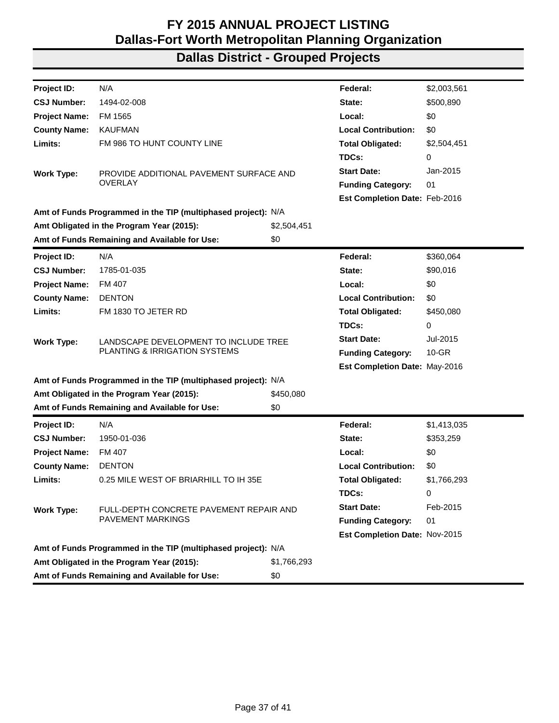| Project ID:          | N/A                                                           |             | Federal:                             | \$2,003,561 |
|----------------------|---------------------------------------------------------------|-------------|--------------------------------------|-------------|
| <b>CSJ Number:</b>   | 1494-02-008                                                   |             | State:                               | \$500,890   |
| <b>Project Name:</b> | FM 1565                                                       |             | Local:                               | \$0         |
| <b>County Name:</b>  | <b>KAUFMAN</b>                                                |             | <b>Local Contribution:</b>           | \$0         |
| Limits:              | FM 986 TO HUNT COUNTY LINE                                    |             | <b>Total Obligated:</b>              | \$2,504,451 |
|                      |                                                               |             | TDCs:                                | 0           |
| <b>Work Type:</b>    | PROVIDE ADDITIONAL PAVEMENT SURFACE AND                       |             | <b>Start Date:</b>                   | Jan-2015    |
|                      | <b>OVERLAY</b>                                                |             | <b>Funding Category:</b>             | 01          |
|                      |                                                               |             | <b>Est Completion Date: Feb-2016</b> |             |
|                      | Amt of Funds Programmed in the TIP (multiphased project): N/A |             |                                      |             |
|                      | Amt Obligated in the Program Year (2015):                     | \$2,504,451 |                                      |             |
|                      | Amt of Funds Remaining and Available for Use:                 | \$0         |                                      |             |
| <b>Project ID:</b>   | N/A                                                           |             | Federal:                             | \$360,064   |
| <b>CSJ Number:</b>   | 1785-01-035                                                   |             | State:                               | \$90,016    |
| <b>Project Name:</b> | FM 407                                                        |             | Local:                               | \$0         |
| <b>County Name:</b>  | <b>DENTON</b>                                                 |             | <b>Local Contribution:</b>           | \$0         |
| Limits:              | FM 1830 TO JETER RD                                           |             | <b>Total Obligated:</b>              | \$450,080   |
|                      |                                                               |             | TDCs:                                | 0           |
| <b>Work Type:</b>    | LANDSCAPE DEVELOPMENT TO INCLUDE TREE                         |             | <b>Start Date:</b>                   | Jul-2015    |
|                      | PLANTING & IRRIGATION SYSTEMS                                 |             | <b>Funding Category:</b>             | $10 - GR$   |
|                      |                                                               |             | Est Completion Date: May-2016        |             |
|                      | Amt of Funds Programmed in the TIP (multiphased project): N/A |             |                                      |             |
|                      | Amt Obligated in the Program Year (2015):                     | \$450,080   |                                      |             |
|                      | Amt of Funds Remaining and Available for Use:                 | \$0         |                                      |             |
| <b>Project ID:</b>   | N/A                                                           |             | Federal:                             | \$1,413,035 |
| <b>CSJ Number:</b>   | 1950-01-036                                                   |             | State:                               | \$353,259   |
| <b>Project Name:</b> | FM 407                                                        |             | Local:                               | \$0         |
| <b>County Name:</b>  | <b>DENTON</b>                                                 |             | <b>Local Contribution:</b>           | \$0         |
| Limits:              | 0.25 MILE WEST OF BRIARHILL TO IH 35E                         |             | <b>Total Obligated:</b>              | \$1,766,293 |
|                      |                                                               |             | TDCs:                                | 0           |
| <b>Work Type:</b>    | FULL-DEPTH CONCRETE PAVEMENT REPAIR AND                       |             | <b>Start Date:</b>                   | Feb-2015    |
|                      | <b>PAVEMENT MARKINGS</b>                                      |             | <b>Funding Category:</b>             | 01          |
|                      |                                                               |             | Est Completion Date: Nov-2015        |             |
|                      | Amt of Funds Programmed in the TIP (multiphased project): N/A |             |                                      |             |
|                      | Amt Obligated in the Program Year (2015):                     | \$1,766,293 |                                      |             |
|                      | Amt of Funds Remaining and Available for Use:                 | \$0         |                                      |             |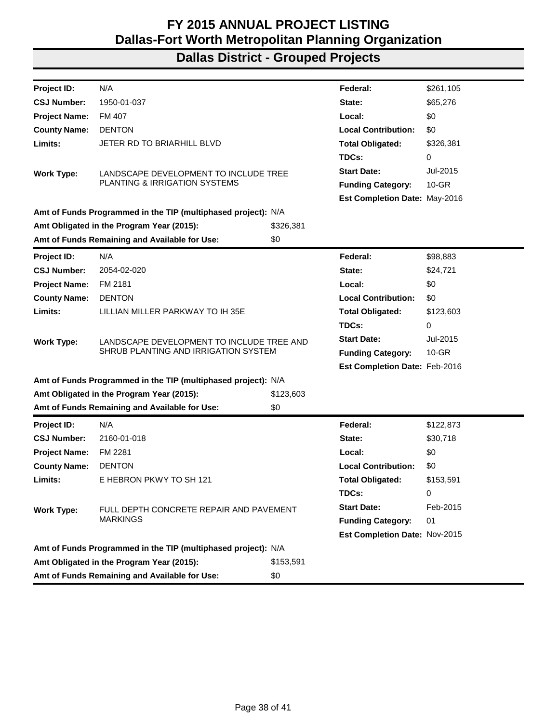| Project ID:          | N/A                                                           |           | Federal:                             | \$261,105 |
|----------------------|---------------------------------------------------------------|-----------|--------------------------------------|-----------|
| <b>CSJ Number:</b>   | 1950-01-037                                                   |           | State:                               | \$65,276  |
| <b>Project Name:</b> | FM 407                                                        |           | Local:                               | \$0       |
| <b>County Name:</b>  | <b>DENTON</b>                                                 |           | <b>Local Contribution:</b>           | \$0       |
| Limits:              | JETER RD TO BRIARHILL BLVD                                    |           | <b>Total Obligated:</b>              | \$326,381 |
|                      |                                                               |           | TDCs:                                | 0         |
| <b>Work Type:</b>    | LANDSCAPE DEVELOPMENT TO INCLUDE TREE                         |           | <b>Start Date:</b>                   | Jul-2015  |
|                      | PLANTING & IRRIGATION SYSTEMS                                 |           | <b>Funding Category:</b>             | $10 - GR$ |
|                      |                                                               |           | <b>Est Completion Date: May-2016</b> |           |
|                      | Amt of Funds Programmed in the TIP (multiphased project): N/A |           |                                      |           |
|                      | Amt Obligated in the Program Year (2015):                     | \$326,381 |                                      |           |
|                      | Amt of Funds Remaining and Available for Use:                 | \$0       |                                      |           |
| <b>Project ID:</b>   | N/A                                                           |           | Federal:                             | \$98,883  |
| <b>CSJ Number:</b>   | 2054-02-020                                                   |           | State:                               | \$24,721  |
| <b>Project Name:</b> | FM 2181                                                       |           | Local:                               | \$0       |
| <b>County Name:</b>  | <b>DENTON</b>                                                 |           | <b>Local Contribution:</b>           | \$0       |
| Limits:              | LILLIAN MILLER PARKWAY TO IH 35E                              |           | <b>Total Obligated:</b>              | \$123,603 |
|                      |                                                               |           | TDCs:                                | 0         |
| <b>Work Type:</b>    | LANDSCAPE DEVELOPMENT TO INCLUDE TREE AND                     |           | <b>Start Date:</b>                   | Jul-2015  |
|                      | SHRUB PLANTING AND IRRIGATION SYSTEM                          |           | <b>Funding Category:</b>             | $10-GR$   |
|                      |                                                               |           | Est Completion Date: Feb-2016        |           |
|                      | Amt of Funds Programmed in the TIP (multiphased project): N/A |           |                                      |           |
|                      | Amt Obligated in the Program Year (2015):                     | \$123,603 |                                      |           |
|                      | Amt of Funds Remaining and Available for Use:                 | \$0       |                                      |           |
| Project ID:          | N/A                                                           |           | Federal:                             | \$122,873 |
| <b>CSJ Number:</b>   | 2160-01-018                                                   |           | State:                               | \$30,718  |
| <b>Project Name:</b> | FM 2281                                                       |           | Local:                               | \$0       |
| <b>County Name:</b>  | <b>DENTON</b>                                                 |           | <b>Local Contribution:</b>           | \$0       |
| Limits:              | E HEBRON PKWY TO SH 121                                       |           | <b>Total Obligated:</b>              | \$153,591 |
|                      |                                                               |           | TDCs:                                | 0         |
| <b>Work Type:</b>    | FULL DEPTH CONCRETE REPAIR AND PAVEMENT                       |           | <b>Start Date:</b>                   | Feb-2015  |
|                      | <b>MARKINGS</b>                                               |           | <b>Funding Category:</b>             | 01        |
|                      |                                                               |           | Est Completion Date: Nov-2015        |           |
|                      | Amt of Funds Programmed in the TIP (multiphased project): N/A |           |                                      |           |
|                      | Amt Obligated in the Program Year (2015):                     | \$153,591 |                                      |           |
|                      | Amt of Funds Remaining and Available for Use:                 | \$0       |                                      |           |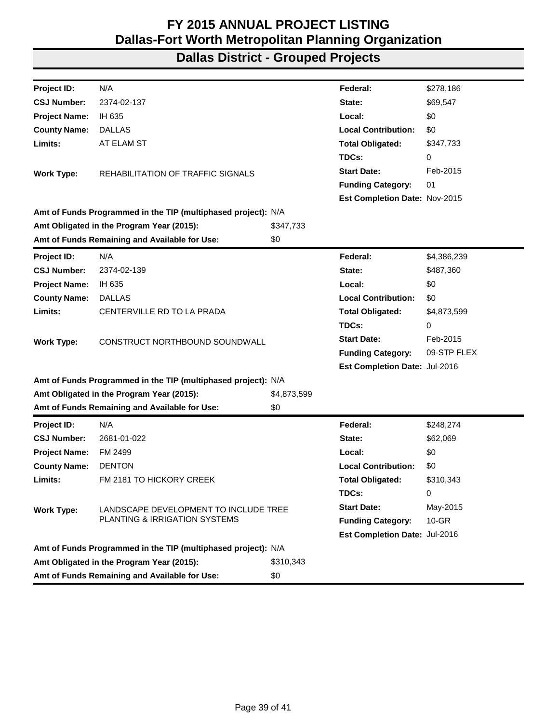| Project ID:          | N/A                                                           |             | Federal:                      | \$278,186   |
|----------------------|---------------------------------------------------------------|-------------|-------------------------------|-------------|
| <b>CSJ Number:</b>   | 2374-02-137                                                   |             | State:                        | \$69,547    |
| <b>Project Name:</b> | IH 635                                                        |             | Local:                        | \$0         |
| <b>County Name:</b>  | <b>DALLAS</b>                                                 |             | <b>Local Contribution:</b>    | \$0         |
| Limits:              | AT ELAM ST                                                    |             | <b>Total Obligated:</b>       | \$347,733   |
|                      |                                                               |             | TDCs:                         | 0           |
| <b>Work Type:</b>    | REHABILITATION OF TRAFFIC SIGNALS                             |             | <b>Start Date:</b>            | Feb-2015    |
|                      |                                                               |             | <b>Funding Category:</b>      | 01          |
|                      |                                                               |             | Est Completion Date: Nov-2015 |             |
|                      | Amt of Funds Programmed in the TIP (multiphased project): N/A |             |                               |             |
|                      | Amt Obligated in the Program Year (2015):                     | \$347,733   |                               |             |
|                      | Amt of Funds Remaining and Available for Use:                 | \$0         |                               |             |
| Project ID:          | N/A                                                           |             | Federal:                      | \$4,386,239 |
| <b>CSJ Number:</b>   | 2374-02-139                                                   |             | State:                        | \$487,360   |
| <b>Project Name:</b> | IH 635                                                        |             | Local:                        | \$0         |
| <b>County Name:</b>  | <b>DALLAS</b>                                                 |             | <b>Local Contribution:</b>    | \$0         |
| Limits:              | CENTERVILLE RD TO LA PRADA                                    |             | <b>Total Obligated:</b>       | \$4,873,599 |
|                      |                                                               |             | TDCs:                         | 0           |
| <b>Work Type:</b>    | CONSTRUCT NORTHBOUND SOUNDWALL                                |             | <b>Start Date:</b>            | Feb-2015    |
|                      |                                                               |             | <b>Funding Category:</b>      | 09-STP FLEX |
|                      |                                                               |             | Est Completion Date: Jul-2016 |             |
|                      | Amt of Funds Programmed in the TIP (multiphased project): N/A |             |                               |             |
|                      | Amt Obligated in the Program Year (2015):                     | \$4,873,599 |                               |             |
|                      | Amt of Funds Remaining and Available for Use:                 | \$0         |                               |             |
| Project ID:          | N/A                                                           |             | Federal:                      | \$248,274   |
| <b>CSJ Number:</b>   | 2681-01-022                                                   |             | State:                        | \$62,069    |
| <b>Project Name:</b> | FM 2499                                                       |             | Local:                        | \$0         |
| <b>County Name:</b>  | <b>DENTON</b>                                                 |             | <b>Local Contribution:</b>    | \$0         |
| Limits:              | FM 2181 TO HICKORY CREEK                                      |             | <b>Total Obligated:</b>       | \$310,343   |
|                      |                                                               |             | TDCs:                         | 0           |
| <b>Work Type:</b>    | LANDSCAPE DEVELOPMENT TO INCLUDE TREE                         |             | <b>Start Date:</b>            | May-2015    |
|                      | PLANTING & IRRIGATION SYSTEMS                                 |             | <b>Funding Category:</b>      | $10-GR$     |
|                      |                                                               |             | Est Completion Date: Jul-2016 |             |
|                      | Amt of Funds Programmed in the TIP (multiphased project): N/A |             |                               |             |
|                      | Amt Obligated in the Program Year (2015):                     | \$310,343   |                               |             |
|                      | Amt of Funds Remaining and Available for Use:                 | \$0         |                               |             |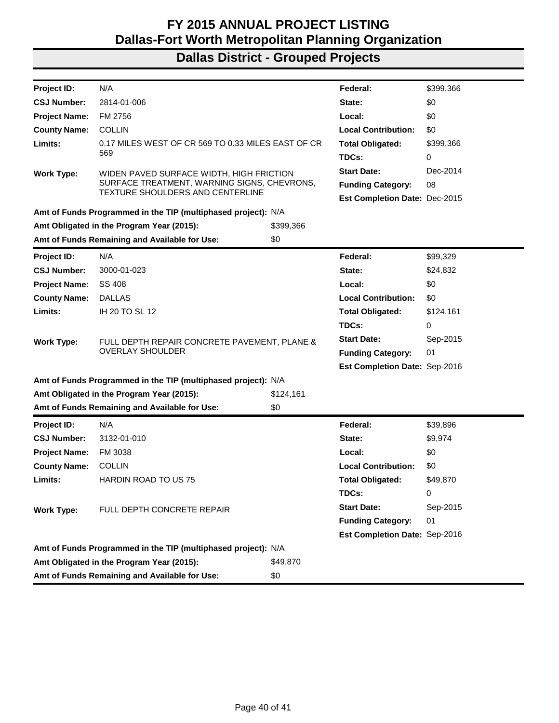| Project ID:          | N/A                                                           |           | Federal:                             | \$399,366 |
|----------------------|---------------------------------------------------------------|-----------|--------------------------------------|-----------|
| <b>CSJ Number:</b>   | 2814-01-006                                                   |           | State:                               | \$0       |
| <b>Project Name:</b> | FM 2756                                                       |           | Local:                               | \$0       |
| <b>County Name:</b>  | <b>COLLIN</b>                                                 |           | <b>Local Contribution:</b>           | \$0       |
| Limits:              | 0.17 MILES WEST OF CR 569 TO 0.33 MILES EAST OF CR            |           | <b>Total Obligated:</b>              | \$399,366 |
|                      | 569                                                           |           | TDCs:                                | 0         |
| <b>Work Type:</b>    | WIDEN PAVED SURFACE WIDTH, HIGH FRICTION                      |           | <b>Start Date:</b>                   | Dec-2014  |
|                      | SURFACE TREATMENT, WARNING SIGNS, CHEVRONS,                   |           | <b>Funding Category:</b>             | 08        |
|                      | <b>TEXTURE SHOULDERS AND CENTERLINE</b>                       |           | <b>Est Completion Date: Dec-2015</b> |           |
|                      | Amt of Funds Programmed in the TIP (multiphased project): N/A |           |                                      |           |
|                      | Amt Obligated in the Program Year (2015):                     | \$399,366 |                                      |           |
|                      | Amt of Funds Remaining and Available for Use:                 | \$0       |                                      |           |
| <b>Project ID:</b>   | N/A                                                           |           | Federal:                             | \$99,329  |
| <b>CSJ Number:</b>   | 3000-01-023                                                   |           | State:                               | \$24,832  |
| <b>Project Name:</b> | SS 408                                                        |           | Local:                               | \$0       |
| <b>County Name:</b>  | <b>DALLAS</b>                                                 |           | <b>Local Contribution:</b>           | \$0       |
| Limits:              | IH 20 TO SL 12                                                |           | <b>Total Obligated:</b>              | \$124,161 |
|                      |                                                               |           | TDCs:                                | 0         |
| <b>Work Type:</b>    | FULL DEPTH REPAIR CONCRETE PAVEMENT, PLANE &                  |           | <b>Start Date:</b>                   | Sep-2015  |
|                      | <b>OVERLAY SHOULDER</b>                                       |           | <b>Funding Category:</b>             | 01        |
|                      |                                                               |           | Est Completion Date: Sep-2016        |           |
|                      | Amt of Funds Programmed in the TIP (multiphased project): N/A |           |                                      |           |
|                      | Amt Obligated in the Program Year (2015):                     | \$124,161 |                                      |           |
|                      | Amt of Funds Remaining and Available for Use:                 | \$0       |                                      |           |
| <b>Project ID:</b>   | N/A                                                           |           | Federal:                             | \$39,896  |
| <b>CSJ Number:</b>   | 3132-01-010                                                   |           | State:                               | \$9,974   |
| <b>Project Name:</b> | FM 3038                                                       |           | Local:                               | \$0       |
| <b>County Name:</b>  | <b>COLLIN</b>                                                 |           | <b>Local Contribution:</b>           | \$0       |
| Limits:              | <b>HARDIN ROAD TO US 75</b>                                   |           | <b>Total Obligated:</b>              | \$49,870  |
|                      |                                                               |           | TDCs:                                | 0         |
| <b>Work Type:</b>    | FULL DEPTH CONCRETE REPAIR                                    |           | <b>Start Date:</b>                   | Sep-2015  |
|                      |                                                               |           | <b>Funding Category:</b>             | 01        |
|                      |                                                               |           | Est Completion Date: Sep-2016        |           |
|                      | Amt of Funds Programmed in the TIP (multiphased project): N/A |           |                                      |           |
|                      | Amt Obligated in the Program Year (2015):                     | \$49,870  |                                      |           |
|                      | Amt of Funds Remaining and Available for Use:                 | \$0       |                                      |           |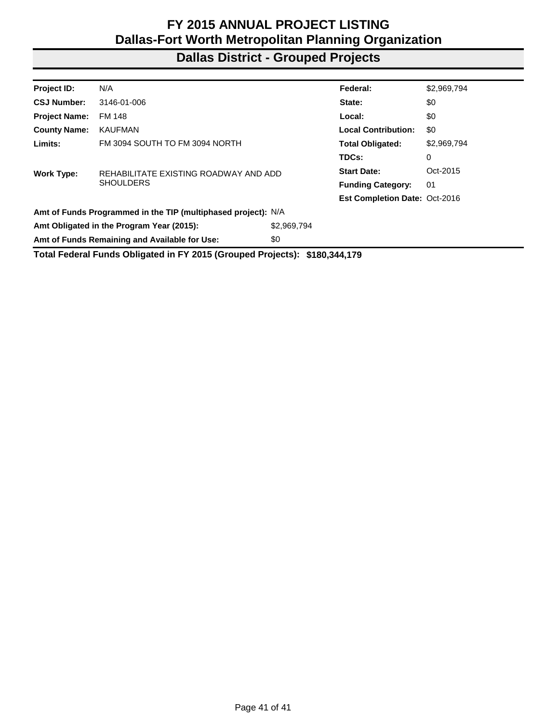| Project ID:          | N/A                                                                        |             | Federal:                             | \$2,969,794 |
|----------------------|----------------------------------------------------------------------------|-------------|--------------------------------------|-------------|
| <b>CSJ Number:</b>   | 3146-01-006                                                                |             | State:                               | \$0         |
| <b>Project Name:</b> | FM 148                                                                     |             | Local:                               | \$0         |
| <b>County Name:</b>  | <b>KAUFMAN</b>                                                             |             | <b>Local Contribution:</b>           | \$0         |
| Limits:              | FM 3094 SOUTH TO FM 3094 NORTH                                             |             | <b>Total Obligated:</b>              | \$2,969,794 |
|                      |                                                                            |             | TDCs:                                | 0           |
| Work Type:           | REHABILITATE EXISTING ROADWAY AND ADD                                      |             | <b>Start Date:</b>                   | Oct-2015    |
|                      | <b>SHOULDERS</b>                                                           |             | <b>Funding Category:</b>             | 01          |
|                      |                                                                            |             | <b>Est Completion Date: Oct-2016</b> |             |
|                      | Amt of Funds Programmed in the TIP (multiphased project): N/A              |             |                                      |             |
|                      | Amt Obligated in the Program Year (2015):                                  | \$2,969,794 |                                      |             |
|                      | Amt of Funds Remaining and Available for Use:                              | \$0         |                                      |             |
|                      | Total Federal Funds Obligated in FY 2015 (Grouped Projects): \$180,344,179 |             |                                      |             |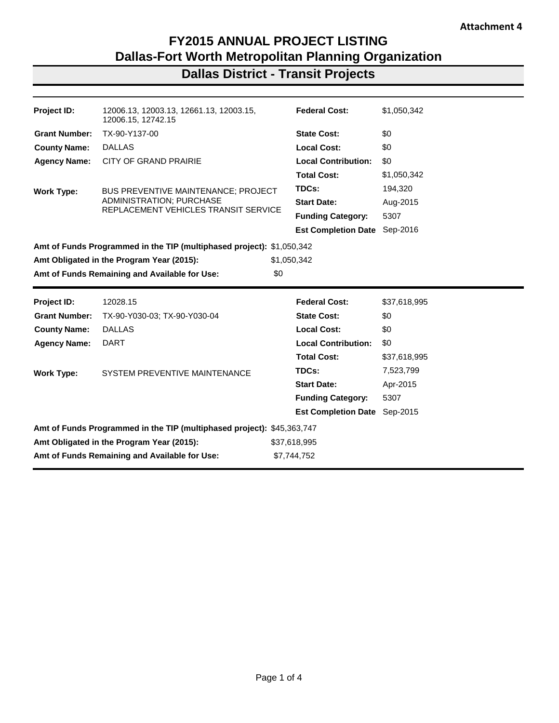### **Dallas District - Transit Projects**

| Project ID:          | 12006.13, 12003.13, 12661.13, 12003.15,<br>12006.15, 12742.15          | <b>Federal Cost:</b>       | \$1,050,342  |
|----------------------|------------------------------------------------------------------------|----------------------------|--------------|
| <b>Grant Number:</b> | TX-90-Y137-00                                                          | <b>State Cost:</b>         | \$0          |
| <b>County Name:</b>  | <b>DALLAS</b>                                                          | <b>Local Cost:</b>         | \$0          |
| <b>Agency Name:</b>  | CITY OF GRAND PRAIRIE                                                  | <b>Local Contribution:</b> | \$0          |
|                      |                                                                        | <b>Total Cost:</b>         | \$1,050,342  |
| <b>Work Type:</b>    | BUS PREVENTIVE MAINTENANCE; PROJECT                                    | TDCs:                      | 194,320      |
|                      | ADMINISTRATION; PURCHASE                                               | <b>Start Date:</b>         | Aug-2015     |
|                      | REPLACEMENT VEHICLES TRANSIT SERVICE                                   | <b>Funding Category:</b>   | 5307         |
|                      |                                                                        | <b>Est Completion Date</b> | Sep-2016     |
|                      | Amt of Funds Programmed in the TIP (multiphased project): \$1,050,342  |                            |              |
|                      | Amt Obligated in the Program Year (2015):                              | \$1,050,342                |              |
|                      |                                                                        |                            |              |
|                      | Amt of Funds Remaining and Available for Use:                          | \$0                        |              |
|                      |                                                                        |                            |              |
| <b>Project ID:</b>   | 12028.15                                                               | <b>Federal Cost:</b>       | \$37,618,995 |
| <b>Grant Number:</b> | TX-90-Y030-03; TX-90-Y030-04                                           | <b>State Cost:</b>         | \$0          |
| <b>County Name:</b>  | <b>DALLAS</b>                                                          | <b>Local Cost:</b>         | \$0          |
| <b>Agency Name:</b>  | <b>DART</b>                                                            | <b>Local Contribution:</b> | \$0          |
|                      |                                                                        | <b>Total Cost:</b>         | \$37,618,995 |
|                      | SYSTEM PREVENTIVE MAINTENANCE                                          | TDCs:                      | 7,523,799    |
| <b>Work Type:</b>    |                                                                        | <b>Start Date:</b>         | Apr-2015     |
|                      |                                                                        | <b>Funding Category:</b>   | 5307         |
|                      |                                                                        | <b>Est Completion Date</b> | Sep-2015     |
|                      | Amt of Funds Programmed in the TIP (multiphased project): \$45,363,747 |                            |              |

**Amt of Funds Remaining and Available for Use:** \$7,744,752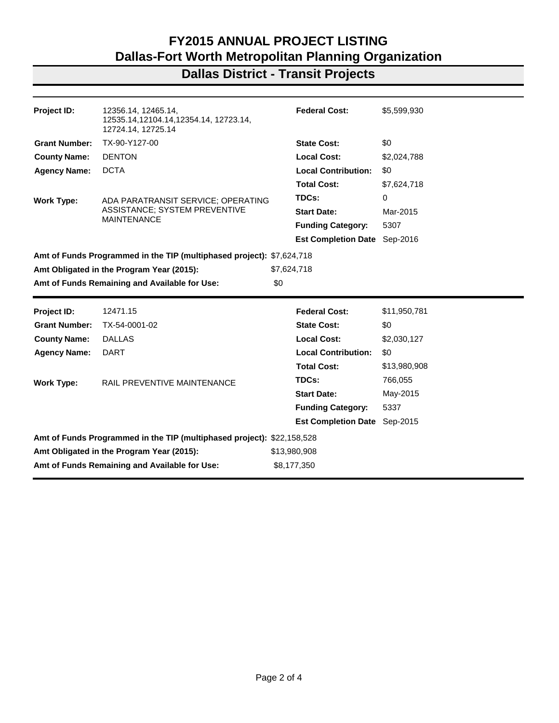### **Dallas District - Transit Projects**

| Project ID:          | 12356.14, 12465.14,<br>12535.14,12104.14,12354.14, 12723.14,<br>12724.14, 12725.14 | <b>Federal Cost:</b>       | \$5,599,930  |
|----------------------|------------------------------------------------------------------------------------|----------------------------|--------------|
| <b>Grant Number:</b> | TX-90-Y127-00                                                                      | <b>State Cost:</b>         | \$0          |
| <b>County Name:</b>  | <b>DENTON</b>                                                                      | <b>Local Cost:</b>         | \$2,024,788  |
| <b>Agency Name:</b>  | <b>DCTA</b>                                                                        | <b>Local Contribution:</b> | \$0          |
|                      |                                                                                    | <b>Total Cost:</b>         | \$7,624,718  |
| <b>Work Type:</b>    | ADA PARATRANSIT SERVICE; OPERATING                                                 | TDCs:                      | 0            |
|                      | <b>ASSISTANCE: SYSTEM PREVENTIVE</b>                                               | <b>Start Date:</b>         | Mar-2015     |
|                      | <b>MAINTENANCE</b>                                                                 | <b>Funding Category:</b>   | 5307         |
|                      |                                                                                    | <b>Est Completion Date</b> | Sep-2016     |
|                      | Amt of Funds Programmed in the TIP (multiphased project): \$7,624,718              |                            |              |
|                      | Amt Obligated in the Program Year (2015):                                          | \$7,624,718                |              |
|                      | Amt of Funds Remaining and Available for Use:                                      | \$0                        |              |
|                      |                                                                                    |                            |              |
|                      |                                                                                    |                            |              |
| Project ID:          | 12471.15                                                                           | <b>Federal Cost:</b>       | \$11,950,781 |
| <b>Grant Number:</b> | TX-54-0001-02                                                                      | <b>State Cost:</b>         | \$0          |
| <b>County Name:</b>  | <b>DALLAS</b>                                                                      | <b>Local Cost:</b>         | \$2,030,127  |
| <b>Agency Name:</b>  | <b>DART</b>                                                                        | <b>Local Contribution:</b> | \$0          |
|                      |                                                                                    | <b>Total Cost:</b>         | \$13,980,908 |
| <b>Work Type:</b>    | RAIL PREVENTIVE MAINTENANCE                                                        | TDCs:                      | 766,055      |
|                      |                                                                                    | <b>Start Date:</b>         | May-2015     |
|                      |                                                                                    | <b>Funding Category:</b>   | 5337         |
|                      |                                                                                    | <b>Est Completion Date</b> | Sep-2015     |
|                      | Amt of Funds Programmed in the TIP (multiphased project): \$22,158,528             |                            |              |
|                      | Amt Obligated in the Program Year (2015):                                          | \$13,980,908               |              |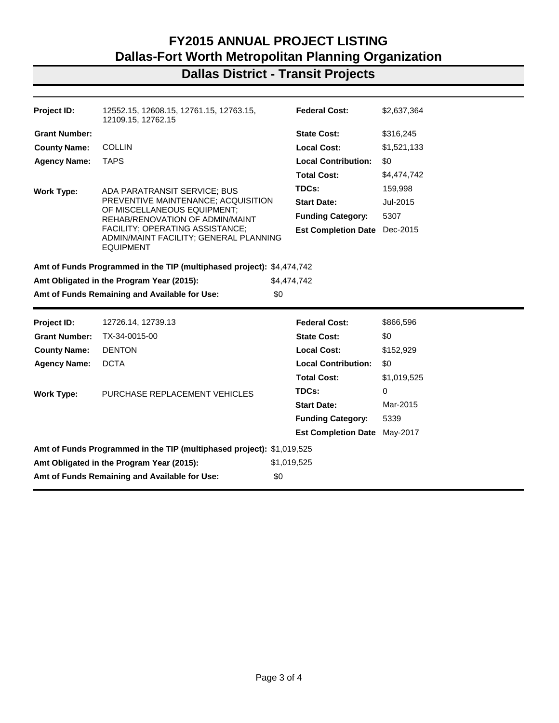### **Dallas District - Transit Projects**

| Project ID:          | 12552.15, 12608.15, 12761.15, 12763.15,<br>12109.15, 12762.15                                                      | <b>Federal Cost:</b>       | \$2,637,364 |
|----------------------|--------------------------------------------------------------------------------------------------------------------|----------------------------|-------------|
| <b>Grant Number:</b> |                                                                                                                    | <b>State Cost:</b>         | \$316,245   |
| <b>County Name:</b>  | <b>COLLIN</b>                                                                                                      | <b>Local Cost:</b>         | \$1,521,133 |
| <b>Agency Name:</b>  | <b>TAPS</b>                                                                                                        | <b>Local Contribution:</b> | \$0         |
|                      |                                                                                                                    | <b>Total Cost:</b>         | \$4,474,742 |
| <b>Work Type:</b>    | ADA PARATRANSIT SERVICE; BUS                                                                                       | TDCs:                      | 159,998     |
|                      | PREVENTIVE MAINTENANCE; ACQUISITION                                                                                | <b>Start Date:</b>         | Jul-2015    |
|                      | OF MISCELLANEOUS EQUIPMENT;<br>REHAB/RENOVATION OF ADMIN/MAINT                                                     | <b>Funding Category:</b>   | 5307        |
|                      | FACILITY; OPERATING ASSISTANCE;<br>ADMIN/MAINT FACILITY; GENERAL PLANNING<br><b>EQUIPMENT</b>                      | <b>Est Completion Date</b> | Dec-2015    |
|                      | Amt of Funds Programmed in the TIP (multiphased project): \$4,474,742<br>Amt Obligated in the Program Year (2015): | \$4,474,742                |             |
|                      | Amt of Funds Remaining and Available for Use:                                                                      | \$0                        |             |
| Project ID:          | 12726.14, 12739.13                                                                                                 | <b>Federal Cost:</b>       | \$866,596   |
| <b>Grant Number:</b> |                                                                                                                    |                            |             |
|                      | TX-34-0015-00                                                                                                      | <b>State Cost:</b>         | \$0         |
| <b>County Name:</b>  | <b>DENTON</b>                                                                                                      | <b>Local Cost:</b>         | \$152,929   |
| <b>Agency Name:</b>  | <b>DCTA</b>                                                                                                        | <b>Local Contribution:</b> | \$0         |
|                      |                                                                                                                    | <b>Total Cost:</b>         | \$1,019,525 |
| Work Type:           | PURCHASE REPLACEMENT VEHICLES                                                                                      | TDCs:                      | 0           |
|                      |                                                                                                                    | <b>Start Date:</b>         | Mar-2015    |
|                      |                                                                                                                    | <b>Funding Category:</b>   | 5339        |
|                      |                                                                                                                    | <b>Est Completion Date</b> | May-2017    |
|                      | Amt of Funds Programmed in the TIP (multiphased project): \$1,019,525                                              |                            |             |
|                      | Amt Obligated in the Program Year (2015):                                                                          | \$1,019,525                |             |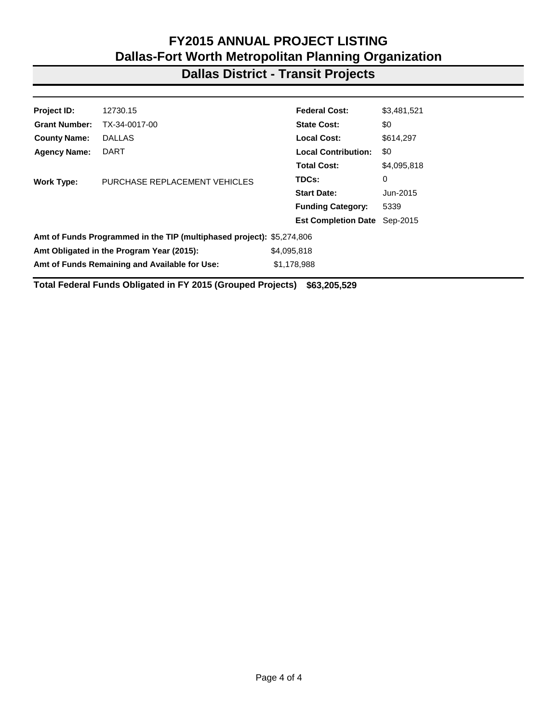### **Dallas District - Transit Projects**

| <b>Project ID:</b>                        | 12730.15                                                              | <b>Federal Cost:</b>       | \$3,481,521 |  |
|-------------------------------------------|-----------------------------------------------------------------------|----------------------------|-------------|--|
| <b>Grant Number:</b>                      | TX-34-0017-00                                                         | <b>State Cost:</b>         | \$0         |  |
| <b>County Name:</b>                       | <b>DALLAS</b>                                                         | <b>Local Cost:</b>         | \$614,297   |  |
| <b>Agency Name:</b>                       | <b>DART</b>                                                           | <b>Local Contribution:</b> | \$0         |  |
|                                           |                                                                       | <b>Total Cost:</b>         | \$4,095,818 |  |
| <b>Work Type:</b>                         | PURCHASE REPLACEMENT VEHICLES                                         | TDCs:                      | 0           |  |
|                                           |                                                                       | <b>Start Date:</b>         | Jun-2015    |  |
|                                           |                                                                       | <b>Funding Category:</b>   | 5339        |  |
|                                           |                                                                       | <b>Est Completion Date</b> | Sep-2015    |  |
|                                           | Amt of Funds Programmed in the TIP (multiphased project): \$5,274,806 |                            |             |  |
| Amt Obligated in the Program Year (2015): |                                                                       | \$4,095,818                |             |  |
|                                           | Amt of Funds Remaining and Available for Use:                         | \$1,178,988                |             |  |
|                                           |                                                                       |                            |             |  |

**Total Federal Funds Obligated in FY 2015 (Grouped Projects) \$63,205,529**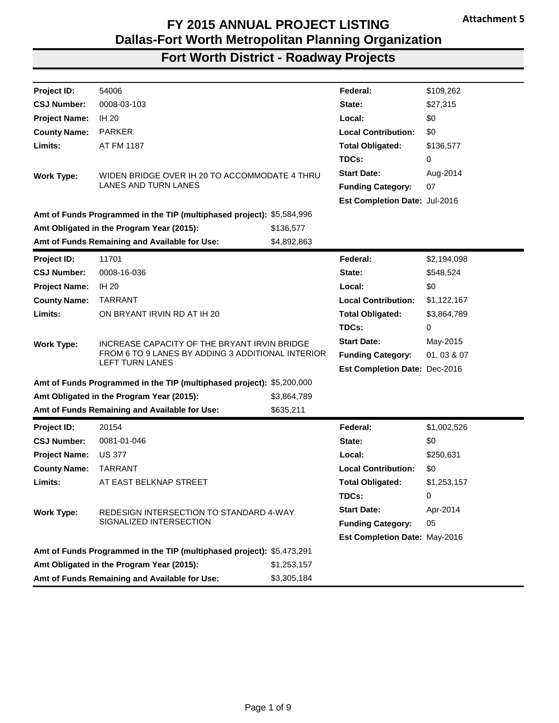| Project ID:          | 54006                                                                 |             | Federal:                      | \$109,262   |
|----------------------|-----------------------------------------------------------------------|-------------|-------------------------------|-------------|
| <b>CSJ Number:</b>   | 0008-03-103                                                           |             | State:                        | \$27,315    |
| <b>Project Name:</b> | <b>IH 20</b>                                                          |             | Local:                        | \$0         |
| <b>County Name:</b>  | <b>PARKER</b>                                                         |             | <b>Local Contribution:</b>    | \$0         |
| Limits:              | AT FM 1187                                                            |             | <b>Total Obligated:</b>       | \$136,577   |
|                      |                                                                       |             | TDCs:                         | 0           |
| <b>Work Type:</b>    | WIDEN BRIDGE OVER IH 20 TO ACCOMMODATE 4 THRU                         |             | <b>Start Date:</b>            | Aug-2014    |
|                      | <b>LANES AND TURN LANES</b>                                           |             | <b>Funding Category:</b>      | 07          |
|                      |                                                                       |             | Est Completion Date: Jul-2016 |             |
|                      | Amt of Funds Programmed in the TIP (multiphased project): \$5,584,996 |             |                               |             |
|                      | Amt Obligated in the Program Year (2015):                             | \$136,577   |                               |             |
|                      | Amt of Funds Remaining and Available for Use:                         | \$4,892,863 |                               |             |
| Project ID:          | 11701                                                                 |             | Federal:                      | \$2,194,098 |
| <b>CSJ Number:</b>   | 0008-16-036                                                           |             | State:                        | \$548,524   |
| <b>Project Name:</b> | <b>IH 20</b>                                                          |             | Local:                        | \$0         |
| <b>County Name:</b>  | <b>TARRANT</b>                                                        |             | <b>Local Contribution:</b>    | \$1,122,167 |
| Limits:              | ON BRYANT IRVIN RD AT IH 20                                           |             | <b>Total Obligated:</b>       | \$3,864,789 |
|                      |                                                                       |             | TDCs:                         | 0           |
| <b>Work Type:</b>    | INCREASE CAPACITY OF THE BRYANT IRVIN BRIDGE                          |             | <b>Start Date:</b>            | May-2015    |
|                      | FROM 6 TO 9 LANES BY ADDING 3 ADDITIONAL INTERIOR<br>LEFT TURN LANES  |             | <b>Funding Category:</b>      | 01, 03 & 07 |
|                      |                                                                       |             | Est Completion Date: Dec-2016 |             |
|                      | Amt of Funds Programmed in the TIP (multiphased project): \$5,200,000 |             |                               |             |
|                      | Amt Obligated in the Program Year (2015):                             | \$3,864,789 |                               |             |
|                      | Amt of Funds Remaining and Available for Use:                         | \$635,211   |                               |             |
| Project ID:          | 20154                                                                 |             | Federal:                      | \$1,002,526 |
| <b>CSJ Number:</b>   | 0081-01-046                                                           |             | State:                        | \$0         |
| <b>Project Name:</b> | <b>US 377</b>                                                         |             | Local:                        | \$250,631   |
| <b>County Name:</b>  | <b>TARRANT</b>                                                        |             | <b>Local Contribution:</b>    | \$0         |
| Limits:              | AT EAST BELKNAP STREET                                                |             | <b>Total Obligated:</b>       | \$1,253,157 |
|                      |                                                                       |             | TDCs:                         | 0           |
| <b>Work Type:</b>    | REDESIGN INTERSECTION TO STANDARD 4-WAY                               |             | <b>Start Date:</b>            | Apr-2014    |
|                      | SIGNALIZED INTERSECTION                                               |             | <b>Funding Category:</b>      | 05          |
|                      |                                                                       |             | Est Completion Date: May-2016 |             |
|                      | Amt of Funds Programmed in the TIP (multiphased project): \$5,473,291 |             |                               |             |
|                      | Amt Obligated in the Program Year (2015):                             | \$1,253,157 |                               |             |
|                      | Amt of Funds Remaining and Available for Use:                         | \$3,305,184 |                               |             |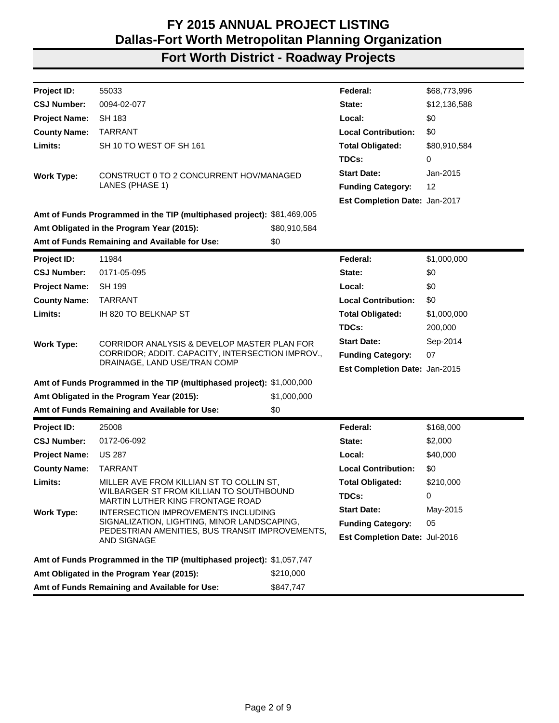| Project ID:                                                    | 55033                                                                            |              | Federal:                      | \$68,773,996 |
|----------------------------------------------------------------|----------------------------------------------------------------------------------|--------------|-------------------------------|--------------|
| <b>CSJ Number:</b>                                             | 0094-02-077                                                                      |              | State:                        | \$12,136,588 |
| <b>Project Name:</b>                                           | <b>SH 183</b>                                                                    |              | Local:                        | \$0          |
| <b>County Name:</b>                                            | <b>TARRANT</b>                                                                   |              | <b>Local Contribution:</b>    | \$0          |
| Limits:                                                        | SH 10 TO WEST OF SH 161                                                          |              | <b>Total Obligated:</b>       | \$80,910,584 |
|                                                                |                                                                                  |              | TDCs:                         | 0            |
|                                                                | CONSTRUCT 0 TO 2 CONCURRENT HOV/MANAGED                                          |              | <b>Start Date:</b>            | Jan-2015     |
| <b>Work Type:</b>                                              | LANES (PHASE 1)                                                                  |              | <b>Funding Category:</b>      | 12           |
|                                                                |                                                                                  |              | Est Completion Date: Jan-2017 |              |
|                                                                | Amt of Funds Programmed in the TIP (multiphased project): \$81,469,005           |              |                               |              |
|                                                                | Amt Obligated in the Program Year (2015):                                        | \$80,910,584 |                               |              |
|                                                                | Amt of Funds Remaining and Available for Use:                                    | \$0          |                               |              |
|                                                                |                                                                                  |              |                               |              |
| Project ID:                                                    | 11984                                                                            |              | Federal:                      | \$1,000,000  |
| <b>CSJ Number:</b>                                             | 0171-05-095                                                                      |              | State:                        | \$0          |
| <b>Project Name:</b>                                           | <b>SH 199</b>                                                                    |              | Local:                        | \$0          |
| <b>County Name:</b>                                            | <b>TARRANT</b>                                                                   |              | <b>Local Contribution:</b>    | \$0          |
| Limits:                                                        | IH 820 TO BELKNAP ST                                                             |              | <b>Total Obligated:</b>       | \$1,000,000  |
|                                                                |                                                                                  |              | TDCs:                         | 200,000      |
| <b>Work Type:</b>                                              | CORRIDOR ANALYSIS & DEVELOP MASTER PLAN FOR                                      |              | <b>Start Date:</b>            | Sep-2014     |
|                                                                | CORRIDOR; ADDIT. CAPACITY, INTERSECTION IMPROV.,<br>DRAINAGE, LAND USE/TRAN COMP |              | <b>Funding Category:</b>      | 07           |
|                                                                |                                                                                  |              | Est Completion Date: Jan-2015 |              |
|                                                                | Amt of Funds Programmed in the TIP (multiphased project): \$1,000,000            |              |                               |              |
|                                                                | Amt Obligated in the Program Year (2015):                                        | \$1,000,000  |                               |              |
|                                                                | Amt of Funds Remaining and Available for Use:                                    | \$0          |                               |              |
| Project ID:                                                    | 25008                                                                            |              | Federal:                      | \$168,000    |
| <b>CSJ Number:</b>                                             | 0172-06-092                                                                      |              | State:                        | \$2,000      |
| <b>Project Name:</b>                                           | <b>US 287</b>                                                                    |              | Local:                        | \$40,000     |
| <b>County Name:</b>                                            | <b>TARRANT</b>                                                                   |              | <b>Local Contribution:</b>    | \$0          |
| Limits:                                                        | MILLER AVE FROM KILLIAN ST TO COLLIN ST,                                         |              | <b>Total Obligated:</b>       | \$210,000    |
|                                                                | WILBARGER ST FROM KILLIAN TO SOUTHBOUND<br>MARTIN LUTHER KING FRONTAGE ROAD      |              | TDCs:                         | 0            |
| <b>Work Type:</b>                                              | INTERSECTION IMPROVEMENTS INCLUDING                                              |              | <b>Start Date:</b>            | May-2015     |
|                                                                | SIGNALIZATION, LIGHTING, MINOR LANDSCAPING,                                      |              | <b>Funding Category:</b>      | 05           |
| PEDESTRIAN AMENITIES, BUS TRANSIT IMPROVEMENTS,<br>AND SIGNAGE |                                                                                  |              | Est Completion Date: Jul-2016 |              |
|                                                                | Amt of Funds Programmed in the TIP (multiphased project): \$1,057,747            |              |                               |              |
|                                                                | Amt Obligated in the Program Year (2015):                                        | \$210,000    |                               |              |
|                                                                | Amt of Funds Remaining and Available for Use:                                    |              |                               |              |
|                                                                |                                                                                  | \$847,747    |                               |              |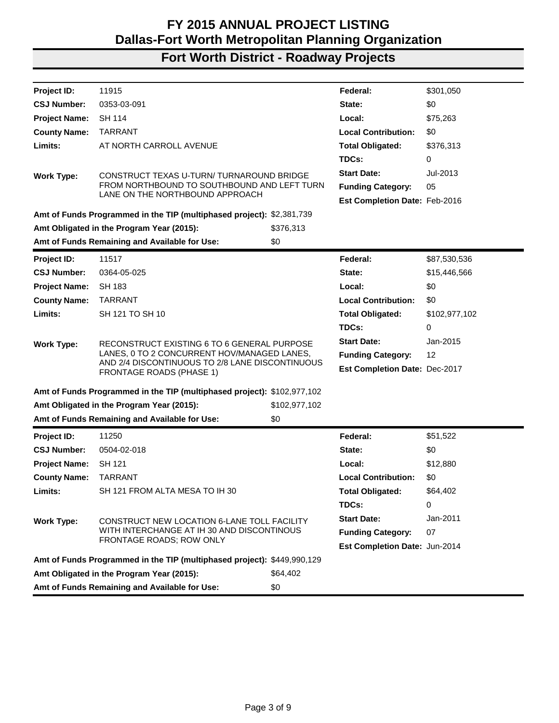| Project ID:          | 11915                                                                              |               | Federal:                             | \$301,050     |
|----------------------|------------------------------------------------------------------------------------|---------------|--------------------------------------|---------------|
| <b>CSJ Number:</b>   | 0353-03-091                                                                        |               | State:                               | \$0           |
| <b>Project Name:</b> | SH 114                                                                             |               | Local:                               | \$75,263      |
| <b>County Name:</b>  | <b>TARRANT</b>                                                                     |               | <b>Local Contribution:</b>           | \$0           |
| Limits:              | AT NORTH CARROLL AVENUE                                                            |               | <b>Total Obligated:</b>              | \$376,313     |
|                      |                                                                                    |               | TDCs:                                | 0             |
| <b>Work Type:</b>    | CONSTRUCT TEXAS U-TURN/ TURNAROUND BRIDGE                                          |               | <b>Start Date:</b>                   | Jul-2013      |
|                      | FROM NORTHBOUND TO SOUTHBOUND AND LEFT TURN                                        |               | <b>Funding Category:</b>             | 05            |
|                      | LANE ON THE NORTHBOUND APPROACH                                                    |               | Est Completion Date: Feb-2016        |               |
|                      | Amt of Funds Programmed in the TIP (multiphased project): \$2,381,739              |               |                                      |               |
|                      | Amt Obligated in the Program Year (2015):                                          | \$376,313     |                                      |               |
|                      | Amt of Funds Remaining and Available for Use:                                      | \$0           |                                      |               |
| Project ID:          | 11517                                                                              |               | Federal:                             | \$87,530,536  |
| <b>CSJ Number:</b>   | 0364-05-025                                                                        |               | State:                               | \$15,446,566  |
| <b>Project Name:</b> | <b>SH 183</b>                                                                      |               | Local:                               | \$0           |
| <b>County Name:</b>  | <b>TARRANT</b>                                                                     |               | <b>Local Contribution:</b>           | \$0           |
| Limits:              | SH 121 TO SH 10                                                                    |               | <b>Total Obligated:</b>              | \$102,977,102 |
|                      |                                                                                    |               | TDCs:                                | 0             |
| <b>Work Type:</b>    | RECONSTRUCT EXISTING 6 TO 6 GENERAL PURPOSE                                        |               | <b>Start Date:</b>                   | Jan-2015      |
|                      | LANES, 0 TO 2 CONCURRENT HOV/MANAGED LANES,                                        |               | <b>Funding Category:</b>             | 12            |
|                      | AND 2/4 DISCONTINUOUS TO 2/8 LANE DISCONTINUOUS<br><b>FRONTAGE ROADS (PHASE 1)</b> |               | <b>Est Completion Date: Dec-2017</b> |               |
|                      | Amt of Funds Programmed in the TIP (multiphased project): \$102,977,102            |               |                                      |               |
|                      | Amt Obligated in the Program Year (2015):                                          | \$102,977,102 |                                      |               |
|                      | Amt of Funds Remaining and Available for Use:                                      | \$0           |                                      |               |
| <b>Project ID:</b>   | 11250                                                                              |               | Federal:                             | \$51,522      |
| <b>CSJ Number:</b>   | 0504-02-018                                                                        |               | State:                               | \$0           |
| <b>Project Name:</b> | SH 121                                                                             |               | Local:                               | \$12,880      |
| <b>County Name:</b>  | <b>TARRANT</b>                                                                     |               | <b>Local Contribution:</b>           | \$0           |
| Limits:              | SH 121 FROM ALTA MESA TO IH 30                                                     |               | <b>Total Obligated:</b>              | \$64,402      |
|                      |                                                                                    |               | TDCs:                                | 0             |
| <b>Work Type:</b>    | CONSTRUCT NEW LOCATION 6-LANE TOLL FACILITY                                        |               | <b>Start Date:</b>                   | Jan-2011      |
|                      | WITH INTERCHANGE AT IH 30 AND DISCONTINOUS                                         |               | <b>Funding Category:</b>             | 07            |
|                      | FRONTAGE ROADS; ROW ONLY                                                           |               | Est Completion Date: Jun-2014        |               |
|                      | Amt of Funds Programmed in the TIP (multiphased project): \$449,990,129            |               |                                      |               |
|                      | Amt Obligated in the Program Year (2015):                                          | \$64,402      |                                      |               |
|                      | Amt of Funds Remaining and Available for Use:                                      | \$0           |                                      |               |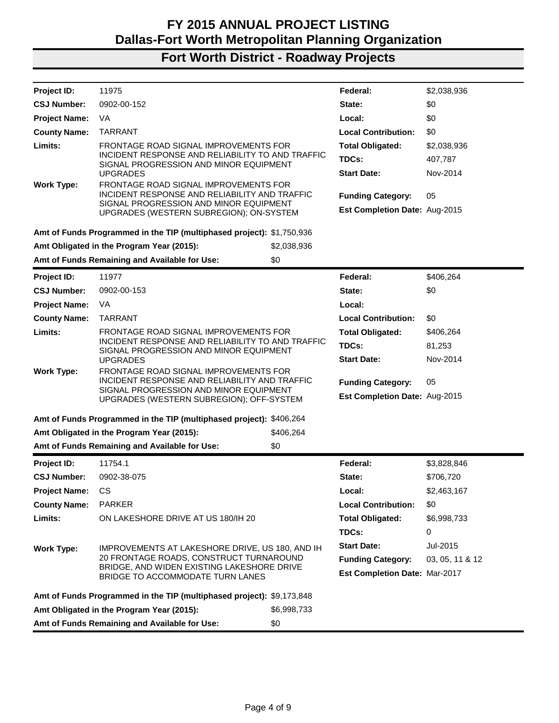| Project ID:          | 11975                                                                                                                                                                                                   |             | Federal:                             | \$2,038,936     |
|----------------------|---------------------------------------------------------------------------------------------------------------------------------------------------------------------------------------------------------|-------------|--------------------------------------|-----------------|
| <b>CSJ Number:</b>   | 0902-00-152                                                                                                                                                                                             |             | State:                               | \$0             |
| <b>Project Name:</b> | VA                                                                                                                                                                                                      |             | Local:                               | \$0             |
| <b>County Name:</b>  | <b>TARRANT</b>                                                                                                                                                                                          |             | <b>Local Contribution:</b>           | \$0             |
| Limits:              | FRONTAGE ROAD SIGNAL IMPROVEMENTS FOR                                                                                                                                                                   |             | <b>Total Obligated:</b>              | \$2,038,936     |
|                      | INCIDENT RESPONSE AND RELIABILITY TO AND TRAFFIC<br>SIGNAL PROGRESSION AND MINOR EQUIPMENT                                                                                                              |             | TDCs:                                | 407,787         |
|                      | <b>UPGRADES</b>                                                                                                                                                                                         |             | <b>Start Date:</b>                   | Nov-2014        |
| <b>Work Type:</b>    | FRONTAGE ROAD SIGNAL IMPROVEMENTS FOR<br>INCIDENT RESPONSE AND RELIABILITY AND TRAFFIC                                                                                                                  |             |                                      |                 |
|                      | SIGNAL PROGRESSION AND MINOR EQUIPMENT                                                                                                                                                                  |             | <b>Funding Category:</b>             | 05              |
|                      | UPGRADES (WESTERN SUBREGION); ON-SYSTEM                                                                                                                                                                 |             | Est Completion Date: Aug-2015        |                 |
|                      | Amt of Funds Programmed in the TIP (multiphased project): \$1,750,936                                                                                                                                   |             |                                      |                 |
|                      | Amt Obligated in the Program Year (2015):                                                                                                                                                               | \$2,038,936 |                                      |                 |
|                      | Amt of Funds Remaining and Available for Use:                                                                                                                                                           | \$0         |                                      |                 |
| Project ID:          | 11977                                                                                                                                                                                                   |             | Federal:                             | \$406,264       |
| <b>CSJ Number:</b>   | 0902-00-153                                                                                                                                                                                             |             | State:                               | \$0             |
| <b>Project Name:</b> | VA.                                                                                                                                                                                                     |             | Local:                               |                 |
| <b>County Name:</b>  | <b>TARRANT</b>                                                                                                                                                                                          |             | <b>Local Contribution:</b>           | \$0             |
| Limits:              | FRONTAGE ROAD SIGNAL IMPROVEMENTS FOR                                                                                                                                                                   |             | <b>Total Obligated:</b>              | \$406,264       |
|                      | INCIDENT RESPONSE AND RELIABILITY TO AND TRAFFIC<br>SIGNAL PROGRESSION AND MINOR EQUIPMENT<br><b>UPGRADES</b><br>FRONTAGE ROAD SIGNAL IMPROVEMENTS FOR<br>INCIDENT RESPONSE AND RELIABILITY AND TRAFFIC |             | TDCs:                                | 81,253          |
|                      |                                                                                                                                                                                                         |             | <b>Start Date:</b>                   | Nov-2014        |
| <b>Work Type:</b>    |                                                                                                                                                                                                         |             |                                      |                 |
|                      | SIGNAL PROGRESSION AND MINOR EQUIPMENT                                                                                                                                                                  |             | <b>Funding Category:</b>             | 05              |
|                      | UPGRADES (WESTERN SUBREGION); OFF-SYSTEM                                                                                                                                                                |             | Est Completion Date: Aug-2015        |                 |
|                      | Amt of Funds Programmed in the TIP (multiphased project): \$406,264                                                                                                                                     |             |                                      |                 |
|                      | Amt Obligated in the Program Year (2015):                                                                                                                                                               | \$406,264   |                                      |                 |
|                      | Amt of Funds Remaining and Available for Use:                                                                                                                                                           | \$0         |                                      |                 |
| Project ID:          | 11754.1                                                                                                                                                                                                 |             | Federal:                             | \$3,828,846     |
| <b>CSJ Number:</b>   | 0902-38-075                                                                                                                                                                                             |             | State:                               | \$706,720       |
| <b>Project Name:</b> | CS                                                                                                                                                                                                      |             | Local:                               | \$2,463,167     |
| <b>County Name:</b>  | <b>PARKER</b>                                                                                                                                                                                           |             | <b>Local Contribution:</b>           | \$0             |
| Limits:              | ON LAKESHORE DRIVE AT US 180/IH 20                                                                                                                                                                      |             | <b>Total Obligated:</b>              | \$6,998,733     |
|                      |                                                                                                                                                                                                         |             | TDCs:                                | 0               |
| <b>Work Type:</b>    | IMPROVEMENTS AT LAKESHORE DRIVE, US 180, AND IH                                                                                                                                                         |             | <b>Start Date:</b>                   | Jul-2015        |
|                      | 20 FRONTAGE ROADS, CONSTRUCT TURNAROUND                                                                                                                                                                 |             | <b>Funding Category:</b>             | 03, 05, 11 & 12 |
|                      | BRIDGE, AND WIDEN EXISTING LAKESHORE DRIVE<br>BRIDGE TO ACCOMMODATE TURN LANES                                                                                                                          |             | <b>Est Completion Date: Mar-2017</b> |                 |
|                      | Amt of Funds Programmed in the TIP (multiphased project): \$9,173,848                                                                                                                                   |             |                                      |                 |
|                      | Amt Obligated in the Program Year (2015):                                                                                                                                                               | \$6,998,733 |                                      |                 |
|                      | Amt of Funds Remaining and Available for Use:                                                                                                                                                           | \$0         |                                      |                 |
|                      |                                                                                                                                                                                                         |             |                                      |                 |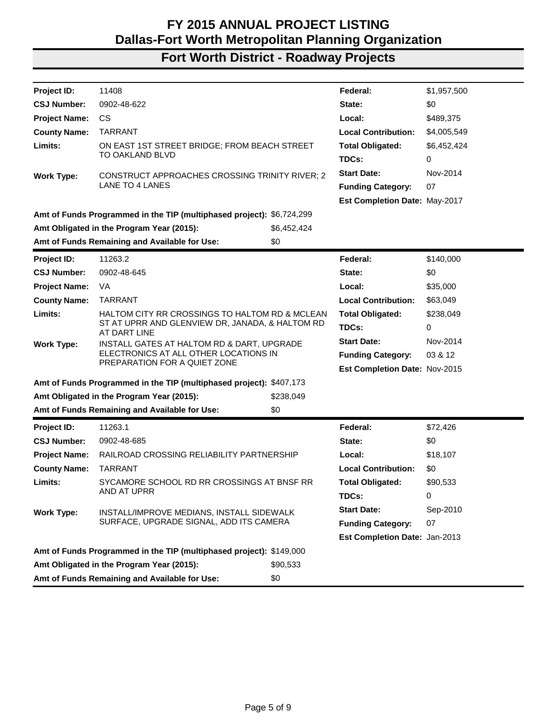| <b>Project ID:</b>   | 11408                                                                                                             |             | Federal:                      | \$1,957,500 |
|----------------------|-------------------------------------------------------------------------------------------------------------------|-------------|-------------------------------|-------------|
| <b>CSJ Number:</b>   | 0902-48-622                                                                                                       |             | State:                        | \$0         |
| <b>Project Name:</b> | CS.                                                                                                               |             | Local:                        | \$489,375   |
| <b>County Name:</b>  | <b>TARRANT</b>                                                                                                    |             | <b>Local Contribution:</b>    | \$4,005,549 |
| Limits:              | ON EAST 1ST STREET BRIDGE; FROM BEACH STREET                                                                      |             | <b>Total Obligated:</b>       | \$6,452,424 |
|                      | TO OAKLAND BLVD                                                                                                   |             | TDCs:                         | 0           |
| <b>Work Type:</b>    | <b>CONSTRUCT APPROACHES CROSSING TRINITY RIVER; 2</b>                                                             |             | <b>Start Date:</b>            | Nov-2014    |
|                      | <b>LANE TO 4 LANES</b>                                                                                            |             | <b>Funding Category:</b>      | 07          |
|                      |                                                                                                                   |             | Est Completion Date: May-2017 |             |
|                      | Amt of Funds Programmed in the TIP (multiphased project): \$6,724,299                                             |             |                               |             |
|                      | Amt Obligated in the Program Year (2015):                                                                         | \$6,452,424 |                               |             |
|                      | Amt of Funds Remaining and Available for Use:                                                                     | \$0         |                               |             |
| <b>Project ID:</b>   | 11263.2                                                                                                           |             | Federal:                      | \$140,000   |
| <b>CSJ Number:</b>   | 0902-48-645                                                                                                       |             | State:                        | \$0         |
| <b>Project Name:</b> | VA                                                                                                                |             | Local:                        | \$35,000    |
| <b>County Name:</b>  | <b>TARRANT</b>                                                                                                    |             | <b>Local Contribution:</b>    | \$63,049    |
| Limits:              | HALTOM CITY RR CROSSINGS TO HALTOM RD & MCLEAN<br>ST AT UPRR AND GLENVIEW DR, JANADA, & HALTOM RD<br>AT DART LINE |             | <b>Total Obligated:</b>       | \$238,049   |
|                      |                                                                                                                   |             | TDCs:                         | $\Omega$    |
| <b>Work Type:</b>    | INSTALL GATES AT HALTOM RD & DART, UPGRADE                                                                        |             | <b>Start Date:</b>            | Nov-2014    |
|                      | ELECTRONICS AT ALL OTHER LOCATIONS IN<br>PREPARATION FOR A QUIET ZONE                                             |             | <b>Funding Category:</b>      | 03 & 12     |
|                      |                                                                                                                   |             | Est Completion Date: Nov-2015 |             |
|                      | Amt of Funds Programmed in the TIP (multiphased project): \$407,173                                               |             |                               |             |
|                      | Amt Obligated in the Program Year (2015):                                                                         | \$238,049   |                               |             |
|                      | Amt of Funds Remaining and Available for Use:                                                                     | \$0         |                               |             |
| Project ID:          | 11263.1                                                                                                           |             | Federal:                      | \$72,426    |
| <b>CSJ Number:</b>   | 0902-48-685                                                                                                       |             | State:                        | \$0         |
| <b>Project Name:</b> | RAILROAD CROSSING RELIABILITY PARTNERSHIP                                                                         |             | Local:                        | \$18,107    |
| <b>County Name:</b>  | <b>TARRANT</b>                                                                                                    |             | <b>Local Contribution:</b>    | \$0         |
| Limits:              | SYCAMORE SCHOOL RD RR CROSSINGS AT BNSF RR                                                                        |             | <b>Total Obligated:</b>       | \$90,533    |
|                      | AND AT UPRR                                                                                                       |             | TDCs:                         | 0           |
| <b>Work Type:</b>    | INSTALL/IMPROVE MEDIANS, INSTALL SIDEWALK                                                                         |             | <b>Start Date:</b>            | Sep-2010    |
|                      | SURFACE, UPGRADE SIGNAL, ADD ITS CAMERA                                                                           |             | <b>Funding Category:</b>      | 07          |
|                      |                                                                                                                   |             | Est Completion Date: Jan-2013 |             |
|                      | Amt of Funds Programmed in the TIP (multiphased project): \$149,000                                               |             |                               |             |
|                      | Amt Obligated in the Program Year (2015):                                                                         | \$90,533    |                               |             |
|                      | Amt of Funds Remaining and Available for Use:                                                                     | \$0         |                               |             |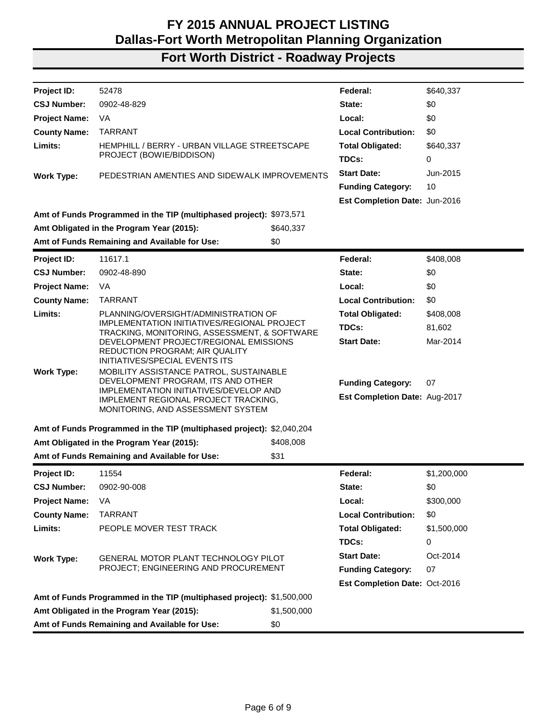| Project ID:          | 52478                                                                                                                                 |             | Federal:                      | \$640,337   |
|----------------------|---------------------------------------------------------------------------------------------------------------------------------------|-------------|-------------------------------|-------------|
| <b>CSJ Number:</b>   | 0902-48-829                                                                                                                           |             | State:                        | \$0         |
| <b>Project Name:</b> | VA                                                                                                                                    |             | Local:                        | \$0         |
| <b>County Name:</b>  | <b>TARRANT</b>                                                                                                                        |             | <b>Local Contribution:</b>    | \$0         |
| Limits:              | HEMPHILL / BERRY - URBAN VILLAGE STREETSCAPE                                                                                          |             | <b>Total Obligated:</b>       | \$640,337   |
|                      | PROJECT (BOWIE/BIDDISON)                                                                                                              |             | TDCs:                         | 0           |
| <b>Work Type:</b>    | PEDESTRIAN AMENTIES AND SIDEWALK IMPROVEMENTS                                                                                         |             | <b>Start Date:</b>            | Jun-2015    |
|                      |                                                                                                                                       |             | <b>Funding Category:</b>      | 10          |
|                      |                                                                                                                                       |             | Est Completion Date: Jun-2016 |             |
|                      | Amt of Funds Programmed in the TIP (multiphased project): \$973,571                                                                   |             |                               |             |
|                      | Amt Obligated in the Program Year (2015):                                                                                             | \$640,337   |                               |             |
|                      | Amt of Funds Remaining and Available for Use:                                                                                         | \$0         |                               |             |
| <b>Project ID:</b>   | 11617.1                                                                                                                               |             | Federal:                      | \$408,008   |
| <b>CSJ Number:</b>   | 0902-48-890                                                                                                                           |             | State:                        | \$0         |
| <b>Project Name:</b> | VA                                                                                                                                    |             | Local:                        | \$0         |
| <b>County Name:</b>  | <b>TARRANT</b>                                                                                                                        |             | <b>Local Contribution:</b>    | \$0         |
| Limits:              | PLANNING/OVERSIGHT/ADMINISTRATION OF                                                                                                  |             | <b>Total Obligated:</b>       | \$408,008   |
|                      | IMPLEMENTATION INITIATIVES/REGIONAL PROJECT<br>TRACKING, MONITORING, ASSESSMENT, & SOFTWARE<br>DEVELOPMENT PROJECT/REGIONAL EMISSIONS |             | TDCs:                         | 81,602      |
|                      |                                                                                                                                       |             | <b>Start Date:</b>            | Mar-2014    |
|                      | <b>REDUCTION PROGRAM; AIR QUALITY</b><br>INITIATIVES/SPECIAL EVENTS ITS                                                               |             |                               |             |
| <b>Work Type:</b>    | MOBILITY ASSISTANCE PATROL, SUSTAINABLE                                                                                               |             |                               |             |
|                      | DEVELOPMENT PROGRAM, ITS AND OTHER                                                                                                    |             | <b>Funding Category:</b>      | 07          |
|                      | IMPLEMENTATION INITIATIVES/DEVELOP AND<br>IMPLEMENT REGIONAL PROJECT TRACKING,                                                        |             | Est Completion Date: Aug-2017 |             |
|                      | MONITORING, AND ASSESSMENT SYSTEM                                                                                                     |             |                               |             |
|                      | Amt of Funds Programmed in the TIP (multiphased project): \$2,040,204                                                                 |             |                               |             |
|                      | Amt Obligated in the Program Year (2015):                                                                                             | \$408,008   |                               |             |
|                      | Amt of Funds Remaining and Available for Use:                                                                                         | \$31        |                               |             |
| Project ID:          | 11554                                                                                                                                 |             | Federal:                      | \$1,200,000 |
| <b>CSJ Number:</b>   | 0902-90-008                                                                                                                           |             | State:                        | \$0         |
| <b>Project Name:</b> | VA                                                                                                                                    |             | Local:                        | \$300,000   |
| <b>County Name:</b>  | <b>TARRANT</b>                                                                                                                        |             | <b>Local Contribution:</b>    | \$0         |
| Limits:              | PEOPLE MOVER TEST TRACK                                                                                                               |             | <b>Total Obligated:</b>       | \$1,500,000 |
|                      |                                                                                                                                       |             | TDCs:                         | 0           |
| <b>Work Type:</b>    | GENERAL MOTOR PLANT TECHNOLOGY PILOT                                                                                                  |             | <b>Start Date:</b>            | Oct-2014    |
|                      | PROJECT; ENGINEERING AND PROCUREMENT                                                                                                  |             | <b>Funding Category:</b>      | 07          |
|                      |                                                                                                                                       |             | Est Completion Date: Oct-2016 |             |
|                      | Amt of Funds Programmed in the TIP (multiphased project): \$1,500,000                                                                 |             |                               |             |
|                      | Amt Obligated in the Program Year (2015):                                                                                             | \$1,500,000 |                               |             |
|                      | Amt of Funds Remaining and Available for Use:                                                                                         | \$0         |                               |             |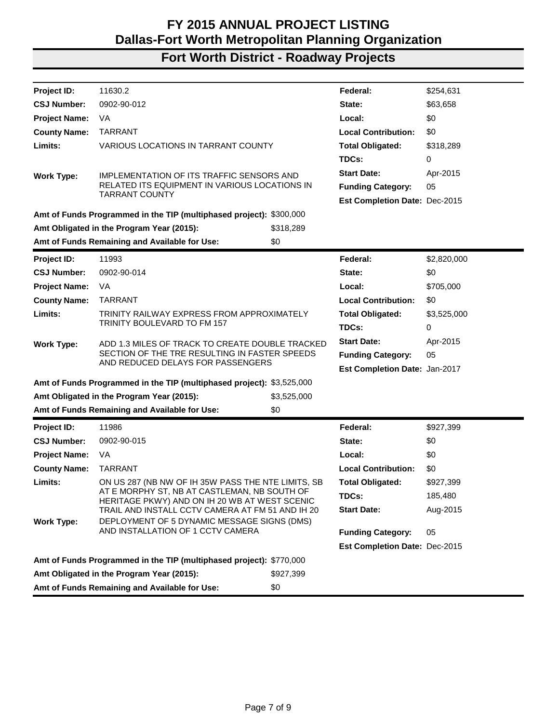| Project ID:          | 11630.2                                                                                       |             | Federal:                      | \$254,631   |
|----------------------|-----------------------------------------------------------------------------------------------|-------------|-------------------------------|-------------|
| <b>CSJ Number:</b>   | 0902-90-012                                                                                   |             | State:                        | \$63,658    |
| <b>Project Name:</b> | VA                                                                                            |             | Local:                        | \$0         |
| <b>County Name:</b>  | <b>TARRANT</b>                                                                                |             | <b>Local Contribution:</b>    | \$0         |
| Limits:              | VARIOUS LOCATIONS IN TARRANT COUNTY                                                           |             | <b>Total Obligated:</b>       | \$318,289   |
|                      |                                                                                               |             | TDCs:                         | 0           |
| <b>Work Type:</b>    | IMPLEMENTATION OF ITS TRAFFIC SENSORS AND                                                     |             | <b>Start Date:</b>            | Apr-2015    |
|                      | RELATED ITS EQUIPMENT IN VARIOUS LOCATIONS IN                                                 |             | <b>Funding Category:</b>      | 05          |
|                      | <b>TARRANT COUNTY</b>                                                                         |             | Est Completion Date: Dec-2015 |             |
|                      | Amt of Funds Programmed in the TIP (multiphased project): \$300,000                           |             |                               |             |
|                      | Amt Obligated in the Program Year (2015):                                                     | \$318,289   |                               |             |
|                      | Amt of Funds Remaining and Available for Use:                                                 | \$0         |                               |             |
| <b>Project ID:</b>   | 11993                                                                                         |             | Federal:                      | \$2,820,000 |
| <b>CSJ Number:</b>   | 0902-90-014                                                                                   |             | State:                        | \$0         |
| <b>Project Name:</b> | VA                                                                                            |             | Local:                        | \$705,000   |
| <b>County Name:</b>  | <b>TARRANT</b>                                                                                |             |                               | \$0         |
| Limits:              | TRINITY RAILWAY EXPRESS FROM APPROXIMATELY                                                    |             | <b>Total Obligated:</b>       | \$3,525,000 |
|                      | TRINITY BOULEVARD TO FM 157                                                                   |             | TDCs:                         | 0           |
| <b>Work Type:</b>    | ADD 1.3 MILES OF TRACK TO CREATE DOUBLE TRACKED                                               |             | <b>Start Date:</b>            | Apr-2015    |
|                      | SECTION OF THE TRE RESULTING IN FASTER SPEEDS                                                 |             | <b>Funding Category:</b>      | 05          |
|                      | AND REDUCED DELAYS FOR PASSENGERS                                                             |             | Est Completion Date: Jan-2017 |             |
|                      | Amt of Funds Programmed in the TIP (multiphased project): \$3,525,000                         |             |                               |             |
|                      | Amt Obligated in the Program Year (2015):                                                     | \$3,525,000 |                               |             |
|                      | Amt of Funds Remaining and Available for Use:                                                 | \$0         |                               |             |
| Project ID:          | 11986                                                                                         |             | Federal:                      | \$927,399   |
| <b>CSJ Number:</b>   | 0902-90-015                                                                                   |             | State:                        | \$0         |
| <b>Project Name:</b> | VA                                                                                            |             | Local:                        | \$0         |
| <b>County Name:</b>  | <b>TARRANT</b>                                                                                |             | <b>Local Contribution:</b>    | \$0         |
| Limits:              | ON US 287 (NB NW OF IH 35W PASS THE NTE LIMITS, SB                                            |             | <b>Total Obligated:</b>       | \$927,399   |
|                      | AT E MORPHY ST, NB AT CASTLEMAN, NB SOUTH OF<br>HERITAGE PKWY) AND ON IH 20 WB AT WEST SCENIC |             | TDCs:                         | 185,480     |
|                      | TRAIL AND INSTALL CCTV CAMERA AT FM 51 AND IH 20                                              |             | <b>Start Date:</b>            | Aug-2015    |
| <b>Work Type:</b>    | DEPLOYMENT OF 5 DYNAMIC MESSAGE SIGNS (DMS)                                                   |             |                               |             |
|                      | AND INSTALLATION OF 1 CCTV CAMERA                                                             |             | <b>Funding Category:</b>      | 05          |
|                      |                                                                                               |             | Est Completion Date: Dec-2015 |             |
|                      | Amt of Funds Programmed in the TIP (multiphased project): \$770,000                           |             |                               |             |
|                      | Amt Obligated in the Program Year (2015):                                                     | \$927,399   |                               |             |
|                      | Amt of Funds Remaining and Available for Use:                                                 | \$0         |                               |             |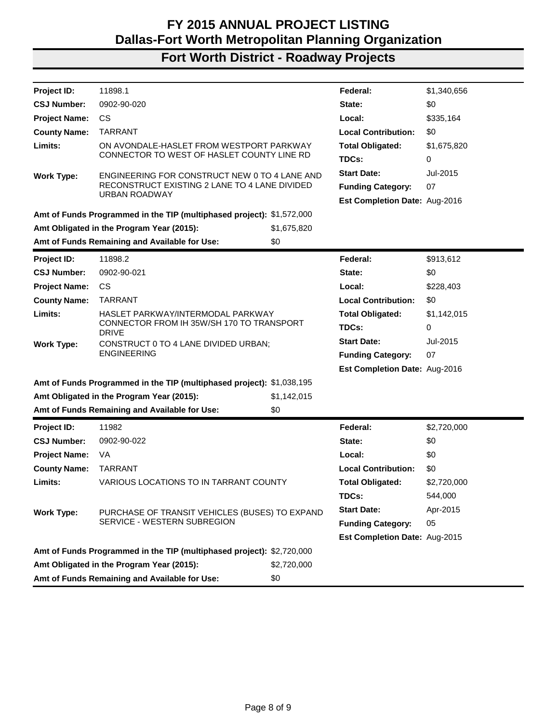| <b>Project ID:</b>   | 11898.1                                                                                           |             | Federal:                             | \$1,340,656 |
|----------------------|---------------------------------------------------------------------------------------------------|-------------|--------------------------------------|-------------|
| <b>CSJ Number:</b>   | 0902-90-020                                                                                       |             | State:                               | \$0         |
| <b>Project Name:</b> | <b>CS</b>                                                                                         |             | Local:                               | \$335,164   |
| <b>County Name:</b>  | <b>TARRANT</b>                                                                                    |             | <b>Local Contribution:</b>           | \$0         |
| Limits:              | ON AVONDALE-HASLET FROM WESTPORT PARKWAY                                                          |             | <b>Total Obligated:</b>              | \$1,675,820 |
|                      | CONNECTOR TO WEST OF HASLET COUNTY LINE RD                                                        |             | TDCs:                                | 0           |
| <b>Work Type:</b>    | ENGINEERING FOR CONSTRUCT NEW 0 TO 4 LANE AND                                                     |             | <b>Start Date:</b>                   | Jul-2015    |
|                      | RECONSTRUCT EXISTING 2 LANE TO 4 LANE DIVIDED<br>URBAN ROADWAY                                    |             | <b>Funding Category:</b>             | 07          |
|                      |                                                                                                   |             | <b>Est Completion Date: Aug-2016</b> |             |
|                      | Amt of Funds Programmed in the TIP (multiphased project): \$1,572,000                             |             |                                      |             |
|                      | Amt Obligated in the Program Year (2015):                                                         | \$1,675,820 |                                      |             |
|                      | Amt of Funds Remaining and Available for Use:                                                     | \$0         |                                      |             |
| Project ID:          | 11898.2                                                                                           |             | Federal:                             | \$913,612   |
| <b>CSJ Number:</b>   | 0902-90-021                                                                                       |             | State:                               | \$0         |
| <b>Project Name:</b> | <b>CS</b>                                                                                         |             | Local:                               | \$228,403   |
| <b>County Name:</b>  | <b>TARRANT</b>                                                                                    |             | <b>Local Contribution:</b>           | \$0         |
| Limits:              | HASLET PARKWAY/INTERMODAL PARKWAY                                                                 |             | <b>Total Obligated:</b>              | \$1,142,015 |
|                      | CONNECTOR FROM IH 35W/SH 170 TO TRANSPORT<br><b>DRIVE</b><br>CONSTRUCT 0 TO 4 LANE DIVIDED URBAN; |             | TDCs:                                | 0           |
| <b>Work Type:</b>    |                                                                                                   |             | <b>Start Date:</b>                   | Jul-2015    |
|                      | <b>ENGINEERING</b>                                                                                |             | <b>Funding Category:</b>             | 07          |
|                      |                                                                                                   |             | <b>Est Completion Date: Aug-2016</b> |             |
|                      | Amt of Funds Programmed in the TIP (multiphased project): \$1,038,195                             |             |                                      |             |
|                      | Amt Obligated in the Program Year (2015):                                                         | \$1,142,015 |                                      |             |
|                      | Amt of Funds Remaining and Available for Use:                                                     | \$0         |                                      |             |
| Project ID:          | 11982                                                                                             |             | Federal:                             | \$2,720,000 |
| <b>CSJ Number:</b>   | 0902-90-022                                                                                       |             | State:                               | \$0         |
| <b>Project Name:</b> | VA                                                                                                |             | Local:                               | \$0         |
| <b>County Name:</b>  | <b>TARRANT</b>                                                                                    |             | <b>Local Contribution:</b>           | \$0         |
| Limits:              | VARIOUS LOCATIONS TO IN TARRANT COUNTY                                                            |             | <b>Total Obligated:</b>              | \$2,720,000 |
|                      |                                                                                                   |             | TDCs:                                | 544,000     |
| <b>Work Type:</b>    | PURCHASE OF TRANSIT VEHICLES (BUSES) TO EXPAND                                                    |             | <b>Start Date:</b>                   | Apr-2015    |
|                      | SERVICE - WESTERN SUBREGION                                                                       |             | <b>Funding Category:</b>             | 05          |
|                      |                                                                                                   |             | <b>Est Completion Date: Aug-2015</b> |             |
|                      | Amt of Funds Programmed in the TIP (multiphased project): \$2,720,000                             |             |                                      |             |
|                      | Amt Obligated in the Program Year (2015):                                                         | \$2,720,000 |                                      |             |
|                      | Amt of Funds Remaining and Available for Use:                                                     | \$0         |                                      |             |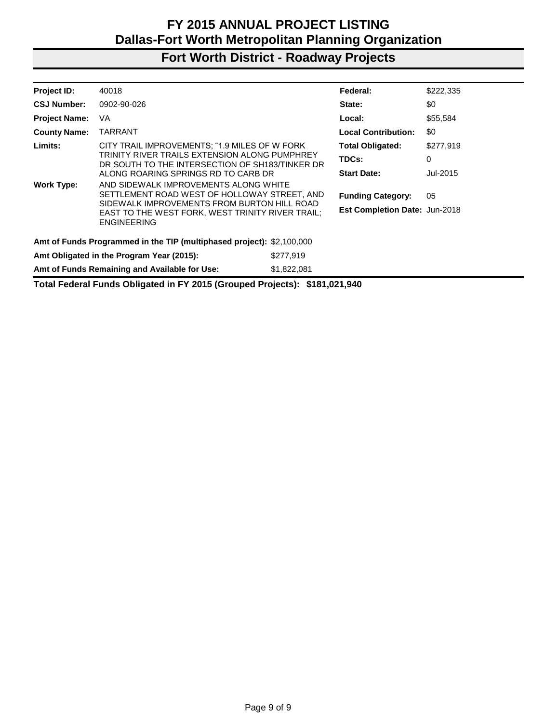# **Fort Worth District - Roadway Projects**

| Project ID:                                                                                                                  | 40018                                                                                            |             | Federal:                             | \$222,335 |
|------------------------------------------------------------------------------------------------------------------------------|--------------------------------------------------------------------------------------------------|-------------|--------------------------------------|-----------|
| <b>CSJ Number:</b>                                                                                                           | 0902-90-026                                                                                      |             | State:                               | \$0       |
| <b>Project Name:</b>                                                                                                         | VA.                                                                                              |             | Local:                               | \$55,584  |
| <b>County Name:</b>                                                                                                          | TARRANT                                                                                          |             | <b>Local Contribution:</b>           | \$0       |
| Limits:                                                                                                                      | CITY TRAIL IMPROVEMENTS; "1.9 MILES OF W FORK                                                    |             | <b>Total Obligated:</b>              | \$277,919 |
|                                                                                                                              | TRINITY RIVER TRAILS EXTENSION ALONG PUMPHREY<br>DR SOUTH TO THE INTERSECTION OF SH183/TINKER DR |             | TDCs:                                | 0         |
|                                                                                                                              | ALONG ROARING SPRINGS RD TO CARB DR                                                              |             | <b>Start Date:</b>                   | Jul-2015  |
| Work Type:                                                                                                                   | AND SIDEWALK IMPROVEMENTS ALONG WHITE                                                            |             |                                      |           |
|                                                                                                                              | SETTLEMENT ROAD WEST OF HOLLOWAY STREET, AND                                                     |             | <b>Funding Category:</b>             | 05        |
| SIDEWALK IMPROVEMENTS FROM BURTON HILL ROAD<br><b>EAST TO THE WEST FORK, WEST TRINITY RIVER TRAIL;</b><br><b>ENGINEERING</b> |                                                                                                  |             | <b>Est Completion Date: Jun-2018</b> |           |
|                                                                                                                              | Amt of Funds Programmed in the TIP (multiphased project): \$2,100,000                            |             |                                      |           |
|                                                                                                                              | Amt Obligated in the Program Year (2015):                                                        | \$277,919   |                                      |           |
|                                                                                                                              | Amt of Funds Remaining and Available for Use:                                                    | \$1,822,081 |                                      |           |

**Total Federal Funds Obligated in FY 2015 (Grouped Projects): \$181,021,940**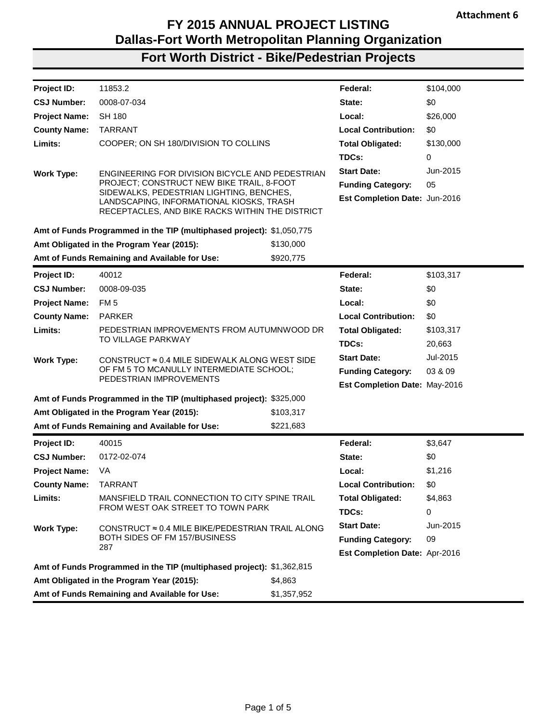## **Fort Worth District - Bike/Pedestrian Projects**

| Project ID:          | 11853.2                                                                              |             | Federal:                             | \$104,000 |
|----------------------|--------------------------------------------------------------------------------------|-------------|--------------------------------------|-----------|
| <b>CSJ Number:</b>   | 0008-07-034                                                                          |             | State:                               | \$0       |
| <b>Project Name:</b> | <b>SH 180</b>                                                                        |             | Local:                               | \$26,000  |
| <b>County Name:</b>  | <b>TARRANT</b>                                                                       |             | <b>Local Contribution:</b>           | \$0       |
| Limits:              | COOPER; ON SH 180/DIVISION TO COLLINS                                                |             | <b>Total Obligated:</b>              | \$130,000 |
|                      |                                                                                      |             | TDCs:                                | 0         |
| <b>Work Type:</b>    | ENGINEERING FOR DIVISION BICYCLE AND PEDESTRIAN                                      |             | <b>Start Date:</b>                   | Jun-2015  |
|                      | PROJECT; CONSTRUCT NEW BIKE TRAIL, 8-FOOT                                            |             | <b>Funding Category:</b>             | 05        |
|                      | SIDEWALKS, PEDESTRIAN LIGHTING, BENCHES,<br>LANDSCAPING, INFORMATIONAL KIOSKS, TRASH |             | Est Completion Date: Jun-2016        |           |
|                      | RECEPTACLES, AND BIKE RACKS WITHIN THE DISTRICT                                      |             |                                      |           |
|                      | Amt of Funds Programmed in the TIP (multiphased project): \$1,050,775                |             |                                      |           |
|                      | Amt Obligated in the Program Year (2015):                                            | \$130,000   |                                      |           |
|                      | Amt of Funds Remaining and Available for Use:                                        | \$920,775   |                                      |           |
|                      |                                                                                      |             |                                      |           |
| Project ID:          | 40012                                                                                |             | Federal:                             | \$103,317 |
| <b>CSJ Number:</b>   | 0008-09-035                                                                          |             | State:                               | \$0       |
| <b>Project Name:</b> | FM <sub>5</sub>                                                                      |             | Local:                               | \$0       |
| <b>County Name:</b>  | <b>PARKER</b>                                                                        |             | <b>Local Contribution:</b>           | \$0       |
| Limits:              | PEDESTRIAN IMPROVEMENTS FROM AUTUMNWOOD DR<br>TO VILLAGE PARKWAY                     |             | <b>Total Obligated:</b>              | \$103,317 |
|                      |                                                                                      |             | TDCs:                                | 20,663    |
| <b>Work Type:</b>    | CONSTRUCT $\approx$ 0.4 MILE SIDEWALK ALONG WEST SIDE                                |             | <b>Start Date:</b>                   | Jul-2015  |
|                      | OF FM 5 TO MCANULLY INTERMEDIATE SCHOOL;<br>PEDESTRIAN IMPROVEMENTS                  |             | <b>Funding Category:</b>             | 03 & 09   |
|                      |                                                                                      |             | <b>Est Completion Date: May-2016</b> |           |
|                      | Amt of Funds Programmed in the TIP (multiphased project): \$325,000                  |             |                                      |           |
|                      | Amt Obligated in the Program Year (2015):                                            | \$103,317   |                                      |           |
|                      | Amt of Funds Remaining and Available for Use:                                        | \$221,683   |                                      |           |
| Project ID:          | 40015                                                                                |             | Federal:                             | \$3,647   |
| <b>CSJ Number:</b>   | 0172-02-074                                                                          |             | State:                               | \$0       |
| <b>Project Name:</b> | VA                                                                                   |             | Local:                               | \$1,216   |
| <b>County Name:</b>  | TARRANT                                                                              |             | <b>Local Contribution:</b>           | 80        |
| Limits:              | MANSFIELD TRAIL CONNECTION TO CITY SPINE TRAIL                                       |             | <b>Total Obligated:</b>              | \$4,863   |
|                      | FROM WEST OAK STREET TO TOWN PARK                                                    |             | TDCs:                                | 0         |
| <b>Work Type:</b>    | CONSTRUCT ≈ 0.4 MILE BIKE/PEDESTRIAN TRAIL ALONG                                     |             | <b>Start Date:</b>                   | Jun-2015  |
|                      | BOTH SIDES OF FM 157/BUSINESS                                                        |             | <b>Funding Category:</b>             | 09        |
|                      | 287                                                                                  |             | Est Completion Date: Apr-2016        |           |
|                      | Amt of Funds Programmed in the TIP (multiphased project): \$1,362,815                |             |                                      |           |
|                      | Amt Obligated in the Program Year (2015):                                            | \$4,863     |                                      |           |
|                      | Amt of Funds Remaining and Available for Use:                                        | \$1,357,952 |                                      |           |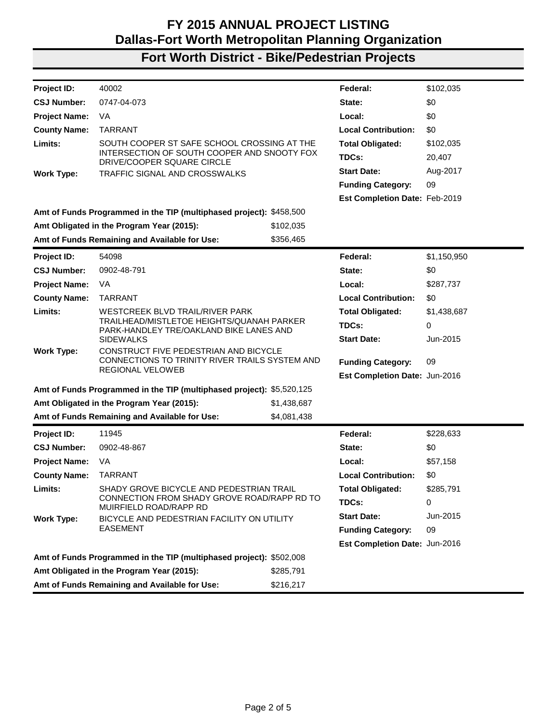## **Fort Worth District - Bike/Pedestrian Projects**

| Project ID:          | 40002                                                                                                    |             | Federal:                      | \$102,035   |
|----------------------|----------------------------------------------------------------------------------------------------------|-------------|-------------------------------|-------------|
| <b>CSJ Number:</b>   | 0747-04-073                                                                                              |             | State:                        | \$0         |
| <b>Project Name:</b> | VA                                                                                                       |             | Local:                        | \$0         |
| <b>County Name:</b>  | <b>TARRANT</b>                                                                                           |             | <b>Local Contribution:</b>    | \$0         |
| Limits:              | SOUTH COOPER ST SAFE SCHOOL CROSSING AT THE                                                              |             | <b>Total Obligated:</b>       | \$102,035   |
|                      | INTERSECTION OF SOUTH COOPER AND SNOOTY FOX<br>DRIVE/COOPER SQUARE CIRCLE                                |             | TDCs:                         | 20,407      |
| <b>Work Type:</b>    | TRAFFIC SIGNAL AND CROSSWALKS                                                                            |             | <b>Start Date:</b>            | Aug-2017    |
|                      |                                                                                                          |             | <b>Funding Category:</b>      | 09          |
|                      |                                                                                                          |             | Est Completion Date: Feb-2019 |             |
|                      | Amt of Funds Programmed in the TIP (multiphased project): \$458,500                                      |             |                               |             |
|                      | Amt Obligated in the Program Year (2015):                                                                | \$102,035   |                               |             |
|                      | Amt of Funds Remaining and Available for Use:                                                            | \$356,465   |                               |             |
| <b>Project ID:</b>   | 54098                                                                                                    |             | Federal:                      | \$1,150,950 |
| <b>CSJ Number:</b>   | 0902-48-791                                                                                              |             | State:                        | \$0         |
| <b>Project Name:</b> | VA                                                                                                       |             | Local:                        | \$287,737   |
| <b>County Name:</b>  | <b>TARRANT</b>                                                                                           |             | <b>Local Contribution:</b>    | \$0         |
| Limits:              | WESTCREEK BLVD TRAIL/RIVER PARK                                                                          |             | <b>Total Obligated:</b>       | \$1,438,687 |
|                      | TRAILHEAD/MISTLETOE HEIGHTS/QUANAH PARKER<br>PARK-HANDLEY TRE/OAKLAND BIKE LANES AND<br><b>SIDEWALKS</b> |             | TDCs:                         | $\Omega$    |
|                      |                                                                                                          |             | <b>Start Date:</b>            | Jun-2015    |
| <b>Work Type:</b>    | CONSTRUCT FIVE PEDESTRIAN AND BICYCLE<br>CONNECTIONS TO TRINITY RIVER TRAILS SYSTEM AND                  |             |                               |             |
|                      | REGIONAL VELOWEB                                                                                         |             | <b>Funding Category:</b>      | 09          |
|                      |                                                                                                          |             | Est Completion Date: Jun-2016 |             |
|                      | Amt of Funds Programmed in the TIP (multiphased project): \$5,520,125                                    |             |                               |             |
|                      | Amt Obligated in the Program Year (2015):                                                                | \$1,438,687 |                               |             |
|                      | Amt of Funds Remaining and Available for Use:                                                            | \$4,081,438 |                               |             |
| Project ID:          | 11945                                                                                                    |             | Federal:                      | \$228,633   |
| <b>CSJ Number:</b>   | 0902-48-867                                                                                              |             | State:                        | \$0         |
| <b>Project Name:</b> | VA                                                                                                       |             | Local:                        | \$57,158    |
| <b>County Name:</b>  | <b>TARRANT</b>                                                                                           |             | <b>Local Contribution:</b>    | \$0         |
| Limits:              | SHADY GROVE BICYCLE AND PEDESTRIAN TRAIL<br>CONNECTION FROM SHADY GROVE ROAD/RAPP RD TO                  |             | <b>Total Obligated:</b>       | \$285,791   |
|                      | MUIRFIELD ROAD/RAPP RD                                                                                   |             | TDCs:                         | 0           |
| <b>Work Type:</b>    | BICYCLE AND PEDESTRIAN FACILITY ON UTILITY                                                               |             | <b>Start Date:</b>            | Jun-2015    |
|                      | <b>EASEMENT</b>                                                                                          |             | <b>Funding Category:</b>      | 09          |
|                      |                                                                                                          |             | Est Completion Date: Jun-2016 |             |
|                      | Amt of Funds Programmed in the TIP (multiphased project): \$502,008                                      |             |                               |             |
|                      | Amt Obligated in the Program Year (2015):                                                                | \$285,791   |                               |             |
|                      | Amt of Funds Remaining and Available for Use:                                                            | \$216,217   |                               |             |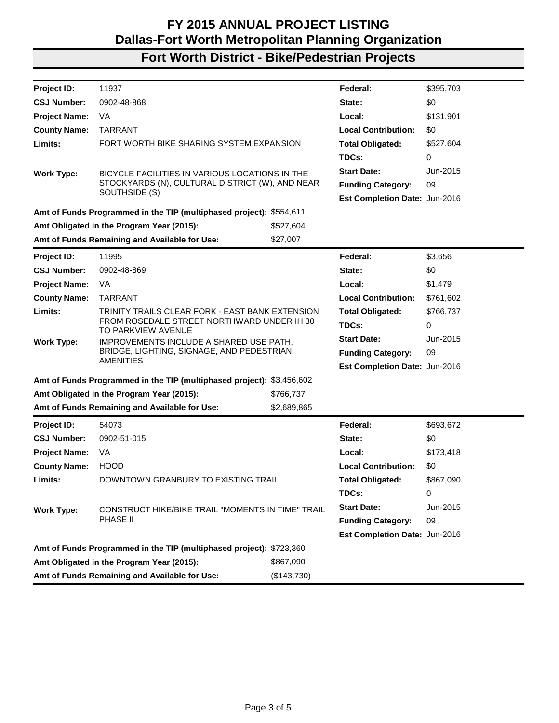## **Fort Worth District - Bike/Pedestrian Projects**

| <b>Project ID:</b>   | 11937                                                                 |             | Federal:                      | \$395,703 |
|----------------------|-----------------------------------------------------------------------|-------------|-------------------------------|-----------|
| <b>CSJ Number:</b>   | 0902-48-868                                                           |             | State:                        | \$0       |
| <b>Project Name:</b> | VA                                                                    |             | Local:                        | \$131,901 |
| <b>County Name:</b>  | <b>TARRANT</b>                                                        |             | <b>Local Contribution:</b>    | \$0       |
| Limits:              | FORT WORTH BIKE SHARING SYSTEM EXPANSION                              |             | <b>Total Obligated:</b>       | \$527,604 |
|                      |                                                                       |             | TDCs:                         | 0         |
| <b>Work Type:</b>    | BICYCLE FACILITIES IN VARIOUS LOCATIONS IN THE                        |             | <b>Start Date:</b>            | Jun-2015  |
|                      | STOCKYARDS (N), CULTURAL DISTRICT (W), AND NEAR                       |             | <b>Funding Category:</b>      | 09        |
|                      | SOUTHSIDE (S)                                                         |             | Est Completion Date: Jun-2016 |           |
|                      | Amt of Funds Programmed in the TIP (multiphased project): \$554,611   |             |                               |           |
|                      | Amt Obligated in the Program Year (2015):                             | \$527,604   |                               |           |
|                      | Amt of Funds Remaining and Available for Use:                         | \$27,007    |                               |           |
| Project ID:          | 11995                                                                 |             | Federal:                      | \$3,656   |
| <b>CSJ Number:</b>   | 0902-48-869                                                           |             | State:                        | \$0       |
| <b>Project Name:</b> | VA                                                                    |             | Local:                        | \$1,479   |
| <b>County Name:</b>  | <b>TARRANT</b>                                                        |             | <b>Local Contribution:</b>    | \$761,602 |
| Limits:              | TRINITY TRAILS CLEAR FORK - EAST BANK EXTENSION                       |             | <b>Total Obligated:</b>       | \$766,737 |
|                      | FROM ROSEDALE STREET NORTHWARD UNDER IH 30<br>TO PARKVIEW AVENUE      |             | TDCs:                         | 0         |
| <b>Work Type:</b>    | IMPROVEMENTS INCLUDE A SHARED USE PATH,                               |             | <b>Start Date:</b>            | Jun-2015  |
|                      | BRIDGE, LIGHTING, SIGNAGE, AND PEDESTRIAN<br><b>AMENITIES</b>         |             | <b>Funding Category:</b>      | 09        |
|                      |                                                                       |             | Est Completion Date: Jun-2016 |           |
|                      | Amt of Funds Programmed in the TIP (multiphased project): \$3,456,602 |             |                               |           |
|                      | Amt Obligated in the Program Year (2015):                             | \$766,737   |                               |           |
|                      | Amt of Funds Remaining and Available for Use:                         | \$2,689,865 |                               |           |
| Project ID:          | 54073                                                                 |             | Federal:                      | \$693,672 |
| <b>CSJ Number:</b>   | 0902-51-015                                                           |             | State:                        | \$0       |
| <b>Project Name:</b> | VA                                                                    |             | Local:                        | \$173,418 |
| <b>County Name:</b>  | <b>HOOD</b>                                                           |             | <b>Local Contribution:</b>    | \$0       |
| Limits:              | DOWNTOWN GRANBURY TO EXISTING TRAIL                                   |             | <b>Total Obligated:</b>       | \$867,090 |
|                      |                                                                       |             | TDCs:                         | 0         |
| <b>Work Type:</b>    | CONSTRUCT HIKE/BIKE TRAIL "MOMENTS IN TIME" TRAIL                     |             | <b>Start Date:</b>            | Jun-2015  |
|                      | <b>PHASE II</b>                                                       |             | <b>Funding Category:</b>      | 09        |
|                      |                                                                       |             | Est Completion Date: Jun-2016 |           |
|                      | Amt of Funds Programmed in the TIP (multiphased project): \$723,360   |             |                               |           |
|                      | Amt Obligated in the Program Year (2015):                             | \$867,090   |                               |           |
|                      | Amt of Funds Remaining and Available for Use:                         | (\$143,730) |                               |           |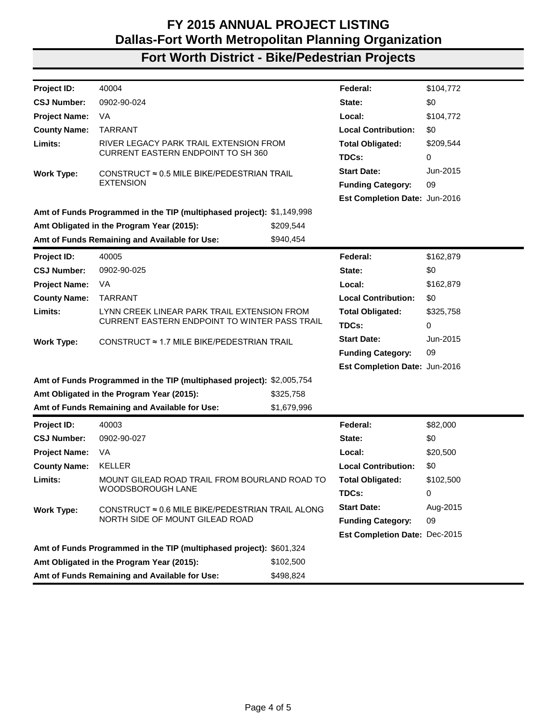## **Fort Worth District - Bike/Pedestrian Projects**

| Project ID:          | 40004                                                                 |             | Federal:                      | \$104,772 |
|----------------------|-----------------------------------------------------------------------|-------------|-------------------------------|-----------|
| <b>CSJ Number:</b>   | 0902-90-024                                                           |             | State:                        | \$0       |
| <b>Project Name:</b> | VA                                                                    |             | Local:                        | \$104,772 |
| <b>County Name:</b>  | <b>TARRANT</b>                                                        |             | <b>Local Contribution:</b>    | \$0       |
| Limits:              | RIVER LEGACY PARK TRAIL EXTENSION FROM                                |             | <b>Total Obligated:</b>       | \$209,544 |
|                      | <b>CURRENT EASTERN ENDPOINT TO SH 360</b>                             |             | TDCs:                         | 0         |
| <b>Work Type:</b>    | CONSTRUCT $\approx$ 0.5 MILE BIKE/PEDESTRIAN TRAIL                    |             | <b>Start Date:</b>            | Jun-2015  |
|                      | <b>EXTENSION</b>                                                      |             | <b>Funding Category:</b>      | 09        |
|                      |                                                                       |             | Est Completion Date: Jun-2016 |           |
|                      | Amt of Funds Programmed in the TIP (multiphased project): \$1,149,998 |             |                               |           |
|                      | Amt Obligated in the Program Year (2015):                             | \$209,544   |                               |           |
|                      | Amt of Funds Remaining and Available for Use:                         | \$940,454   |                               |           |
| <b>Project ID:</b>   | 40005                                                                 |             | Federal:                      | \$162,879 |
| <b>CSJ Number:</b>   | 0902-90-025                                                           |             | State:                        | \$0       |
| <b>Project Name:</b> | VA                                                                    |             | Local:                        | \$162,879 |
| <b>County Name:</b>  | <b>TARRANT</b>                                                        |             | <b>Local Contribution:</b>    | \$0       |
| Limits:              | LYNN CREEK LINEAR PARK TRAIL EXTENSION FROM                           |             | <b>Total Obligated:</b>       | \$325,758 |
|                      | CURRENT EASTERN ENDPOINT TO WINTER PASS TRAIL                         |             | TDCs:                         | 0         |
| <b>Work Type:</b>    | CONSTRUCT ≈ 1.7 MILE BIKE/PEDESTRIAN TRAIL                            |             | <b>Start Date:</b>            | Jun-2015  |
|                      |                                                                       |             | <b>Funding Category:</b>      | 09        |
|                      |                                                                       |             | Est Completion Date: Jun-2016 |           |
|                      | Amt of Funds Programmed in the TIP (multiphased project): \$2,005,754 |             |                               |           |
|                      | Amt Obligated in the Program Year (2015):                             | \$325,758   |                               |           |
|                      | Amt of Funds Remaining and Available for Use:                         | \$1,679,996 |                               |           |
| Project ID:          | 40003                                                                 |             | Federal:                      | \$82,000  |
| <b>CSJ Number:</b>   | 0902-90-027                                                           |             | State:                        | \$0       |
| <b>Project Name:</b> | VA                                                                    |             | Local:                        | \$20,500  |
| <b>County Name:</b>  | <b>KELLER</b>                                                         |             | <b>Local Contribution:</b>    | \$0       |
| Limits:              | MOUNT GILEAD ROAD TRAIL FROM BOURLAND ROAD TO                         |             | <b>Total Obligated:</b>       | \$102,500 |
|                      | WOODSBOROUGH LANE                                                     |             | TDCs:                         | 0         |
| <b>Work Type:</b>    | CONSTRUCT ≈ 0.6 MILE BIKE/PEDESTRIAN TRAIL ALONG                      |             | <b>Start Date:</b>            | Aug-2015  |
|                      | NORTH SIDE OF MOUNT GILEAD ROAD                                       |             | <b>Funding Category:</b>      | 09        |
|                      |                                                                       |             | Est Completion Date: Dec-2015 |           |
|                      | Amt of Funds Programmed in the TIP (multiphased project): \$601,324   |             |                               |           |
|                      | Amt Obligated in the Program Year (2015):                             | \$102,500   |                               |           |
|                      | Amt of Funds Remaining and Available for Use:                         | \$498,824   |                               |           |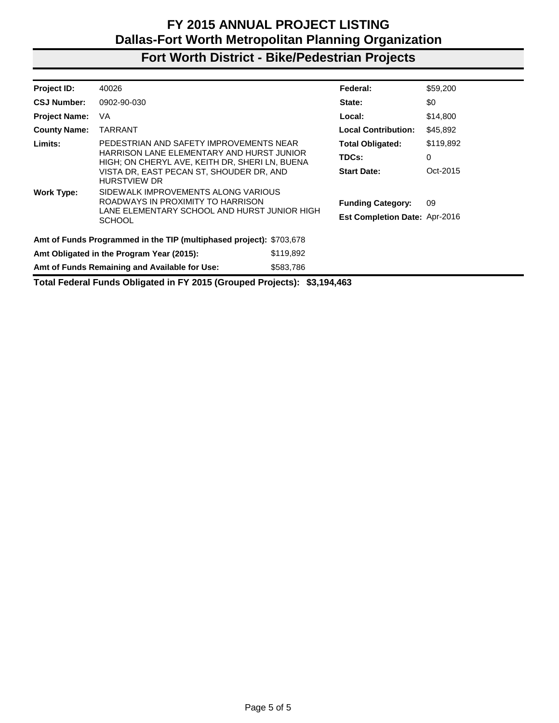## **Fort Worth District - Bike/Pedestrian Projects**

| Project ID:                                            | 40026                                                                                                                                     |           | Federal:                                                         | \$59,200  |
|--------------------------------------------------------|-------------------------------------------------------------------------------------------------------------------------------------------|-----------|------------------------------------------------------------------|-----------|
| <b>CSJ Number:</b>                                     | 0902-90-030                                                                                                                               |           | State:                                                           | \$0       |
| <b>Project Name:</b>                                   | VA                                                                                                                                        |           | Local:                                                           | \$14,800  |
| <b>County Name:</b>                                    | <b>TARRANT</b>                                                                                                                            |           | <b>Local Contribution:</b>                                       | \$45,892  |
| Limits:                                                | PEDESTRIAN AND SAFETY IMPROVEMENTS NEAR                                                                                                   |           | <b>Total Obligated:</b>                                          | \$119,892 |
|                                                        | HARRISON LANE ELEMENTARY AND HURST JUNIOR<br>HIGH; ON CHERYL AVE, KEITH DR, SHERI LN, BUENA                                               |           | TDCs:                                                            | 0         |
|                                                        | VISTA DR, EAST PECAN ST, SHOUDER DR, AND<br><b>HURSTVIEW DR</b>                                                                           |           | <b>Start Date:</b>                                               | Oct-2015  |
| <b>Work Type:</b>                                      | SIDEWALK IMPROVEMENTS ALONG VARIOUS<br>ROADWAYS IN PROXIMITY TO HARRISON<br>LANE ELEMENTARY SCHOOL AND HURST JUNIOR HIGH<br><b>SCHOOL</b> |           | <b>Funding Category:</b><br><b>Est Completion Date: Apr-2016</b> | 09        |
|                                                        | Amt of Funds Programmed in the TIP (multiphased project): \$703,678                                                                       |           |                                                                  |           |
| Amt Obligated in the Program Year (2015):<br>\$119,892 |                                                                                                                                           |           |                                                                  |           |
|                                                        | Amt of Funds Remaining and Available for Use:                                                                                             | \$583,786 |                                                                  |           |

**Total Federal Funds Obligated in FY 2015 (Grouped Projects): \$3,194,463**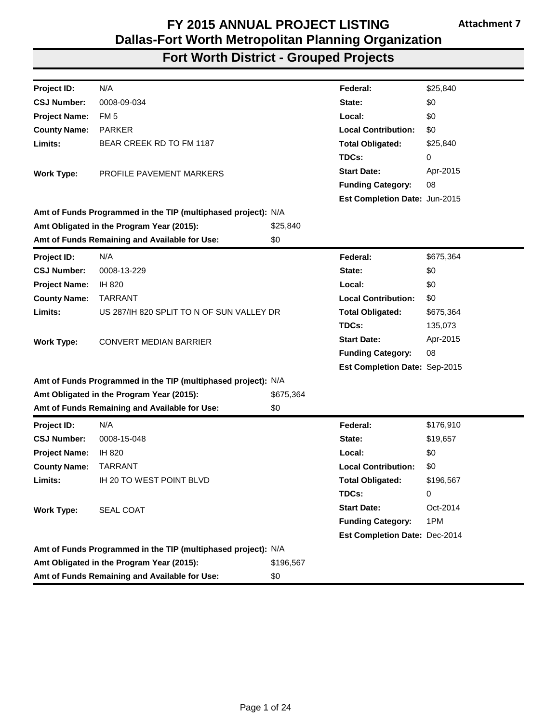|                                               | FY 2015 ANNUAL PROJECT LISTING<br><b>Attachment 7</b><br><b>Dallas-Fort Worth Metropolitan Planning Organization</b> |                  |                                  |                |
|-----------------------------------------------|----------------------------------------------------------------------------------------------------------------------|------------------|----------------------------------|----------------|
| <b>Fort Worth District - Grouped Projects</b> |                                                                                                                      |                  |                                  |                |
|                                               |                                                                                                                      |                  |                                  |                |
| Project ID:                                   | N/A                                                                                                                  |                  | Federal:                         | \$25,840       |
| <b>CSJ Number:</b>                            | 0008-09-034                                                                                                          |                  | State:                           | \$0            |
| <b>Project Name:</b>                          | FM 5                                                                                                                 |                  | Local:                           | \$0            |
| <b>County Name:</b>                           | <b>PARKER</b>                                                                                                        |                  | <b>Local Contribution:</b>       | \$0            |
| Limits:                                       | BEAR CREEK RD TO FM 1187                                                                                             |                  | <b>Total Obligated:</b>          | \$25,840       |
|                                               |                                                                                                                      |                  | TDCs:                            | 0              |
| <b>Work Type:</b>                             | PROFILE PAVEMENT MARKERS                                                                                             |                  | <b>Start Date:</b>               | Apr-2015       |
|                                               |                                                                                                                      |                  | <b>Funding Category:</b>         | 08             |
|                                               |                                                                                                                      |                  | Est Completion Date: Jun-2015    |                |
|                                               | Amt of Funds Programmed in the TIP (multiphased project): N/A                                                        |                  |                                  |                |
|                                               | Amt Obligated in the Program Year (2015):                                                                            | \$25,840         |                                  |                |
|                                               | Amt of Funds Remaining and Available for Use:                                                                        | \$0              |                                  |                |
| Project ID:                                   | N/A                                                                                                                  |                  | Federal:                         | \$675,364      |
| <b>CSJ Number:</b>                            | 0008-13-229                                                                                                          |                  | State:                           | \$0            |
| <b>Project Name:</b>                          | IH 820                                                                                                               |                  | Local:                           | \$0            |
|                                               | <b>TARRANT</b>                                                                                                       |                  | <b>Local Contribution:</b>       | \$0            |
| <b>County Name:</b>                           |                                                                                                                      |                  |                                  |                |
| Limits:                                       | US 287/IH 820 SPLIT TO N OF SUN VALLEY DR                                                                            |                  | <b>Total Obligated:</b>          | \$675,364      |
|                                               |                                                                                                                      |                  | TDCs:                            | 135,073        |
|                                               |                                                                                                                      |                  | <b>Start Date:</b>               | Apr-2015       |
| <b>Work Type:</b>                             | <b>CONVERT MEDIAN BARRIER</b>                                                                                        |                  |                                  | 08             |
|                                               |                                                                                                                      |                  | <b>Funding Category:</b>         |                |
|                                               |                                                                                                                      |                  | Est Completion Date: Sep-2015    |                |
|                                               | Amt of Funds Programmed in the TIP (multiphased project): N/A                                                        |                  |                                  |                |
|                                               | Amt Obligated in the Program Year (2015):<br>Amt of Funds Remaining and Available for Use:                           | \$675,364<br>\$0 |                                  |                |
| Project ID:                                   | N/A                                                                                                                  |                  | Federal:                         | \$176,910      |
| <b>CSJ Number:</b>                            | 0008-15-048                                                                                                          |                  | State:                           | \$19,657       |
| <b>Project Name:</b>                          | IH 820                                                                                                               |                  | Local:                           | \$0            |
|                                               | <b>TARRANT</b>                                                                                                       |                  | <b>Local Contribution:</b>       | \$0            |
| <b>County Name:</b><br>Limits:                | IH 20 TO WEST POINT BLVD                                                                                             |                  |                                  |                |
|                                               |                                                                                                                      |                  | <b>Total Obligated:</b><br>TDCs: | \$196,567<br>0 |
|                                               |                                                                                                                      |                  |                                  | Oct-2014       |
| <b>Work Type:</b>                             | SEAL COAT                                                                                                            |                  | <b>Start Date:</b>               |                |
|                                               |                                                                                                                      |                  | <b>Funding Category:</b>         | 1PM            |
|                                               |                                                                                                                      |                  | Est Completion Date: Dec-2014    |                |
|                                               | Amt of Funds Programmed in the TIP (multiphased project): N/A<br>Amt Obligated in the Program Year (2015):           | \$196,567        |                                  |                |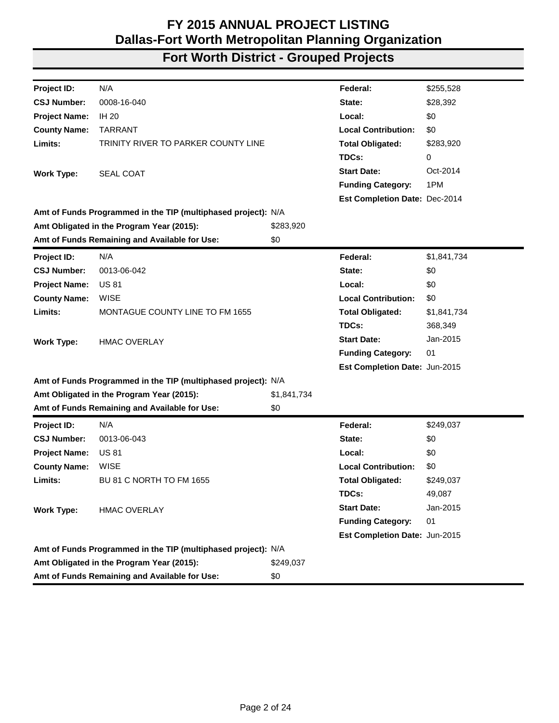| Project ID:          | N/A                                                           |             | Federal:                      | \$255,528   |
|----------------------|---------------------------------------------------------------|-------------|-------------------------------|-------------|
| <b>CSJ Number:</b>   | 0008-16-040                                                   |             | State:                        | \$28,392    |
| <b>Project Name:</b> | <b>IH 20</b>                                                  |             | Local:                        | \$0         |
| <b>County Name:</b>  | <b>TARRANT</b>                                                |             | <b>Local Contribution:</b>    | \$0         |
| Limits:              | TRINITY RIVER TO PARKER COUNTY LINE                           |             | <b>Total Obligated:</b>       | \$283,920   |
|                      |                                                               |             | TDCs:                         | 0           |
| <b>Work Type:</b>    | SEAL COAT                                                     |             | <b>Start Date:</b>            | Oct-2014    |
|                      |                                                               |             | <b>Funding Category:</b>      | 1PM         |
|                      |                                                               |             | Est Completion Date: Dec-2014 |             |
|                      | Amt of Funds Programmed in the TIP (multiphased project): N/A |             |                               |             |
|                      | Amt Obligated in the Program Year (2015):                     | \$283,920   |                               |             |
|                      | Amt of Funds Remaining and Available for Use:                 | \$0         |                               |             |
| Project ID:          | N/A                                                           |             | Federal:                      | \$1,841,734 |
| <b>CSJ Number:</b>   | 0013-06-042                                                   |             | State:                        | \$0         |
| <b>Project Name:</b> | <b>US 81</b>                                                  |             | Local:                        | \$0         |
| <b>County Name:</b>  | <b>WISE</b>                                                   |             | <b>Local Contribution:</b>    | \$0         |
| Limits:              | MONTAGUE COUNTY LINE TO FM 1655                               |             | <b>Total Obligated:</b>       | \$1,841,734 |
|                      |                                                               |             | TDCs:                         | 368,349     |
| <b>Work Type:</b>    | <b>HMAC OVERLAY</b>                                           |             | <b>Start Date:</b>            | Jan-2015    |
|                      |                                                               |             | <b>Funding Category:</b>      | 01          |
|                      |                                                               |             | Est Completion Date: Jun-2015 |             |
|                      | Amt of Funds Programmed in the TIP (multiphased project): N/A |             |                               |             |
|                      | Amt Obligated in the Program Year (2015):                     | \$1,841,734 |                               |             |
|                      | Amt of Funds Remaining and Available for Use:                 | \$0         |                               |             |
| Project ID:          | N/A                                                           |             | Federal:                      | \$249,037   |
| <b>CSJ Number:</b>   | 0013-06-043                                                   |             | State:                        | \$0         |
| <b>Project Name:</b> | <b>US 81</b>                                                  |             | Local:                        | \$0         |
| <b>County Name:</b>  | <b>WISE</b>                                                   |             | <b>Local Contribution:</b>    | \$0         |
| Limits:              | <b>BU 81 C NORTH TO FM 1655</b>                               |             | <b>Total Obligated:</b>       | \$249,037   |
|                      |                                                               |             | TDCs:                         | 49,087      |
| <b>Work Type:</b>    | <b>HMAC OVERLAY</b>                                           |             | <b>Start Date:</b>            | Jan-2015    |
|                      |                                                               |             | <b>Funding Category:</b>      | 01          |
|                      |                                                               |             | Est Completion Date: Jun-2015 |             |
|                      | Amt of Funds Programmed in the TIP (multiphased project): N/A |             |                               |             |
|                      | Amt Obligated in the Program Year (2015):                     | \$249,037   |                               |             |
|                      | Amt of Funds Remaining and Available for Use:                 | \$0         |                               |             |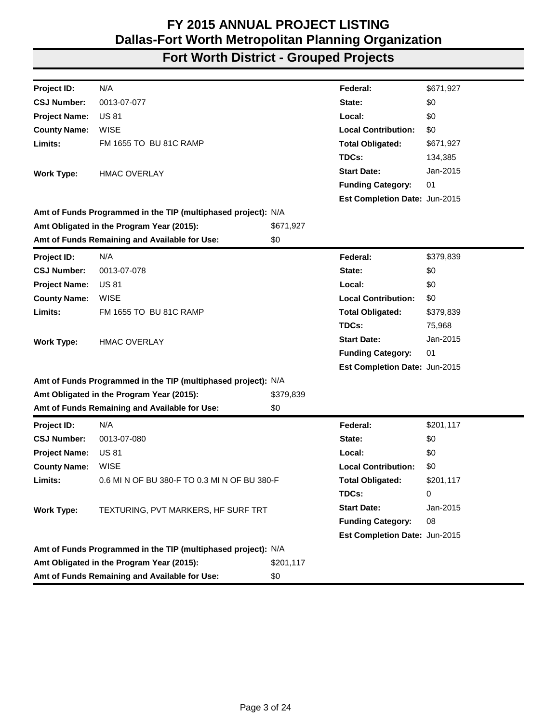| Project ID:          | N/A                                                           |           | Federal:                      | \$671,927 |
|----------------------|---------------------------------------------------------------|-----------|-------------------------------|-----------|
| <b>CSJ Number:</b>   | 0013-07-077                                                   |           | State:                        | \$0       |
| <b>Project Name:</b> | <b>US 81</b>                                                  |           | Local:                        | \$0       |
| <b>County Name:</b>  | <b>WISE</b>                                                   |           | <b>Local Contribution:</b>    | \$0       |
| Limits:              | FM 1655 TO BU 81C RAMP                                        |           | <b>Total Obligated:</b>       | \$671,927 |
|                      |                                                               |           | TDCs:                         | 134,385   |
| <b>Work Type:</b>    | <b>HMAC OVERLAY</b>                                           |           | <b>Start Date:</b>            | Jan-2015  |
|                      |                                                               |           | <b>Funding Category:</b>      | 01        |
|                      |                                                               |           | Est Completion Date: Jun-2015 |           |
|                      | Amt of Funds Programmed in the TIP (multiphased project): N/A |           |                               |           |
|                      | Amt Obligated in the Program Year (2015):                     | \$671,927 |                               |           |
|                      | Amt of Funds Remaining and Available for Use:                 | \$0       |                               |           |
| Project ID:          | N/A                                                           |           | Federal:                      | \$379,839 |
| <b>CSJ Number:</b>   | 0013-07-078                                                   |           | State:                        | \$0       |
| <b>Project Name:</b> | <b>US 81</b>                                                  |           | Local:                        | \$0       |
| <b>County Name:</b>  | <b>WISE</b>                                                   |           | <b>Local Contribution:</b>    | \$0       |
| Limits:              | FM 1655 TO BU 81C RAMP                                        |           | <b>Total Obligated:</b>       | \$379,839 |
|                      |                                                               |           | TDCs:                         | 75,968    |
| <b>Work Type:</b>    | <b>HMAC OVERLAY</b>                                           |           | <b>Start Date:</b>            | Jan-2015  |
|                      |                                                               |           | <b>Funding Category:</b>      | 01        |
|                      |                                                               |           | Est Completion Date: Jun-2015 |           |
|                      | Amt of Funds Programmed in the TIP (multiphased project): N/A |           |                               |           |
|                      | Amt Obligated in the Program Year (2015):                     | \$379,839 |                               |           |
|                      | Amt of Funds Remaining and Available for Use:                 | \$0       |                               |           |
| Project ID:          | N/A                                                           |           | Federal:                      | \$201,117 |
| <b>CSJ Number:</b>   | 0013-07-080                                                   |           | State:                        | \$0       |
| <b>Project Name:</b> | <b>US 81</b>                                                  |           | Local:                        | \$0       |
| <b>County Name:</b>  | <b>WISE</b>                                                   |           | <b>Local Contribution:</b>    | \$0       |
| Limits:              | 0.6 MI N OF BU 380-F TO 0.3 MI N OF BU 380-F                  |           | <b>Total Obligated:</b>       | \$201,117 |
|                      |                                                               |           | TDCs:                         | 0         |
| <b>Work Type:</b>    | TEXTURING, PVT MARKERS, HF SURF TRT                           |           | <b>Start Date:</b>            | Jan-2015  |
|                      |                                                               |           | <b>Funding Category:</b>      | 08        |
|                      |                                                               |           | Est Completion Date: Jun-2015 |           |
|                      | Amt of Funds Programmed in the TIP (multiphased project): N/A |           |                               |           |
|                      | Amt Obligated in the Program Year (2015):                     | \$201,117 |                               |           |
|                      | Amt of Funds Remaining and Available for Use:                 | \$0       |                               |           |
|                      |                                                               |           |                               |           |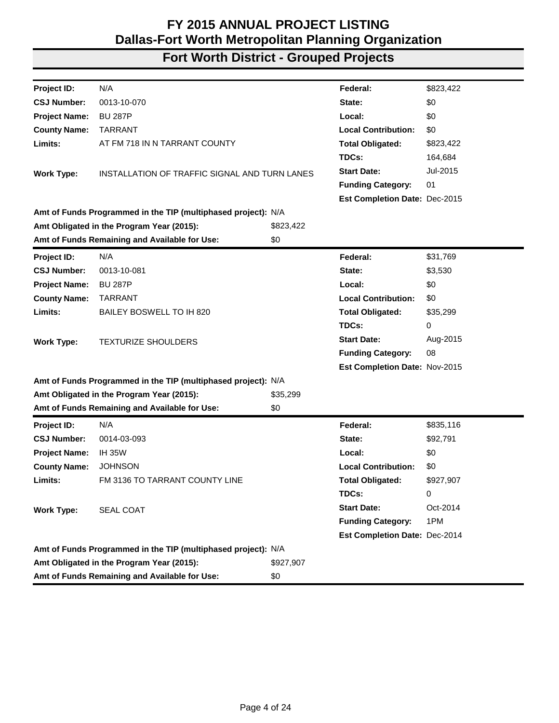| N/A<br>Project ID:<br>\$823,422<br>Federal:<br>0013-10-070<br>\$0<br><b>CSJ Number:</b><br>State:<br><b>Project Name:</b><br><b>BU 287P</b><br>Local:<br>\$0<br><b>County Name:</b><br><b>Local Contribution:</b><br><b>TARRANT</b><br>\$0<br>Limits:<br>AT FM 718 IN N TARRANT COUNTY<br><b>Total Obligated:</b><br>\$823,422<br>TDCs:<br>164,684<br><b>Start Date:</b><br>Jul-2015<br>INSTALLATION OF TRAFFIC SIGNAL AND TURN LANES<br><b>Work Type:</b><br>01<br><b>Funding Category:</b><br>Est Completion Date: Dec-2015<br>Amt of Funds Programmed in the TIP (multiphased project): N/A<br>Amt Obligated in the Program Year (2015):<br>\$823,422<br>Amt of Funds Remaining and Available for Use:<br>\$0<br>N/A<br>\$31,769<br>Project ID:<br>Federal:<br><b>CSJ Number:</b><br>0013-10-081<br>\$3,530<br>State:<br><b>Project Name:</b><br><b>BU 287P</b><br>Local:<br>\$0<br><b>County Name:</b><br><b>TARRANT</b><br><b>Local Contribution:</b><br>\$0<br>Limits:<br>BAILEY BOSWELL TO IH 820<br><b>Total Obligated:</b><br>\$35,299<br>TDCs:<br>0<br>Aug-2015<br><b>Start Date:</b><br><b>TEXTURIZE SHOULDERS</b><br><b>Work Type:</b><br>08<br><b>Funding Category:</b><br>Est Completion Date: Nov-2015<br>Amt of Funds Programmed in the TIP (multiphased project): N/A<br>Amt Obligated in the Program Year (2015):<br>\$35,299<br>Amt of Funds Remaining and Available for Use:<br>\$0<br>Project ID:<br>N/A<br>Federal:<br>\$835,116<br><b>CSJ Number:</b><br>0014-03-093<br>State:<br>\$92,791<br><b>Project Name:</b><br><b>IH 35W</b><br>Local:<br>\$0<br><b>Local Contribution:</b><br><b>County Name:</b><br><b>JOHNSON</b><br>\$0<br>Limits:<br>FM 3136 TO TARRANT COUNTY LINE<br><b>Total Obligated:</b><br>\$927,907<br>TDCs:<br>0<br><b>Start Date:</b><br>Oct-2014<br><b>Work Type:</b><br><b>SEAL COAT</b><br><b>Funding Category:</b><br>1PM<br>Est Completion Date: Dec-2014<br>Amt of Funds Programmed in the TIP (multiphased project): N/A<br>Amt Obligated in the Program Year (2015):<br>\$927,907<br>Amt of Funds Remaining and Available for Use:<br>\$0 |  |  |  |
|------------------------------------------------------------------------------------------------------------------------------------------------------------------------------------------------------------------------------------------------------------------------------------------------------------------------------------------------------------------------------------------------------------------------------------------------------------------------------------------------------------------------------------------------------------------------------------------------------------------------------------------------------------------------------------------------------------------------------------------------------------------------------------------------------------------------------------------------------------------------------------------------------------------------------------------------------------------------------------------------------------------------------------------------------------------------------------------------------------------------------------------------------------------------------------------------------------------------------------------------------------------------------------------------------------------------------------------------------------------------------------------------------------------------------------------------------------------------------------------------------------------------------------------------------------------------------------------------------------------------------------------------------------------------------------------------------------------------------------------------------------------------------------------------------------------------------------------------------------------------------------------------------------------------------------------------------------------------------------------------------------------------------------------------------------------------------------------------|--|--|--|
|                                                                                                                                                                                                                                                                                                                                                                                                                                                                                                                                                                                                                                                                                                                                                                                                                                                                                                                                                                                                                                                                                                                                                                                                                                                                                                                                                                                                                                                                                                                                                                                                                                                                                                                                                                                                                                                                                                                                                                                                                                                                                                |  |  |  |
|                                                                                                                                                                                                                                                                                                                                                                                                                                                                                                                                                                                                                                                                                                                                                                                                                                                                                                                                                                                                                                                                                                                                                                                                                                                                                                                                                                                                                                                                                                                                                                                                                                                                                                                                                                                                                                                                                                                                                                                                                                                                                                |  |  |  |
|                                                                                                                                                                                                                                                                                                                                                                                                                                                                                                                                                                                                                                                                                                                                                                                                                                                                                                                                                                                                                                                                                                                                                                                                                                                                                                                                                                                                                                                                                                                                                                                                                                                                                                                                                                                                                                                                                                                                                                                                                                                                                                |  |  |  |
|                                                                                                                                                                                                                                                                                                                                                                                                                                                                                                                                                                                                                                                                                                                                                                                                                                                                                                                                                                                                                                                                                                                                                                                                                                                                                                                                                                                                                                                                                                                                                                                                                                                                                                                                                                                                                                                                                                                                                                                                                                                                                                |  |  |  |
|                                                                                                                                                                                                                                                                                                                                                                                                                                                                                                                                                                                                                                                                                                                                                                                                                                                                                                                                                                                                                                                                                                                                                                                                                                                                                                                                                                                                                                                                                                                                                                                                                                                                                                                                                                                                                                                                                                                                                                                                                                                                                                |  |  |  |
|                                                                                                                                                                                                                                                                                                                                                                                                                                                                                                                                                                                                                                                                                                                                                                                                                                                                                                                                                                                                                                                                                                                                                                                                                                                                                                                                                                                                                                                                                                                                                                                                                                                                                                                                                                                                                                                                                                                                                                                                                                                                                                |  |  |  |
|                                                                                                                                                                                                                                                                                                                                                                                                                                                                                                                                                                                                                                                                                                                                                                                                                                                                                                                                                                                                                                                                                                                                                                                                                                                                                                                                                                                                                                                                                                                                                                                                                                                                                                                                                                                                                                                                                                                                                                                                                                                                                                |  |  |  |
|                                                                                                                                                                                                                                                                                                                                                                                                                                                                                                                                                                                                                                                                                                                                                                                                                                                                                                                                                                                                                                                                                                                                                                                                                                                                                                                                                                                                                                                                                                                                                                                                                                                                                                                                                                                                                                                                                                                                                                                                                                                                                                |  |  |  |
|                                                                                                                                                                                                                                                                                                                                                                                                                                                                                                                                                                                                                                                                                                                                                                                                                                                                                                                                                                                                                                                                                                                                                                                                                                                                                                                                                                                                                                                                                                                                                                                                                                                                                                                                                                                                                                                                                                                                                                                                                                                                                                |  |  |  |
|                                                                                                                                                                                                                                                                                                                                                                                                                                                                                                                                                                                                                                                                                                                                                                                                                                                                                                                                                                                                                                                                                                                                                                                                                                                                                                                                                                                                                                                                                                                                                                                                                                                                                                                                                                                                                                                                                                                                                                                                                                                                                                |  |  |  |
|                                                                                                                                                                                                                                                                                                                                                                                                                                                                                                                                                                                                                                                                                                                                                                                                                                                                                                                                                                                                                                                                                                                                                                                                                                                                                                                                                                                                                                                                                                                                                                                                                                                                                                                                                                                                                                                                                                                                                                                                                                                                                                |  |  |  |
|                                                                                                                                                                                                                                                                                                                                                                                                                                                                                                                                                                                                                                                                                                                                                                                                                                                                                                                                                                                                                                                                                                                                                                                                                                                                                                                                                                                                                                                                                                                                                                                                                                                                                                                                                                                                                                                                                                                                                                                                                                                                                                |  |  |  |
|                                                                                                                                                                                                                                                                                                                                                                                                                                                                                                                                                                                                                                                                                                                                                                                                                                                                                                                                                                                                                                                                                                                                                                                                                                                                                                                                                                                                                                                                                                                                                                                                                                                                                                                                                                                                                                                                                                                                                                                                                                                                                                |  |  |  |
|                                                                                                                                                                                                                                                                                                                                                                                                                                                                                                                                                                                                                                                                                                                                                                                                                                                                                                                                                                                                                                                                                                                                                                                                                                                                                                                                                                                                                                                                                                                                                                                                                                                                                                                                                                                                                                                                                                                                                                                                                                                                                                |  |  |  |
|                                                                                                                                                                                                                                                                                                                                                                                                                                                                                                                                                                                                                                                                                                                                                                                                                                                                                                                                                                                                                                                                                                                                                                                                                                                                                                                                                                                                                                                                                                                                                                                                                                                                                                                                                                                                                                                                                                                                                                                                                                                                                                |  |  |  |
|                                                                                                                                                                                                                                                                                                                                                                                                                                                                                                                                                                                                                                                                                                                                                                                                                                                                                                                                                                                                                                                                                                                                                                                                                                                                                                                                                                                                                                                                                                                                                                                                                                                                                                                                                                                                                                                                                                                                                                                                                                                                                                |  |  |  |
|                                                                                                                                                                                                                                                                                                                                                                                                                                                                                                                                                                                                                                                                                                                                                                                                                                                                                                                                                                                                                                                                                                                                                                                                                                                                                                                                                                                                                                                                                                                                                                                                                                                                                                                                                                                                                                                                                                                                                                                                                                                                                                |  |  |  |
|                                                                                                                                                                                                                                                                                                                                                                                                                                                                                                                                                                                                                                                                                                                                                                                                                                                                                                                                                                                                                                                                                                                                                                                                                                                                                                                                                                                                                                                                                                                                                                                                                                                                                                                                                                                                                                                                                                                                                                                                                                                                                                |  |  |  |
|                                                                                                                                                                                                                                                                                                                                                                                                                                                                                                                                                                                                                                                                                                                                                                                                                                                                                                                                                                                                                                                                                                                                                                                                                                                                                                                                                                                                                                                                                                                                                                                                                                                                                                                                                                                                                                                                                                                                                                                                                                                                                                |  |  |  |
|                                                                                                                                                                                                                                                                                                                                                                                                                                                                                                                                                                                                                                                                                                                                                                                                                                                                                                                                                                                                                                                                                                                                                                                                                                                                                                                                                                                                                                                                                                                                                                                                                                                                                                                                                                                                                                                                                                                                                                                                                                                                                                |  |  |  |
|                                                                                                                                                                                                                                                                                                                                                                                                                                                                                                                                                                                                                                                                                                                                                                                                                                                                                                                                                                                                                                                                                                                                                                                                                                                                                                                                                                                                                                                                                                                                                                                                                                                                                                                                                                                                                                                                                                                                                                                                                                                                                                |  |  |  |
|                                                                                                                                                                                                                                                                                                                                                                                                                                                                                                                                                                                                                                                                                                                                                                                                                                                                                                                                                                                                                                                                                                                                                                                                                                                                                                                                                                                                                                                                                                                                                                                                                                                                                                                                                                                                                                                                                                                                                                                                                                                                                                |  |  |  |
|                                                                                                                                                                                                                                                                                                                                                                                                                                                                                                                                                                                                                                                                                                                                                                                                                                                                                                                                                                                                                                                                                                                                                                                                                                                                                                                                                                                                                                                                                                                                                                                                                                                                                                                                                                                                                                                                                                                                                                                                                                                                                                |  |  |  |
|                                                                                                                                                                                                                                                                                                                                                                                                                                                                                                                                                                                                                                                                                                                                                                                                                                                                                                                                                                                                                                                                                                                                                                                                                                                                                                                                                                                                                                                                                                                                                                                                                                                                                                                                                                                                                                                                                                                                                                                                                                                                                                |  |  |  |
|                                                                                                                                                                                                                                                                                                                                                                                                                                                                                                                                                                                                                                                                                                                                                                                                                                                                                                                                                                                                                                                                                                                                                                                                                                                                                                                                                                                                                                                                                                                                                                                                                                                                                                                                                                                                                                                                                                                                                                                                                                                                                                |  |  |  |
|                                                                                                                                                                                                                                                                                                                                                                                                                                                                                                                                                                                                                                                                                                                                                                                                                                                                                                                                                                                                                                                                                                                                                                                                                                                                                                                                                                                                                                                                                                                                                                                                                                                                                                                                                                                                                                                                                                                                                                                                                                                                                                |  |  |  |
|                                                                                                                                                                                                                                                                                                                                                                                                                                                                                                                                                                                                                                                                                                                                                                                                                                                                                                                                                                                                                                                                                                                                                                                                                                                                                                                                                                                                                                                                                                                                                                                                                                                                                                                                                                                                                                                                                                                                                                                                                                                                                                |  |  |  |
|                                                                                                                                                                                                                                                                                                                                                                                                                                                                                                                                                                                                                                                                                                                                                                                                                                                                                                                                                                                                                                                                                                                                                                                                                                                                                                                                                                                                                                                                                                                                                                                                                                                                                                                                                                                                                                                                                                                                                                                                                                                                                                |  |  |  |
|                                                                                                                                                                                                                                                                                                                                                                                                                                                                                                                                                                                                                                                                                                                                                                                                                                                                                                                                                                                                                                                                                                                                                                                                                                                                                                                                                                                                                                                                                                                                                                                                                                                                                                                                                                                                                                                                                                                                                                                                                                                                                                |  |  |  |
|                                                                                                                                                                                                                                                                                                                                                                                                                                                                                                                                                                                                                                                                                                                                                                                                                                                                                                                                                                                                                                                                                                                                                                                                                                                                                                                                                                                                                                                                                                                                                                                                                                                                                                                                                                                                                                                                                                                                                                                                                                                                                                |  |  |  |
|                                                                                                                                                                                                                                                                                                                                                                                                                                                                                                                                                                                                                                                                                                                                                                                                                                                                                                                                                                                                                                                                                                                                                                                                                                                                                                                                                                                                                                                                                                                                                                                                                                                                                                                                                                                                                                                                                                                                                                                                                                                                                                |  |  |  |
|                                                                                                                                                                                                                                                                                                                                                                                                                                                                                                                                                                                                                                                                                                                                                                                                                                                                                                                                                                                                                                                                                                                                                                                                                                                                                                                                                                                                                                                                                                                                                                                                                                                                                                                                                                                                                                                                                                                                                                                                                                                                                                |  |  |  |
|                                                                                                                                                                                                                                                                                                                                                                                                                                                                                                                                                                                                                                                                                                                                                                                                                                                                                                                                                                                                                                                                                                                                                                                                                                                                                                                                                                                                                                                                                                                                                                                                                                                                                                                                                                                                                                                                                                                                                                                                                                                                                                |  |  |  |
|                                                                                                                                                                                                                                                                                                                                                                                                                                                                                                                                                                                                                                                                                                                                                                                                                                                                                                                                                                                                                                                                                                                                                                                                                                                                                                                                                                                                                                                                                                                                                                                                                                                                                                                                                                                                                                                                                                                                                                                                                                                                                                |  |  |  |
|                                                                                                                                                                                                                                                                                                                                                                                                                                                                                                                                                                                                                                                                                                                                                                                                                                                                                                                                                                                                                                                                                                                                                                                                                                                                                                                                                                                                                                                                                                                                                                                                                                                                                                                                                                                                                                                                                                                                                                                                                                                                                                |  |  |  |
|                                                                                                                                                                                                                                                                                                                                                                                                                                                                                                                                                                                                                                                                                                                                                                                                                                                                                                                                                                                                                                                                                                                                                                                                                                                                                                                                                                                                                                                                                                                                                                                                                                                                                                                                                                                                                                                                                                                                                                                                                                                                                                |  |  |  |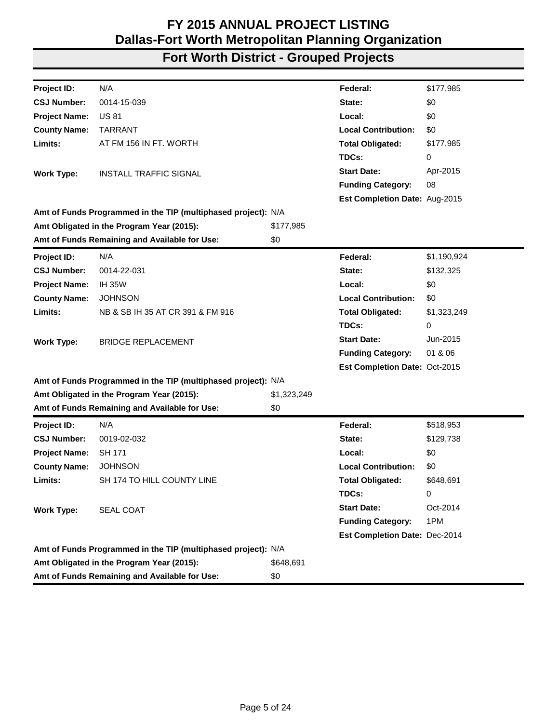| Project ID:          | N/A                                                           |             | Federal:                      | \$177,985   |
|----------------------|---------------------------------------------------------------|-------------|-------------------------------|-------------|
| <b>CSJ Number:</b>   | 0014-15-039                                                   |             | State:                        | \$0         |
| <b>Project Name:</b> | <b>US 81</b>                                                  |             | Local:                        | \$0         |
| <b>County Name:</b>  | <b>TARRANT</b>                                                |             | <b>Local Contribution:</b>    | \$0         |
| Limits:              | AT FM 156 IN FT. WORTH                                        |             | <b>Total Obligated:</b>       | \$177,985   |
|                      |                                                               |             | TDCs:                         | 0           |
| <b>Work Type:</b>    | <b>INSTALL TRAFFIC SIGNAL</b>                                 |             | <b>Start Date:</b>            | Apr-2015    |
|                      |                                                               |             | <b>Funding Category:</b>      | 08          |
|                      |                                                               |             | Est Completion Date: Aug-2015 |             |
|                      | Amt of Funds Programmed in the TIP (multiphased project): N/A |             |                               |             |
|                      | Amt Obligated in the Program Year (2015):                     | \$177,985   |                               |             |
|                      | Amt of Funds Remaining and Available for Use:                 | \$0         |                               |             |
| Project ID:          | N/A                                                           |             | Federal:                      | \$1,190,924 |
| <b>CSJ Number:</b>   | 0014-22-031                                                   |             | State:                        | \$132,325   |
| <b>Project Name:</b> | <b>IH 35W</b>                                                 |             | Local:                        | \$0         |
| <b>County Name:</b>  | <b>JOHNSON</b>                                                |             | <b>Local Contribution:</b>    | \$0         |
| Limits:              | NB & SB IH 35 AT CR 391 & FM 916                              |             | <b>Total Obligated:</b>       | \$1,323,249 |
|                      |                                                               |             | TDCs:                         | 0           |
| <b>Work Type:</b>    | <b>BRIDGE REPLACEMENT</b>                                     |             | <b>Start Date:</b>            | Jun-2015    |
|                      |                                                               |             | <b>Funding Category:</b>      | 01 & 06     |
|                      |                                                               |             | Est Completion Date: Oct-2015 |             |
|                      | Amt of Funds Programmed in the TIP (multiphased project): N/A |             |                               |             |
|                      | Amt Obligated in the Program Year (2015):                     | \$1,323,249 |                               |             |
|                      | Amt of Funds Remaining and Available for Use:                 | \$0         |                               |             |
| Project ID:          | N/A                                                           |             | Federal:                      | \$518,953   |
| <b>CSJ Number:</b>   | 0019-02-032                                                   |             | State:                        | \$129,738   |
| <b>Project Name:</b> | <b>SH 171</b>                                                 |             | Local:                        | \$0         |
| <b>County Name:</b>  | <b>JOHNSON</b>                                                |             | <b>Local Contribution:</b>    | \$0         |
| Limits:              | SH 174 TO HILL COUNTY LINE                                    |             | <b>Total Obligated:</b>       | \$648,691   |
|                      |                                                               |             | TDCs:                         | 0           |
| <b>Work Type:</b>    | <b>SEAL COAT</b>                                              |             | <b>Start Date:</b>            | Oct-2014    |
|                      |                                                               |             | <b>Funding Category:</b>      | 1PM         |
|                      |                                                               |             | Est Completion Date: Dec-2014 |             |
|                      | Amt of Funds Programmed in the TIP (multiphased project): N/A |             |                               |             |
|                      | Amt Obligated in the Program Year (2015):                     | \$648,691   |                               |             |
|                      | Amt of Funds Remaining and Available for Use:                 | \$0         |                               |             |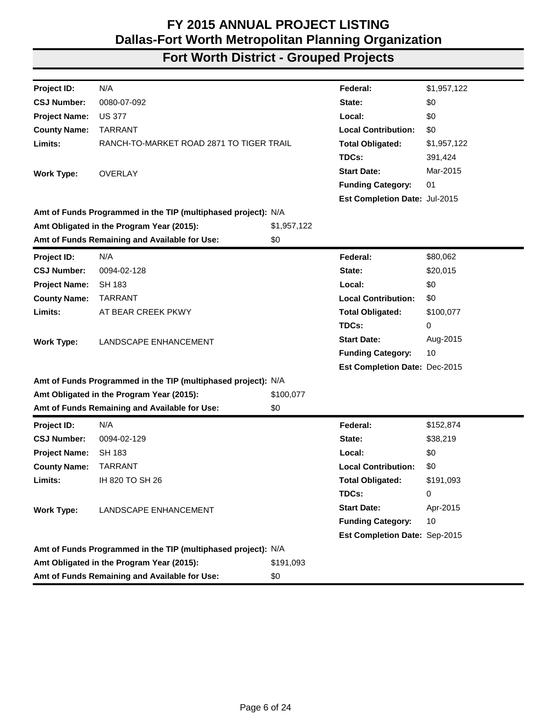| N/A<br>\$1,957,122<br>Project ID:<br>Federal:<br>0080-07-092<br><b>CSJ Number:</b><br>\$0<br>State:<br><b>Project Name:</b><br><b>US 377</b><br>Local:<br>\$0<br><b>Local Contribution:</b><br><b>County Name:</b><br><b>TARRANT</b><br>\$0<br>Limits:<br>RANCH-TO-MARKET ROAD 2871 TO TIGER TRAIL<br><b>Total Obligated:</b><br>\$1,957,122<br>TDCs:<br>391,424 |  |
|------------------------------------------------------------------------------------------------------------------------------------------------------------------------------------------------------------------------------------------------------------------------------------------------------------------------------------------------------------------|--|
|                                                                                                                                                                                                                                                                                                                                                                  |  |
|                                                                                                                                                                                                                                                                                                                                                                  |  |
|                                                                                                                                                                                                                                                                                                                                                                  |  |
|                                                                                                                                                                                                                                                                                                                                                                  |  |
|                                                                                                                                                                                                                                                                                                                                                                  |  |
|                                                                                                                                                                                                                                                                                                                                                                  |  |
| Mar-2015<br><b>Start Date:</b><br><b>OVERLAY</b><br><b>Work Type:</b>                                                                                                                                                                                                                                                                                            |  |
| <b>Funding Category:</b><br>01                                                                                                                                                                                                                                                                                                                                   |  |
| Est Completion Date: Jul-2015                                                                                                                                                                                                                                                                                                                                    |  |
| Amt of Funds Programmed in the TIP (multiphased project): N/A                                                                                                                                                                                                                                                                                                    |  |
| Amt Obligated in the Program Year (2015):<br>\$1,957,122                                                                                                                                                                                                                                                                                                         |  |
| Amt of Funds Remaining and Available for Use:<br>\$0                                                                                                                                                                                                                                                                                                             |  |
| N/A<br>\$80,062<br>Project ID:<br>Federal:                                                                                                                                                                                                                                                                                                                       |  |
| 0094-02-128<br>\$20,015<br><b>CSJ Number:</b><br>State:                                                                                                                                                                                                                                                                                                          |  |
| \$0<br><b>Project Name:</b><br><b>SH 183</b><br>Local:                                                                                                                                                                                                                                                                                                           |  |
| <b>Local Contribution:</b><br>\$0<br><b>County Name:</b><br>TARRANT                                                                                                                                                                                                                                                                                              |  |
| Limits:<br>AT BEAR CREEK PKWY<br><b>Total Obligated:</b><br>\$100,077                                                                                                                                                                                                                                                                                            |  |
| TDCs:<br>0                                                                                                                                                                                                                                                                                                                                                       |  |
| <b>Start Date:</b><br>Aug-2015<br><b>Work Type:</b><br>LANDSCAPE ENHANCEMENT                                                                                                                                                                                                                                                                                     |  |
| 10<br><b>Funding Category:</b>                                                                                                                                                                                                                                                                                                                                   |  |
| Est Completion Date: Dec-2015                                                                                                                                                                                                                                                                                                                                    |  |
| Amt of Funds Programmed in the TIP (multiphased project): N/A                                                                                                                                                                                                                                                                                                    |  |
| Amt Obligated in the Program Year (2015):<br>\$100,077                                                                                                                                                                                                                                                                                                           |  |
| Amt of Funds Remaining and Available for Use:<br>\$0                                                                                                                                                                                                                                                                                                             |  |
| N/A<br>Federal:<br>\$152,874<br>Project ID:                                                                                                                                                                                                                                                                                                                      |  |
| <b>CSJ Number:</b><br>0094-02-129<br>State:<br>\$38,219                                                                                                                                                                                                                                                                                                          |  |
| <b>Project Name:</b><br><b>SH 183</b><br>Local:<br>\$0                                                                                                                                                                                                                                                                                                           |  |
| <b>County Name:</b><br><b>TARRANT</b><br><b>Local Contribution:</b><br>\$0                                                                                                                                                                                                                                                                                       |  |
| Limits:<br>IH 820 TO SH 26<br><b>Total Obligated:</b><br>\$191,093                                                                                                                                                                                                                                                                                               |  |
| TDCs:<br>0                                                                                                                                                                                                                                                                                                                                                       |  |
| <b>Start Date:</b><br>Apr-2015<br><b>Work Type:</b><br>LANDSCAPE ENHANCEMENT                                                                                                                                                                                                                                                                                     |  |
| <b>Funding Category:</b><br>10                                                                                                                                                                                                                                                                                                                                   |  |
| Est Completion Date: Sep-2015                                                                                                                                                                                                                                                                                                                                    |  |
| Amt of Funds Programmed in the TIP (multiphased project): N/A                                                                                                                                                                                                                                                                                                    |  |
| Amt Obligated in the Program Year (2015):<br>\$191,093                                                                                                                                                                                                                                                                                                           |  |
| Amt of Funds Remaining and Available for Use:<br>\$0                                                                                                                                                                                                                                                                                                             |  |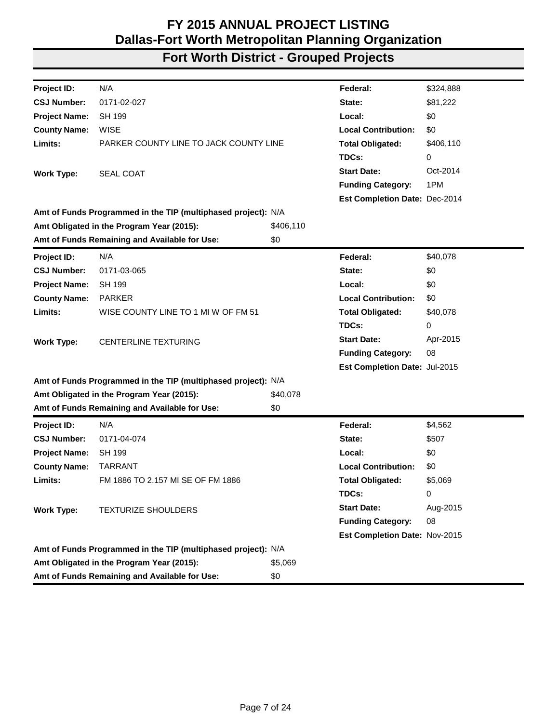| Project ID:          | N/A                                                           |           | Federal:                      | \$324,888 |
|----------------------|---------------------------------------------------------------|-----------|-------------------------------|-----------|
| <b>CSJ Number:</b>   | 0171-02-027                                                   |           | State:                        | \$81,222  |
| <b>Project Name:</b> | <b>SH 199</b>                                                 |           | Local:                        | \$0       |
| <b>County Name:</b>  | <b>WISE</b>                                                   |           | <b>Local Contribution:</b>    | \$0       |
| Limits:              | PARKER COUNTY LINE TO JACK COUNTY LINE                        |           | <b>Total Obligated:</b>       | \$406,110 |
|                      |                                                               |           | TDCs:                         | 0         |
| <b>Work Type:</b>    | SEAL COAT                                                     |           | <b>Start Date:</b>            | Oct-2014  |
|                      |                                                               |           | <b>Funding Category:</b>      | 1PM       |
|                      |                                                               |           | Est Completion Date: Dec-2014 |           |
|                      | Amt of Funds Programmed in the TIP (multiphased project): N/A |           |                               |           |
|                      | Amt Obligated in the Program Year (2015):                     | \$406,110 |                               |           |
|                      | Amt of Funds Remaining and Available for Use:                 | \$0       |                               |           |
| Project ID:          | N/A                                                           |           | Federal:                      | \$40,078  |
| <b>CSJ Number:</b>   | 0171-03-065                                                   |           | State:                        | \$0       |
| <b>Project Name:</b> | <b>SH 199</b>                                                 |           | Local:                        | \$0       |
| <b>County Name:</b>  | <b>PARKER</b>                                                 |           | <b>Local Contribution:</b>    | \$0       |
| Limits:              | WISE COUNTY LINE TO 1 MI W OF FM 51                           |           | <b>Total Obligated:</b>       | \$40,078  |
|                      |                                                               |           | TDCs:                         | 0         |
| <b>Work Type:</b>    | <b>CENTERLINE TEXTURING</b>                                   |           | <b>Start Date:</b>            | Apr-2015  |
|                      |                                                               |           | <b>Funding Category:</b>      | 08        |
|                      |                                                               |           | Est Completion Date: Jul-2015 |           |
|                      | Amt of Funds Programmed in the TIP (multiphased project): N/A |           |                               |           |
|                      | Amt Obligated in the Program Year (2015):                     | \$40,078  |                               |           |
|                      | Amt of Funds Remaining and Available for Use:                 | \$0       |                               |           |
| <b>Project ID:</b>   | N/A                                                           |           | Federal:                      | \$4,562   |
| <b>CSJ Number:</b>   | 0171-04-074                                                   |           | State:                        | \$507     |
| <b>Project Name:</b> | <b>SH 199</b>                                                 |           | Local:                        | \$0       |
| <b>County Name:</b>  | <b>TARRANT</b>                                                |           | <b>Local Contribution:</b>    | \$0       |
| Limits:              | FM 1886 TO 2.157 MI SE OF FM 1886                             |           | <b>Total Obligated:</b>       | \$5,069   |
|                      |                                                               |           | TDCs:                         | 0         |
| <b>Work Type:</b>    | <b>TEXTURIZE SHOULDERS</b>                                    |           | <b>Start Date:</b>            | Aug-2015  |
|                      |                                                               |           | <b>Funding Category:</b>      | 08        |
|                      |                                                               |           | Est Completion Date: Nov-2015 |           |
|                      | Amt of Funds Programmed in the TIP (multiphased project): N/A |           |                               |           |
|                      | Amt Obligated in the Program Year (2015):                     | \$5,069   |                               |           |
|                      | Amt of Funds Remaining and Available for Use:                 | \$0       |                               |           |
|                      |                                                               |           |                               |           |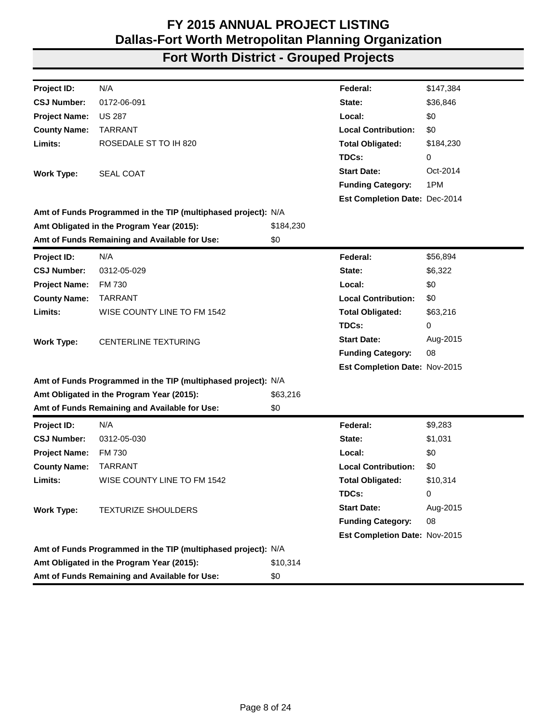| Project ID:          | N/A                                                           |           | Federal:                      | \$147,384 |
|----------------------|---------------------------------------------------------------|-----------|-------------------------------|-----------|
| <b>CSJ Number:</b>   | 0172-06-091                                                   |           | State:                        | \$36,846  |
| <b>Project Name:</b> | <b>US 287</b>                                                 |           | Local:                        | \$0       |
| <b>County Name:</b>  | <b>TARRANT</b>                                                |           | <b>Local Contribution:</b>    | \$0       |
| Limits:              | ROSEDALE ST TO IH 820                                         |           | <b>Total Obligated:</b>       | \$184,230 |
|                      |                                                               |           | TDCs:                         | 0         |
| <b>Work Type:</b>    | <b>SEAL COAT</b>                                              |           | <b>Start Date:</b>            | Oct-2014  |
|                      |                                                               |           | <b>Funding Category:</b>      | 1PM       |
|                      |                                                               |           | Est Completion Date: Dec-2014 |           |
|                      | Amt of Funds Programmed in the TIP (multiphased project): N/A |           |                               |           |
|                      | Amt Obligated in the Program Year (2015):                     | \$184,230 |                               |           |
|                      | Amt of Funds Remaining and Available for Use:                 | \$0       |                               |           |
| Project ID:          | N/A                                                           |           | Federal:                      | \$56,894  |
| <b>CSJ Number:</b>   | 0312-05-029                                                   |           | State:                        | \$6,322   |
| <b>Project Name:</b> | FM 730                                                        |           | Local:                        | \$0       |
| <b>County Name:</b>  | <b>TARRANT</b>                                                |           | <b>Local Contribution:</b>    | \$0       |
| Limits:              | WISE COUNTY LINE TO FM 1542                                   |           | <b>Total Obligated:</b>       | \$63,216  |
|                      |                                                               |           | TDCs:                         | 0         |
| <b>Work Type:</b>    | CENTERLINE TEXTURING                                          |           | <b>Start Date:</b>            | Aug-2015  |
|                      |                                                               |           | <b>Funding Category:</b>      | 08        |
|                      |                                                               |           | Est Completion Date: Nov-2015 |           |
|                      | Amt of Funds Programmed in the TIP (multiphased project): N/A |           |                               |           |
|                      | Amt Obligated in the Program Year (2015):                     | \$63,216  |                               |           |
|                      | Amt of Funds Remaining and Available for Use:                 | \$0       |                               |           |
| Project ID:          | N/A                                                           |           | Federal:                      | \$9,283   |
| <b>CSJ Number:</b>   | 0312-05-030                                                   |           | State:                        | \$1,031   |
| <b>Project Name:</b> | FM 730                                                        |           | Local:                        | \$0       |
| <b>County Name:</b>  | <b>TARRANT</b>                                                |           | <b>Local Contribution:</b>    | \$0       |
| Limits:              | WISE COUNTY LINE TO FM 1542                                   |           | <b>Total Obligated:</b>       | \$10,314  |
|                      |                                                               |           | TDCs:                         | 0         |
| <b>Work Type:</b>    | <b>TEXTURIZE SHOULDERS</b>                                    |           | <b>Start Date:</b>            | Aug-2015  |
|                      |                                                               |           | <b>Funding Category:</b>      | 08        |
|                      |                                                               |           | Est Completion Date: Nov-2015 |           |
|                      | Amt of Funds Programmed in the TIP (multiphased project): N/A |           |                               |           |
|                      | Amt Obligated in the Program Year (2015):                     | \$10,314  |                               |           |
|                      | Amt of Funds Remaining and Available for Use:                 | \$0       |                               |           |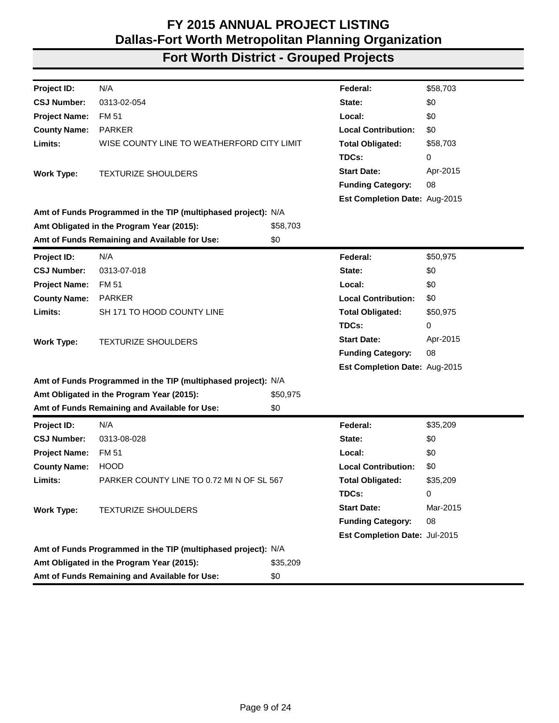| Project ID:          | N/A                                                           |          | Federal:                      | \$58,703 |
|----------------------|---------------------------------------------------------------|----------|-------------------------------|----------|
| <b>CSJ Number:</b>   | 0313-02-054                                                   |          | State:                        | \$0      |
| <b>Project Name:</b> | FM 51                                                         |          | Local:                        | \$0      |
| <b>County Name:</b>  | <b>PARKER</b>                                                 |          | <b>Local Contribution:</b>    | \$0      |
| Limits:              | WISE COUNTY LINE TO WEATHERFORD CITY LIMIT                    |          | <b>Total Obligated:</b>       | \$58,703 |
|                      |                                                               |          | TDCs:                         | 0        |
| <b>Work Type:</b>    | <b>TEXTURIZE SHOULDERS</b>                                    |          | <b>Start Date:</b>            | Apr-2015 |
|                      |                                                               |          | <b>Funding Category:</b>      | 08       |
|                      |                                                               |          | Est Completion Date: Aug-2015 |          |
|                      | Amt of Funds Programmed in the TIP (multiphased project): N/A |          |                               |          |
|                      | Amt Obligated in the Program Year (2015):                     | \$58,703 |                               |          |
|                      | Amt of Funds Remaining and Available for Use:                 | \$0      |                               |          |
| Project ID:          | N/A                                                           |          | Federal:                      | \$50,975 |
| <b>CSJ Number:</b>   | 0313-07-018                                                   |          | State:                        | \$0      |
| <b>Project Name:</b> | FM 51                                                         |          | Local:                        | \$0      |
| <b>County Name:</b>  | <b>PARKER</b>                                                 |          | <b>Local Contribution:</b>    | \$0      |
| Limits:              | SH 171 TO HOOD COUNTY LINE                                    |          | <b>Total Obligated:</b>       | \$50,975 |
|                      |                                                               |          | TDCs:                         | 0        |
| <b>Work Type:</b>    | <b>TEXTURIZE SHOULDERS</b>                                    |          | <b>Start Date:</b>            | Apr-2015 |
|                      |                                                               |          | <b>Funding Category:</b>      | 08       |
|                      |                                                               |          | Est Completion Date: Aug-2015 |          |
|                      | Amt of Funds Programmed in the TIP (multiphased project): N/A |          |                               |          |
|                      | Amt Obligated in the Program Year (2015):                     | \$50,975 |                               |          |
|                      | Amt of Funds Remaining and Available for Use:                 | \$0      |                               |          |
| <b>Project ID:</b>   | N/A                                                           |          | Federal:                      | \$35,209 |
| <b>CSJ Number:</b>   | 0313-08-028                                                   |          | State:                        | \$0      |
| <b>Project Name:</b> | FM 51                                                         |          | Local:                        | \$0      |
| <b>County Name:</b>  | <b>HOOD</b>                                                   |          | <b>Local Contribution:</b>    | \$0      |
| Limits:              | PARKER COUNTY LINE TO 0.72 MI N OF SL 567                     |          | <b>Total Obligated:</b>       | \$35,209 |
|                      |                                                               |          | TDCs:                         | 0        |
| <b>Work Type:</b>    | <b>TEXTURIZE SHOULDERS</b>                                    |          | <b>Start Date:</b>            | Mar-2015 |
|                      |                                                               |          | <b>Funding Category:</b>      | 08       |
|                      |                                                               |          | Est Completion Date: Jul-2015 |          |
|                      | Amt of Funds Programmed in the TIP (multiphased project): N/A |          |                               |          |
|                      | Amt Obligated in the Program Year (2015):                     | \$35,209 |                               |          |
|                      | Amt of Funds Remaining and Available for Use:                 | \$0      |                               |          |
|                      |                                                               |          |                               |          |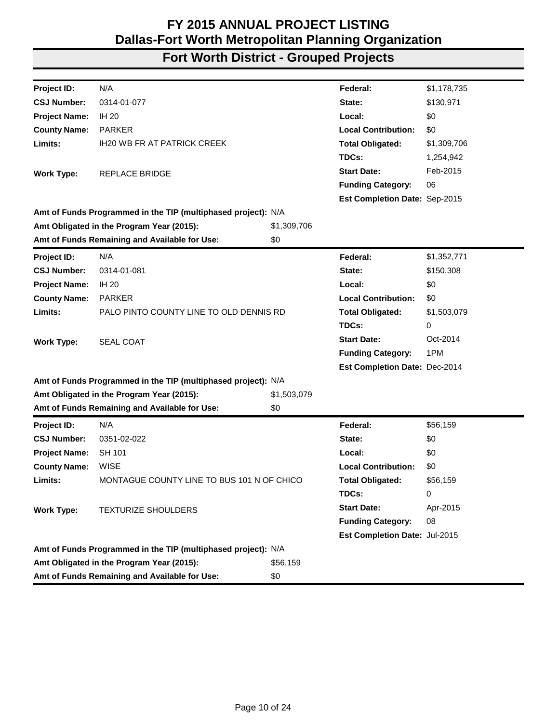| Project ID:          | N/A                                                           |             | Federal:                      | \$1,178,735 |
|----------------------|---------------------------------------------------------------|-------------|-------------------------------|-------------|
| <b>CSJ Number:</b>   | 0314-01-077                                                   |             | State:                        | \$130,971   |
| <b>Project Name:</b> | <b>IH 20</b>                                                  |             | Local:                        | \$0         |
| <b>County Name:</b>  | <b>PARKER</b>                                                 |             | <b>Local Contribution:</b>    | \$0         |
| Limits:              | <b>IH20 WB FR AT PATRICK CREEK</b>                            |             | <b>Total Obligated:</b>       | \$1,309,706 |
|                      |                                                               |             | TDCs:                         | 1,254,942   |
| <b>Work Type:</b>    | <b>REPLACE BRIDGE</b>                                         |             | <b>Start Date:</b>            | Feb-2015    |
|                      |                                                               |             | <b>Funding Category:</b>      | 06          |
|                      |                                                               |             | Est Completion Date: Sep-2015 |             |
|                      | Amt of Funds Programmed in the TIP (multiphased project): N/A |             |                               |             |
|                      | Amt Obligated in the Program Year (2015):                     | \$1,309,706 |                               |             |
|                      | Amt of Funds Remaining and Available for Use:                 | \$0         |                               |             |
| Project ID:          | N/A                                                           |             | Federal:                      | \$1,352,771 |
| <b>CSJ Number:</b>   | 0314-01-081                                                   |             | State:                        | \$150,308   |
| <b>Project Name:</b> | <b>IH 20</b>                                                  |             | Local:                        | \$0         |
| <b>County Name:</b>  | <b>PARKER</b>                                                 |             | <b>Local Contribution:</b>    | \$0         |
| Limits:              | PALO PINTO COUNTY LINE TO OLD DENNIS RD                       |             | <b>Total Obligated:</b>       | \$1,503,079 |
|                      |                                                               |             | TDCs:                         | 0           |
| <b>Work Type:</b>    | <b>SEAL COAT</b>                                              |             | <b>Start Date:</b>            | Oct-2014    |
|                      |                                                               |             | <b>Funding Category:</b>      | 1PM         |
|                      |                                                               |             | Est Completion Date: Dec-2014 |             |
|                      | Amt of Funds Programmed in the TIP (multiphased project): N/A |             |                               |             |
|                      | Amt Obligated in the Program Year (2015):                     | \$1,503,079 |                               |             |
|                      | Amt of Funds Remaining and Available for Use:                 | \$0         |                               |             |
| Project ID:          | N/A                                                           |             | Federal:                      | \$56,159    |
| <b>CSJ Number:</b>   | 0351-02-022                                                   |             | State:                        | \$0         |
| <b>Project Name:</b> | <b>SH 101</b>                                                 |             | Local:                        | \$0         |
| <b>County Name:</b>  | <b>WISE</b>                                                   |             | <b>Local Contribution:</b>    | \$0         |
| Limits:              | MONTAGUE COUNTY LINE TO BUS 101 N OF CHICO                    |             | <b>Total Obligated:</b>       | \$56,159    |
|                      |                                                               |             | TDCs:                         | 0           |
| <b>Work Type:</b>    | <b>TEXTURIZE SHOULDERS</b>                                    |             | <b>Start Date:</b>            | Apr-2015    |
|                      |                                                               |             | <b>Funding Category:</b>      | 08          |
|                      |                                                               |             | Est Completion Date: Jul-2015 |             |
|                      | Amt of Funds Programmed in the TIP (multiphased project): N/A |             |                               |             |
|                      | Amt Obligated in the Program Year (2015):                     | \$56,159    |                               |             |
|                      | Amt of Funds Remaining and Available for Use:                 | \$0         |                               |             |
|                      |                                                               |             |                               |             |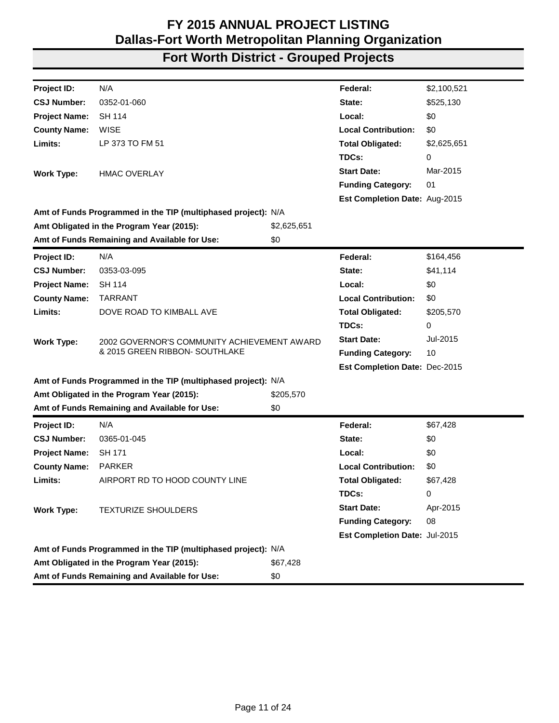| Project ID:          | N/A                                                           |             | Federal:                             | \$2,100,521 |
|----------------------|---------------------------------------------------------------|-------------|--------------------------------------|-------------|
| <b>CSJ Number:</b>   | 0352-01-060                                                   |             | State:                               | \$525,130   |
| <b>Project Name:</b> | <b>SH 114</b>                                                 |             | Local:                               | \$0         |
| <b>County Name:</b>  | <b>WISE</b>                                                   |             | <b>Local Contribution:</b>           | \$0         |
| Limits:              | LP 373 TO FM 51                                               |             | <b>Total Obligated:</b>              | \$2,625,651 |
|                      |                                                               |             | TDCs:                                | 0           |
| <b>Work Type:</b>    | <b>HMAC OVERLAY</b>                                           |             | <b>Start Date:</b>                   | Mar-2015    |
|                      |                                                               |             | <b>Funding Category:</b>             | 01          |
|                      |                                                               |             | Est Completion Date: Aug-2015        |             |
|                      | Amt of Funds Programmed in the TIP (multiphased project): N/A |             |                                      |             |
|                      | Amt Obligated in the Program Year (2015):                     | \$2,625,651 |                                      |             |
|                      | Amt of Funds Remaining and Available for Use:                 | \$0         |                                      |             |
| Project ID:          | N/A                                                           |             | Federal:                             | \$164,456   |
| <b>CSJ Number:</b>   | 0353-03-095                                                   |             | State:                               | \$41,114    |
| <b>Project Name:</b> | <b>SH 114</b>                                                 |             | Local:                               | \$0         |
| <b>County Name:</b>  | <b>TARRANT</b>                                                |             | <b>Local Contribution:</b>           | \$0         |
| Limits:              | DOVE ROAD TO KIMBALL AVE                                      |             | <b>Total Obligated:</b>              | \$205,570   |
|                      |                                                               |             | TDCs:                                | 0           |
| <b>Work Type:</b>    | 2002 GOVERNOR'S COMMUNITY ACHIEVEMENT AWARD                   |             | <b>Start Date:</b>                   | Jul-2015    |
|                      | & 2015 GREEN RIBBON- SOUTHLAKE                                |             | <b>Funding Category:</b>             | 10          |
|                      |                                                               |             | <b>Est Completion Date: Dec-2015</b> |             |
|                      | Amt of Funds Programmed in the TIP (multiphased project): N/A |             |                                      |             |
|                      | Amt Obligated in the Program Year (2015):                     | \$205,570   |                                      |             |
|                      | Amt of Funds Remaining and Available for Use:                 | \$0         |                                      |             |
| Project ID:          | N/A                                                           |             | Federal:                             | \$67,428    |
| <b>CSJ Number:</b>   | 0365-01-045                                                   |             | State:                               | \$0         |
| <b>Project Name:</b> | SH 171                                                        |             | Local:                               | \$0         |
| <b>County Name:</b>  | <b>PARKER</b>                                                 |             | <b>Local Contribution:</b>           | \$0         |
| Limits:              | AIRPORT RD TO HOOD COUNTY LINE                                |             | <b>Total Obligated:</b>              | \$67,428    |
|                      |                                                               |             | TDCs:                                | 0           |
| <b>Work Type:</b>    | <b>TEXTURIZE SHOULDERS</b>                                    |             | <b>Start Date:</b>                   | Apr-2015    |
|                      |                                                               |             | <b>Funding Category:</b>             | 08          |
|                      |                                                               |             | Est Completion Date: Jul-2015        |             |
|                      | Amt of Funds Programmed in the TIP (multiphased project): N/A |             |                                      |             |
|                      | Amt Obligated in the Program Year (2015):                     | \$67,428    |                                      |             |
|                      | Amt of Funds Remaining and Available for Use:                 | \$0         |                                      |             |
|                      |                                                               |             |                                      |             |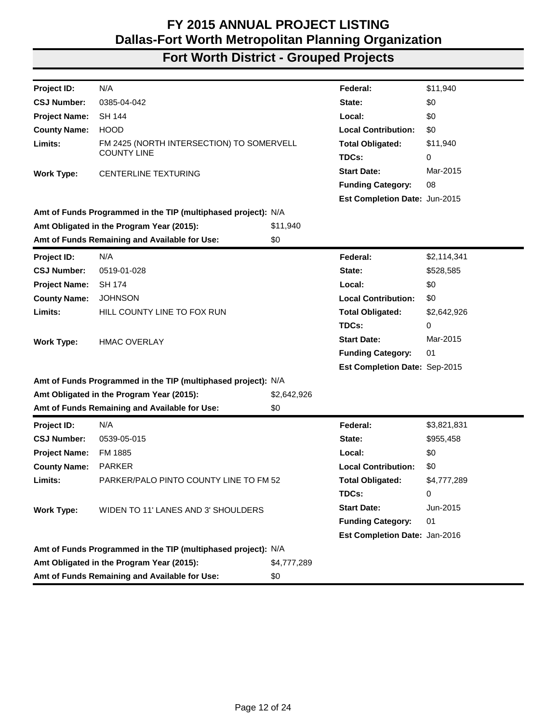| Project ID:          | N/A                                                           |             | Federal:                      | \$11,940    |
|----------------------|---------------------------------------------------------------|-------------|-------------------------------|-------------|
| <b>CSJ Number:</b>   | 0385-04-042                                                   |             | State:                        | \$0         |
| <b>Project Name:</b> | <b>SH 144</b>                                                 |             | Local:                        | \$0         |
| <b>County Name:</b>  | <b>HOOD</b>                                                   |             | <b>Local Contribution:</b>    | \$0         |
| Limits:              | FM 2425 (NORTH INTERSECTION) TO SOMERVELL                     |             | <b>Total Obligated:</b>       | \$11,940    |
|                      | <b>COUNTY LINE</b>                                            |             | TDCs:                         | 0           |
| <b>Work Type:</b>    | <b>CENTERLINE TEXTURING</b>                                   |             | <b>Start Date:</b>            | Mar-2015    |
|                      |                                                               |             | <b>Funding Category:</b>      | 08          |
|                      |                                                               |             | Est Completion Date: Jun-2015 |             |
|                      | Amt of Funds Programmed in the TIP (multiphased project): N/A |             |                               |             |
|                      | Amt Obligated in the Program Year (2015):                     | \$11,940    |                               |             |
|                      | Amt of Funds Remaining and Available for Use:                 | \$0         |                               |             |
| Project ID:          | N/A                                                           |             | Federal:                      | \$2,114,341 |
| <b>CSJ Number:</b>   | 0519-01-028                                                   |             | State:                        | \$528,585   |
| <b>Project Name:</b> | <b>SH 174</b>                                                 |             | Local:                        | \$0         |
| <b>County Name:</b>  | <b>JOHNSON</b>                                                |             | <b>Local Contribution:</b>    | \$0         |
| Limits:              | HILL COUNTY LINE TO FOX RUN                                   |             | <b>Total Obligated:</b>       | \$2,642,926 |
|                      |                                                               |             | TDCs:                         | 0           |
| <b>Work Type:</b>    | <b>HMAC OVERLAY</b>                                           |             | <b>Start Date:</b>            | Mar-2015    |
|                      |                                                               |             | <b>Funding Category:</b>      | 01          |
|                      |                                                               |             | Est Completion Date: Sep-2015 |             |
|                      | Amt of Funds Programmed in the TIP (multiphased project): N/A |             |                               |             |
|                      | Amt Obligated in the Program Year (2015):                     | \$2,642,926 |                               |             |
|                      | Amt of Funds Remaining and Available for Use:                 | \$0         |                               |             |
| Project ID:          | N/A                                                           |             | Federal:                      | \$3,821,831 |
| <b>CSJ Number:</b>   | 0539-05-015                                                   |             | State:                        | \$955,458   |
| <b>Project Name:</b> | FM 1885                                                       |             | Local:                        | \$0         |
| <b>County Name:</b>  | <b>PARKER</b>                                                 |             | <b>Local Contribution:</b>    | \$0         |
| Limits:              | PARKER/PALO PINTO COUNTY LINE TO FM 52                        |             | <b>Total Obligated:</b>       | \$4,777,289 |
|                      |                                                               |             | TDCs:                         | 0           |
| <b>Work Type:</b>    | WIDEN TO 11' LANES AND 3' SHOULDERS                           |             | <b>Start Date:</b>            | Jun-2015    |
|                      |                                                               |             | <b>Funding Category:</b>      | 01          |
|                      |                                                               |             | Est Completion Date: Jan-2016 |             |
|                      | Amt of Funds Programmed in the TIP (multiphased project): N/A |             |                               |             |
|                      | Amt Obligated in the Program Year (2015):                     | \$4,777,289 |                               |             |
|                      | Amt of Funds Remaining and Available for Use:                 | \$0         |                               |             |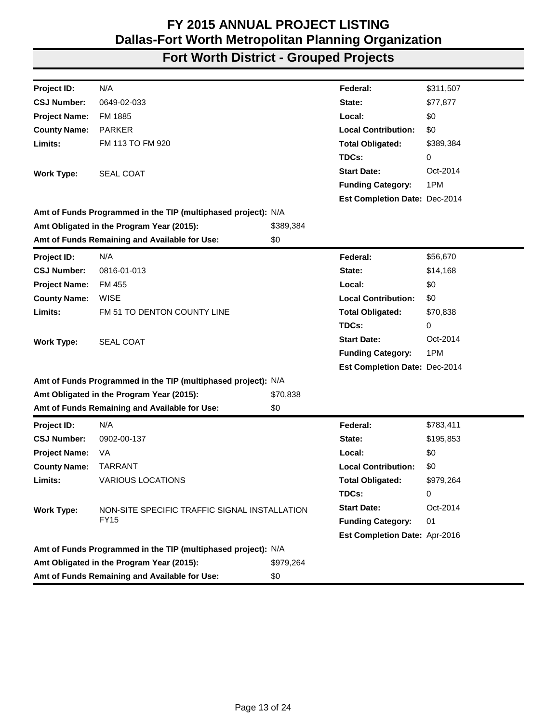| Project ID:          | N/A                                                           |           | Federal:                      | \$311,507 |
|----------------------|---------------------------------------------------------------|-----------|-------------------------------|-----------|
| <b>CSJ Number:</b>   | 0649-02-033                                                   |           | State:                        | \$77,877  |
| <b>Project Name:</b> | FM 1885                                                       |           | Local:                        | \$0       |
| <b>County Name:</b>  | <b>PARKER</b>                                                 |           | <b>Local Contribution:</b>    | \$0       |
| Limits:              | FM 113 TO FM 920                                              |           | <b>Total Obligated:</b>       | \$389,384 |
|                      |                                                               |           | TDCs:                         | 0         |
| <b>Work Type:</b>    | <b>SEAL COAT</b>                                              |           | <b>Start Date:</b>            | Oct-2014  |
|                      |                                                               |           | <b>Funding Category:</b>      | 1PM       |
|                      |                                                               |           | Est Completion Date: Dec-2014 |           |
|                      | Amt of Funds Programmed in the TIP (multiphased project): N/A |           |                               |           |
|                      | Amt Obligated in the Program Year (2015):                     | \$389,384 |                               |           |
|                      | Amt of Funds Remaining and Available for Use:                 | \$0       |                               |           |
| Project ID:          | N/A                                                           |           | Federal:                      | \$56,670  |
| <b>CSJ Number:</b>   | 0816-01-013                                                   |           | State:                        | \$14,168  |
| <b>Project Name:</b> | FM 455                                                        |           | Local:                        | \$0       |
| <b>County Name:</b>  | <b>WISE</b>                                                   |           | <b>Local Contribution:</b>    | \$0       |
| Limits:              | FM 51 TO DENTON COUNTY LINE                                   |           | <b>Total Obligated:</b>       | \$70,838  |
|                      |                                                               |           | TDCs:                         | 0         |
| <b>Work Type:</b>    | <b>SEAL COAT</b>                                              |           | <b>Start Date:</b>            | Oct-2014  |
|                      |                                                               |           | <b>Funding Category:</b>      | 1PM       |
|                      |                                                               |           | Est Completion Date: Dec-2014 |           |
|                      | Amt of Funds Programmed in the TIP (multiphased project): N/A |           |                               |           |
|                      | Amt Obligated in the Program Year (2015):                     | \$70,838  |                               |           |
|                      | Amt of Funds Remaining and Available for Use:                 | \$0       |                               |           |
| Project ID:          | N/A                                                           |           | Federal:                      | \$783,411 |
| <b>CSJ Number:</b>   | 0902-00-137                                                   |           | State:                        | \$195,853 |
| <b>Project Name:</b> | VA                                                            |           | Local:                        | \$0       |
| <b>County Name:</b>  | <b>TARRANT</b>                                                |           | <b>Local Contribution:</b>    | \$0       |
| Limits:              | <b>VARIOUS LOCATIONS</b>                                      |           | <b>Total Obligated:</b>       | \$979,264 |
|                      |                                                               |           | TDCs:                         | 0         |
| <b>Work Type:</b>    | NON-SITE SPECIFIC TRAFFIC SIGNAL INSTALLATION                 |           | <b>Start Date:</b>            | Oct-2014  |
|                      | <b>FY15</b>                                                   |           | <b>Funding Category:</b>      | 01        |
|                      |                                                               |           | Est Completion Date: Apr-2016 |           |
|                      | Amt of Funds Programmed in the TIP (multiphased project): N/A |           |                               |           |
|                      | Amt Obligated in the Program Year (2015):                     | \$979,264 |                               |           |
|                      | Amt of Funds Remaining and Available for Use:                 | \$0       |                               |           |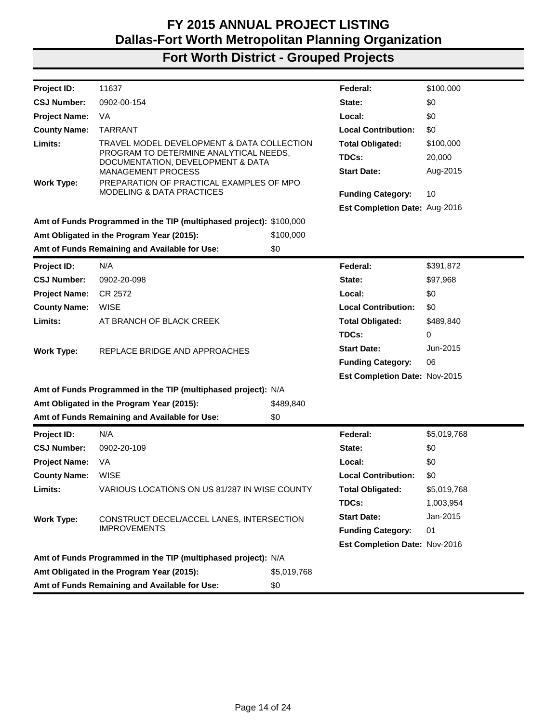| <b>Project ID:</b>                                   | 11637                                                                            |             | Federal:                      | \$100,000   |
|------------------------------------------------------|----------------------------------------------------------------------------------|-------------|-------------------------------|-------------|
| <b>CSJ Number:</b>                                   | 0902-00-154                                                                      |             | State:                        | \$0         |
| <b>Project Name:</b>                                 | VA.                                                                              |             | Local:                        | \$0         |
| <b>County Name:</b>                                  | <b>TARRANT</b>                                                                   |             | <b>Local Contribution:</b>    | \$0         |
| Limits:                                              | TRAVEL MODEL DEVELOPMENT & DATA COLLECTION                                       |             | <b>Total Obligated:</b>       | \$100,000   |
|                                                      | PROGRAM TO DETERMINE ANALYTICAL NEEDS,<br>DOCUMENTATION, DEVELOPMENT & DATA      |             | TDCs:                         | 20,000      |
|                                                      | <b>MANAGEMENT PROCESS</b>                                                        |             | <b>Start Date:</b>            | Aug-2015    |
| <b>Work Type:</b>                                    | PREPARATION OF PRACTICAL EXAMPLES OF MPO<br><b>MODELING &amp; DATA PRACTICES</b> |             |                               |             |
|                                                      |                                                                                  |             | <b>Funding Category:</b>      | 10          |
|                                                      |                                                                                  |             | Est Completion Date: Aug-2016 |             |
|                                                      | Amt of Funds Programmed in the TIP (multiphased project): \$100,000              |             |                               |             |
|                                                      | Amt Obligated in the Program Year (2015):                                        | \$100,000   |                               |             |
|                                                      | Amt of Funds Remaining and Available for Use:                                    | \$0         |                               |             |
| Project ID:                                          | N/A                                                                              |             | Federal:                      | \$391,872   |
| <b>CSJ Number:</b>                                   | 0902-20-098                                                                      |             | State:                        | \$97,968    |
| <b>Project Name:</b>                                 | CR 2572                                                                          |             | Local:                        | \$0         |
| <b>County Name:</b>                                  | <b>WISE</b>                                                                      |             | <b>Local Contribution:</b>    | \$0         |
| Limits:                                              | AT BRANCH OF BLACK CREEK                                                         |             | <b>Total Obligated:</b>       | \$489,840   |
|                                                      |                                                                                  |             | TDCs:                         | 0           |
| <b>Work Type:</b>                                    | REPLACE BRIDGE AND APPROACHES                                                    |             | <b>Start Date:</b>            | Jun-2015    |
|                                                      |                                                                                  |             | <b>Funding Category:</b>      | 06          |
|                                                      |                                                                                  |             | Est Completion Date: Nov-2015 |             |
|                                                      | Amt of Funds Programmed in the TIP (multiphased project): N/A                    |             |                               |             |
|                                                      | Amt Obligated in the Program Year (2015):                                        | \$489,840   |                               |             |
|                                                      | Amt of Funds Remaining and Available for Use:                                    | \$0         |                               |             |
| Project ID:                                          | N/A                                                                              |             | Federal:                      | \$5,019,768 |
| <b>CSJ Number:</b>                                   | 0902-20-109                                                                      |             | State:                        | \$0         |
| <b>Project Name:</b>                                 | VA                                                                               |             | Local:                        | \$0         |
| <b>County Name:</b>                                  | <b>WISE</b>                                                                      |             | <b>Local Contribution:</b>    | \$0         |
| Limits:                                              | VARIOUS LOCATIONS ON US 81/287 IN WISE COUNTY                                    |             | <b>Total Obligated:</b>       | \$5,019,768 |
|                                                      |                                                                                  |             | TDCs:                         | 1,003,954   |
| <b>Work Type:</b>                                    | CONSTRUCT DECEL/ACCEL LANES, INTERSECTION                                        |             | <b>Start Date:</b>            | Jan-2015    |
|                                                      | <b>IMPROVEMENTS</b>                                                              |             | <b>Funding Category:</b>      | 01          |
|                                                      |                                                                                  |             | Est Completion Date: Nov-2016 |             |
|                                                      | Amt of Funds Programmed in the TIP (multiphased project): N/A                    |             |                               |             |
|                                                      | Amt Obligated in the Program Year (2015):                                        | \$5,019,768 |                               |             |
| Amt of Funds Remaining and Available for Use:<br>\$0 |                                                                                  |             |                               |             |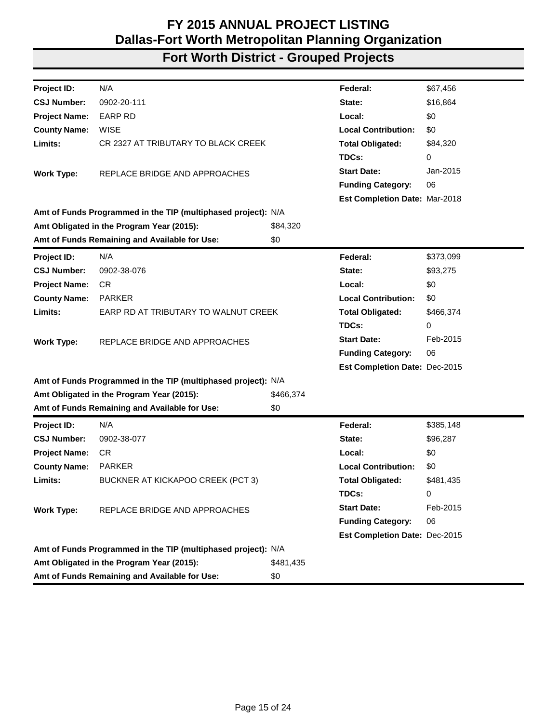| N/A<br>\$67,456<br>Project ID:<br>Federal:<br>0902-20-111<br><b>CSJ Number:</b><br>\$16,864<br>State:<br><b>EARP RD</b><br>\$0<br><b>Project Name:</b><br>Local:<br><b>County Name:</b><br><b>WISE</b><br><b>Local Contribution:</b><br>\$0<br>Limits:<br>CR 2327 AT TRIBUTARY TO BLACK CREEK<br><b>Total Obligated:</b><br>\$84,320<br>TDCs:<br>0<br>Jan-2015<br><b>Start Date:</b><br>REPLACE BRIDGE AND APPROACHES<br><b>Work Type:</b><br>06<br><b>Funding Category:</b><br><b>Est Completion Date: Mar-2018</b><br>Amt of Funds Programmed in the TIP (multiphased project): N/A<br>Amt Obligated in the Program Year (2015):<br>\$84,320<br>Amt of Funds Remaining and Available for Use:<br>\$0<br>N/A<br>Federal:<br>\$373,099<br>Project ID:<br><b>CSJ Number:</b><br>0902-38-076<br>\$93,275<br>State:<br>\$0<br><b>Project Name:</b><br>CR<br>Local:<br><b>PARKER</b><br><b>Local Contribution:</b><br>\$0<br><b>County Name:</b><br>Limits:<br>EARP RD AT TRIBUTARY TO WALNUT CREEK<br><b>Total Obligated:</b><br>\$466,374<br>TDCs:<br>0<br><b>Start Date:</b><br>Feb-2015<br>REPLACE BRIDGE AND APPROACHES<br><b>Work Type:</b><br>06<br><b>Funding Category:</b><br>Est Completion Date: Dec-2015<br>Amt of Funds Programmed in the TIP (multiphased project): N/A<br>Amt Obligated in the Program Year (2015):<br>\$466,374<br>Amt of Funds Remaining and Available for Use:<br>\$0<br>Federal:<br>N/A<br>\$385,148<br><b>Project ID:</b><br><b>CSJ Number:</b><br>0902-38-077<br>State:<br>\$96,287<br>\$0<br><b>Project Name:</b><br>CR<br>Local:<br><b>County Name:</b><br><b>PARKER</b><br><b>Local Contribution:</b><br>\$0<br>Limits:<br>BUCKNER AT KICKAPOO CREEK (PCT 3)<br><b>Total Obligated:</b><br>\$481,435<br>TDCs:<br>0<br><b>Start Date:</b><br>Feb-2015<br><b>Work Type:</b><br>REPLACE BRIDGE AND APPROACHES<br><b>Funding Category:</b><br>06<br>Est Completion Date: Dec-2015<br>Amt of Funds Programmed in the TIP (multiphased project): N/A<br>Amt Obligated in the Program Year (2015):<br>\$481,435<br>Amt of Funds Remaining and Available for Use:<br>\$0 |  |  |  |
|------------------------------------------------------------------------------------------------------------------------------------------------------------------------------------------------------------------------------------------------------------------------------------------------------------------------------------------------------------------------------------------------------------------------------------------------------------------------------------------------------------------------------------------------------------------------------------------------------------------------------------------------------------------------------------------------------------------------------------------------------------------------------------------------------------------------------------------------------------------------------------------------------------------------------------------------------------------------------------------------------------------------------------------------------------------------------------------------------------------------------------------------------------------------------------------------------------------------------------------------------------------------------------------------------------------------------------------------------------------------------------------------------------------------------------------------------------------------------------------------------------------------------------------------------------------------------------------------------------------------------------------------------------------------------------------------------------------------------------------------------------------------------------------------------------------------------------------------------------------------------------------------------------------------------------------------------------------------------------------------------------------------------------------------------------------------------------------------------|--|--|--|
|                                                                                                                                                                                                                                                                                                                                                                                                                                                                                                                                                                                                                                                                                                                                                                                                                                                                                                                                                                                                                                                                                                                                                                                                                                                                                                                                                                                                                                                                                                                                                                                                                                                                                                                                                                                                                                                                                                                                                                                                                                                                                                      |  |  |  |
|                                                                                                                                                                                                                                                                                                                                                                                                                                                                                                                                                                                                                                                                                                                                                                                                                                                                                                                                                                                                                                                                                                                                                                                                                                                                                                                                                                                                                                                                                                                                                                                                                                                                                                                                                                                                                                                                                                                                                                                                                                                                                                      |  |  |  |
|                                                                                                                                                                                                                                                                                                                                                                                                                                                                                                                                                                                                                                                                                                                                                                                                                                                                                                                                                                                                                                                                                                                                                                                                                                                                                                                                                                                                                                                                                                                                                                                                                                                                                                                                                                                                                                                                                                                                                                                                                                                                                                      |  |  |  |
|                                                                                                                                                                                                                                                                                                                                                                                                                                                                                                                                                                                                                                                                                                                                                                                                                                                                                                                                                                                                                                                                                                                                                                                                                                                                                                                                                                                                                                                                                                                                                                                                                                                                                                                                                                                                                                                                                                                                                                                                                                                                                                      |  |  |  |
|                                                                                                                                                                                                                                                                                                                                                                                                                                                                                                                                                                                                                                                                                                                                                                                                                                                                                                                                                                                                                                                                                                                                                                                                                                                                                                                                                                                                                                                                                                                                                                                                                                                                                                                                                                                                                                                                                                                                                                                                                                                                                                      |  |  |  |
|                                                                                                                                                                                                                                                                                                                                                                                                                                                                                                                                                                                                                                                                                                                                                                                                                                                                                                                                                                                                                                                                                                                                                                                                                                                                                                                                                                                                                                                                                                                                                                                                                                                                                                                                                                                                                                                                                                                                                                                                                                                                                                      |  |  |  |
|                                                                                                                                                                                                                                                                                                                                                                                                                                                                                                                                                                                                                                                                                                                                                                                                                                                                                                                                                                                                                                                                                                                                                                                                                                                                                                                                                                                                                                                                                                                                                                                                                                                                                                                                                                                                                                                                                                                                                                                                                                                                                                      |  |  |  |
|                                                                                                                                                                                                                                                                                                                                                                                                                                                                                                                                                                                                                                                                                                                                                                                                                                                                                                                                                                                                                                                                                                                                                                                                                                                                                                                                                                                                                                                                                                                                                                                                                                                                                                                                                                                                                                                                                                                                                                                                                                                                                                      |  |  |  |
|                                                                                                                                                                                                                                                                                                                                                                                                                                                                                                                                                                                                                                                                                                                                                                                                                                                                                                                                                                                                                                                                                                                                                                                                                                                                                                                                                                                                                                                                                                                                                                                                                                                                                                                                                                                                                                                                                                                                                                                                                                                                                                      |  |  |  |
|                                                                                                                                                                                                                                                                                                                                                                                                                                                                                                                                                                                                                                                                                                                                                                                                                                                                                                                                                                                                                                                                                                                                                                                                                                                                                                                                                                                                                                                                                                                                                                                                                                                                                                                                                                                                                                                                                                                                                                                                                                                                                                      |  |  |  |
|                                                                                                                                                                                                                                                                                                                                                                                                                                                                                                                                                                                                                                                                                                                                                                                                                                                                                                                                                                                                                                                                                                                                                                                                                                                                                                                                                                                                                                                                                                                                                                                                                                                                                                                                                                                                                                                                                                                                                                                                                                                                                                      |  |  |  |
|                                                                                                                                                                                                                                                                                                                                                                                                                                                                                                                                                                                                                                                                                                                                                                                                                                                                                                                                                                                                                                                                                                                                                                                                                                                                                                                                                                                                                                                                                                                                                                                                                                                                                                                                                                                                                                                                                                                                                                                                                                                                                                      |  |  |  |
|                                                                                                                                                                                                                                                                                                                                                                                                                                                                                                                                                                                                                                                                                                                                                                                                                                                                                                                                                                                                                                                                                                                                                                                                                                                                                                                                                                                                                                                                                                                                                                                                                                                                                                                                                                                                                                                                                                                                                                                                                                                                                                      |  |  |  |
|                                                                                                                                                                                                                                                                                                                                                                                                                                                                                                                                                                                                                                                                                                                                                                                                                                                                                                                                                                                                                                                                                                                                                                                                                                                                                                                                                                                                                                                                                                                                                                                                                                                                                                                                                                                                                                                                                                                                                                                                                                                                                                      |  |  |  |
|                                                                                                                                                                                                                                                                                                                                                                                                                                                                                                                                                                                                                                                                                                                                                                                                                                                                                                                                                                                                                                                                                                                                                                                                                                                                                                                                                                                                                                                                                                                                                                                                                                                                                                                                                                                                                                                                                                                                                                                                                                                                                                      |  |  |  |
|                                                                                                                                                                                                                                                                                                                                                                                                                                                                                                                                                                                                                                                                                                                                                                                                                                                                                                                                                                                                                                                                                                                                                                                                                                                                                                                                                                                                                                                                                                                                                                                                                                                                                                                                                                                                                                                                                                                                                                                                                                                                                                      |  |  |  |
|                                                                                                                                                                                                                                                                                                                                                                                                                                                                                                                                                                                                                                                                                                                                                                                                                                                                                                                                                                                                                                                                                                                                                                                                                                                                                                                                                                                                                                                                                                                                                                                                                                                                                                                                                                                                                                                                                                                                                                                                                                                                                                      |  |  |  |
|                                                                                                                                                                                                                                                                                                                                                                                                                                                                                                                                                                                                                                                                                                                                                                                                                                                                                                                                                                                                                                                                                                                                                                                                                                                                                                                                                                                                                                                                                                                                                                                                                                                                                                                                                                                                                                                                                                                                                                                                                                                                                                      |  |  |  |
|                                                                                                                                                                                                                                                                                                                                                                                                                                                                                                                                                                                                                                                                                                                                                                                                                                                                                                                                                                                                                                                                                                                                                                                                                                                                                                                                                                                                                                                                                                                                                                                                                                                                                                                                                                                                                                                                                                                                                                                                                                                                                                      |  |  |  |
|                                                                                                                                                                                                                                                                                                                                                                                                                                                                                                                                                                                                                                                                                                                                                                                                                                                                                                                                                                                                                                                                                                                                                                                                                                                                                                                                                                                                                                                                                                                                                                                                                                                                                                                                                                                                                                                                                                                                                                                                                                                                                                      |  |  |  |
|                                                                                                                                                                                                                                                                                                                                                                                                                                                                                                                                                                                                                                                                                                                                                                                                                                                                                                                                                                                                                                                                                                                                                                                                                                                                                                                                                                                                                                                                                                                                                                                                                                                                                                                                                                                                                                                                                                                                                                                                                                                                                                      |  |  |  |
|                                                                                                                                                                                                                                                                                                                                                                                                                                                                                                                                                                                                                                                                                                                                                                                                                                                                                                                                                                                                                                                                                                                                                                                                                                                                                                                                                                                                                                                                                                                                                                                                                                                                                                                                                                                                                                                                                                                                                                                                                                                                                                      |  |  |  |
|                                                                                                                                                                                                                                                                                                                                                                                                                                                                                                                                                                                                                                                                                                                                                                                                                                                                                                                                                                                                                                                                                                                                                                                                                                                                                                                                                                                                                                                                                                                                                                                                                                                                                                                                                                                                                                                                                                                                                                                                                                                                                                      |  |  |  |
|                                                                                                                                                                                                                                                                                                                                                                                                                                                                                                                                                                                                                                                                                                                                                                                                                                                                                                                                                                                                                                                                                                                                                                                                                                                                                                                                                                                                                                                                                                                                                                                                                                                                                                                                                                                                                                                                                                                                                                                                                                                                                                      |  |  |  |
|                                                                                                                                                                                                                                                                                                                                                                                                                                                                                                                                                                                                                                                                                                                                                                                                                                                                                                                                                                                                                                                                                                                                                                                                                                                                                                                                                                                                                                                                                                                                                                                                                                                                                                                                                                                                                                                                                                                                                                                                                                                                                                      |  |  |  |
|                                                                                                                                                                                                                                                                                                                                                                                                                                                                                                                                                                                                                                                                                                                                                                                                                                                                                                                                                                                                                                                                                                                                                                                                                                                                                                                                                                                                                                                                                                                                                                                                                                                                                                                                                                                                                                                                                                                                                                                                                                                                                                      |  |  |  |
|                                                                                                                                                                                                                                                                                                                                                                                                                                                                                                                                                                                                                                                                                                                                                                                                                                                                                                                                                                                                                                                                                                                                                                                                                                                                                                                                                                                                                                                                                                                                                                                                                                                                                                                                                                                                                                                                                                                                                                                                                                                                                                      |  |  |  |
|                                                                                                                                                                                                                                                                                                                                                                                                                                                                                                                                                                                                                                                                                                                                                                                                                                                                                                                                                                                                                                                                                                                                                                                                                                                                                                                                                                                                                                                                                                                                                                                                                                                                                                                                                                                                                                                                                                                                                                                                                                                                                                      |  |  |  |
|                                                                                                                                                                                                                                                                                                                                                                                                                                                                                                                                                                                                                                                                                                                                                                                                                                                                                                                                                                                                                                                                                                                                                                                                                                                                                                                                                                                                                                                                                                                                                                                                                                                                                                                                                                                                                                                                                                                                                                                                                                                                                                      |  |  |  |
|                                                                                                                                                                                                                                                                                                                                                                                                                                                                                                                                                                                                                                                                                                                                                                                                                                                                                                                                                                                                                                                                                                                                                                                                                                                                                                                                                                                                                                                                                                                                                                                                                                                                                                                                                                                                                                                                                                                                                                                                                                                                                                      |  |  |  |
|                                                                                                                                                                                                                                                                                                                                                                                                                                                                                                                                                                                                                                                                                                                                                                                                                                                                                                                                                                                                                                                                                                                                                                                                                                                                                                                                                                                                                                                                                                                                                                                                                                                                                                                                                                                                                                                                                                                                                                                                                                                                                                      |  |  |  |
|                                                                                                                                                                                                                                                                                                                                                                                                                                                                                                                                                                                                                                                                                                                                                                                                                                                                                                                                                                                                                                                                                                                                                                                                                                                                                                                                                                                                                                                                                                                                                                                                                                                                                                                                                                                                                                                                                                                                                                                                                                                                                                      |  |  |  |
|                                                                                                                                                                                                                                                                                                                                                                                                                                                                                                                                                                                                                                                                                                                                                                                                                                                                                                                                                                                                                                                                                                                                                                                                                                                                                                                                                                                                                                                                                                                                                                                                                                                                                                                                                                                                                                                                                                                                                                                                                                                                                                      |  |  |  |
|                                                                                                                                                                                                                                                                                                                                                                                                                                                                                                                                                                                                                                                                                                                                                                                                                                                                                                                                                                                                                                                                                                                                                                                                                                                                                                                                                                                                                                                                                                                                                                                                                                                                                                                                                                                                                                                                                                                                                                                                                                                                                                      |  |  |  |
|                                                                                                                                                                                                                                                                                                                                                                                                                                                                                                                                                                                                                                                                                                                                                                                                                                                                                                                                                                                                                                                                                                                                                                                                                                                                                                                                                                                                                                                                                                                                                                                                                                                                                                                                                                                                                                                                                                                                                                                                                                                                                                      |  |  |  |
|                                                                                                                                                                                                                                                                                                                                                                                                                                                                                                                                                                                                                                                                                                                                                                                                                                                                                                                                                                                                                                                                                                                                                                                                                                                                                                                                                                                                                                                                                                                                                                                                                                                                                                                                                                                                                                                                                                                                                                                                                                                                                                      |  |  |  |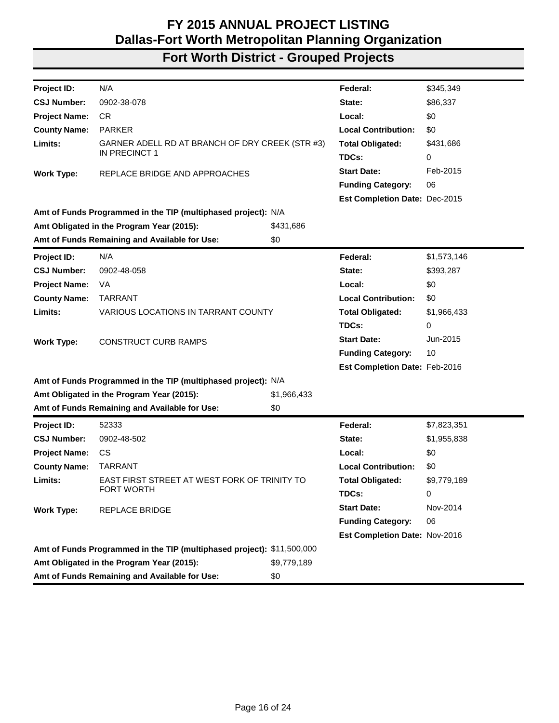| N/A<br>\$345,349<br>Project ID:<br>Federal:<br>0902-38-078<br><b>CSJ Number:</b><br>\$86,337<br>State:<br>\$0<br><b>Project Name:</b><br>CR<br>Local:<br><b>County Name:</b><br><b>PARKER</b><br><b>Local Contribution:</b><br>\$0<br>Limits:<br>GARNER ADELL RD AT BRANCH OF DRY CREEK (STR #3)<br><b>Total Obligated:</b><br>\$431,686<br>IN PRECINCT 1<br>TDCs:<br>0<br><b>Start Date:</b><br>Feb-2015<br>REPLACE BRIDGE AND APPROACHES<br><b>Work Type:</b><br>06<br><b>Funding Category:</b><br>Est Completion Date: Dec-2015<br>Amt of Funds Programmed in the TIP (multiphased project): N/A<br>Amt Obligated in the Program Year (2015):<br>\$431,686<br>Amt of Funds Remaining and Available for Use:<br>\$0<br>N/A<br>Federal:<br>\$1,573,146<br>Project ID:<br>0902-48-058<br>\$393,287<br><b>CSJ Number:</b><br>State: |
|------------------------------------------------------------------------------------------------------------------------------------------------------------------------------------------------------------------------------------------------------------------------------------------------------------------------------------------------------------------------------------------------------------------------------------------------------------------------------------------------------------------------------------------------------------------------------------------------------------------------------------------------------------------------------------------------------------------------------------------------------------------------------------------------------------------------------------|
|                                                                                                                                                                                                                                                                                                                                                                                                                                                                                                                                                                                                                                                                                                                                                                                                                                    |
|                                                                                                                                                                                                                                                                                                                                                                                                                                                                                                                                                                                                                                                                                                                                                                                                                                    |
|                                                                                                                                                                                                                                                                                                                                                                                                                                                                                                                                                                                                                                                                                                                                                                                                                                    |
|                                                                                                                                                                                                                                                                                                                                                                                                                                                                                                                                                                                                                                                                                                                                                                                                                                    |
|                                                                                                                                                                                                                                                                                                                                                                                                                                                                                                                                                                                                                                                                                                                                                                                                                                    |
|                                                                                                                                                                                                                                                                                                                                                                                                                                                                                                                                                                                                                                                                                                                                                                                                                                    |
|                                                                                                                                                                                                                                                                                                                                                                                                                                                                                                                                                                                                                                                                                                                                                                                                                                    |
|                                                                                                                                                                                                                                                                                                                                                                                                                                                                                                                                                                                                                                                                                                                                                                                                                                    |
|                                                                                                                                                                                                                                                                                                                                                                                                                                                                                                                                                                                                                                                                                                                                                                                                                                    |
|                                                                                                                                                                                                                                                                                                                                                                                                                                                                                                                                                                                                                                                                                                                                                                                                                                    |
|                                                                                                                                                                                                                                                                                                                                                                                                                                                                                                                                                                                                                                                                                                                                                                                                                                    |
|                                                                                                                                                                                                                                                                                                                                                                                                                                                                                                                                                                                                                                                                                                                                                                                                                                    |
|                                                                                                                                                                                                                                                                                                                                                                                                                                                                                                                                                                                                                                                                                                                                                                                                                                    |
|                                                                                                                                                                                                                                                                                                                                                                                                                                                                                                                                                                                                                                                                                                                                                                                                                                    |
| \$0<br><b>Project Name:</b><br>VA<br>Local:                                                                                                                                                                                                                                                                                                                                                                                                                                                                                                                                                                                                                                                                                                                                                                                        |
| <b>TARRANT</b><br><b>Local Contribution:</b><br>\$0<br><b>County Name:</b>                                                                                                                                                                                                                                                                                                                                                                                                                                                                                                                                                                                                                                                                                                                                                         |
| Limits:<br><b>VARIOUS LOCATIONS IN TARRANT COUNTY</b><br><b>Total Obligated:</b><br>\$1,966,433                                                                                                                                                                                                                                                                                                                                                                                                                                                                                                                                                                                                                                                                                                                                    |
| TDCs:<br>0                                                                                                                                                                                                                                                                                                                                                                                                                                                                                                                                                                                                                                                                                                                                                                                                                         |
| <b>Start Date:</b><br>Jun-2015<br><b>CONSTRUCT CURB RAMPS</b><br><b>Work Type:</b>                                                                                                                                                                                                                                                                                                                                                                                                                                                                                                                                                                                                                                                                                                                                                 |
| 10<br><b>Funding Category:</b>                                                                                                                                                                                                                                                                                                                                                                                                                                                                                                                                                                                                                                                                                                                                                                                                     |
| Est Completion Date: Feb-2016                                                                                                                                                                                                                                                                                                                                                                                                                                                                                                                                                                                                                                                                                                                                                                                                      |
| Amt of Funds Programmed in the TIP (multiphased project): N/A                                                                                                                                                                                                                                                                                                                                                                                                                                                                                                                                                                                                                                                                                                                                                                      |
| Amt Obligated in the Program Year (2015):<br>\$1,966,433                                                                                                                                                                                                                                                                                                                                                                                                                                                                                                                                                                                                                                                                                                                                                                           |
| Amt of Funds Remaining and Available for Use:<br>\$0                                                                                                                                                                                                                                                                                                                                                                                                                                                                                                                                                                                                                                                                                                                                                                               |
| Federal:<br>52333<br>\$7,823,351<br><b>Project ID:</b>                                                                                                                                                                                                                                                                                                                                                                                                                                                                                                                                                                                                                                                                                                                                                                             |
| <b>CSJ Number:</b><br>0902-48-502<br>State:<br>\$1,955,838                                                                                                                                                                                                                                                                                                                                                                                                                                                                                                                                                                                                                                                                                                                                                                         |
| \$0<br><b>Project Name:</b><br>CS<br>Local:                                                                                                                                                                                                                                                                                                                                                                                                                                                                                                                                                                                                                                                                                                                                                                                        |
| \$0<br><b>County Name:</b><br><b>TARRANT</b><br><b>Local Contribution:</b>                                                                                                                                                                                                                                                                                                                                                                                                                                                                                                                                                                                                                                                                                                                                                         |
| Limits:<br>EAST FIRST STREET AT WEST FORK OF TRINITY TO<br><b>Total Obligated:</b><br>\$9,779,189                                                                                                                                                                                                                                                                                                                                                                                                                                                                                                                                                                                                                                                                                                                                  |
| FORT WORTH<br>TDCs:<br>0                                                                                                                                                                                                                                                                                                                                                                                                                                                                                                                                                                                                                                                                                                                                                                                                           |
| <b>Start Date:</b><br>Nov-2014<br><b>Work Type:</b><br>REPLACE BRIDGE                                                                                                                                                                                                                                                                                                                                                                                                                                                                                                                                                                                                                                                                                                                                                              |
| <b>Funding Category:</b><br>06                                                                                                                                                                                                                                                                                                                                                                                                                                                                                                                                                                                                                                                                                                                                                                                                     |
| Est Completion Date: Nov-2016                                                                                                                                                                                                                                                                                                                                                                                                                                                                                                                                                                                                                                                                                                                                                                                                      |
| Amt of Funds Programmed in the TIP (multiphased project): \$11,500,000                                                                                                                                                                                                                                                                                                                                                                                                                                                                                                                                                                                                                                                                                                                                                             |
| Amt Obligated in the Program Year (2015):<br>\$9,779,189                                                                                                                                                                                                                                                                                                                                                                                                                                                                                                                                                                                                                                                                                                                                                                           |
| Amt of Funds Remaining and Available for Use:<br>\$0                                                                                                                                                                                                                                                                                                                                                                                                                                                                                                                                                                                                                                                                                                                                                                               |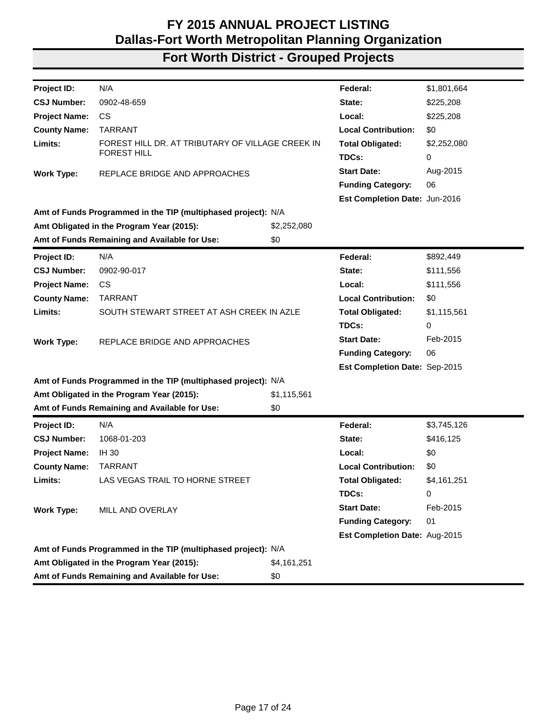| Project ID:          | N/A                                                           |             | Federal:                      | \$1,801,664 |
|----------------------|---------------------------------------------------------------|-------------|-------------------------------|-------------|
| <b>CSJ Number:</b>   | 0902-48-659                                                   |             | State:                        | \$225,208   |
| <b>Project Name:</b> | <b>CS</b>                                                     |             | Local:                        | \$225,208   |
| <b>County Name:</b>  | <b>TARRANT</b>                                                |             | <b>Local Contribution:</b>    | \$0         |
| Limits:              | FOREST HILL DR. AT TRIBUTARY OF VILLAGE CREEK IN              |             | <b>Total Obligated:</b>       | \$2,252,080 |
|                      | <b>FOREST HILL</b>                                            |             | TDCs:                         | 0           |
| <b>Work Type:</b>    | REPLACE BRIDGE AND APPROACHES                                 |             | <b>Start Date:</b>            | Aug-2015    |
|                      |                                                               |             | <b>Funding Category:</b>      | 06          |
|                      |                                                               |             | Est Completion Date: Jun-2016 |             |
|                      | Amt of Funds Programmed in the TIP (multiphased project): N/A |             |                               |             |
|                      | Amt Obligated in the Program Year (2015):                     | \$2,252,080 |                               |             |
|                      | Amt of Funds Remaining and Available for Use:                 | \$0         |                               |             |
| <b>Project ID:</b>   | N/A                                                           |             | Federal:                      | \$892,449   |
| <b>CSJ Number:</b>   | 0902-90-017                                                   |             | State:                        | \$111,556   |
| <b>Project Name:</b> | CS                                                            |             | Local:                        | \$111,556   |
| <b>County Name:</b>  | <b>TARRANT</b>                                                |             | <b>Local Contribution:</b>    | \$0         |
| Limits:              | SOUTH STEWART STREET AT ASH CREEK IN AZLE                     |             | <b>Total Obligated:</b>       | \$1,115,561 |
|                      |                                                               |             | TDCs:                         | 0           |
| <b>Work Type:</b>    | REPLACE BRIDGE AND APPROACHES                                 |             | <b>Start Date:</b>            | Feb-2015    |
|                      |                                                               |             | <b>Funding Category:</b>      | 06          |
|                      |                                                               |             | Est Completion Date: Sep-2015 |             |
|                      | Amt of Funds Programmed in the TIP (multiphased project): N/A |             |                               |             |
|                      | Amt Obligated in the Program Year (2015):                     | \$1,115,561 |                               |             |
|                      | Amt of Funds Remaining and Available for Use:                 | \$0         |                               |             |
| Project ID:          | N/A                                                           |             | Federal:                      | \$3,745,126 |
| <b>CSJ Number:</b>   | 1068-01-203                                                   |             | State:                        | \$416,125   |
| <b>Project Name:</b> | <b>IH 30</b>                                                  |             | Local:                        | \$0         |
| <b>County Name:</b>  | <b>TARRANT</b>                                                |             | <b>Local Contribution:</b>    | \$0         |
| Limits:              | LAS VEGAS TRAIL TO HORNE STREET                               |             | <b>Total Obligated:</b>       | \$4,161,251 |
|                      |                                                               |             | TDCs:                         | 0           |
| <b>Work Type:</b>    | MILL AND OVERLAY                                              |             | <b>Start Date:</b>            | Feb-2015    |
|                      |                                                               |             | <b>Funding Category:</b>      | 01          |
|                      |                                                               |             | Est Completion Date: Aug-2015 |             |
|                      | Amt of Funds Programmed in the TIP (multiphased project): N/A |             |                               |             |
|                      | Amt Obligated in the Program Year (2015):                     | \$4,161,251 |                               |             |
|                      | Amt of Funds Remaining and Available for Use:                 | \$0         |                               |             |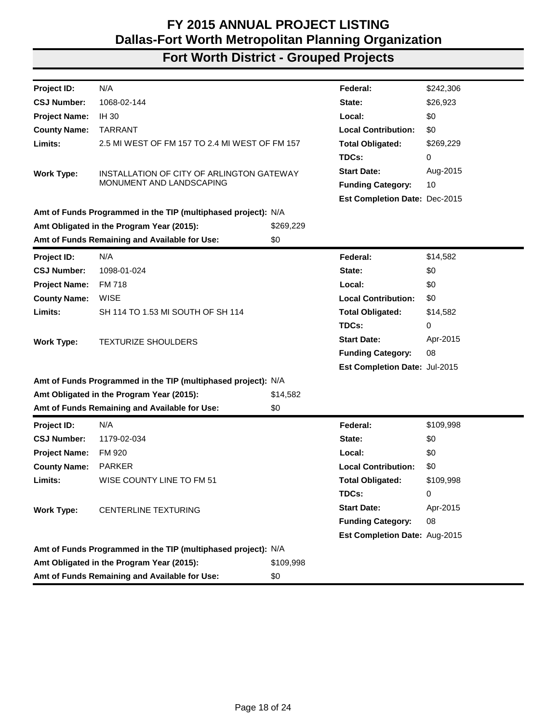| Project ID:          | N/A                                                           |           | Federal:                      | \$242,306 |
|----------------------|---------------------------------------------------------------|-----------|-------------------------------|-----------|
| <b>CSJ Number:</b>   | 1068-02-144                                                   |           | State:                        | \$26,923  |
| <b>Project Name:</b> | <b>IH 30</b>                                                  |           | Local:                        | \$0       |
| <b>County Name:</b>  | <b>TARRANT</b>                                                |           | <b>Local Contribution:</b>    | \$0       |
| Limits:              | 2.5 MI WEST OF FM 157 TO 2.4 MI WEST OF FM 157                |           | <b>Total Obligated:</b>       | \$269,229 |
|                      |                                                               |           | TDCs:                         | 0         |
| <b>Work Type:</b>    | INSTALLATION OF CITY OF ARLINGTON GATEWAY                     |           | <b>Start Date:</b>            | Aug-2015  |
|                      | MONUMENT AND LANDSCAPING                                      |           | <b>Funding Category:</b>      | 10        |
|                      |                                                               |           | Est Completion Date: Dec-2015 |           |
|                      | Amt of Funds Programmed in the TIP (multiphased project): N/A |           |                               |           |
|                      | Amt Obligated in the Program Year (2015):                     | \$269,229 |                               |           |
|                      | Amt of Funds Remaining and Available for Use:                 | \$0       |                               |           |
| Project ID:          | N/A                                                           |           | Federal:                      | \$14,582  |
| <b>CSJ Number:</b>   | 1098-01-024                                                   |           | State:                        | \$0       |
| <b>Project Name:</b> | <b>FM 718</b>                                                 |           | Local:                        | \$0       |
| <b>County Name:</b>  | <b>WISE</b>                                                   |           | <b>Local Contribution:</b>    | \$0       |
| Limits:              | SH 114 TO 1.53 MI SOUTH OF SH 114                             |           | <b>Total Obligated:</b>       | \$14,582  |
|                      |                                                               |           | TDCs:                         | 0         |
| <b>Work Type:</b>    | <b>TEXTURIZE SHOULDERS</b>                                    |           | <b>Start Date:</b>            | Apr-2015  |
|                      |                                                               |           | <b>Funding Category:</b>      | 08        |
|                      |                                                               |           | Est Completion Date: Jul-2015 |           |
|                      | Amt of Funds Programmed in the TIP (multiphased project): N/A |           |                               |           |
|                      | Amt Obligated in the Program Year (2015):                     | \$14,582  |                               |           |
|                      | Amt of Funds Remaining and Available for Use:                 | \$0       |                               |           |
| Project ID:          | N/A                                                           |           | Federal:                      | \$109,998 |
| <b>CSJ Number:</b>   | 1179-02-034                                                   |           | State:                        | \$0       |
| <b>Project Name:</b> | FM 920                                                        |           | Local:                        | \$0       |
| <b>County Name:</b>  | <b>PARKER</b>                                                 |           | <b>Local Contribution:</b>    | \$0       |
| Limits:              | WISE COUNTY LINE TO FM 51                                     |           | <b>Total Obligated:</b>       | \$109,998 |
|                      |                                                               |           | TDCs:                         | 0         |
| <b>Work Type:</b>    | <b>CENTERLINE TEXTURING</b>                                   |           | <b>Start Date:</b>            | Apr-2015  |
|                      |                                                               |           | <b>Funding Category:</b>      | 08        |
|                      |                                                               |           | Est Completion Date: Aug-2015 |           |
|                      | Amt of Funds Programmed in the TIP (multiphased project): N/A |           |                               |           |
|                      | Amt Obligated in the Program Year (2015):                     | \$109,998 |                               |           |
|                      | Amt of Funds Remaining and Available for Use:                 | \$0       |                               |           |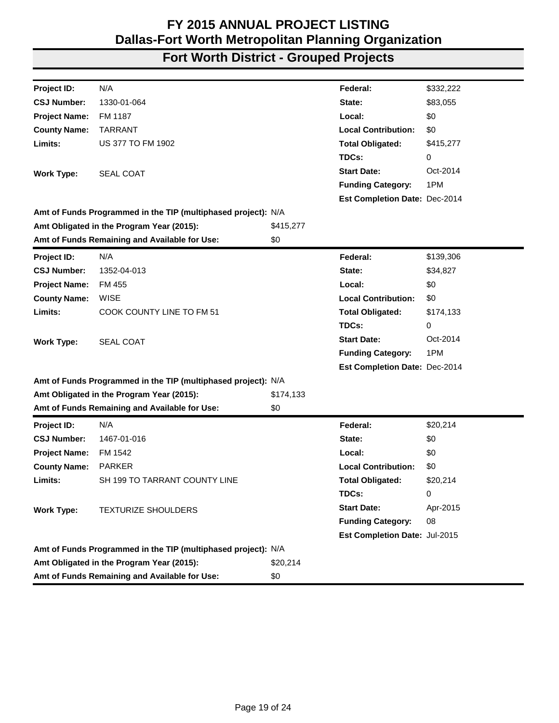| N/A<br>\$332,222<br>Federal:<br>1330-01-064<br>State:<br>\$83,055<br>\$0<br>FM 1187<br>Local:<br><b>TARRANT</b><br><b>Local Contribution:</b><br>\$0<br><b>US 377 TO FM 1902</b><br><b>Total Obligated:</b><br>\$415,277<br>TDCs:<br>0<br>Oct-2014<br><b>Start Date:</b><br><b>SEAL COAT</b><br><b>Work Type:</b><br>1PM<br><b>Funding Category:</b><br>Est Completion Date: Dec-2014<br>Amt of Funds Programmed in the TIP (multiphased project): N/A<br>Amt Obligated in the Program Year (2015):<br>\$415,277<br>Amt of Funds Remaining and Available for Use:<br>\$0<br>N/A<br>\$139,306<br>Federal:<br>1352-04-013<br>\$34,827<br>State:<br>\$0<br>FM 455<br>Local:<br><b>WISE</b><br><b>Local Contribution:</b><br>\$0<br>COOK COUNTY LINE TO FM 51<br><b>Total Obligated:</b><br>\$174,133<br>TDCs:<br>0<br><b>Start Date:</b><br>Oct-2014<br><b>Work Type:</b><br><b>SEAL COAT</b><br>1PM<br><b>Funding Category:</b><br>Est Completion Date: Dec-2014<br>Amt of Funds Programmed in the TIP (multiphased project): N/A<br>Amt Obligated in the Program Year (2015):<br>\$174,133<br>Amt of Funds Remaining and Available for Use:<br>\$0<br>N/A<br>Federal:<br>\$20,214<br>1467-01-016<br>State:<br>\$0<br>\$0<br>FM 1542<br>Local:<br>\$0<br><b>PARKER</b><br><b>Local Contribution:</b><br>SH 199 TO TARRANT COUNTY LINE<br><b>Total Obligated:</b><br>\$20,214<br>TDCs:<br>0<br><b>Start Date:</b><br>Apr-2015<br><b>TEXTURIZE SHOULDERS</b><br><b>Funding Category:</b><br>08<br>Est Completion Date: Jul-2015<br>Amt of Funds Programmed in the TIP (multiphased project): N/A<br>Amt Obligated in the Program Year (2015):<br>\$20,214<br>Amt of Funds Remaining and Available for Use:<br>\$0 |                      |  |  |
|---------------------------------------------------------------------------------------------------------------------------------------------------------------------------------------------------------------------------------------------------------------------------------------------------------------------------------------------------------------------------------------------------------------------------------------------------------------------------------------------------------------------------------------------------------------------------------------------------------------------------------------------------------------------------------------------------------------------------------------------------------------------------------------------------------------------------------------------------------------------------------------------------------------------------------------------------------------------------------------------------------------------------------------------------------------------------------------------------------------------------------------------------------------------------------------------------------------------------------------------------------------------------------------------------------------------------------------------------------------------------------------------------------------------------------------------------------------------------------------------------------------------------------------------------------------------------------------------------------------------------------------------------------------------------------------------------------------|----------------------|--|--|
|                                                                                                                                                                                                                                                                                                                                                                                                                                                                                                                                                                                                                                                                                                                                                                                                                                                                                                                                                                                                                                                                                                                                                                                                                                                                                                                                                                                                                                                                                                                                                                                                                                                                                                               | Project ID:          |  |  |
|                                                                                                                                                                                                                                                                                                                                                                                                                                                                                                                                                                                                                                                                                                                                                                                                                                                                                                                                                                                                                                                                                                                                                                                                                                                                                                                                                                                                                                                                                                                                                                                                                                                                                                               | <b>CSJ Number:</b>   |  |  |
|                                                                                                                                                                                                                                                                                                                                                                                                                                                                                                                                                                                                                                                                                                                                                                                                                                                                                                                                                                                                                                                                                                                                                                                                                                                                                                                                                                                                                                                                                                                                                                                                                                                                                                               | <b>Project Name:</b> |  |  |
|                                                                                                                                                                                                                                                                                                                                                                                                                                                                                                                                                                                                                                                                                                                                                                                                                                                                                                                                                                                                                                                                                                                                                                                                                                                                                                                                                                                                                                                                                                                                                                                                                                                                                                               | <b>County Name:</b>  |  |  |
|                                                                                                                                                                                                                                                                                                                                                                                                                                                                                                                                                                                                                                                                                                                                                                                                                                                                                                                                                                                                                                                                                                                                                                                                                                                                                                                                                                                                                                                                                                                                                                                                                                                                                                               | Limits:              |  |  |
|                                                                                                                                                                                                                                                                                                                                                                                                                                                                                                                                                                                                                                                                                                                                                                                                                                                                                                                                                                                                                                                                                                                                                                                                                                                                                                                                                                                                                                                                                                                                                                                                                                                                                                               |                      |  |  |
|                                                                                                                                                                                                                                                                                                                                                                                                                                                                                                                                                                                                                                                                                                                                                                                                                                                                                                                                                                                                                                                                                                                                                                                                                                                                                                                                                                                                                                                                                                                                                                                                                                                                                                               |                      |  |  |
|                                                                                                                                                                                                                                                                                                                                                                                                                                                                                                                                                                                                                                                                                                                                                                                                                                                                                                                                                                                                                                                                                                                                                                                                                                                                                                                                                                                                                                                                                                                                                                                                                                                                                                               |                      |  |  |
|                                                                                                                                                                                                                                                                                                                                                                                                                                                                                                                                                                                                                                                                                                                                                                                                                                                                                                                                                                                                                                                                                                                                                                                                                                                                                                                                                                                                                                                                                                                                                                                                                                                                                                               |                      |  |  |
|                                                                                                                                                                                                                                                                                                                                                                                                                                                                                                                                                                                                                                                                                                                                                                                                                                                                                                                                                                                                                                                                                                                                                                                                                                                                                                                                                                                                                                                                                                                                                                                                                                                                                                               |                      |  |  |
|                                                                                                                                                                                                                                                                                                                                                                                                                                                                                                                                                                                                                                                                                                                                                                                                                                                                                                                                                                                                                                                                                                                                                                                                                                                                                                                                                                                                                                                                                                                                                                                                                                                                                                               |                      |  |  |
|                                                                                                                                                                                                                                                                                                                                                                                                                                                                                                                                                                                                                                                                                                                                                                                                                                                                                                                                                                                                                                                                                                                                                                                                                                                                                                                                                                                                                                                                                                                                                                                                                                                                                                               |                      |  |  |
|                                                                                                                                                                                                                                                                                                                                                                                                                                                                                                                                                                                                                                                                                                                                                                                                                                                                                                                                                                                                                                                                                                                                                                                                                                                                                                                                                                                                                                                                                                                                                                                                                                                                                                               | Project ID:          |  |  |
|                                                                                                                                                                                                                                                                                                                                                                                                                                                                                                                                                                                                                                                                                                                                                                                                                                                                                                                                                                                                                                                                                                                                                                                                                                                                                                                                                                                                                                                                                                                                                                                                                                                                                                               | <b>CSJ Number:</b>   |  |  |
|                                                                                                                                                                                                                                                                                                                                                                                                                                                                                                                                                                                                                                                                                                                                                                                                                                                                                                                                                                                                                                                                                                                                                                                                                                                                                                                                                                                                                                                                                                                                                                                                                                                                                                               | <b>Project Name:</b> |  |  |
|                                                                                                                                                                                                                                                                                                                                                                                                                                                                                                                                                                                                                                                                                                                                                                                                                                                                                                                                                                                                                                                                                                                                                                                                                                                                                                                                                                                                                                                                                                                                                                                                                                                                                                               | <b>County Name:</b>  |  |  |
|                                                                                                                                                                                                                                                                                                                                                                                                                                                                                                                                                                                                                                                                                                                                                                                                                                                                                                                                                                                                                                                                                                                                                                                                                                                                                                                                                                                                                                                                                                                                                                                                                                                                                                               | Limits:              |  |  |
|                                                                                                                                                                                                                                                                                                                                                                                                                                                                                                                                                                                                                                                                                                                                                                                                                                                                                                                                                                                                                                                                                                                                                                                                                                                                                                                                                                                                                                                                                                                                                                                                                                                                                                               |                      |  |  |
|                                                                                                                                                                                                                                                                                                                                                                                                                                                                                                                                                                                                                                                                                                                                                                                                                                                                                                                                                                                                                                                                                                                                                                                                                                                                                                                                                                                                                                                                                                                                                                                                                                                                                                               |                      |  |  |
|                                                                                                                                                                                                                                                                                                                                                                                                                                                                                                                                                                                                                                                                                                                                                                                                                                                                                                                                                                                                                                                                                                                                                                                                                                                                                                                                                                                                                                                                                                                                                                                                                                                                                                               |                      |  |  |
|                                                                                                                                                                                                                                                                                                                                                                                                                                                                                                                                                                                                                                                                                                                                                                                                                                                                                                                                                                                                                                                                                                                                                                                                                                                                                                                                                                                                                                                                                                                                                                                                                                                                                                               |                      |  |  |
|                                                                                                                                                                                                                                                                                                                                                                                                                                                                                                                                                                                                                                                                                                                                                                                                                                                                                                                                                                                                                                                                                                                                                                                                                                                                                                                                                                                                                                                                                                                                                                                                                                                                                                               |                      |  |  |
|                                                                                                                                                                                                                                                                                                                                                                                                                                                                                                                                                                                                                                                                                                                                                                                                                                                                                                                                                                                                                                                                                                                                                                                                                                                                                                                                                                                                                                                                                                                                                                                                                                                                                                               |                      |  |  |
|                                                                                                                                                                                                                                                                                                                                                                                                                                                                                                                                                                                                                                                                                                                                                                                                                                                                                                                                                                                                                                                                                                                                                                                                                                                                                                                                                                                                                                                                                                                                                                                                                                                                                                               |                      |  |  |
|                                                                                                                                                                                                                                                                                                                                                                                                                                                                                                                                                                                                                                                                                                                                                                                                                                                                                                                                                                                                                                                                                                                                                                                                                                                                                                                                                                                                                                                                                                                                                                                                                                                                                                               | Project ID:          |  |  |
|                                                                                                                                                                                                                                                                                                                                                                                                                                                                                                                                                                                                                                                                                                                                                                                                                                                                                                                                                                                                                                                                                                                                                                                                                                                                                                                                                                                                                                                                                                                                                                                                                                                                                                               | <b>CSJ Number:</b>   |  |  |
|                                                                                                                                                                                                                                                                                                                                                                                                                                                                                                                                                                                                                                                                                                                                                                                                                                                                                                                                                                                                                                                                                                                                                                                                                                                                                                                                                                                                                                                                                                                                                                                                                                                                                                               | <b>Project Name:</b> |  |  |
|                                                                                                                                                                                                                                                                                                                                                                                                                                                                                                                                                                                                                                                                                                                                                                                                                                                                                                                                                                                                                                                                                                                                                                                                                                                                                                                                                                                                                                                                                                                                                                                                                                                                                                               | <b>County Name:</b>  |  |  |
|                                                                                                                                                                                                                                                                                                                                                                                                                                                                                                                                                                                                                                                                                                                                                                                                                                                                                                                                                                                                                                                                                                                                                                                                                                                                                                                                                                                                                                                                                                                                                                                                                                                                                                               | Limits:              |  |  |
|                                                                                                                                                                                                                                                                                                                                                                                                                                                                                                                                                                                                                                                                                                                                                                                                                                                                                                                                                                                                                                                                                                                                                                                                                                                                                                                                                                                                                                                                                                                                                                                                                                                                                                               |                      |  |  |
|                                                                                                                                                                                                                                                                                                                                                                                                                                                                                                                                                                                                                                                                                                                                                                                                                                                                                                                                                                                                                                                                                                                                                                                                                                                                                                                                                                                                                                                                                                                                                                                                                                                                                                               | <b>Work Type:</b>    |  |  |
|                                                                                                                                                                                                                                                                                                                                                                                                                                                                                                                                                                                                                                                                                                                                                                                                                                                                                                                                                                                                                                                                                                                                                                                                                                                                                                                                                                                                                                                                                                                                                                                                                                                                                                               |                      |  |  |
|                                                                                                                                                                                                                                                                                                                                                                                                                                                                                                                                                                                                                                                                                                                                                                                                                                                                                                                                                                                                                                                                                                                                                                                                                                                                                                                                                                                                                                                                                                                                                                                                                                                                                                               |                      |  |  |
|                                                                                                                                                                                                                                                                                                                                                                                                                                                                                                                                                                                                                                                                                                                                                                                                                                                                                                                                                                                                                                                                                                                                                                                                                                                                                                                                                                                                                                                                                                                                                                                                                                                                                                               |                      |  |  |
|                                                                                                                                                                                                                                                                                                                                                                                                                                                                                                                                                                                                                                                                                                                                                                                                                                                                                                                                                                                                                                                                                                                                                                                                                                                                                                                                                                                                                                                                                                                                                                                                                                                                                                               |                      |  |  |
|                                                                                                                                                                                                                                                                                                                                                                                                                                                                                                                                                                                                                                                                                                                                                                                                                                                                                                                                                                                                                                                                                                                                                                                                                                                                                                                                                                                                                                                                                                                                                                                                                                                                                                               |                      |  |  |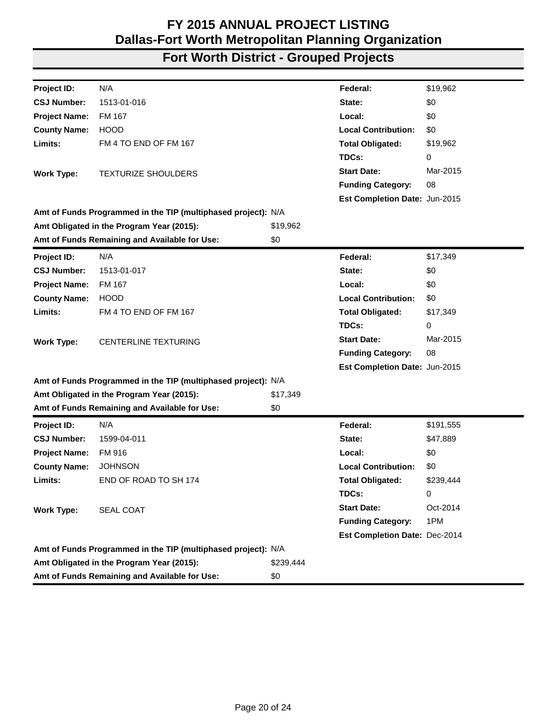| Project ID:          | N/A                                                           |           | Federal:                      | \$19,962  |
|----------------------|---------------------------------------------------------------|-----------|-------------------------------|-----------|
| <b>CSJ Number:</b>   | 1513-01-016                                                   |           | State:                        | \$0       |
| <b>Project Name:</b> | FM 167                                                        |           | Local:                        | \$0       |
| <b>County Name:</b>  | <b>HOOD</b>                                                   |           | <b>Local Contribution:</b>    | \$0       |
| Limits:              | FM 4 TO END OF FM 167                                         |           | <b>Total Obligated:</b>       | \$19,962  |
|                      |                                                               |           | TDCs:                         | 0         |
| <b>Work Type:</b>    | <b>TEXTURIZE SHOULDERS</b>                                    |           | <b>Start Date:</b>            | Mar-2015  |
|                      |                                                               |           | <b>Funding Category:</b>      | 08        |
|                      |                                                               |           | Est Completion Date: Jun-2015 |           |
|                      | Amt of Funds Programmed in the TIP (multiphased project): N/A |           |                               |           |
|                      | Amt Obligated in the Program Year (2015):                     | \$19,962  |                               |           |
|                      | Amt of Funds Remaining and Available for Use:                 | \$0       |                               |           |
| Project ID:          | N/A                                                           |           | Federal:                      | \$17,349  |
| <b>CSJ Number:</b>   | 1513-01-017                                                   |           | State:                        | \$0       |
| <b>Project Name:</b> | FM 167                                                        |           | Local:                        | \$0       |
| <b>County Name:</b>  | <b>HOOD</b>                                                   |           | <b>Local Contribution:</b>    | \$0       |
| Limits:              | FM 4 TO END OF FM 167                                         |           | <b>Total Obligated:</b>       | \$17,349  |
|                      |                                                               |           | TDCs:                         | 0         |
| <b>Work Type:</b>    | <b>CENTERLINE TEXTURING</b>                                   |           | <b>Start Date:</b>            | Mar-2015  |
|                      |                                                               |           | <b>Funding Category:</b>      | 08        |
|                      |                                                               |           | Est Completion Date: Jun-2015 |           |
|                      | Amt of Funds Programmed in the TIP (multiphased project): N/A |           |                               |           |
|                      | Amt Obligated in the Program Year (2015):                     | \$17,349  |                               |           |
|                      | Amt of Funds Remaining and Available for Use:                 | \$0       |                               |           |
| Project ID:          | N/A                                                           |           | Federal:                      | \$191,555 |
| <b>CSJ Number:</b>   | 1599-04-011                                                   |           | State:                        | \$47,889  |
| <b>Project Name:</b> | FM 916                                                        |           | Local:                        | \$0       |
| <b>County Name:</b>  | <b>JOHNSON</b>                                                |           | <b>Local Contribution:</b>    | \$0       |
| Limits:              | END OF ROAD TO SH 174                                         |           | <b>Total Obligated:</b>       | \$239,444 |
|                      |                                                               |           | TDCs:                         | 0         |
| <b>Work Type:</b>    | <b>SEAL COAT</b>                                              |           | <b>Start Date:</b>            | Oct-2014  |
|                      |                                                               |           | <b>Funding Category:</b>      | 1PM       |
|                      |                                                               |           | Est Completion Date: Dec-2014 |           |
|                      | Amt of Funds Programmed in the TIP (multiphased project): N/A |           |                               |           |
|                      | Amt Obligated in the Program Year (2015):                     | \$239,444 |                               |           |
|                      | Amt of Funds Remaining and Available for Use:                 | \$0       |                               |           |
|                      |                                                               |           |                               |           |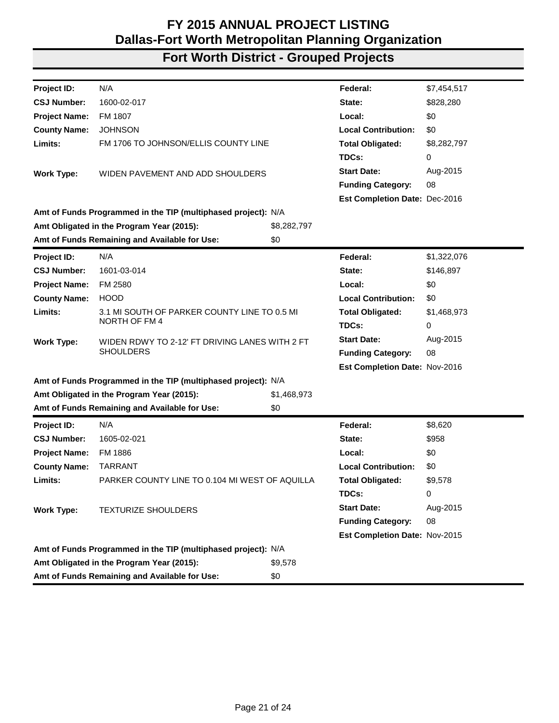| Project ID:          | N/A                                                           |             | Federal:                             | \$7,454,517 |
|----------------------|---------------------------------------------------------------|-------------|--------------------------------------|-------------|
| <b>CSJ Number:</b>   | 1600-02-017                                                   |             | State:                               | \$828,280   |
| <b>Project Name:</b> | FM 1807                                                       |             | Local:                               | \$0         |
| <b>County Name:</b>  | <b>JOHNSON</b>                                                |             | <b>Local Contribution:</b>           | \$0         |
| Limits:              | FM 1706 TO JOHNSON/ELLIS COUNTY LINE                          |             | <b>Total Obligated:</b>              | \$8,282,797 |
|                      |                                                               |             | TDCs:                                | 0           |
| <b>Work Type:</b>    | WIDEN PAVEMENT AND ADD SHOULDERS                              |             | <b>Start Date:</b>                   | Aug-2015    |
|                      |                                                               |             | <b>Funding Category:</b>             | 08          |
|                      |                                                               |             | <b>Est Completion Date: Dec-2016</b> |             |
|                      | Amt of Funds Programmed in the TIP (multiphased project): N/A |             |                                      |             |
|                      | Amt Obligated in the Program Year (2015):                     | \$8,282,797 |                                      |             |
|                      | Amt of Funds Remaining and Available for Use:                 | \$0         |                                      |             |
| <b>Project ID:</b>   | N/A                                                           |             | Federal:                             | \$1,322,076 |
| <b>CSJ Number:</b>   | 1601-03-014                                                   |             | State:                               | \$146,897   |
| <b>Project Name:</b> | FM 2580                                                       |             | Local:                               | \$0         |
| <b>County Name:</b>  | <b>HOOD</b>                                                   |             | <b>Local Contribution:</b>           | \$0         |
| Limits:              | 3.1 MI SOUTH OF PARKER COUNTY LINE TO 0.5 MI                  |             | <b>Total Obligated:</b>              | \$1,468,973 |
|                      | NORTH OF FM 4                                                 |             | TDCs:                                | 0           |
| <b>Work Type:</b>    | WIDEN RDWY TO 2-12' FT DRIVING LANES WITH 2 FT                |             | <b>Start Date:</b>                   | Aug-2015    |
|                      | <b>SHOULDERS</b>                                              |             | <b>Funding Category:</b>             | 08          |
|                      |                                                               |             | Est Completion Date: Nov-2016        |             |
|                      | Amt of Funds Programmed in the TIP (multiphased project): N/A |             |                                      |             |
|                      | Amt Obligated in the Program Year (2015):                     | \$1,468,973 |                                      |             |
|                      | Amt of Funds Remaining and Available for Use:                 | \$0         |                                      |             |
| Project ID:          | N/A                                                           |             | Federal:                             | \$8,620     |
| <b>CSJ Number:</b>   | 1605-02-021                                                   |             | State:                               | \$958       |
| <b>Project Name:</b> | FM 1886                                                       |             | Local:                               | \$0         |
| <b>County Name:</b>  | <b>TARRANT</b>                                                |             | <b>Local Contribution:</b>           | \$0         |
| Limits:              | PARKER COUNTY LINE TO 0.104 MI WEST OF AQUILLA                |             | <b>Total Obligated:</b>              | \$9,578     |
|                      |                                                               |             | TDCs:                                | 0           |
| <b>Work Type:</b>    | TEXTURIZE SHOULDERS                                           |             | <b>Start Date:</b>                   | Aug-2015    |
|                      |                                                               |             | <b>Funding Category:</b>             | 08          |
|                      |                                                               |             | Est Completion Date: Nov-2015        |             |
|                      | Amt of Funds Programmed in the TIP (multiphased project): N/A |             |                                      |             |
|                      | Amt Obligated in the Program Year (2015):                     | \$9,578     |                                      |             |
|                      | Amt of Funds Remaining and Available for Use:                 | \$0         |                                      |             |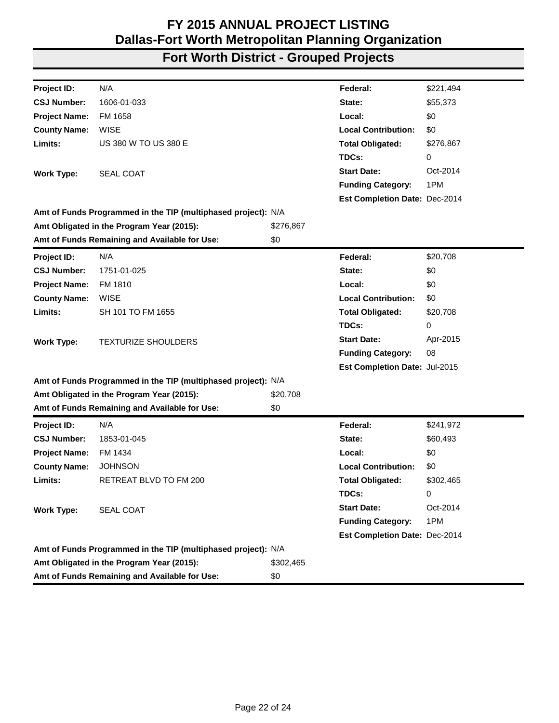| Project ID:          | N/A                                                           |           | Federal:                      | \$221,494 |
|----------------------|---------------------------------------------------------------|-----------|-------------------------------|-----------|
| <b>CSJ Number:</b>   | 1606-01-033                                                   |           | State:                        | \$55,373  |
| <b>Project Name:</b> | FM 1658                                                       |           | Local:                        | \$0       |
| <b>County Name:</b>  | <b>WISE</b>                                                   |           | <b>Local Contribution:</b>    | \$0       |
| Limits:              | US 380 W TO US 380 E                                          |           | <b>Total Obligated:</b>       | \$276,867 |
|                      |                                                               |           | TDCs:                         | 0         |
| <b>Work Type:</b>    | <b>SEAL COAT</b>                                              |           | <b>Start Date:</b>            | Oct-2014  |
|                      |                                                               |           | <b>Funding Category:</b>      | 1PM       |
|                      |                                                               |           | Est Completion Date: Dec-2014 |           |
|                      | Amt of Funds Programmed in the TIP (multiphased project): N/A |           |                               |           |
|                      | Amt Obligated in the Program Year (2015):                     | \$276,867 |                               |           |
|                      | Amt of Funds Remaining and Available for Use:                 | \$0       |                               |           |
| Project ID:          | N/A                                                           |           | Federal:                      | \$20,708  |
| <b>CSJ Number:</b>   | 1751-01-025                                                   |           | State:                        | \$0       |
| <b>Project Name:</b> | FM 1810                                                       |           | Local:                        | \$0       |
| <b>County Name:</b>  | WISE                                                          |           | <b>Local Contribution:</b>    | \$0       |
| Limits:              | SH 101 TO FM 1655                                             |           | <b>Total Obligated:</b>       | \$20,708  |
|                      |                                                               |           | TDCs:                         | 0         |
| <b>Work Type:</b>    | <b>TEXTURIZE SHOULDERS</b>                                    |           | <b>Start Date:</b>            | Apr-2015  |
|                      |                                                               |           | <b>Funding Category:</b>      | 08        |
|                      |                                                               |           | Est Completion Date: Jul-2015 |           |
|                      | Amt of Funds Programmed in the TIP (multiphased project): N/A |           |                               |           |
|                      | Amt Obligated in the Program Year (2015):                     | \$20,708  |                               |           |
|                      | Amt of Funds Remaining and Available for Use:                 | \$0       |                               |           |
| Project ID:          | N/A                                                           |           | Federal:                      | \$241,972 |
| <b>CSJ Number:</b>   | 1853-01-045                                                   |           | State:                        | \$60,493  |
| <b>Project Name:</b> | FM 1434                                                       |           | Local:                        | \$0       |
| <b>County Name:</b>  | <b>JOHNSON</b>                                                |           | <b>Local Contribution:</b>    | \$0       |
| Limits:              | RETREAT BLVD TO FM 200                                        |           | <b>Total Obligated:</b>       | \$302,465 |
|                      |                                                               |           | TDCs:                         | 0         |
| <b>Work Type:</b>    | <b>SEAL COAT</b>                                              |           | <b>Start Date:</b>            | Oct-2014  |
|                      |                                                               |           | <b>Funding Category:</b>      | 1PM       |
|                      |                                                               |           | Est Completion Date: Dec-2014 |           |
|                      | Amt of Funds Programmed in the TIP (multiphased project): N/A |           |                               |           |
|                      | Amt Obligated in the Program Year (2015):                     | \$302,465 |                               |           |
|                      | Amt of Funds Remaining and Available for Use:                 | \$0       |                               |           |
|                      |                                                               |           |                               |           |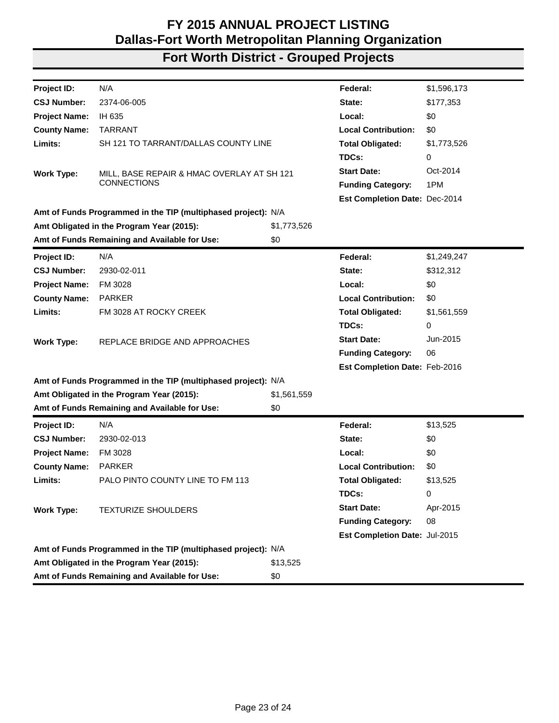| N/A<br>\$1,596,173<br>Federal:<br><b>CSJ Number:</b><br>2374-06-005<br>\$177,353<br>State:<br>\$0<br>IH 635<br>Local:<br><b>County Name:</b><br><b>TARRANT</b><br><b>Local Contribution:</b><br>\$0<br>Limits:<br>SH 121 TO TARRANT/DALLAS COUNTY LINE<br><b>Total Obligated:</b><br>\$1,773,526<br>TDCs:<br>0<br>Oct-2014<br><b>Start Date:</b><br>MILL, BASE REPAIR & HMAC OVERLAY AT SH 121<br><b>Work Type:</b><br><b>CONNECTIONS</b><br>1PM<br><b>Funding Category:</b><br>Est Completion Date: Dec-2014<br>Amt of Funds Programmed in the TIP (multiphased project): N/A<br>Amt Obligated in the Program Year (2015):<br>\$1,773,526<br>Amt of Funds Remaining and Available for Use:<br>\$0<br>N/A<br>Federal:<br>\$1,249,247<br>Project ID:<br>2930-02-011<br>\$312,312<br><b>CSJ Number:</b><br>State:<br>\$0<br><b>Project Name:</b><br>FM 3028<br>Local:<br><b>Local Contribution:</b><br><b>County Name:</b><br><b>PARKER</b><br>\$0<br>Limits:<br>FM 3028 AT ROCKY CREEK<br><b>Total Obligated:</b><br>\$1,561,559<br>TDCs:<br>0<br><b>Start Date:</b><br>Jun-2015<br>REPLACE BRIDGE AND APPROACHES<br><b>Work Type:</b><br>06<br><b>Funding Category:</b><br>Est Completion Date: Feb-2016<br>Amt of Funds Programmed in the TIP (multiphased project): N/A<br>Amt Obligated in the Program Year (2015):<br>\$1,561,559<br>Amt of Funds Remaining and Available for Use:<br>\$0<br>Federal:<br>N/A<br>\$13,525<br><b>Project ID:</b><br><b>CSJ Number:</b><br>\$0<br>2930-02-013<br>State:<br><b>Project Name:</b><br>FM 3028<br>Local:<br>\$0<br>\$0<br><b>County Name:</b><br><b>PARKER</b><br><b>Local Contribution:</b><br>Limits:<br>PALO PINTO COUNTY LINE TO FM 113<br><b>Total Obligated:</b><br>\$13,525<br>TDCs:<br>0<br><b>Start Date:</b><br>Apr-2015<br><b>Work Type:</b><br><b>TEXTURIZE SHOULDERS</b><br><b>Funding Category:</b><br>08<br>Est Completion Date: Jul-2015<br>Amt of Funds Programmed in the TIP (multiphased project): N/A<br>Amt Obligated in the Program Year (2015):<br>\$13,525<br>Amt of Funds Remaining and Available for Use:<br>\$0 |                      |  |  |
|-----------------------------------------------------------------------------------------------------------------------------------------------------------------------------------------------------------------------------------------------------------------------------------------------------------------------------------------------------------------------------------------------------------------------------------------------------------------------------------------------------------------------------------------------------------------------------------------------------------------------------------------------------------------------------------------------------------------------------------------------------------------------------------------------------------------------------------------------------------------------------------------------------------------------------------------------------------------------------------------------------------------------------------------------------------------------------------------------------------------------------------------------------------------------------------------------------------------------------------------------------------------------------------------------------------------------------------------------------------------------------------------------------------------------------------------------------------------------------------------------------------------------------------------------------------------------------------------------------------------------------------------------------------------------------------------------------------------------------------------------------------------------------------------------------------------------------------------------------------------------------------------------------------------------------------------------------------------------------------------------------------------------------------------------------------------------------------------|----------------------|--|--|
|                                                                                                                                                                                                                                                                                                                                                                                                                                                                                                                                                                                                                                                                                                                                                                                                                                                                                                                                                                                                                                                                                                                                                                                                                                                                                                                                                                                                                                                                                                                                                                                                                                                                                                                                                                                                                                                                                                                                                                                                                                                                                         | Project ID:          |  |  |
|                                                                                                                                                                                                                                                                                                                                                                                                                                                                                                                                                                                                                                                                                                                                                                                                                                                                                                                                                                                                                                                                                                                                                                                                                                                                                                                                                                                                                                                                                                                                                                                                                                                                                                                                                                                                                                                                                                                                                                                                                                                                                         |                      |  |  |
|                                                                                                                                                                                                                                                                                                                                                                                                                                                                                                                                                                                                                                                                                                                                                                                                                                                                                                                                                                                                                                                                                                                                                                                                                                                                                                                                                                                                                                                                                                                                                                                                                                                                                                                                                                                                                                                                                                                                                                                                                                                                                         | <b>Project Name:</b> |  |  |
|                                                                                                                                                                                                                                                                                                                                                                                                                                                                                                                                                                                                                                                                                                                                                                                                                                                                                                                                                                                                                                                                                                                                                                                                                                                                                                                                                                                                                                                                                                                                                                                                                                                                                                                                                                                                                                                                                                                                                                                                                                                                                         |                      |  |  |
|                                                                                                                                                                                                                                                                                                                                                                                                                                                                                                                                                                                                                                                                                                                                                                                                                                                                                                                                                                                                                                                                                                                                                                                                                                                                                                                                                                                                                                                                                                                                                                                                                                                                                                                                                                                                                                                                                                                                                                                                                                                                                         |                      |  |  |
|                                                                                                                                                                                                                                                                                                                                                                                                                                                                                                                                                                                                                                                                                                                                                                                                                                                                                                                                                                                                                                                                                                                                                                                                                                                                                                                                                                                                                                                                                                                                                                                                                                                                                                                                                                                                                                                                                                                                                                                                                                                                                         |                      |  |  |
|                                                                                                                                                                                                                                                                                                                                                                                                                                                                                                                                                                                                                                                                                                                                                                                                                                                                                                                                                                                                                                                                                                                                                                                                                                                                                                                                                                                                                                                                                                                                                                                                                                                                                                                                                                                                                                                                                                                                                                                                                                                                                         |                      |  |  |
|                                                                                                                                                                                                                                                                                                                                                                                                                                                                                                                                                                                                                                                                                                                                                                                                                                                                                                                                                                                                                                                                                                                                                                                                                                                                                                                                                                                                                                                                                                                                                                                                                                                                                                                                                                                                                                                                                                                                                                                                                                                                                         |                      |  |  |
|                                                                                                                                                                                                                                                                                                                                                                                                                                                                                                                                                                                                                                                                                                                                                                                                                                                                                                                                                                                                                                                                                                                                                                                                                                                                                                                                                                                                                                                                                                                                                                                                                                                                                                                                                                                                                                                                                                                                                                                                                                                                                         |                      |  |  |
|                                                                                                                                                                                                                                                                                                                                                                                                                                                                                                                                                                                                                                                                                                                                                                                                                                                                                                                                                                                                                                                                                                                                                                                                                                                                                                                                                                                                                                                                                                                                                                                                                                                                                                                                                                                                                                                                                                                                                                                                                                                                                         |                      |  |  |
|                                                                                                                                                                                                                                                                                                                                                                                                                                                                                                                                                                                                                                                                                                                                                                                                                                                                                                                                                                                                                                                                                                                                                                                                                                                                                                                                                                                                                                                                                                                                                                                                                                                                                                                                                                                                                                                                                                                                                                                                                                                                                         |                      |  |  |
|                                                                                                                                                                                                                                                                                                                                                                                                                                                                                                                                                                                                                                                                                                                                                                                                                                                                                                                                                                                                                                                                                                                                                                                                                                                                                                                                                                                                                                                                                                                                                                                                                                                                                                                                                                                                                                                                                                                                                                                                                                                                                         |                      |  |  |
|                                                                                                                                                                                                                                                                                                                                                                                                                                                                                                                                                                                                                                                                                                                                                                                                                                                                                                                                                                                                                                                                                                                                                                                                                                                                                                                                                                                                                                                                                                                                                                                                                                                                                                                                                                                                                                                                                                                                                                                                                                                                                         |                      |  |  |
|                                                                                                                                                                                                                                                                                                                                                                                                                                                                                                                                                                                                                                                                                                                                                                                                                                                                                                                                                                                                                                                                                                                                                                                                                                                                                                                                                                                                                                                                                                                                                                                                                                                                                                                                                                                                                                                                                                                                                                                                                                                                                         |                      |  |  |
|                                                                                                                                                                                                                                                                                                                                                                                                                                                                                                                                                                                                                                                                                                                                                                                                                                                                                                                                                                                                                                                                                                                                                                                                                                                                                                                                                                                                                                                                                                                                                                                                                                                                                                                                                                                                                                                                                                                                                                                                                                                                                         |                      |  |  |
|                                                                                                                                                                                                                                                                                                                                                                                                                                                                                                                                                                                                                                                                                                                                                                                                                                                                                                                                                                                                                                                                                                                                                                                                                                                                                                                                                                                                                                                                                                                                                                                                                                                                                                                                                                                                                                                                                                                                                                                                                                                                                         |                      |  |  |
|                                                                                                                                                                                                                                                                                                                                                                                                                                                                                                                                                                                                                                                                                                                                                                                                                                                                                                                                                                                                                                                                                                                                                                                                                                                                                                                                                                                                                                                                                                                                                                                                                                                                                                                                                                                                                                                                                                                                                                                                                                                                                         |                      |  |  |
|                                                                                                                                                                                                                                                                                                                                                                                                                                                                                                                                                                                                                                                                                                                                                                                                                                                                                                                                                                                                                                                                                                                                                                                                                                                                                                                                                                                                                                                                                                                                                                                                                                                                                                                                                                                                                                                                                                                                                                                                                                                                                         |                      |  |  |
|                                                                                                                                                                                                                                                                                                                                                                                                                                                                                                                                                                                                                                                                                                                                                                                                                                                                                                                                                                                                                                                                                                                                                                                                                                                                                                                                                                                                                                                                                                                                                                                                                                                                                                                                                                                                                                                                                                                                                                                                                                                                                         |                      |  |  |
|                                                                                                                                                                                                                                                                                                                                                                                                                                                                                                                                                                                                                                                                                                                                                                                                                                                                                                                                                                                                                                                                                                                                                                                                                                                                                                                                                                                                                                                                                                                                                                                                                                                                                                                                                                                                                                                                                                                                                                                                                                                                                         |                      |  |  |
|                                                                                                                                                                                                                                                                                                                                                                                                                                                                                                                                                                                                                                                                                                                                                                                                                                                                                                                                                                                                                                                                                                                                                                                                                                                                                                                                                                                                                                                                                                                                                                                                                                                                                                                                                                                                                                                                                                                                                                                                                                                                                         |                      |  |  |
|                                                                                                                                                                                                                                                                                                                                                                                                                                                                                                                                                                                                                                                                                                                                                                                                                                                                                                                                                                                                                                                                                                                                                                                                                                                                                                                                                                                                                                                                                                                                                                                                                                                                                                                                                                                                                                                                                                                                                                                                                                                                                         |                      |  |  |
|                                                                                                                                                                                                                                                                                                                                                                                                                                                                                                                                                                                                                                                                                                                                                                                                                                                                                                                                                                                                                                                                                                                                                                                                                                                                                                                                                                                                                                                                                                                                                                                                                                                                                                                                                                                                                                                                                                                                                                                                                                                                                         |                      |  |  |
|                                                                                                                                                                                                                                                                                                                                                                                                                                                                                                                                                                                                                                                                                                                                                                                                                                                                                                                                                                                                                                                                                                                                                                                                                                                                                                                                                                                                                                                                                                                                                                                                                                                                                                                                                                                                                                                                                                                                                                                                                                                                                         |                      |  |  |
|                                                                                                                                                                                                                                                                                                                                                                                                                                                                                                                                                                                                                                                                                                                                                                                                                                                                                                                                                                                                                                                                                                                                                                                                                                                                                                                                                                                                                                                                                                                                                                                                                                                                                                                                                                                                                                                                                                                                                                                                                                                                                         |                      |  |  |
|                                                                                                                                                                                                                                                                                                                                                                                                                                                                                                                                                                                                                                                                                                                                                                                                                                                                                                                                                                                                                                                                                                                                                                                                                                                                                                                                                                                                                                                                                                                                                                                                                                                                                                                                                                                                                                                                                                                                                                                                                                                                                         |                      |  |  |
|                                                                                                                                                                                                                                                                                                                                                                                                                                                                                                                                                                                                                                                                                                                                                                                                                                                                                                                                                                                                                                                                                                                                                                                                                                                                                                                                                                                                                                                                                                                                                                                                                                                                                                                                                                                                                                                                                                                                                                                                                                                                                         |                      |  |  |
|                                                                                                                                                                                                                                                                                                                                                                                                                                                                                                                                                                                                                                                                                                                                                                                                                                                                                                                                                                                                                                                                                                                                                                                                                                                                                                                                                                                                                                                                                                                                                                                                                                                                                                                                                                                                                                                                                                                                                                                                                                                                                         |                      |  |  |
|                                                                                                                                                                                                                                                                                                                                                                                                                                                                                                                                                                                                                                                                                                                                                                                                                                                                                                                                                                                                                                                                                                                                                                                                                                                                                                                                                                                                                                                                                                                                                                                                                                                                                                                                                                                                                                                                                                                                                                                                                                                                                         |                      |  |  |
|                                                                                                                                                                                                                                                                                                                                                                                                                                                                                                                                                                                                                                                                                                                                                                                                                                                                                                                                                                                                                                                                                                                                                                                                                                                                                                                                                                                                                                                                                                                                                                                                                                                                                                                                                                                                                                                                                                                                                                                                                                                                                         |                      |  |  |
|                                                                                                                                                                                                                                                                                                                                                                                                                                                                                                                                                                                                                                                                                                                                                                                                                                                                                                                                                                                                                                                                                                                                                                                                                                                                                                                                                                                                                                                                                                                                                                                                                                                                                                                                                                                                                                                                                                                                                                                                                                                                                         |                      |  |  |
|                                                                                                                                                                                                                                                                                                                                                                                                                                                                                                                                                                                                                                                                                                                                                                                                                                                                                                                                                                                                                                                                                                                                                                                                                                                                                                                                                                                                                                                                                                                                                                                                                                                                                                                                                                                                                                                                                                                                                                                                                                                                                         |                      |  |  |
|                                                                                                                                                                                                                                                                                                                                                                                                                                                                                                                                                                                                                                                                                                                                                                                                                                                                                                                                                                                                                                                                                                                                                                                                                                                                                                                                                                                                                                                                                                                                                                                                                                                                                                                                                                                                                                                                                                                                                                                                                                                                                         |                      |  |  |
|                                                                                                                                                                                                                                                                                                                                                                                                                                                                                                                                                                                                                                                                                                                                                                                                                                                                                                                                                                                                                                                                                                                                                                                                                                                                                                                                                                                                                                                                                                                                                                                                                                                                                                                                                                                                                                                                                                                                                                                                                                                                                         |                      |  |  |
|                                                                                                                                                                                                                                                                                                                                                                                                                                                                                                                                                                                                                                                                                                                                                                                                                                                                                                                                                                                                                                                                                                                                                                                                                                                                                                                                                                                                                                                                                                                                                                                                                                                                                                                                                                                                                                                                                                                                                                                                                                                                                         |                      |  |  |
|                                                                                                                                                                                                                                                                                                                                                                                                                                                                                                                                                                                                                                                                                                                                                                                                                                                                                                                                                                                                                                                                                                                                                                                                                                                                                                                                                                                                                                                                                                                                                                                                                                                                                                                                                                                                                                                                                                                                                                                                                                                                                         |                      |  |  |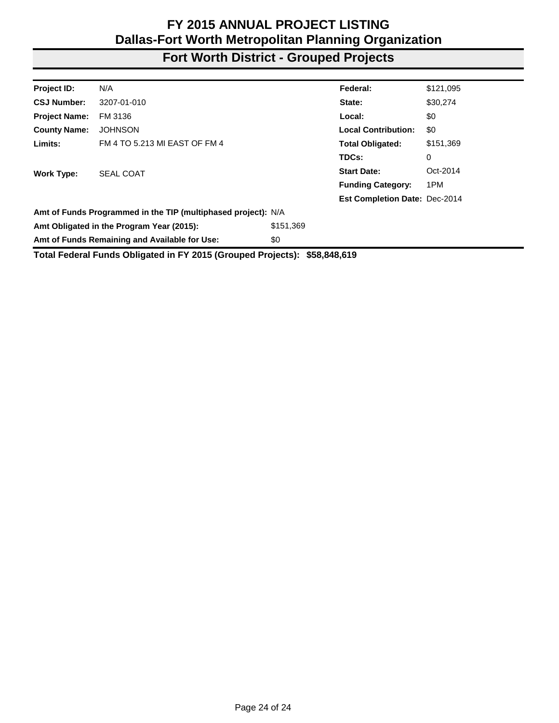# **Fort Worth District - Grouped Projects**

| Project ID:          | N/A                                                           |           | Federal:                             | \$121,095 |
|----------------------|---------------------------------------------------------------|-----------|--------------------------------------|-----------|
| <b>CSJ Number:</b>   | 3207-01-010                                                   |           | State:                               | \$30,274  |
| <b>Project Name:</b> | FM 3136                                                       |           | Local:                               | \$0       |
| <b>County Name:</b>  | <b>JOHNSON</b>                                                |           | <b>Local Contribution:</b>           | \$0       |
| Limits:              | FM 4 TO 5.213 MI EAST OF FM 4                                 |           | <b>Total Obligated:</b>              | \$151,369 |
|                      |                                                               |           | TDCs:                                | 0         |
| <b>Work Type:</b>    | <b>SEAL COAT</b>                                              |           | <b>Start Date:</b>                   | Oct-2014  |
|                      |                                                               |           | <b>Funding Category:</b>             | 1PM       |
|                      |                                                               |           | <b>Est Completion Date: Dec-2014</b> |           |
|                      | Amt of Funds Programmed in the TIP (multiphased project): N/A |           |                                      |           |
|                      | Amt Obligated in the Program Year (2015):                     | \$151,369 |                                      |           |
|                      | Amt of Funds Remaining and Available for Use:                 | \$0       |                                      |           |
|                      |                                                               |           |                                      |           |

**Total Federal Funds Obligated in FY 2015 (Grouped Projects): \$58,848,619**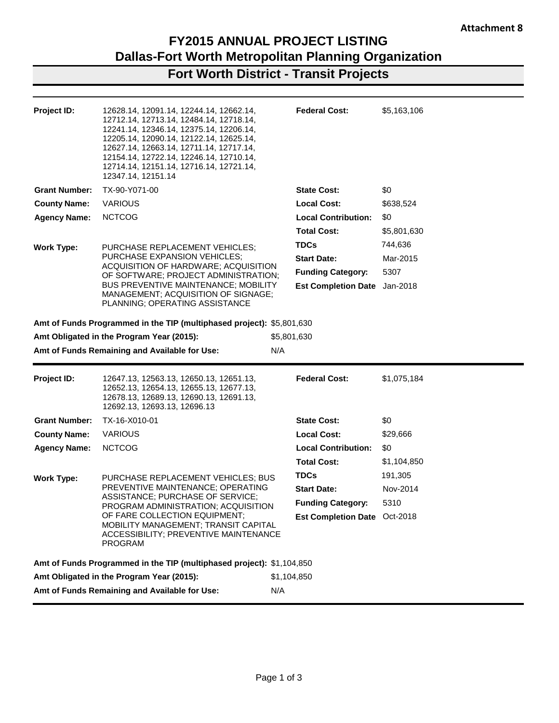**Fort Worth District - Transit Projects**

| Project ID:          | 12628.14, 12091.14, 12244.14, 12662.14,<br>12712.14, 12713.14, 12484.14, 12718.14,<br>12241.14, 12346.14, 12375.14, 12206.14,<br>12205.14, 12090.14, 12122.14, 12625.14,<br>12627.14, 12663.14, 12711.14, 12717.14,<br>12154.14, 12722.14, 12246.14, 12710.14,<br>12714.14, 12151.14, 12716.14, 12721.14,<br>12347.14, 12151.14 | <b>Federal Cost:</b>         | \$5,163,106 |
|----------------------|---------------------------------------------------------------------------------------------------------------------------------------------------------------------------------------------------------------------------------------------------------------------------------------------------------------------------------|------------------------------|-------------|
| <b>Grant Number:</b> | TX-90-Y071-00                                                                                                                                                                                                                                                                                                                   | <b>State Cost:</b>           | \$0         |
| <b>County Name:</b>  | <b>VARIOUS</b>                                                                                                                                                                                                                                                                                                                  | <b>Local Cost:</b>           | \$638,524   |
| <b>Agency Name:</b>  | <b>NCTCOG</b>                                                                                                                                                                                                                                                                                                                   | <b>Local Contribution:</b>   | \$0         |
|                      |                                                                                                                                                                                                                                                                                                                                 | <b>Total Cost:</b>           | \$5,801,630 |
| <b>Work Type:</b>    | PURCHASE REPLACEMENT VEHICLES;                                                                                                                                                                                                                                                                                                  | <b>TDCs</b>                  | 744,636     |
|                      | PURCHASE EXPANSION VEHICLES;<br>ACQUISITION OF HARDWARE; ACQUISITION                                                                                                                                                                                                                                                            | <b>Start Date:</b>           | Mar-2015    |
|                      | OF SOFTWARE; PROJECT ADMINISTRATION;                                                                                                                                                                                                                                                                                            | <b>Funding Category:</b>     | 5307        |
|                      | <b>BUS PREVENTIVE MAINTENANCE; MOBILITY</b><br>MANAGEMENT; ACQUISITION OF SIGNAGE;<br>PLANNING; OPERATING ASSISTANCE                                                                                                                                                                                                            | <b>Est Completion Date</b>   | Jan-2018    |
|                      | Amt of Funds Programmed in the TIP (multiphased project): \$5,801,630                                                                                                                                                                                                                                                           |                              |             |
|                      | Amt Obligated in the Program Year (2015):                                                                                                                                                                                                                                                                                       | \$5,801,630                  |             |
|                      | Amt of Funds Remaining and Available for Use:                                                                                                                                                                                                                                                                                   | N/A                          |             |
|                      |                                                                                                                                                                                                                                                                                                                                 |                              |             |
|                      |                                                                                                                                                                                                                                                                                                                                 |                              |             |
| Project ID:          | 12647.13, 12563.13, 12650.13, 12651.13,<br>12652.13, 12654.13, 12655.13, 12677.13,<br>12678.13, 12689.13, 12690.13, 12691.13,<br>12692.13, 12693.13, 12696.13                                                                                                                                                                   | <b>Federal Cost:</b>         | \$1,075,184 |
| <b>Grant Number:</b> | TX-16-X010-01                                                                                                                                                                                                                                                                                                                   | <b>State Cost:</b>           | \$0         |
| <b>County Name:</b>  | <b>VARIOUS</b>                                                                                                                                                                                                                                                                                                                  | <b>Local Cost:</b>           | \$29,666    |
| <b>Agency Name:</b>  | <b>NCTCOG</b>                                                                                                                                                                                                                                                                                                                   | <b>Local Contribution:</b>   | \$0         |
|                      |                                                                                                                                                                                                                                                                                                                                 | <b>Total Cost:</b>           | \$1,104,850 |
| <b>Work Type:</b>    | PURCHASE REPLACEMENT VEHICLES; BUS                                                                                                                                                                                                                                                                                              | <b>TDCs</b>                  | 191,305     |
|                      | PREVENTIVE MAINTENANCE; OPERATING                                                                                                                                                                                                                                                                                               | <b>Start Date:</b>           | Nov-2014    |
|                      | ASSISTANCE; PURCHASE OF SERVICE;<br>PROGRAM ADMINISTRATION; ACQUISITION                                                                                                                                                                                                                                                         | <b>Funding Category:</b>     | 5310        |
|                      | OF FARE COLLECTION EQUIPMENT;<br>MOBILITY MANAGEMENT; TRANSIT CAPITAL<br>ACCESSIBILITY; PREVENTIVE MAINTENANCE<br>PROGRAM                                                                                                                                                                                                       | Est Completion Date Oct-2018 |             |
|                      | Amt of Funds Programmed in the TIP (multiphased project): \$1,104,850                                                                                                                                                                                                                                                           |                              |             |
|                      | Amt Obligated in the Program Year (2015):                                                                                                                                                                                                                                                                                       | \$1,104,850                  |             |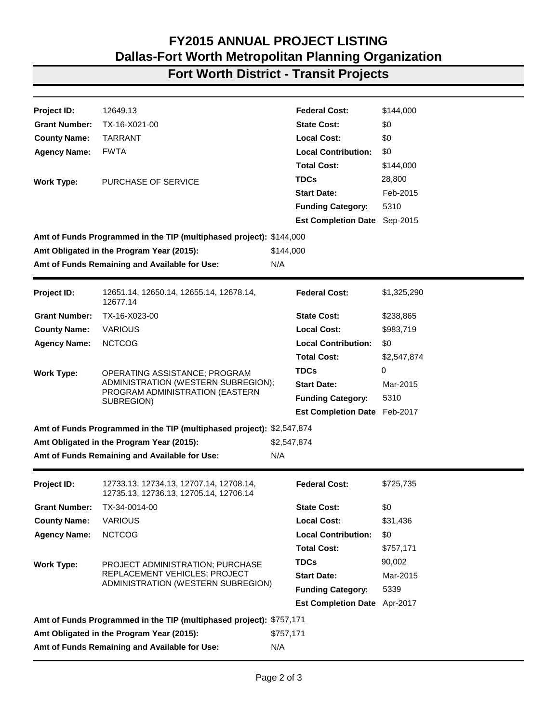### **Fort Worth District - Transit Projects**

| Project ID:          | 12649.13                                                                          |             | <b>Federal Cost:</b>         | \$144,000   |
|----------------------|-----------------------------------------------------------------------------------|-------------|------------------------------|-------------|
| <b>Grant Number:</b> | TX-16-X021-00                                                                     |             | <b>State Cost:</b>           | \$0         |
| <b>County Name:</b>  | <b>TARRANT</b>                                                                    |             | <b>Local Cost:</b>           | \$0         |
| <b>Agency Name:</b>  | <b>FWTA</b>                                                                       |             | <b>Local Contribution:</b>   | \$0         |
|                      |                                                                                   |             | <b>Total Cost:</b>           | \$144,000   |
| <b>Work Type:</b>    | PURCHASE OF SERVICE                                                               |             | <b>TDCs</b>                  | 28,800      |
|                      |                                                                                   |             | <b>Start Date:</b>           | Feb-2015    |
|                      |                                                                                   |             | <b>Funding Category:</b>     | 5310        |
|                      |                                                                                   |             | <b>Est Completion Date</b>   | Sep-2015    |
|                      | Amt of Funds Programmed in the TIP (multiphased project): \$144,000               |             |                              |             |
|                      | Amt Obligated in the Program Year (2015):                                         | \$144,000   |                              |             |
|                      | Amt of Funds Remaining and Available for Use:                                     | N/A         |                              |             |
|                      |                                                                                   |             |                              |             |
| Project ID:          | 12651.14, 12650.14, 12655.14, 12678.14,<br>12677.14                               |             | <b>Federal Cost:</b>         | \$1,325,290 |
| <b>Grant Number:</b> | TX-16-X023-00                                                                     |             | <b>State Cost:</b>           | \$238,865   |
| <b>County Name:</b>  | <b>VARIOUS</b>                                                                    |             | <b>Local Cost:</b>           | \$983,719   |
| <b>Agency Name:</b>  | <b>NCTCOG</b>                                                                     |             | <b>Local Contribution:</b>   | \$0         |
|                      |                                                                                   |             | <b>Total Cost:</b>           | \$2,547,874 |
| <b>Work Type:</b>    | OPERATING ASSISTANCE; PROGRAM                                                     |             | <b>TDCs</b>                  | 0           |
|                      | ADMINISTRATION (WESTERN SUBREGION);                                               |             | <b>Start Date:</b>           | Mar-2015    |
|                      | PROGRAM ADMINISTRATION (EASTERN<br>SUBREGION)                                     |             | <b>Funding Category:</b>     | 5310        |
|                      |                                                                                   |             | <b>Est Completion Date</b>   | Feb-2017    |
|                      | Amt of Funds Programmed in the TIP (multiphased project): \$2,547,874             |             |                              |             |
|                      | Amt Obligated in the Program Year (2015):                                         | \$2,547,874 |                              |             |
|                      | Amt of Funds Remaining and Available for Use:                                     | N/A         |                              |             |
| Project ID:          | 12733.13, 12734.13, 12707.14, 12708.14,<br>12735.13, 12736.13, 12705.14, 12706.14 |             | <b>Federal Cost:</b>         | \$725,735   |
| <b>Grant Number:</b> | TX-34-0014-00                                                                     |             | <b>State Cost:</b>           | \$0         |
| <b>County Name:</b>  | <b>VARIOUS</b>                                                                    |             | <b>Local Cost:</b>           | \$31,436    |
| <b>Agency Name:</b>  | <b>NCTCOG</b>                                                                     |             | <b>Local Contribution:</b>   | \$0         |
|                      |                                                                                   |             | <b>Total Cost:</b>           | \$757,171   |
|                      |                                                                                   |             |                              |             |
| <b>Work Type:</b>    | PROJECT ADMINISTRATION; PURCHASE                                                  |             | <b>TDCs</b>                  | 90,002      |
|                      | REPLACEMENT VEHICLES; PROJECT                                                     |             | <b>Start Date:</b>           | Mar-2015    |
|                      | ADMINISTRATION (WESTERN SUBREGION)                                                |             | <b>Funding Category:</b>     | 5339        |
|                      |                                                                                   |             | Est Completion Date Apr-2017 |             |
|                      | Amt of Funds Programmed in the TIP (multiphased project): \$757,171               |             |                              |             |
|                      | Amt Obligated in the Program Year (2015):                                         | \$757,171   |                              |             |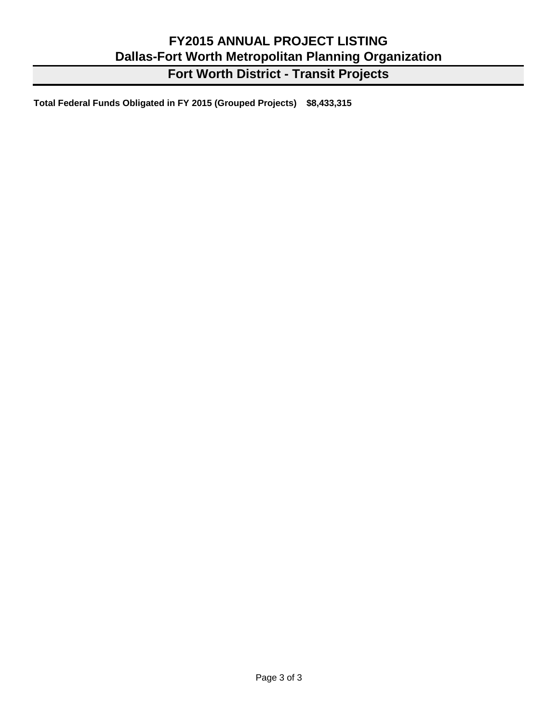**Fort Worth District - Transit Projects**

**Total Federal Funds Obligated in FY 2015 (Grouped Projects) \$8,433,315**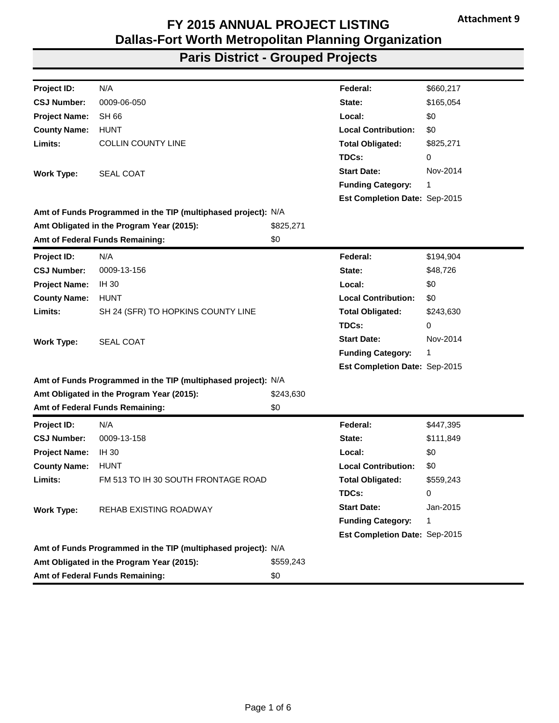| Project ID:          | N/A                                                           |           | Federal:                      | \$660,217 |
|----------------------|---------------------------------------------------------------|-----------|-------------------------------|-----------|
| <b>CSJ Number:</b>   | 0009-06-050                                                   |           | State:                        | \$165,054 |
| <b>Project Name:</b> | SH 66                                                         |           | Local:                        | \$0       |
| <b>County Name:</b>  | <b>HUNT</b>                                                   |           | <b>Local Contribution:</b>    | \$0       |
| Limits:              | <b>COLLIN COUNTY LINE</b>                                     |           | <b>Total Obligated:</b>       | \$825,271 |
|                      |                                                               |           | TDCs:                         | 0         |
| <b>Work Type:</b>    | SEAL COAT                                                     |           | <b>Start Date:</b>            | Nov-2014  |
|                      |                                                               |           | <b>Funding Category:</b>      | 1         |
|                      |                                                               |           | Est Completion Date: Sep-2015 |           |
|                      | Amt of Funds Programmed in the TIP (multiphased project): N/A |           |                               |           |
|                      | Amt Obligated in the Program Year (2015):                     | \$825,271 |                               |           |
|                      | Amt of Federal Funds Remaining:                               | \$0       |                               |           |
| Project ID:          | N/A                                                           |           | Federal:                      | \$194,904 |
| <b>CSJ Number:</b>   | 0009-13-156                                                   |           | State:                        | \$48,726  |
| <b>Project Name:</b> | <b>IH 30</b>                                                  |           | Local:                        | \$0       |
| <b>County Name:</b>  | <b>HUNT</b>                                                   |           | <b>Local Contribution:</b>    | \$0       |
| Limits:              | SH 24 (SFR) TO HOPKINS COUNTY LINE                            |           | <b>Total Obligated:</b>       | \$243,630 |
|                      |                                                               |           | TDCs:                         | 0         |
| <b>Work Type:</b>    | <b>SEAL COAT</b>                                              |           | <b>Start Date:</b>            | Nov-2014  |
|                      |                                                               |           | <b>Funding Category:</b>      | 1         |
|                      |                                                               |           | Est Completion Date: Sep-2015 |           |
|                      | Amt of Funds Programmed in the TIP (multiphased project): N/A |           |                               |           |
|                      | Amt Obligated in the Program Year (2015):                     | \$243,630 |                               |           |
|                      | Amt of Federal Funds Remaining:                               | \$0       |                               |           |
| <b>Project ID:</b>   | N/A                                                           |           | Federal:                      | \$447,395 |
| <b>CSJ Number:</b>   | 0009-13-158                                                   |           | State:                        | \$111,849 |
| <b>Project Name:</b> | <b>IH 30</b>                                                  |           | Local:                        | \$0       |
| <b>County Name:</b>  | <b>HUNT</b>                                                   |           | <b>Local Contribution:</b>    | \$0       |
| Limits:              | FM 513 TO IH 30 SOUTH FRONTAGE ROAD                           |           | <b>Total Obligated:</b>       | \$559,243 |
|                      |                                                               |           | TDCs:                         | 0         |
| <b>Work Type:</b>    | REHAB EXISTING ROADWAY                                        |           | <b>Start Date:</b>            | Jan-2015  |
|                      |                                                               |           | <b>Funding Category:</b>      | 1         |
|                      |                                                               |           | Est Completion Date: Sep-2015 |           |
|                      | Amt of Funds Programmed in the TIP (multiphased project): N/A |           |                               |           |
|                      | Amt Obligated in the Program Year (2015):                     | \$559,243 |                               |           |
|                      | Amt of Federal Funds Remaining:                               | \$0       |                               |           |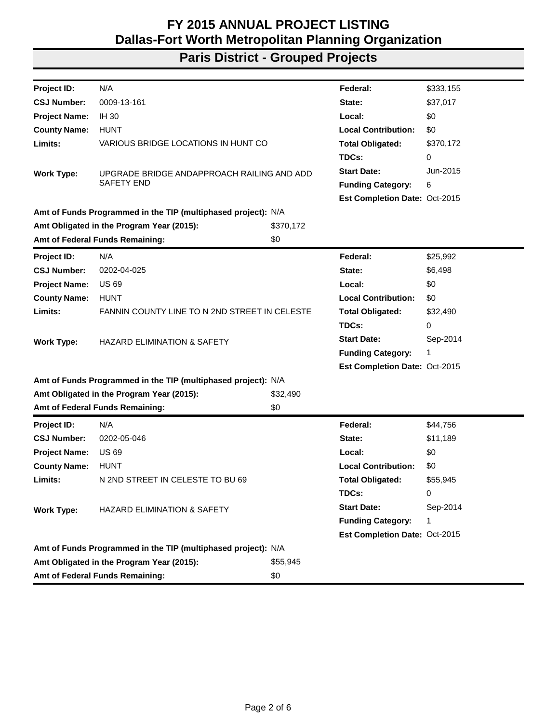| Project ID:          | N/A                                                           |           | Federal:                      | \$333,155 |
|----------------------|---------------------------------------------------------------|-----------|-------------------------------|-----------|
| <b>CSJ Number:</b>   | 0009-13-161                                                   |           | State:                        | \$37,017  |
| <b>Project Name:</b> | <b>IH 30</b>                                                  |           | Local:                        | \$0       |
| <b>County Name:</b>  | <b>HUNT</b>                                                   |           | <b>Local Contribution:</b>    | \$0       |
| Limits:              | VARIOUS BRIDGE LOCATIONS IN HUNT CO                           |           | <b>Total Obligated:</b>       | \$370,172 |
|                      |                                                               |           | TDCs:                         | 0         |
| <b>Work Type:</b>    | UPGRADE BRIDGE ANDAPPROACH RAILING AND ADD                    |           | <b>Start Date:</b>            | Jun-2015  |
|                      | <b>SAFETY END</b>                                             |           | <b>Funding Category:</b>      | 6         |
|                      |                                                               |           | Est Completion Date: Oct-2015 |           |
|                      | Amt of Funds Programmed in the TIP (multiphased project): N/A |           |                               |           |
|                      | Amt Obligated in the Program Year (2015):                     | \$370,172 |                               |           |
|                      | Amt of Federal Funds Remaining:                               | \$0       |                               |           |
| <b>Project ID:</b>   | N/A                                                           |           | Federal:                      | \$25,992  |
| <b>CSJ Number:</b>   | 0202-04-025                                                   |           | State:                        | \$6,498   |
| <b>Project Name:</b> | <b>US69</b>                                                   |           | Local:                        | \$0       |
| <b>County Name:</b>  | <b>HUNT</b>                                                   |           | <b>Local Contribution:</b>    | \$0       |
| Limits:              | FANNIN COUNTY LINE TO N 2ND STREET IN CELESTE                 |           | <b>Total Obligated:</b>       | \$32,490  |
|                      |                                                               |           | TDCs:                         | 0         |
| <b>Work Type:</b>    | <b>HAZARD ELIMINATION &amp; SAFETY</b>                        |           | <b>Start Date:</b>            | Sep-2014  |
|                      |                                                               |           | <b>Funding Category:</b>      | 1         |
|                      |                                                               |           | Est Completion Date: Oct-2015 |           |
|                      | Amt of Funds Programmed in the TIP (multiphased project): N/A |           |                               |           |
|                      | Amt Obligated in the Program Year (2015):                     | \$32,490  |                               |           |
|                      | Amt of Federal Funds Remaining:                               | \$0       |                               |           |
| Project ID:          | N/A                                                           |           | Federal:                      | \$44,756  |
| <b>CSJ Number:</b>   | 0202-05-046                                                   |           | State:                        | \$11,189  |
| <b>Project Name:</b> | <b>US69</b>                                                   |           | Local:                        | \$0       |
| <b>County Name:</b>  | <b>HUNT</b>                                                   |           | <b>Local Contribution:</b>    | \$0       |
| Limits:              | N 2ND STREET IN CELESTE TO BU 69                              |           | <b>Total Obligated:</b>       | \$55,945  |
|                      |                                                               |           | TDCs:                         | 0         |
| <b>Work Type:</b>    | <b>HAZARD ELIMINATION &amp; SAFETY</b>                        |           | <b>Start Date:</b>            | Sep-2014  |
|                      |                                                               |           | <b>Funding Category:</b>      | 1         |
|                      |                                                               |           | Est Completion Date: Oct-2015 |           |
|                      | Amt of Funds Programmed in the TIP (multiphased project): N/A |           |                               |           |
|                      | Amt Obligated in the Program Year (2015):                     | \$55,945  |                               |           |
|                      | Amt of Federal Funds Remaining:                               | \$0       |                               |           |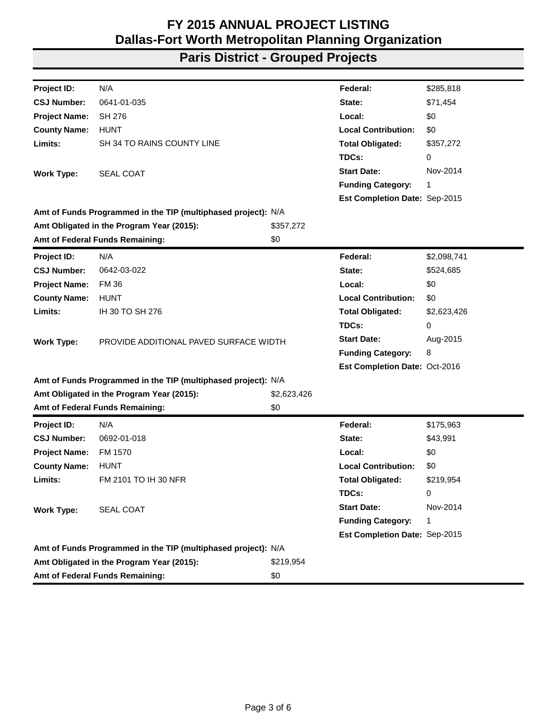| Project ID:          | N/A                                                           |             | Federal:                      | \$285,818   |
|----------------------|---------------------------------------------------------------|-------------|-------------------------------|-------------|
| <b>CSJ Number:</b>   | 0641-01-035                                                   |             | State:                        | \$71,454    |
| <b>Project Name:</b> | SH 276                                                        |             | Local:                        | \$0         |
| <b>County Name:</b>  | <b>HUNT</b>                                                   |             | <b>Local Contribution:</b>    | \$0         |
| Limits:              | SH 34 TO RAINS COUNTY LINE                                    |             | <b>Total Obligated:</b>       | \$357,272   |
|                      |                                                               |             | TDCs:                         | 0           |
| <b>Work Type:</b>    | <b>SEAL COAT</b>                                              |             | <b>Start Date:</b>            | Nov-2014    |
|                      |                                                               |             | <b>Funding Category:</b>      | 1           |
|                      |                                                               |             | Est Completion Date: Sep-2015 |             |
|                      | Amt of Funds Programmed in the TIP (multiphased project): N/A |             |                               |             |
|                      | Amt Obligated in the Program Year (2015):                     | \$357,272   |                               |             |
|                      | Amt of Federal Funds Remaining:                               | \$0         |                               |             |
| Project ID:          | N/A                                                           |             | Federal:                      | \$2,098,741 |
| <b>CSJ Number:</b>   | 0642-03-022                                                   |             | State:                        | \$524,685   |
| <b>Project Name:</b> | <b>FM 36</b>                                                  |             | Local:                        | \$0         |
| <b>County Name:</b>  | <b>HUNT</b>                                                   |             | <b>Local Contribution:</b>    | \$0         |
| Limits:              | IH 30 TO SH 276                                               |             | <b>Total Obligated:</b>       | \$2,623,426 |
|                      |                                                               |             | TDCs:                         | 0           |
| <b>Work Type:</b>    | PROVIDE ADDITIONAL PAVED SURFACE WIDTH                        |             | <b>Start Date:</b>            | Aug-2015    |
|                      |                                                               |             | <b>Funding Category:</b>      | 8           |
|                      |                                                               |             | Est Completion Date: Oct-2016 |             |
|                      | Amt of Funds Programmed in the TIP (multiphased project): N/A |             |                               |             |
|                      | Amt Obligated in the Program Year (2015):                     | \$2,623,426 |                               |             |
|                      | Amt of Federal Funds Remaining:                               | \$0         |                               |             |
| <b>Project ID:</b>   | N/A                                                           |             | Federal:                      | \$175,963   |
| <b>CSJ Number:</b>   | 0692-01-018                                                   |             | State:                        | \$43,991    |
| <b>Project Name:</b> | FM 1570                                                       |             | Local:                        | \$0         |
| <b>County Name:</b>  | <b>HUNT</b>                                                   |             | <b>Local Contribution:</b>    | \$0         |
| Limits:              | FM 2101 TO IH 30 NFR                                          |             | <b>Total Obligated:</b>       | \$219,954   |
|                      |                                                               |             | TDCs:                         | 0           |
| <b>Work Type:</b>    | <b>SEAL COAT</b>                                              |             | <b>Start Date:</b>            | Nov-2014    |
|                      |                                                               |             | <b>Funding Category:</b>      | 1           |
|                      |                                                               |             | Est Completion Date: Sep-2015 |             |
|                      | Amt of Funds Programmed in the TIP (multiphased project): N/A |             |                               |             |
|                      | Amt Obligated in the Program Year (2015):                     | \$219,954   |                               |             |
|                      | Amt of Federal Funds Remaining:                               | \$0         |                               |             |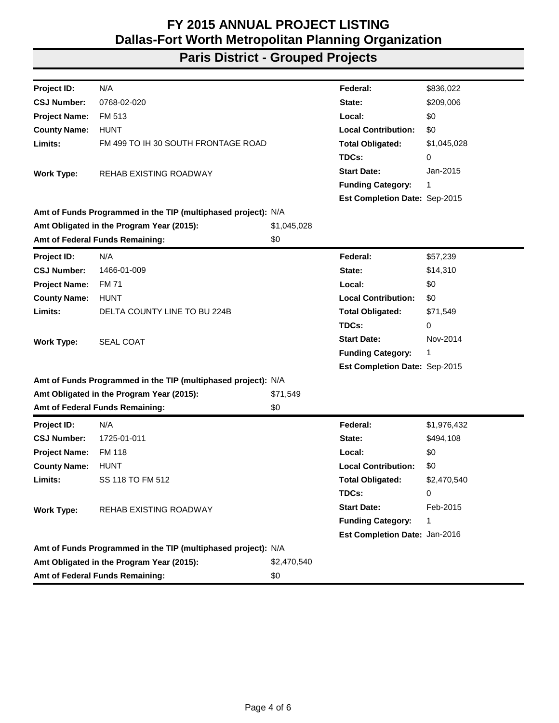| Project ID:          | N/A                                                           |             | Federal:                      | \$836,022   |
|----------------------|---------------------------------------------------------------|-------------|-------------------------------|-------------|
| <b>CSJ Number:</b>   | 0768-02-020                                                   |             | State:                        | \$209,006   |
| <b>Project Name:</b> | FM 513                                                        |             | Local:                        | \$0         |
| <b>County Name:</b>  | <b>HUNT</b>                                                   |             | <b>Local Contribution:</b>    | \$0         |
| Limits:              | FM 499 TO IH 30 SOUTH FRONTAGE ROAD                           |             | <b>Total Obligated:</b>       | \$1,045,028 |
|                      |                                                               |             | TDCs:                         | 0           |
| <b>Work Type:</b>    | REHAB EXISTING ROADWAY                                        |             | <b>Start Date:</b>            | Jan-2015    |
|                      |                                                               |             | <b>Funding Category:</b>      | 1           |
|                      |                                                               |             | Est Completion Date: Sep-2015 |             |
|                      | Amt of Funds Programmed in the TIP (multiphased project): N/A |             |                               |             |
|                      | Amt Obligated in the Program Year (2015):                     | \$1,045,028 |                               |             |
|                      | Amt of Federal Funds Remaining:                               | \$0         |                               |             |
| <b>Project ID:</b>   | N/A                                                           |             | Federal:                      | \$57,239    |
| <b>CSJ Number:</b>   | 1466-01-009                                                   |             | State:                        | \$14,310    |
| <b>Project Name:</b> | <b>FM71</b>                                                   |             | Local:                        | \$0         |
| <b>County Name:</b>  | <b>HUNT</b>                                                   |             | <b>Local Contribution:</b>    | \$0         |
| Limits:              | DELTA COUNTY LINE TO BU 224B                                  |             | <b>Total Obligated:</b>       | \$71,549    |
|                      |                                                               |             | TDCs:                         | 0           |
| <b>Work Type:</b>    | SEAL COAT                                                     |             | <b>Start Date:</b>            | Nov-2014    |
|                      |                                                               |             | <b>Funding Category:</b>      | 1           |
|                      |                                                               |             | Est Completion Date: Sep-2015 |             |
|                      | Amt of Funds Programmed in the TIP (multiphased project): N/A |             |                               |             |
|                      | Amt Obligated in the Program Year (2015):                     | \$71,549    |                               |             |
|                      | Amt of Federal Funds Remaining:                               | \$0         |                               |             |
| Project ID:          | N/A                                                           |             | Federal:                      | \$1,976,432 |
| <b>CSJ Number:</b>   | 1725-01-011                                                   |             | State:                        | \$494,108   |
| <b>Project Name:</b> | <b>FM 118</b>                                                 |             | Local:                        | \$0         |
| <b>County Name:</b>  | <b>HUNT</b>                                                   |             | <b>Local Contribution:</b>    | \$0         |
| Limits:              | SS 118 TO FM 512                                              |             | <b>Total Obligated:</b>       | \$2,470,540 |
|                      |                                                               |             | TDCs:                         | 0           |
| <b>Work Type:</b>    | <b>REHAB EXISTING ROADWAY</b>                                 |             | <b>Start Date:</b>            | Feb-2015    |
|                      |                                                               |             | <b>Funding Category:</b>      | 1           |
|                      |                                                               |             | Est Completion Date: Jan-2016 |             |
|                      | Amt of Funds Programmed in the TIP (multiphased project): N/A |             |                               |             |
|                      | Amt Obligated in the Program Year (2015):                     | \$2,470,540 |                               |             |
|                      | Amt of Federal Funds Remaining:                               | \$0         |                               |             |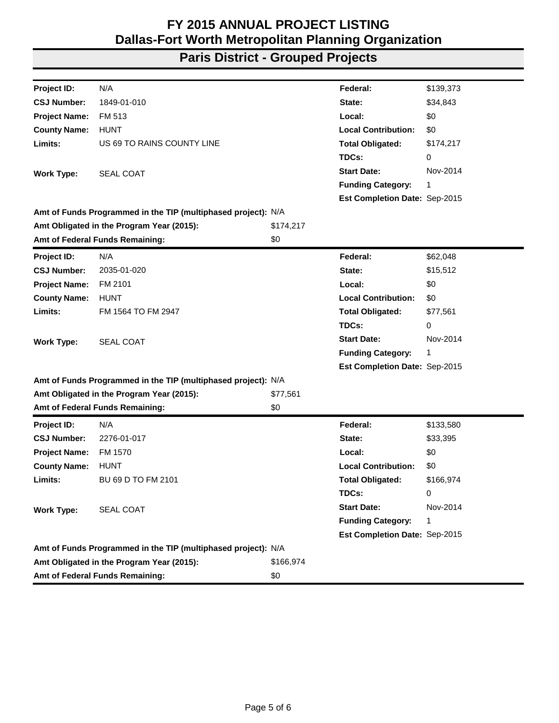| Project ID:          | N/A                                                           |           | Federal:                      | \$139,373 |
|----------------------|---------------------------------------------------------------|-----------|-------------------------------|-----------|
| <b>CSJ Number:</b>   | 1849-01-010                                                   |           | State:                        | \$34,843  |
| <b>Project Name:</b> | FM 513                                                        |           | Local:                        | \$0       |
| <b>County Name:</b>  | <b>HUNT</b>                                                   |           | <b>Local Contribution:</b>    | \$0       |
| Limits:              | US 69 TO RAINS COUNTY LINE                                    |           | <b>Total Obligated:</b>       | \$174,217 |
|                      |                                                               |           | TDCs:                         | 0         |
| <b>Work Type:</b>    | <b>SEAL COAT</b>                                              |           | <b>Start Date:</b>            | Nov-2014  |
|                      |                                                               |           | <b>Funding Category:</b>      | 1         |
|                      |                                                               |           | Est Completion Date: Sep-2015 |           |
|                      | Amt of Funds Programmed in the TIP (multiphased project): N/A |           |                               |           |
|                      | Amt Obligated in the Program Year (2015):                     | \$174,217 |                               |           |
|                      | Amt of Federal Funds Remaining:                               | \$0       |                               |           |
| Project ID:          | N/A                                                           |           | Federal:                      | \$62,048  |
| <b>CSJ Number:</b>   | 2035-01-020                                                   |           | State:                        | \$15,512  |
| <b>Project Name:</b> | FM 2101                                                       |           | Local:                        | \$0       |
| <b>County Name:</b>  | <b>HUNT</b>                                                   |           | <b>Local Contribution:</b>    | \$0       |
| Limits:              | FM 1564 TO FM 2947                                            |           | <b>Total Obligated:</b>       | \$77,561  |
|                      |                                                               |           | TDCs:                         | 0         |
| <b>Work Type:</b>    | <b>SEAL COAT</b>                                              |           | <b>Start Date:</b>            | Nov-2014  |
|                      |                                                               |           | <b>Funding Category:</b>      | 1         |
|                      |                                                               |           | Est Completion Date: Sep-2015 |           |
|                      | Amt of Funds Programmed in the TIP (multiphased project): N/A |           |                               |           |
|                      | Amt Obligated in the Program Year (2015):                     | \$77,561  |                               |           |
|                      | Amt of Federal Funds Remaining:                               | \$0       |                               |           |
| Project ID:          | N/A                                                           |           | Federal:                      | \$133,580 |
| <b>CSJ Number:</b>   | 2276-01-017                                                   |           | State:                        | \$33,395  |
| <b>Project Name:</b> | FM 1570                                                       |           | Local:                        | \$0       |
| <b>County Name:</b>  | <b>HUNT</b>                                                   |           | <b>Local Contribution:</b>    | \$0       |
| Limits:              | BU 69 D TO FM 2101                                            |           | <b>Total Obligated:</b>       | \$166,974 |
|                      |                                                               |           | TDCs:                         | 0         |
| <b>Work Type:</b>    | <b>SEAL COAT</b>                                              |           | <b>Start Date:</b>            | Nov-2014  |
|                      |                                                               |           | <b>Funding Category:</b>      | 1         |
|                      |                                                               |           | Est Completion Date: Sep-2015 |           |
|                      | Amt of Funds Programmed in the TIP (multiphased project): N/A |           |                               |           |
|                      | Amt Obligated in the Program Year (2015):                     | \$166,974 |                               |           |
|                      | Amt of Federal Funds Remaining:                               | \$0       |                               |           |